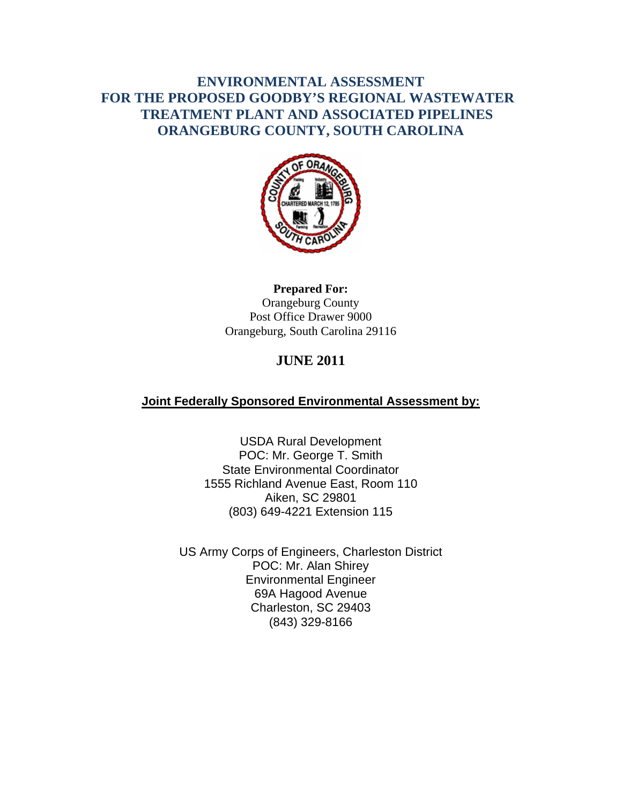## **ENVIRONMENTAL ASSESSMENT FOR THE PROPOSED GOODBY'S REGIONAL WASTEWATER TREATMENT PLANT AND ASSOCIATED PIPELINES ORANGEBURG COUNTY, SOUTH CAROLINA**



### **Prepared For:**  Orangeburg County Post Office Drawer 9000 Orangeburg, South Carolina 29116

# **JUNE 2011**

## **Joint Federally Sponsored Environmental Assessment by:**

USDA Rural Development POC: Mr. George T. Smith State Environmental Coordinator 1555 Richland Avenue East, Room 110 Aiken, SC 29801 (803) 649-4221 Extension 115

US Army Corps of Engineers, Charleston District POC: Mr. Alan Shirey Environmental Engineer 69A Hagood Avenue Charleston, SC 29403 (843) 329-8166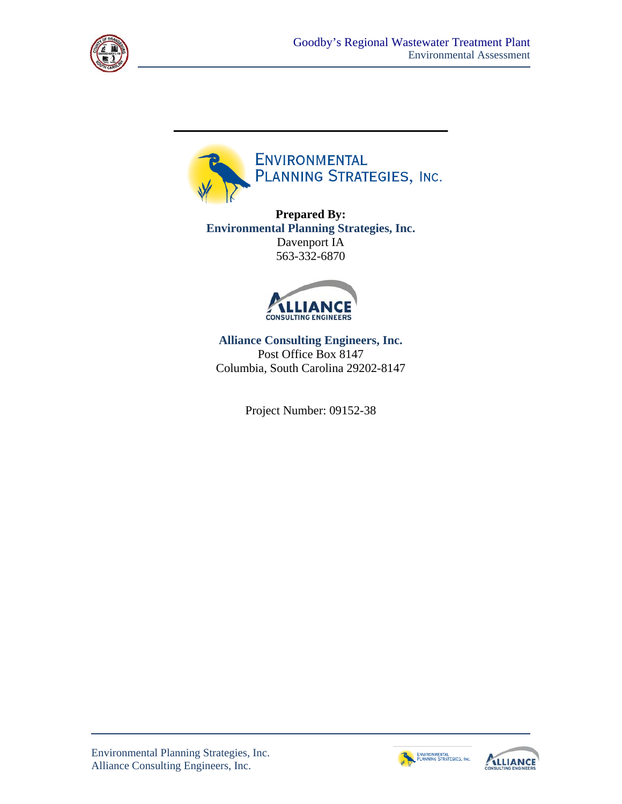



**Prepared By: Environmental Planning Strategies, Inc.** Davenport IA 563-332-6870



**Alliance Consulting Engineers, Inc.**  Post Office Box 8147 Columbia, South Carolina 29202-8147

Project Number: 09152-38



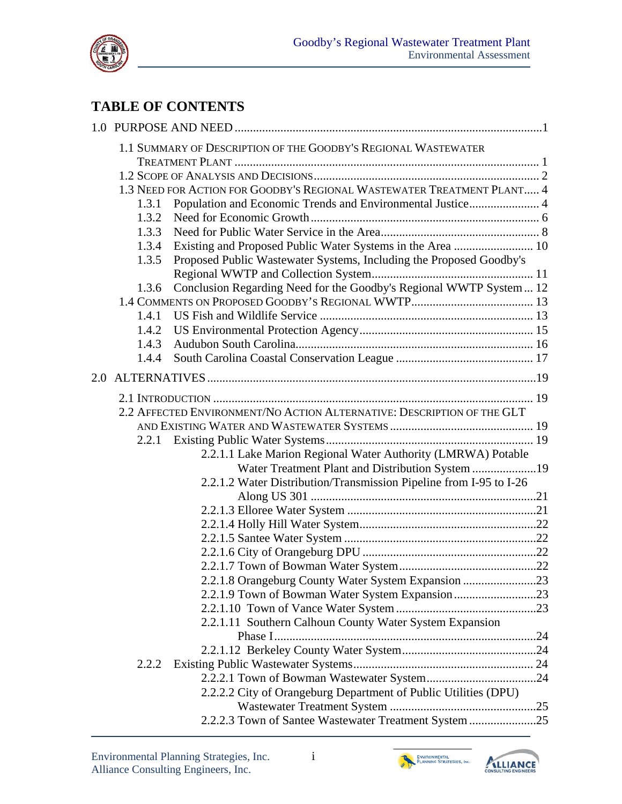

# **TABLE OF CONTENTS**

|     | 1.3.1<br>1.3.2<br>1.3.3<br>1.3.4<br>1.3.5<br>1.3.6<br>1.4.1<br>1.4.2<br>1.4.3<br>1.4.4 | 1.1 SUMMARY OF DESCRIPTION OF THE GOODBY'S REGIONAL WASTEWATER<br>1.3 NEED FOR ACTION FOR GOODBY'S REGIONAL WASTEWATER TREATMENT PLANT 4<br>Population and Economic Trends and Environmental Justice 4<br>Existing and Proposed Public Water Systems in the Area  10<br>Proposed Public Wastewater Systems, Including the Proposed Goodby's<br>Conclusion Regarding Need for the Goodby's Regional WWTP System  12 |  |
|-----|----------------------------------------------------------------------------------------|--------------------------------------------------------------------------------------------------------------------------------------------------------------------------------------------------------------------------------------------------------------------------------------------------------------------------------------------------------------------------------------------------------------------|--|
| 2.0 |                                                                                        |                                                                                                                                                                                                                                                                                                                                                                                                                    |  |
|     | 2.2.1                                                                                  | 2.2 AFFECTED ENVIRONMENT/NO ACTION ALTERNATIVE: DESCRIPTION OF THE GLT                                                                                                                                                                                                                                                                                                                                             |  |
|     |                                                                                        | 2.2.1.1 Lake Marion Regional Water Authority (LMRWA) Potable<br>Water Treatment Plant and Distribution System 19<br>2.2.1.2 Water Distribution/Transmission Pipeline from I-95 to I-26                                                                                                                                                                                                                             |  |
|     |                                                                                        |                                                                                                                                                                                                                                                                                                                                                                                                                    |  |
|     |                                                                                        |                                                                                                                                                                                                                                                                                                                                                                                                                    |  |
|     |                                                                                        |                                                                                                                                                                                                                                                                                                                                                                                                                    |  |
|     |                                                                                        |                                                                                                                                                                                                                                                                                                                                                                                                                    |  |
|     |                                                                                        |                                                                                                                                                                                                                                                                                                                                                                                                                    |  |
|     |                                                                                        | 2.2.1.8 Orangeburg County Water System Expansion 23                                                                                                                                                                                                                                                                                                                                                                |  |
|     |                                                                                        |                                                                                                                                                                                                                                                                                                                                                                                                                    |  |
|     |                                                                                        |                                                                                                                                                                                                                                                                                                                                                                                                                    |  |
|     |                                                                                        | 2.2.1.11 Southern Calhoun County Water System Expansion                                                                                                                                                                                                                                                                                                                                                            |  |
|     |                                                                                        |                                                                                                                                                                                                                                                                                                                                                                                                                    |  |
|     | 2.2.2                                                                                  |                                                                                                                                                                                                                                                                                                                                                                                                                    |  |
|     |                                                                                        |                                                                                                                                                                                                                                                                                                                                                                                                                    |  |
|     |                                                                                        | 2.2.2.2 City of Orangeburg Department of Public Utilities (DPU)                                                                                                                                                                                                                                                                                                                                                    |  |
|     |                                                                                        |                                                                                                                                                                                                                                                                                                                                                                                                                    |  |
|     |                                                                                        | 2.2.2.3 Town of Santee Wastewater Treatment System 25                                                                                                                                                                                                                                                                                                                                                              |  |
|     |                                                                                        |                                                                                                                                                                                                                                                                                                                                                                                                                    |  |



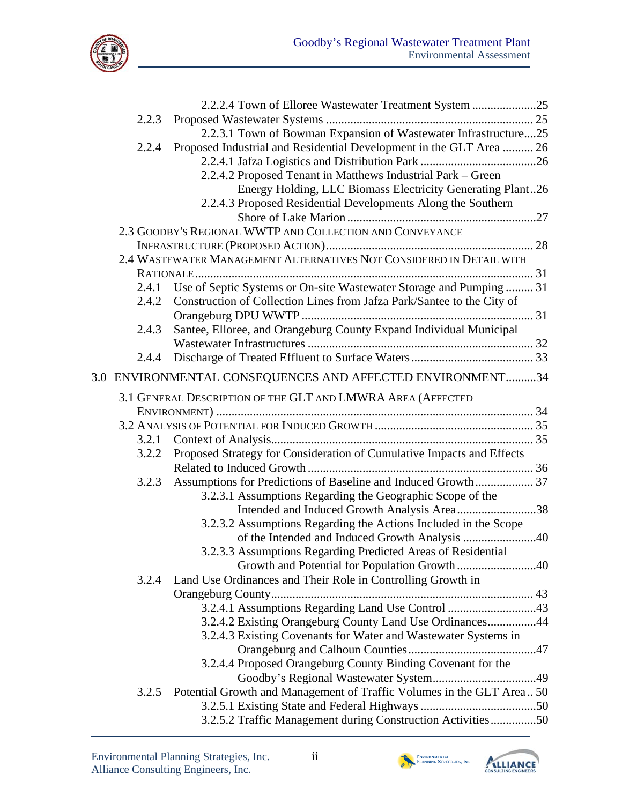

|       | 2.2.2.4 Town of Elloree Wastewater Treatment System 25                 |  |
|-------|------------------------------------------------------------------------|--|
| 2.2.3 |                                                                        |  |
|       | 2.2.3.1 Town of Bowman Expansion of Wastewater Infrastructure25        |  |
| 2.2.4 | Proposed Industrial and Residential Development in the GLT Area  26    |  |
|       |                                                                        |  |
|       | 2.2.4.2 Proposed Tenant in Matthews Industrial Park – Green            |  |
|       | Energy Holding, LLC Biomass Electricity Generating Plant26             |  |
|       | 2.2.4.3 Proposed Residential Developments Along the Southern           |  |
|       |                                                                        |  |
|       | 2.3 GOODBY'S REGIONAL WWTP AND COLLECTION AND CONVEYANCE               |  |
|       |                                                                        |  |
|       | 2.4 WASTEWATER MANAGEMENT ALTERNATIVES NOT CONSIDERED IN DETAIL WITH   |  |
|       |                                                                        |  |
| 2.4.1 | Use of Septic Systems or On-site Wastewater Storage and Pumping  31    |  |
| 2.4.2 | Construction of Collection Lines from Jafza Park/Santee to the City of |  |
|       |                                                                        |  |
| 2.4.3 | Santee, Elloree, and Orangeburg County Expand Individual Municipal     |  |
|       |                                                                        |  |
| 2.4.4 |                                                                        |  |
|       | 3.0 ENVIRONMENTAL CONSEQUENCES AND AFFECTED ENVIRONMENT34              |  |
|       |                                                                        |  |
|       | 3.1 GENERAL DESCRIPTION OF THE GLT AND LMWRA AREA (AFFECTED            |  |
|       |                                                                        |  |
|       |                                                                        |  |
| 3.2.2 | Proposed Strategy for Consideration of Cumulative Impacts and Effects  |  |
|       |                                                                        |  |
|       |                                                                        |  |
|       | 3.2.3.1 Assumptions Regarding the Geographic Scope of the              |  |
|       | Intended and Induced Growth Analysis Area38                            |  |
|       | 3.2.3.2 Assumptions Regarding the Actions Included in the Scope        |  |
|       | of the Intended and Induced Growth Analysis 40                         |  |
|       | 3.2.3.3 Assumptions Regarding Predicted Areas of Residential           |  |
|       |                                                                        |  |
| 3.2.4 | Land Use Ordinances and Their Role in Controlling Growth in            |  |
|       |                                                                        |  |
|       | 3.2.4.1 Assumptions Regarding Land Use Control 43                      |  |
|       | 3.2.4.2 Existing Orangeburg County Land Use Ordinances44               |  |
|       | 3.2.4.3 Existing Covenants for Water and Wastewater Systems in         |  |
|       |                                                                        |  |
|       | 3.2.4.4 Proposed Orangeburg County Binding Covenant for the            |  |
|       |                                                                        |  |
| 3.2.5 | Potential Growth and Management of Traffic Volumes in the GLT Area 50  |  |
|       |                                                                        |  |
|       | 3.2.5.2 Traffic Management during Construction Activities50            |  |
|       |                                                                        |  |



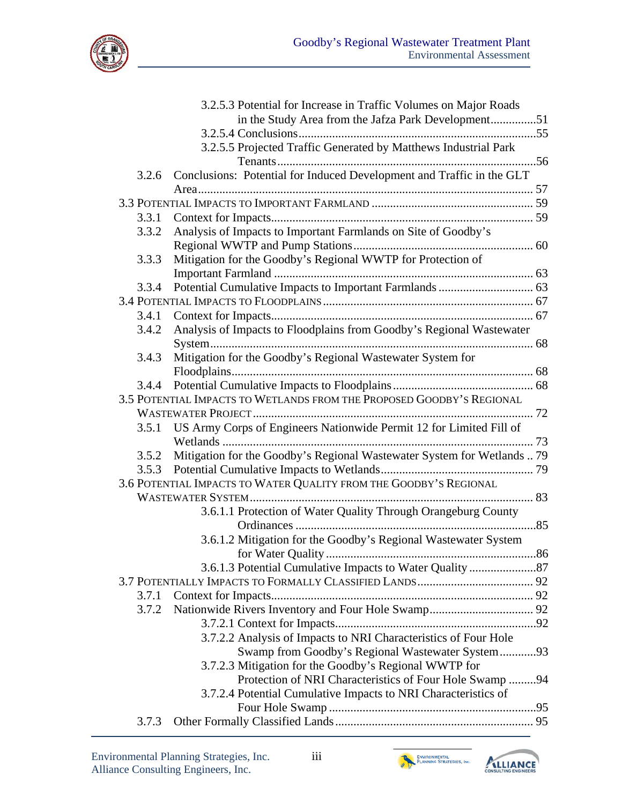

|       | 3.2.5.3 Potential for Increase in Traffic Volumes on Major Roads          |  |
|-------|---------------------------------------------------------------------------|--|
|       |                                                                           |  |
|       |                                                                           |  |
|       | 3.2.5.5 Projected Traffic Generated by Matthews Industrial Park           |  |
|       |                                                                           |  |
| 3.2.6 | Conclusions: Potential for Induced Development and Traffic in the GLT     |  |
|       |                                                                           |  |
|       |                                                                           |  |
| 3.3.1 |                                                                           |  |
| 3.3.2 | Analysis of Impacts to Important Farmlands on Site of Goodby's            |  |
|       |                                                                           |  |
| 3.3.3 | Mitigation for the Goodby's Regional WWTP for Protection of               |  |
|       |                                                                           |  |
| 3.3.4 |                                                                           |  |
|       |                                                                           |  |
| 3.4.1 |                                                                           |  |
| 3.4.2 | Analysis of Impacts to Floodplains from Goodby's Regional Wastewater      |  |
|       |                                                                           |  |
| 3.4.3 | Mitigation for the Goodby's Regional Wastewater System for                |  |
|       |                                                                           |  |
| 3.4.4 |                                                                           |  |
|       | 3.5 POTENTIAL IMPACTS TO WETLANDS FROM THE PROPOSED GOODBY'S REGIONAL     |  |
|       |                                                                           |  |
|       | 3.5.1 US Army Corps of Engineers Nationwide Permit 12 for Limited Fill of |  |
|       |                                                                           |  |
|       |                                                                           |  |
| 3.5.2 | Mitigation for the Goodby's Regional Wastewater System for Wetlands  79   |  |
|       |                                                                           |  |
|       | 3.6 POTENTIAL IMPACTS TO WATER QUALITY FROM THE GOODBY'S REGIONAL         |  |
|       |                                                                           |  |
|       | 3.6.1.1 Protection of Water Quality Through Orangeburg County             |  |
|       |                                                                           |  |
|       | 3.6.1.2 Mitigation for the Goodby's Regional Wastewater System            |  |
|       |                                                                           |  |
|       |                                                                           |  |
|       |                                                                           |  |
| 3.7.1 |                                                                           |  |
| 3.7.2 |                                                                           |  |
|       |                                                                           |  |
|       | 3.7.2.2 Analysis of Impacts to NRI Characteristics of Four Hole           |  |
|       | Swamp from Goodby's Regional Wastewater System93                          |  |
|       | 3.7.2.3 Mitigation for the Goodby's Regional WWTP for                     |  |
|       | Protection of NRI Characteristics of Four Hole Swamp 94                   |  |
|       | 3.7.2.4 Potential Cumulative Impacts to NRI Characteristics of            |  |
|       |                                                                           |  |
| 3.7.3 |                                                                           |  |
|       |                                                                           |  |



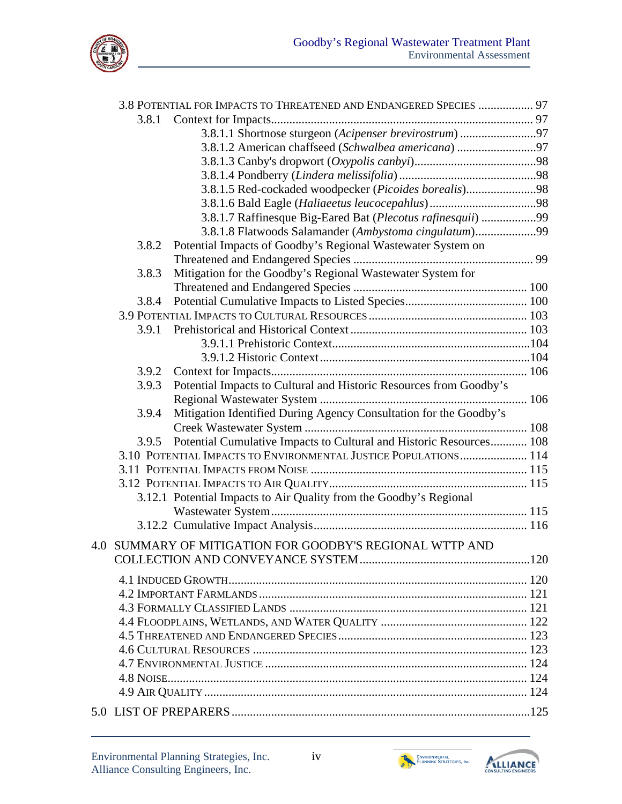

|       | 3.8 POTENTIAL FOR IMPACTS TO THREATENED AND ENDANGERED SPECIES  97  |  |
|-------|---------------------------------------------------------------------|--|
| 3.8.1 |                                                                     |  |
|       | 3.8.1.1 Shortnose sturgeon (Acipenser brevirostrum) 97              |  |
|       | 3.8.1.2 American chaffseed (Schwalbea americana) 97                 |  |
|       |                                                                     |  |
|       |                                                                     |  |
|       | 3.8.1.5 Red-cockaded woodpecker (Picoides borealis)98               |  |
|       |                                                                     |  |
|       | 3.8.1.7 Raffinesque Big-Eared Bat (Plecotus rafinesquii) 99         |  |
|       | 3.8.1.8 Flatwoods Salamander (Ambystoma cingulatum)99               |  |
| 3.8.2 | Potential Impacts of Goodby's Regional Wastewater System on         |  |
|       |                                                                     |  |
| 3.8.3 | Mitigation for the Goodby's Regional Wastewater System for          |  |
|       |                                                                     |  |
| 3.8.4 |                                                                     |  |
|       |                                                                     |  |
| 3.9.1 |                                                                     |  |
|       |                                                                     |  |
|       |                                                                     |  |
| 3.9.2 |                                                                     |  |
| 3.9.3 | Potential Impacts to Cultural and Historic Resources from Goodby's  |  |
|       |                                                                     |  |
| 3.9.4 | Mitigation Identified During Agency Consultation for the Goodby's   |  |
|       |                                                                     |  |
| 3.9.5 | Potential Cumulative Impacts to Cultural and Historic Resources 108 |  |
|       | 3.10 POTENTIAL IMPACTS TO ENVIRONMENTAL JUSTICE POPULATIONS 114     |  |
|       |                                                                     |  |
|       |                                                                     |  |
|       | 3.12.1 Potential Impacts to Air Quality from the Goodby's Regional  |  |
|       |                                                                     |  |
|       |                                                                     |  |
|       | 4.0 SUMMARY OF MITIGATION FOR GOODBY'S REGIONAL WTTP AND            |  |
|       |                                                                     |  |
|       |                                                                     |  |
|       |                                                                     |  |
|       |                                                                     |  |
|       |                                                                     |  |
|       |                                                                     |  |
|       |                                                                     |  |
|       |                                                                     |  |
|       |                                                                     |  |
|       |                                                                     |  |
|       |                                                                     |  |
|       |                                                                     |  |
|       |                                                                     |  |



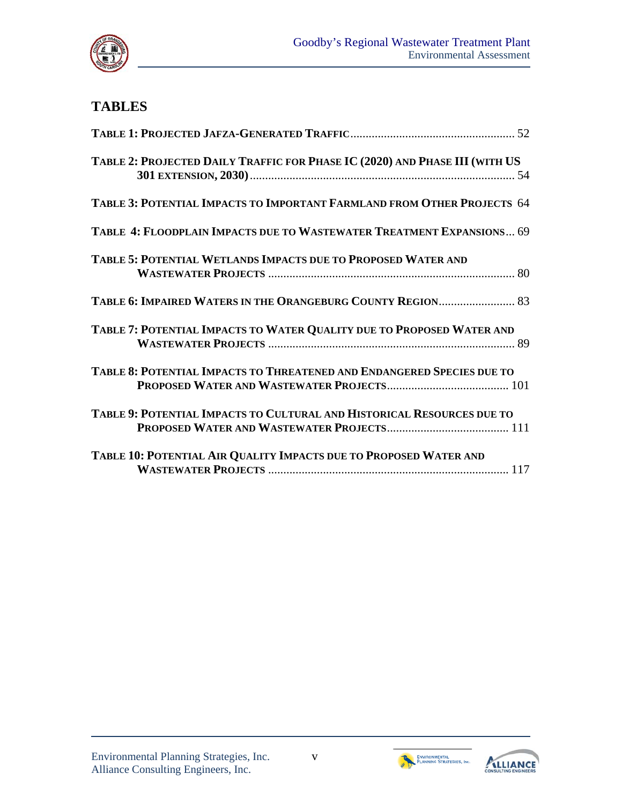

# **TABLES**

| TABLE 2: PROJECTED DAILY TRAFFIC FOR PHASE IC (2020) AND PHASE III (WITH US |
|-----------------------------------------------------------------------------|
| TABLE 3: POTENTIAL IMPACTS TO IMPORTANT FARMLAND FROM OTHER PROJECTS 64     |
| TABLE 4: FLOODPLAIN IMPACTS DUE TO WASTEWATER TREATMENT EXPANSIONS 69       |
| TABLE 5: POTENTIAL WETLANDS IMPACTS DUE TO PROPOSED WATER AND               |
| TABLE 6: IMPAIRED WATERS IN THE ORANGEBURG COUNTY REGION 83                 |
| TABLE 7: POTENTIAL IMPACTS TO WATER QUALITY DUE TO PROPOSED WATER AND       |
| TABLE 8: POTENTIAL IMPACTS TO THREATENED AND ENDANGERED SPECIES DUE TO      |
| TABLE 9: POTENTIAL IMPACTS TO CULTURAL AND HISTORICAL RESOURCES DUE TO      |
| TABLE 10: POTENTIAL AIR QUALITY IMPACTS DUE TO PROPOSED WATER AND           |



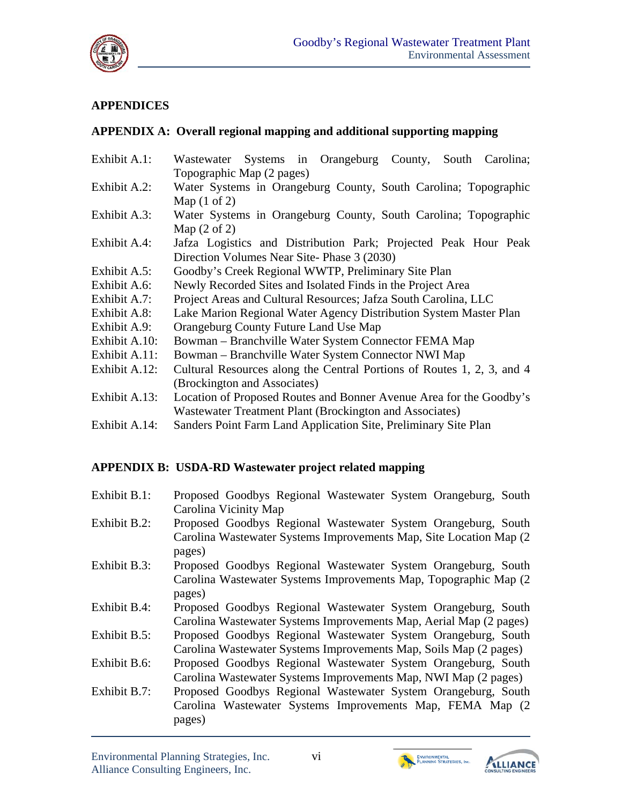

## **APPENDICES**

## **APPENDIX A: Overall regional mapping and additional supporting mapping**

| Exhibit A.1:  | Wastewater Systems in Orangeburg County, South Carolina;               |
|---------------|------------------------------------------------------------------------|
|               | Topographic Map (2 pages)                                              |
| Exhibit A.2:  | Water Systems in Orangeburg County, South Carolina; Topographic        |
|               | Map $(1 \text{ of } 2)$                                                |
| Exhibit A.3:  | Water Systems in Orangeburg County, South Carolina; Topographic        |
|               | Map $(2 \text{ of } 2)$                                                |
| Exhibit A.4:  | Jafza Logistics and Distribution Park; Projected Peak Hour Peak        |
|               | Direction Volumes Near Site-Phase 3 (2030)                             |
| Exhibit A.5:  | Goodby's Creek Regional WWTP, Preliminary Site Plan                    |
| Exhibit A.6:  | Newly Recorded Sites and Isolated Finds in the Project Area            |
| Exhibit A.7:  | Project Areas and Cultural Resources; Jafza South Carolina, LLC        |
| Exhibit A.8:  | Lake Marion Regional Water Agency Distribution System Master Plan      |
| Exhibit A.9:  | Orangeburg County Future Land Use Map                                  |
| Exhibit A.10: | Bowman – Branchville Water System Connector FEMA Map                   |
| Exhibit A.11: | Bowman – Branchville Water System Connector NWI Map                    |
| Exhibit A.12: | Cultural Resources along the Central Portions of Routes 1, 2, 3, and 4 |
|               | (Brockington and Associates)                                           |
| Exhibit A.13: | Location of Proposed Routes and Bonner Avenue Area for the Goodby's    |
|               | Wastewater Treatment Plant (Brockington and Associates)                |
| Exhibit A.14: | Sanders Point Farm Land Application Site, Preliminary Site Plan        |
|               |                                                                        |

## **APPENDIX B: USDA-RD Wastewater project related mapping**

| Exhibit B.1: | Proposed Goodbys Regional Wastewater System Orangeburg, South       |
|--------------|---------------------------------------------------------------------|
|              | Carolina Vicinity Map                                               |
| Exhibit B.2: | Proposed Goodbys Regional Wastewater System Orangeburg, South       |
|              | Carolina Wastewater Systems Improvements Map, Site Location Map (2) |
|              | pages)                                                              |
| Exhibit B.3: | Proposed Goodbys Regional Wastewater System Orangeburg, South       |
|              | Carolina Wastewater Systems Improvements Map, Topographic Map (2)   |
|              | pages)                                                              |
| Exhibit B.4: | Proposed Goodbys Regional Wastewater System Orangeburg, South       |
|              | Carolina Wastewater Systems Improvements Map, Aerial Map (2 pages)  |
| Exhibit B.5: | Proposed Goodbys Regional Wastewater System Orangeburg, South       |
|              | Carolina Wastewater Systems Improvements Map, Soils Map (2 pages)   |
| Exhibit B.6: | Proposed Goodbys Regional Wastewater System Orangeburg, South       |
|              | Carolina Wastewater Systems Improvements Map, NWI Map (2 pages)     |
| Exhibit B.7: | Proposed Goodbys Regional Wastewater System Orangeburg, South       |
|              | Carolina Wastewater Systems Improvements Map, FEMA Map (2)          |
|              | pages)                                                              |



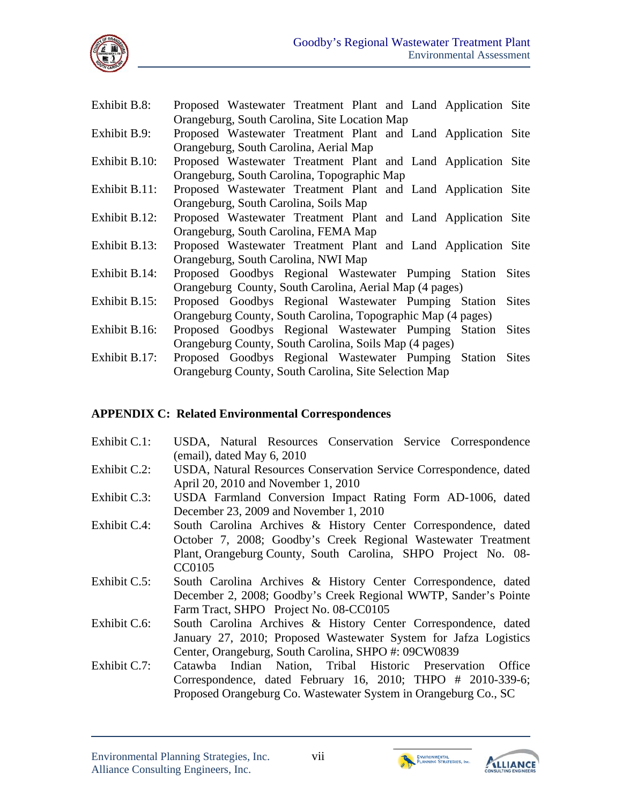

| Exhibit B.8:  | Proposed Wastewater Treatment Plant and Land Application Site        |
|---------------|----------------------------------------------------------------------|
|               | Orangeburg, South Carolina, Site Location Map                        |
| Exhibit B.9:  | Proposed Wastewater Treatment Plant and Land Application Site        |
|               | Orangeburg, South Carolina, Aerial Map                               |
| Exhibit B.10: | Proposed Wastewater Treatment Plant and Land Application Site        |
|               | Orangeburg, South Carolina, Topographic Map                          |
| Exhibit B.11: | Proposed Wastewater Treatment Plant and Land Application Site        |
|               | Orangeburg, South Carolina, Soils Map                                |
| Exhibit B.12: | Proposed Wastewater Treatment Plant and Land Application Site        |
|               | Orangeburg, South Carolina, FEMA Map                                 |
| Exhibit B.13: | Proposed Wastewater Treatment Plant and Land Application Site        |
|               | Orangeburg, South Carolina, NWI Map                                  |
| Exhibit B.14: | Proposed Goodbys Regional Wastewater Pumping Station Sites           |
|               | Orangeburg County, South Carolina, Aerial Map (4 pages)              |
| Exhibit B.15: | Proposed Goodbys Regional Wastewater Pumping Station Sites           |
|               | Orangeburg County, South Carolina, Topographic Map (4 pages)         |
| Exhibit B.16: | Proposed Goodbys Regional Wastewater Pumping Station<br><b>Sites</b> |
|               | Orangeburg County, South Carolina, Soils Map (4 pages)               |
| Exhibit B.17: | Proposed Goodbys Regional Wastewater Pumping Station<br><b>Sites</b> |
|               | Orangeburg County, South Carolina, Site Selection Map                |

#### **APPENDIX C: Related Environmental Correspondences**

- Exhibit C.1: USDA, Natural Resources Conservation Service Correspondence (email), dated May 6, 2010
- Exhibit C.2: USDA, Natural Resources Conservation Service Correspondence, dated April 20, 2010 and November 1, 2010
- Exhibit C.3: USDA Farmland Conversion Impact Rating Form AD-1006, dated December 23, 2009 and November 1, 2010
- Exhibit C.4: South Carolina Archives & History Center Correspondence, dated October 7, 2008; Goodby's Creek Regional Wastewater Treatment Plant, Orangeburg County, South Carolina, SHPO Project No. 08 CC0105
- Exhibit C.5: South Carolina Archives & History Center Correspondence, dated December 2, 2008; Goodby's Creek Regional WWTP, Sander's Pointe Farm Tract, SHPO Project No. 08-CC0105
- Exhibit C.6: South Carolina Archives & History Center Correspondence, dated January 27, 2010; Proposed Wastewater System for Jafza Logistics Center, Orangeburg, South Carolina, SHPO #: 09CW0839
- Exhibit C.7: Catawba Indian Nation, Tribal Historic Preservation Office Correspondence, dated February 16, 2010; THPO # 2010-339-6; Proposed Orangeburg Co. Wastewater System in Orangeburg Co., SC



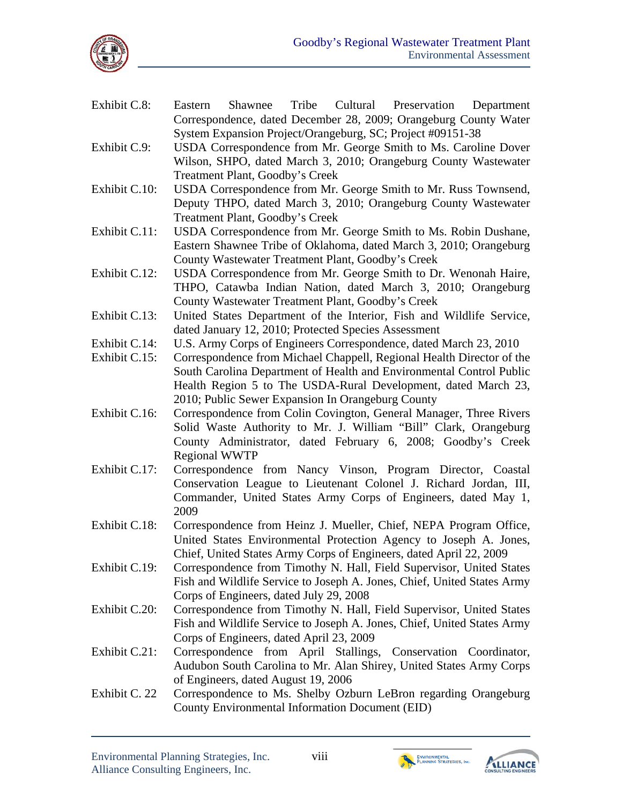

Correspondence, dated December 28, 2009; Orangeburg County Water System Expansion Project/Orangeburg, SC; Project #09151-38 Exhibit C.9: USDA Correspondence from Mr. George Smith to Ms. Caroline Dover Wilson, SHPO, dated March 3, 2010; Orangeburg County Wastewater Treatment Plant, Goodby's Creek Exhibit C.10: USDA Correspondence from Mr. George Smith to Mr. Russ Townsend, Deputy THPO, dated March 3, 2010; Orangeburg County Wastewater Treatment Plant, Goodby's Creek Exhibit C.11: USDA Correspondence from Mr. George Smith to Ms. Robin Dushane, Eastern Shawnee Tribe of Oklahoma, dated March 3, 2010; Orangeburg County Wastewater Treatment Plant, Goodby's Creek Exhibit C.12: USDA Correspondence from Mr. George Smith to Dr. Wenonah Haire, THPO, Catawba Indian Nation, dated March 3, 2010; Orangeburg County Wastewater Treatment Plant, Goodby's Creek Exhibit C.13: United States Department of the Interior, Fish and Wildlife Service, dated January 12, 2010; Protected Species Assessment Exhibit C.14: U.S. Army Corps of Engineers Correspondence, dated March 23, 2010 Exhibit C.15: Correspondence from Michael Chappell, Regional Health Director of the South Carolina Department of Health and Environmental Control Public Health Region 5 to The USDA-Rural Development, dated March 23, 2010; Public Sewer Expansion In Orangeburg County Exhibit C.16: Correspondence from Colin Covington, General Manager, Three Rivers Solid Waste Authority to Mr. J. William "Bill" Clark, Orangeburg County Administrator, dated February 6, 2008; Goodby's Creek Regional WWTP Exhibit C.17: Correspondence from Nancy Vinson, Program Director, Coastal Conservation League to Lieutenant Colonel J. Richard Jordan, III, Commander, United States Army Corps of Engineers, dated May 1, 2009 Exhibit C.18: Correspondence from Heinz J. Mueller, Chief, NEPA Program Office, United States Environmental Protection Agency to Joseph A. Jones, Chief, United States Army Corps of Engineers, dated April 22, 2009 Exhibit C.19: Correspondence from Timothy N. Hall, Field Supervisor, United States Fish and Wildlife Service to Joseph A. Jones, Chief, United States Army Corps of Engineers, dated July 29, 2008 Exhibit C.20: Correspondence from Timothy N. Hall, Field Supervisor, United States Fish and Wildlife Service to Joseph A. Jones, Chief, United States Army Corps of Engineers, dated April 23, 2009

Exhibit C.8: Eastern Shawnee Tribe Cultural Preservation Department

- Exhibit C.21: Correspondence from April Stallings, Conservation Coordinator, Audubon South Carolina to Mr. Alan Shirey, United States Army Corps of Engineers, dated August 19, 2006
- Exhibit C. 22 Correspondence to Ms. Shelby Ozburn LeBron regarding Orangeburg County Environmental Information Document (EID)



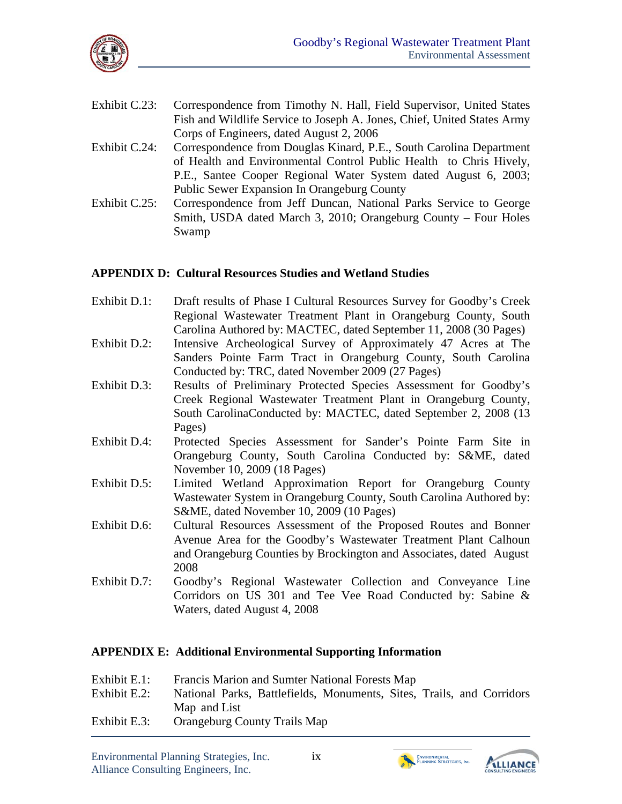

| Exhibit C.23: Correspondence from Timothy N. Hall, Field Supervisor, United States |
|------------------------------------------------------------------------------------|
| Fish and Wildlife Service to Joseph A. Jones, Chief, United States Army            |
| Corps of Engineers, dated August 2, 2006                                           |

- Exhibit C.24: Correspondence from Douglas Kinard, P.E., South Carolina Department of Health and Environmental Control Public Health to Chris Hively, P.E., Santee Cooper Regional Water System dated August 6, 2003; Public Sewer Expansion In Orangeburg County
- Exhibit C.25: Correspondence from Jeff Duncan, National Parks Service to George Smith, USDA dated March 3, 2010; Orangeburg County – Four Holes Swamp

#### **APPENDIX D: Cultural Resources Studies and Wetland Studies**

- Exhibit D.1: Draft results of Phase I Cultural Resources Survey for Goodby's Creek Regional Wastewater Treatment Plant in Orangeburg County, South Carolina Authored by: MACTEC, dated September 11, 2008 (30 Pages)
- Exhibit D.2: Intensive Archeological Survey of Approximately 47 Acres at The Sanders Pointe Farm Tract in Orangeburg County, South Carolina Conducted by: TRC, dated November 2009 (27 Pages)
- Exhibit D.3: Results of Preliminary Protected Species Assessment for Goodby's Creek Regional Wastewater Treatment Plant in Orangeburg County, South CarolinaConducted by: MACTEC, dated September 2, 2008 (13 Pages)
- Exhibit D.4: Protected Species Assessment for Sander's Pointe Farm Site in Orangeburg County, South Carolina Conducted by: S&ME, dated November 10, 2009 (18 Pages)
- Exhibit D.5: Limited Wetland Approximation Report for Orangeburg County Wastewater System in Orangeburg County, South Carolina Authored by: S&ME, dated November 10, 2009 (10 Pages)
- Exhibit D.6: Cultural Resources Assessment of the Proposed Routes and Bonner Avenue Area for the Goodby's Wastewater Treatment Plant Calhoun and Orangeburg Counties by Brockington and Associates, dated August 2008
- Exhibit D.7: Goodby's Regional Wastewater Collection and Conveyance Line Corridors on US 301 and Tee Vee Road Conducted by: Sabine & Waters, dated August 4, 2008

#### **APPENDIX E: Additional Environmental Supporting Information**

| Exhibit E.1: | Francis Marion and Sumter National Forests Map                        |
|--------------|-----------------------------------------------------------------------|
| Exhibit E.2: | National Parks, Battlefields, Monuments, Sites, Trails, and Corridors |
|              | Map and List                                                          |
| Exhibit E.3: | <b>Orangeburg County Trails Map</b>                                   |



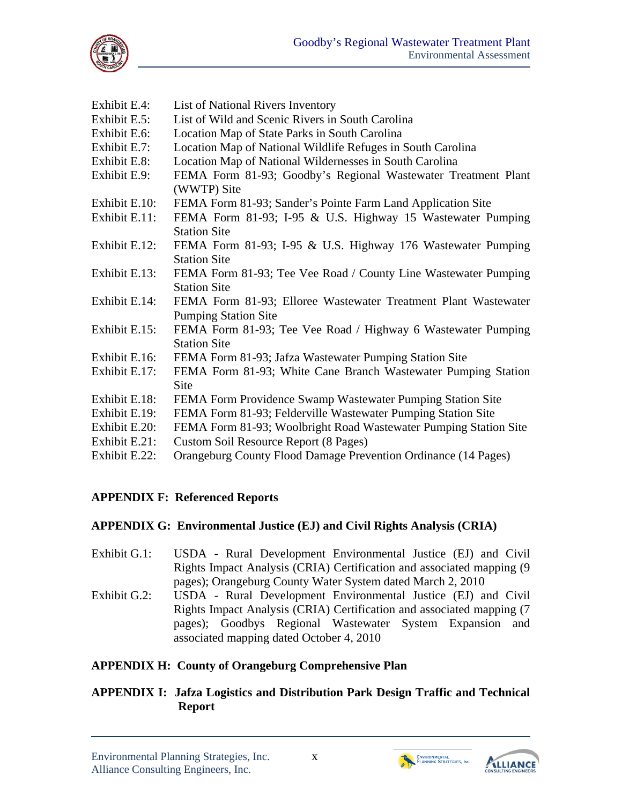

| Exhibit E.4:  | List of National Rivers Inventory                                |
|---------------|------------------------------------------------------------------|
| Exhibit E.5:  | List of Wild and Scenic Rivers in South Carolina                 |
| Exhibit E.6:  | Location Map of State Parks in South Carolina                    |
| Exhibit E.7:  | Location Map of National Wildlife Refuges in South Carolina      |
| Exhibit E.8:  | Location Map of National Wildernesses in South Carolina          |
| Exhibit E.9:  | FEMA Form 81-93; Goodby's Regional Wastewater Treatment Plant    |
|               | (WWTP) Site                                                      |
| Exhibit E.10: | FEMA Form 81-93; Sander's Pointe Farm Land Application Site      |
| Exhibit E.11: | FEMA Form 81-93; I-95 & U.S. Highway 15 Wastewater Pumping       |
|               | <b>Station Site</b>                                              |
| Exhibit E.12: | FEMA Form 81-93; I-95 & U.S. Highway 176 Wastewater Pumping      |
|               | <b>Station Site</b>                                              |
| Exhibit E.13: | FEMA Form 81-93; Tee Vee Road / County Line Wastewater Pumping   |
|               | <b>Station Site</b>                                              |
| Exhibit E.14: | FEMA Form 81-93; Elloree Wastewater Treatment Plant Wastewater   |
|               | <b>Pumping Station Site</b>                                      |
| Exhibit E.15: | FEMA Form 81-93; Tee Vee Road / Highway 6 Wastewater Pumping     |
|               | <b>Station Site</b>                                              |
| Exhibit E.16: | FEMA Form 81-93; Jafza Wastewater Pumping Station Site           |
| Exhibit E.17: | FEMA Form 81-93; White Cane Branch Wastewater Pumping Station    |
|               | <b>Site</b>                                                      |
| Exhibit E.18: | FEMA Form Providence Swamp Wastewater Pumping Station Site       |
| Exhibit E.19: | FEMA Form 81-93; Felderville Wastewater Pumping Station Site     |
| Exhibit E.20: | FEMA Form 81-93; Woolbright Road Wastewater Pumping Station Site |
| Exhibit E.21: | Custom Soil Resource Report (8 Pages)                            |
| Exhibit E.22: | Orangeburg County Flood Damage Prevention Ordinance (14 Pages)   |

## **APPENDIX F: Referenced Reports**

#### **APPENDIX G: Environmental Justice (EJ) and Civil Rights Analysis (CRIA)**

- Exhibit G.1: USDA Rural Development Environmental Justice (EJ) and Civil Rights Impact Analysis (CRIA) Certification and associated mapping (9 pages); Orangeburg County Water System dated March 2, 2010
- Exhibit G.2: USDA Rural Development Environmental Justice (EJ) and Civil Rights Impact Analysis (CRIA) Certification and associated mapping (7 pages); Goodbys Regional Wastewater System Expansion and associated mapping dated October 4, 2010

## **APPENDIX H: County of Orangeburg Comprehensive Plan**

### **APPENDIX I: Jafza Logistics and Distribution Park Design Traffic and Technical Report**



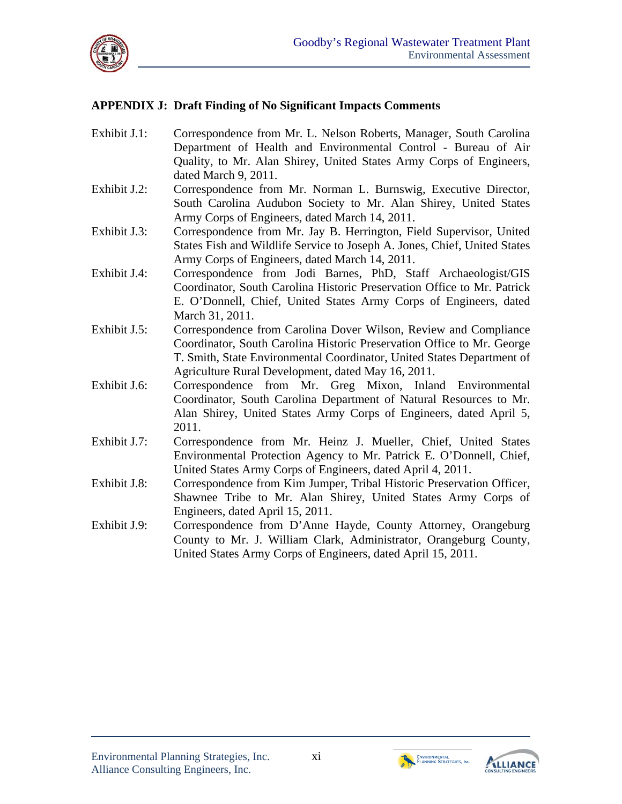

#### **APPENDIX J: Draft Finding of No Significant Impacts Comments**

Exhibit J.1: Correspondence from Mr. L. Nelson Roberts, Manager, South Carolina Department of Health and Environmental Control - Bureau of Air Quality, to Mr. Alan Shirey, United States Army Corps of Engineers, dated March 9, 2011. Exhibit J.2: Correspondence from Mr. Norman L. Burnswig, Executive Director, South Carolina Audubon Society to Mr. Alan Shirey, United States Army Corps of Engineers, dated March 14, 2011. Exhibit J.3: Correspondence from Mr. Jay B. Herrington, Field Supervisor, United States Fish and Wildlife Service to Joseph A. Jones, Chief, United States Army Corps of Engineers, dated March 14, 2011. Exhibit J.4: Correspondence from Jodi Barnes, PhD, Staff Archaeologist/GIS Coordinator, South Carolina Historic Preservation Office to Mr. Patrick E. O'Donnell, Chief, United States Army Corps of Engineers, dated March 31, 2011. Exhibit J.5: Correspondence from Carolina Dover Wilson, Review and Compliance Coordinator, South Carolina Historic Preservation Office to Mr. George T. Smith, State Environmental Coordinator, United States Department of Agriculture Rural Development, dated May 16, 2011. Exhibit J.6: Correspondence from Mr. Greg Mixon, Inland Environmental Coordinator, South Carolina Department of Natural Resources to Mr. Alan Shirey, United States Army Corps of Engineers, dated April 5, 2011. Exhibit J.7: Correspondence from Mr. Heinz J. Mueller, Chief, United States Environmental Protection Agency to Mr. Patrick E. O'Donnell, Chief, United States Army Corps of Engineers, dated April 4, 2011. Exhibit J.8: Correspondence from Kim Jumper, Tribal Historic Preservation Officer, Shawnee Tribe to Mr. Alan Shirey, United States Army Corps of Engineers, dated April 15, 2011. Exhibit J.9: Correspondence from D'Anne Hayde, County Attorney, Orangeburg County to Mr. J. William Clark, Administrator, Orangeburg County, United States Army Corps of Engineers, dated April 15, 2011.



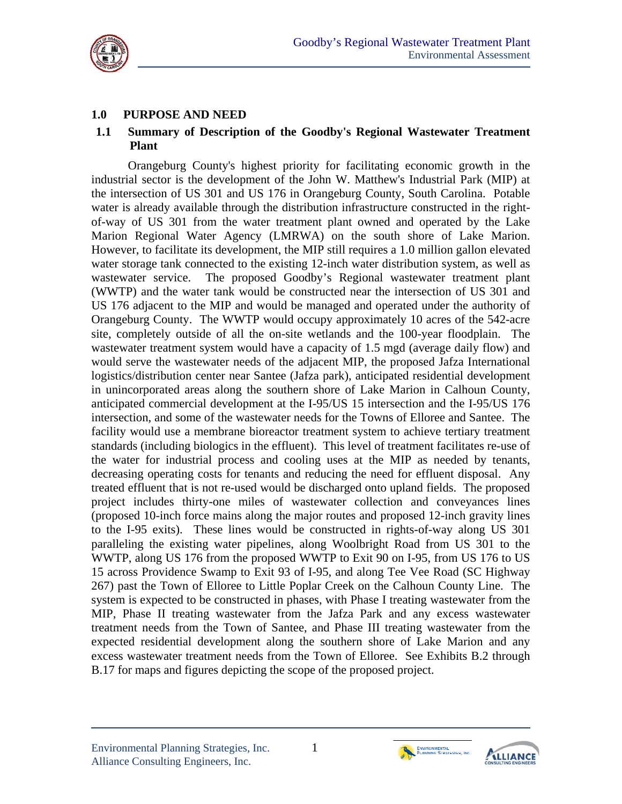

## **1.0 PURPOSE AND NEED**

#### **1.1 Summary of Description of the Goodby's Regional Wastewater Treatment Plant**

Orangeburg County's highest priority for facilitating economic growth in the industrial sector is the development of the John W. Matthew's Industrial Park (MIP) at the intersection of US 301 and US 176 in Orangeburg County, South Carolina. Potable water is already available through the distribution infrastructure constructed in the rightof-way of US 301 from the water treatment plant owned and operated by the Lake Marion Regional Water Agency (LMRWA) on the south shore of Lake Marion. However, to facilitate its development, the MIP still requires a 1.0 million gallon elevated water storage tank connected to the existing 12-inch water distribution system, as well as wastewater service. The proposed Goodby's Regional wastewater treatment plant (WWTP) and the water tank would be constructed near the intersection of US 301 and US 176 adjacent to the MIP and would be managed and operated under the authority of Orangeburg County. The WWTP would occupy approximately 10 acres of the 542-acre site, completely outside of all the on-site wetlands and the 100-year floodplain. The wastewater treatment system would have a capacity of 1.5 mgd (average daily flow) and would serve the wastewater needs of the adjacent MIP, the proposed Jafza International logistics/distribution center near Santee (Jafza park), anticipated residential development in unincorporated areas along the southern shore of Lake Marion in Calhoun County, anticipated commercial development at the I-95/US 15 intersection and the I-95/US 176 intersection, and some of the wastewater needs for the Towns of Elloree and Santee. The facility would use a membrane bioreactor treatment system to achieve tertiary treatment standards (including biologics in the effluent). This level of treatment facilitates re-use of the water for industrial process and cooling uses at the MIP as needed by tenants, decreasing operating costs for tenants and reducing the need for effluent disposal. Any treated effluent that is not re-used would be discharged onto upland fields. The proposed project includes thirty-one miles of wastewater collection and conveyances lines (proposed 10-inch force mains along the major routes and proposed 12-inch gravity lines to the I-95 exits). These lines would be constructed in rights-of-way along US 301 paralleling the existing water pipelines, along Woolbright Road from US 301 to the WWTP, along US 176 from the proposed WWTP to Exit 90 on I-95, from US 176 to US 15 across Providence Swamp to Exit 93 of I-95, and along Tee Vee Road (SC Highway 267) past the Town of Elloree to Little Poplar Creek on the Calhoun County Line. The system is expected to be constructed in phases, with Phase I treating wastewater from the MIP, Phase II treating wastewater from the Jafza Park and any excess wastewater treatment needs from the Town of Santee, and Phase III treating wastewater from the expected residential development along the southern shore of Lake Marion and any excess wastewater treatment needs from the Town of Elloree. See Exhibits B.2 through B.17 for maps and figures depicting the scope of the proposed project.



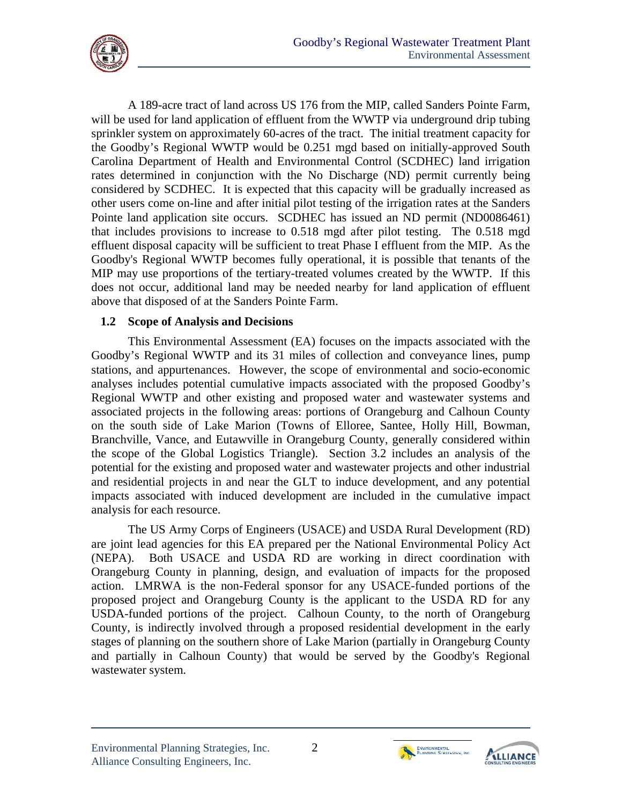

A 189-acre tract of land across US 176 from the MIP, called Sanders Pointe Farm, will be used for land application of effluent from the WWTP via underground drip tubing sprinkler system on approximately 60-acres of the tract. The initial treatment capacity for the Goodby's Regional WWTP would be 0.251 mgd based on initially-approved South Carolina Department of Health and Environmental Control (SCDHEC) land irrigation rates determined in conjunction with the No Discharge (ND) permit currently being considered by SCDHEC. It is expected that this capacity will be gradually increased as other users come on-line and after initial pilot testing of the irrigation rates at the Sanders Pointe land application site occurs. SCDHEC has issued an ND permit (ND0086461) that includes provisions to increase to 0.518 mgd after pilot testing. The 0.518 mgd effluent disposal capacity will be sufficient to treat Phase I effluent from the MIP. As the Goodby's Regional WWTP becomes fully operational, it is possible that tenants of the MIP may use proportions of the tertiary-treated volumes created by the WWTP. If this does not occur, additional land may be needed nearby for land application of effluent above that disposed of at the Sanders Pointe Farm.

#### **1.2 Scope of Analysis and Decisions**

This Environmental Assessment (EA) focuses on the impacts associated with the Goodby's Regional WWTP and its 31 miles of collection and conveyance lines, pump stations, and appurtenances. However, the scope of environmental and socio-economic analyses includes potential cumulative impacts associated with the proposed Goodby's Regional WWTP and other existing and proposed water and wastewater systems and associated projects in the following areas: portions of Orangeburg and Calhoun County on the south side of Lake Marion (Towns of Elloree, Santee, Holly Hill, Bowman, Branchville, Vance, and Eutawville in Orangeburg County, generally considered within the scope of the Global Logistics Triangle). Section 3.2 includes an analysis of the potential for the existing and proposed water and wastewater projects and other industrial and residential projects in and near the GLT to induce development, and any potential impacts associated with induced development are included in the cumulative impact analysis for each resource.

The US Army Corps of Engineers (USACE) and USDA Rural Development (RD) are joint lead agencies for this EA prepared per the National Environmental Policy Act (NEPA). Both USACE and USDA RD are working in direct coordination with Orangeburg County in planning, design, and evaluation of impacts for the proposed action. LMRWA is the non-Federal sponsor for any USACE-funded portions of the proposed project and Orangeburg County is the applicant to the USDA RD for any USDA-funded portions of the project. Calhoun County, to the north of Orangeburg County, is indirectly involved through a proposed residential development in the early stages of planning on the southern shore of Lake Marion (partially in Orangeburg County and partially in Calhoun County) that would be served by the Goodby's Regional wastewater system.



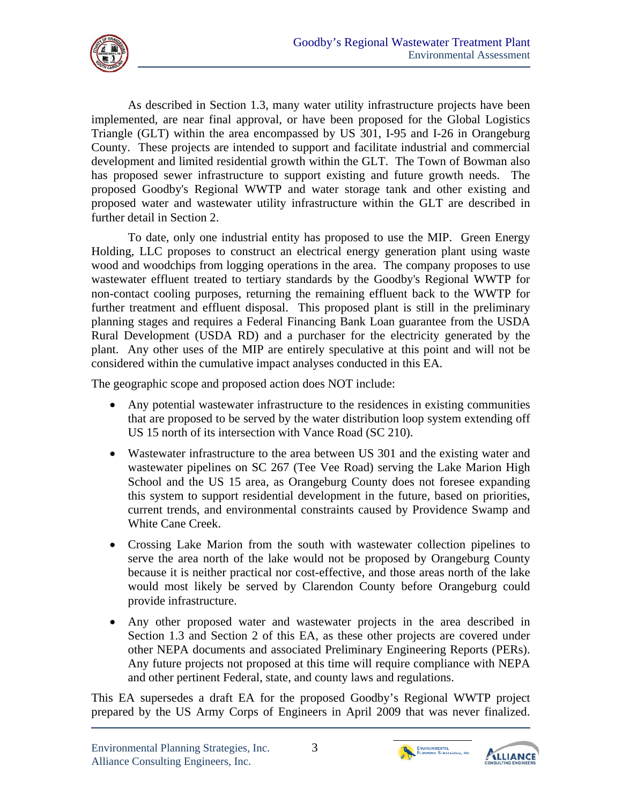

As described in Section 1.3, many water utility infrastructure projects have been implemented, are near final approval, or have been proposed for the Global Logistics Triangle (GLT) within the area encompassed by US 301, I-95 and I-26 in Orangeburg County. These projects are intended to support and facilitate industrial and commercial development and limited residential growth within the GLT. The Town of Bowman also has proposed sewer infrastructure to support existing and future growth needs. The proposed Goodby's Regional WWTP and water storage tank and other existing and proposed water and wastewater utility infrastructure within the GLT are described in further detail in Section 2.

To date, only one industrial entity has proposed to use the MIP. Green Energy Holding, LLC proposes to construct an electrical energy generation plant using waste wood and woodchips from logging operations in the area. The company proposes to use wastewater effluent treated to tertiary standards by the Goodby's Regional WWTP for non-contact cooling purposes, returning the remaining effluent back to the WWTP for further treatment and effluent disposal. This proposed plant is still in the preliminary planning stages and requires a Federal Financing Bank Loan guarantee from the USDA Rural Development (USDA RD) and a purchaser for the electricity generated by the plant. Any other uses of the MIP are entirely speculative at this point and will not be considered within the cumulative impact analyses conducted in this EA.

The geographic scope and proposed action does NOT include:

- Any potential wastewater infrastructure to the residences in existing communities that are proposed to be served by the water distribution loop system extending off US 15 north of its intersection with Vance Road (SC 210).
- Wastewater infrastructure to the area between US 301 and the existing water and wastewater pipelines on SC 267 (Tee Vee Road) serving the Lake Marion High School and the US 15 area, as Orangeburg County does not foresee expanding this system to support residential development in the future, based on priorities, current trends, and environmental constraints caused by Providence Swamp and White Cane Creek.
- Crossing Lake Marion from the south with wastewater collection pipelines to serve the area north of the lake would not be proposed by Orangeburg County because it is neither practical nor cost-effective, and those areas north of the lake would most likely be served by Clarendon County before Orangeburg could provide infrastructure.
- Any other proposed water and wastewater projects in the area described in Section 1.3 and Section 2 of this EA, as these other projects are covered under other NEPA documents and associated Preliminary Engineering Reports (PERs). Any future projects not proposed at this time will require compliance with NEPA and other pertinent Federal, state, and county laws and regulations.

This EA supersedes a draft EA for the proposed Goodby's Regional WWTP project prepared by the US Army Corps of Engineers in April 2009 that was never finalized.



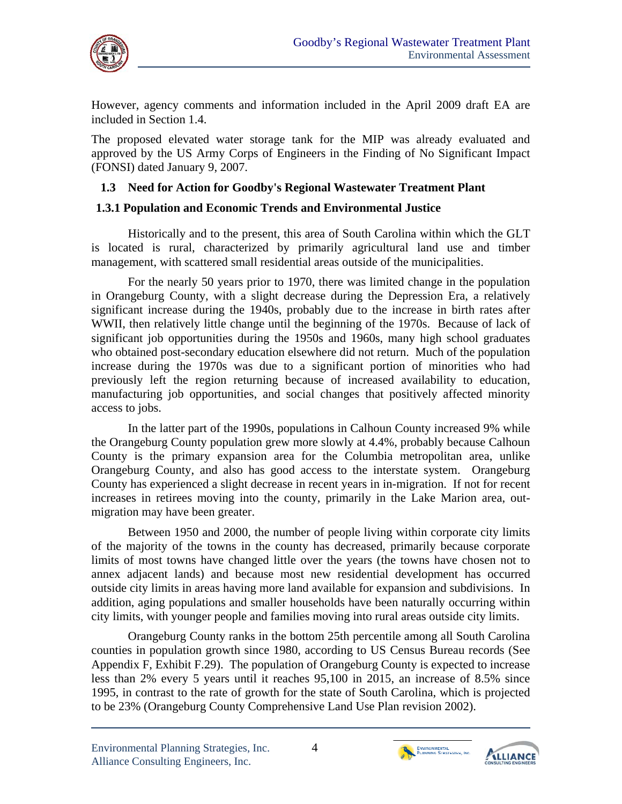

However, agency comments and information included in the April 2009 draft EA are included in Section 1.4.

The proposed elevated water storage tank for the MIP was already evaluated and approved by the US Army Corps of Engineers in the Finding of No Significant Impact (FONSI) dated January 9, 2007.

#### **1.3 Need for Action for Goodby's Regional Wastewater Treatment Plant**

#### **1.3.1 Population and Economic Trends and Environmental Justice**

Historically and to the present, this area of South Carolina within which the GLT is located is rural, characterized by primarily agricultural land use and timber management, with scattered small residential areas outside of the municipalities.

For the nearly 50 years prior to 1970, there was limited change in the population in Orangeburg County, with a slight decrease during the Depression Era, a relatively significant increase during the 1940s, probably due to the increase in birth rates after WWII, then relatively little change until the beginning of the 1970s. Because of lack of significant job opportunities during the 1950s and 1960s, many high school graduates who obtained post-secondary education elsewhere did not return. Much of the population increase during the 1970s was due to a significant portion of minorities who had previously left the region returning because of increased availability to education, manufacturing job opportunities, and social changes that positively affected minority access to jobs.

In the latter part of the 1990s, populations in Calhoun County increased 9% while the Orangeburg County population grew more slowly at 4.4%, probably because Calhoun County is the primary expansion area for the Columbia metropolitan area, unlike Orangeburg County, and also has good access to the interstate system. Orangeburg County has experienced a slight decrease in recent years in in-migration. If not for recent increases in retirees moving into the county, primarily in the Lake Marion area, outmigration may have been greater.

Between 1950 and 2000, the number of people living within corporate city limits of the majority of the towns in the county has decreased, primarily because corporate limits of most towns have changed little over the years (the towns have chosen not to annex adjacent lands) and because most new residential development has occurred outside city limits in areas having more land available for expansion and subdivisions. In addition, aging populations and smaller households have been naturally occurring within city limits, with younger people and families moving into rural areas outside city limits.

Orangeburg County ranks in the bottom 25th percentile among all South Carolina counties in population growth since 1980, according to US Census Bureau records (See Appendix F, Exhibit F.29). The population of Orangeburg County is expected to increase less than 2% every 5 years until it reaches 95,100 in 2015, an increase of 8.5% since 1995, in contrast to the rate of growth for the state of South Carolina, which is projected to be 23% (Orangeburg County Comprehensive Land Use Plan revision 2002).



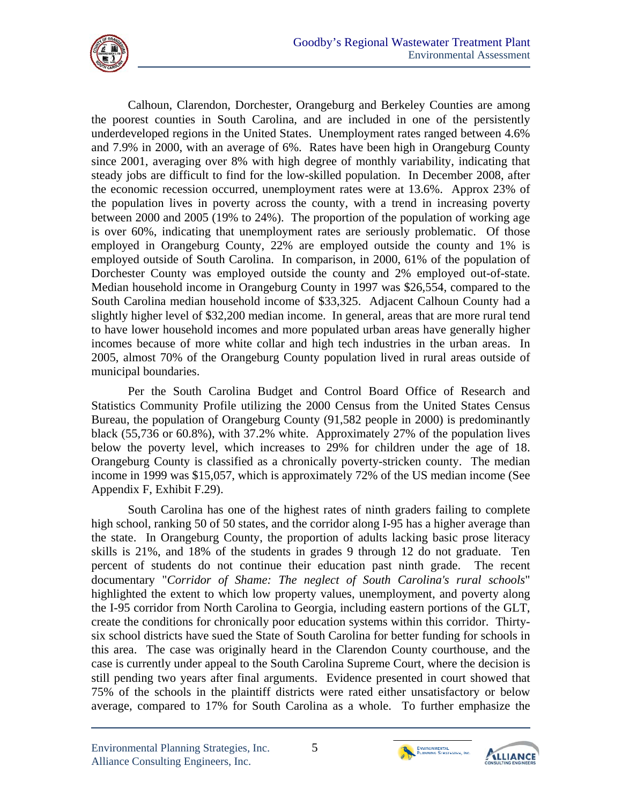

Calhoun, Clarendon, Dorchester, Orangeburg and Berkeley Counties are among the poorest counties in South Carolina, and are included in one of the persistently underdeveloped regions in the United States. Unemployment rates ranged between 4.6% and 7.9% in 2000, with an average of 6%. Rates have been high in Orangeburg County since 2001, averaging over 8% with high degree of monthly variability, indicating that steady jobs are difficult to find for the low-skilled population. In December 2008, after the economic recession occurred, unemployment rates were at 13.6%. Approx 23% of the population lives in poverty across the county, with a trend in increasing poverty between 2000 and 2005 (19% to 24%). The proportion of the population of working age is over 60%, indicating that unemployment rates are seriously problematic. Of those employed in Orangeburg County, 22% are employed outside the county and 1% is employed outside of South Carolina. In comparison, in 2000, 61% of the population of Dorchester County was employed outside the county and 2% employed out-of-state. Median household income in Orangeburg County in 1997 was \$26,554, compared to the South Carolina median household income of \$33,325. Adjacent Calhoun County had a slightly higher level of \$32,200 median income. In general, areas that are more rural tend to have lower household incomes and more populated urban areas have generally higher incomes because of more white collar and high tech industries in the urban areas. In 2005, almost 70% of the Orangeburg County population lived in rural areas outside of municipal boundaries.

Per the South Carolina Budget and Control Board Office of Research and Statistics Community Profile utilizing the 2000 Census from the United States Census Bureau, the population of Orangeburg County (91,582 people in 2000) is predominantly black (55,736 or 60.8%), with 37.2% white. Approximately 27% of the population lives below the poverty level, which increases to 29% for children under the age of 18. Orangeburg County is classified as a chronically poverty-stricken county. The median income in 1999 was \$15,057, which is approximately 72% of the US median income (See Appendix F, Exhibit F.29).

South Carolina has one of the highest rates of ninth graders failing to complete high school, ranking 50 of 50 states, and the corridor along I-95 has a higher average than the state. In Orangeburg County, the proportion of adults lacking basic prose literacy skills is 21%, and 18% of the students in grades 9 through 12 do not graduate. Ten percent of students do not continue their education past ninth grade. The recent documentary "*Corridor of Shame: The neglect of South Carolina's rural schools*" highlighted the extent to which low property values, unemployment, and poverty along the I-95 corridor from North Carolina to Georgia, including eastern portions of the GLT, create the conditions for chronically poor education systems within this corridor. Thirtysix school districts have sued the State of South Carolina for better funding for schools in this area. The case was originally heard in the Clarendon County courthouse, and the case is currently under appeal to the South Carolina Supreme Court, where the decision is still pending two years after final arguments. Evidence presented in court showed that 75% of the schools in the plaintiff districts were rated either unsatisfactory or below average, compared to 17% for South Carolina as a whole. To further emphasize the



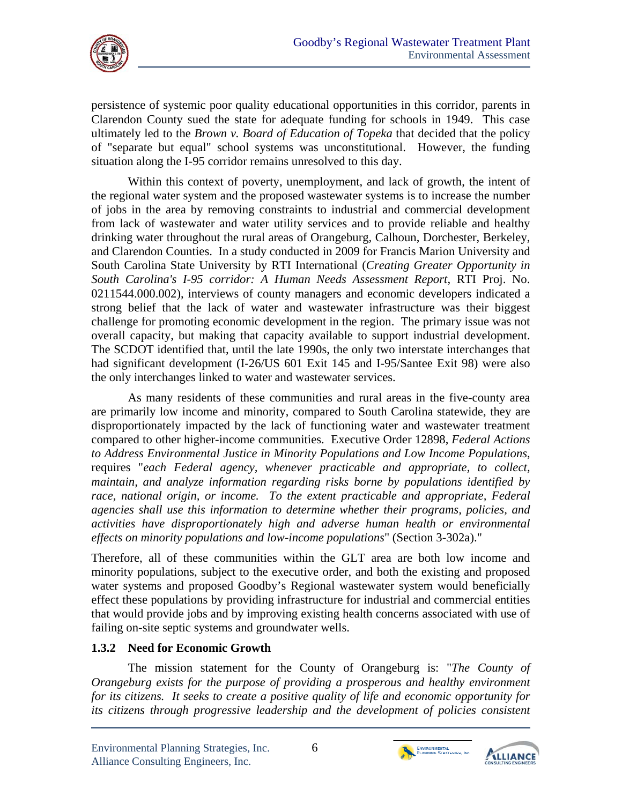

persistence of systemic poor quality educational opportunities in this corridor, parents in Clarendon County sued the state for adequate funding for schools in 1949. This case ultimately led to the *Brown v. Board of Education of Topeka* that decided that the policy of "separate but equal" school systems was unconstitutional. However, the funding situation along the I-95 corridor remains unresolved to this day.

Within this context of poverty, unemployment, and lack of growth, the intent of the regional water system and the proposed wastewater systems is to increase the number of jobs in the area by removing constraints to industrial and commercial development from lack of wastewater and water utility services and to provide reliable and healthy drinking water throughout the rural areas of Orangeburg, Calhoun, Dorchester, Berkeley, and Clarendon Counties. In a study conducted in 2009 for Francis Marion University and South Carolina State University by RTI International (*Creating Greater Opportunity in South Carolina's I-95 corridor: A Human Needs Assessment Report*, RTI Proj. No. 0211544.000.002), interviews of county managers and economic developers indicated a strong belief that the lack of water and wastewater infrastructure was their biggest challenge for promoting economic development in the region. The primary issue was not overall capacity, but making that capacity available to support industrial development. The SCDOT identified that, until the late 1990s, the only two interstate interchanges that had significant development (I-26/US 601 Exit 145 and I-95/Santee Exit 98) were also the only interchanges linked to water and wastewater services.

As many residents of these communities and rural areas in the five-county area are primarily low income and minority, compared to South Carolina statewide, they are disproportionately impacted by the lack of functioning water and wastewater treatment compared to other higher-income communities. Executive Order 12898, *Federal Actions to Address Environmental Justice in Minority Populations and Low Income Populations*, requires "*each Federal agency, whenever practicable and appropriate, to collect, maintain, and analyze information regarding risks borne by populations identified by*  race, national origin, or income. To the extent practicable and appropriate, Federal *agencies shall use this information to determine whether their programs, policies, and activities have disproportionately high and adverse human health or environmental effects on minority populations and low-income populations*" (Section 3-302a)."

Therefore, all of these communities within the GLT area are both low income and minority populations, subject to the executive order, and both the existing and proposed water systems and proposed Goodby's Regional wastewater system would beneficially effect these populations by providing infrastructure for industrial and commercial entities that would provide jobs and by improving existing health concerns associated with use of failing on-site septic systems and groundwater wells.

## **1.3.2 Need for Economic Growth**

The mission statement for the County of Orangeburg is: "*The County of Orangeburg exists for the purpose of providing a prosperous and healthy environment for its citizens. It seeks to create a positive quality of life and economic opportunity for its citizens through progressive leadership and the development of policies consistent* 



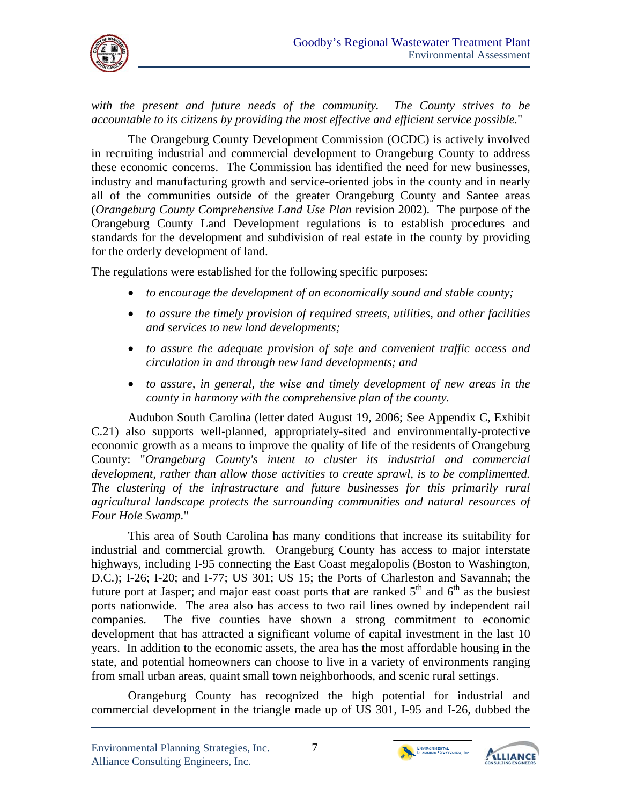

*with the present and future needs of the community. The County strives to be accountable to its citizens by providing the most effective and efficient service possible.*"

The Orangeburg County Development Commission (OCDC) is actively involved in recruiting industrial and commercial development to Orangeburg County to address these economic concerns. The Commission has identified the need for new businesses, industry and manufacturing growth and service-oriented jobs in the county and in nearly all of the communities outside of the greater Orangeburg County and Santee areas (*Orangeburg County Comprehensive Land Use Plan* revision 2002). The purpose of the Orangeburg County Land Development regulations is to establish procedures and standards for the development and subdivision of real estate in the county by providing for the orderly development of land.

The regulations were established for the following specific purposes:

- *to encourage the development of an economically sound and stable county;*
- *to assure the timely provision of required streets, utilities, and other facilities and services to new land developments;*
- *to assure the adequate provision of safe and convenient traffic access and circulation in and through new land developments; and*
- *to assure, in general, the wise and timely development of new areas in the county in harmony with the comprehensive plan of the county.*

Audubon South Carolina (letter dated August 19, 2006; See Appendix C, Exhibit C.21) also supports well-planned, appropriately-sited and environmentally-protective economic growth as a means to improve the quality of life of the residents of Orangeburg County: "*Orangeburg County's intent to cluster its industrial and commercial development, rather than allow those activities to create sprawl, is to be complimented. The clustering of the infrastructure and future businesses for this primarily rural agricultural landscape protects the surrounding communities and natural resources of Four Hole Swamp.*"

This area of South Carolina has many conditions that increase its suitability for industrial and commercial growth. Orangeburg County has access to major interstate highways, including I-95 connecting the East Coast megalopolis (Boston to Washington, D.C.); I-26; I-20; and I-77; US 301; US 15; the Ports of Charleston and Savannah; the future port at Jasper; and major east coast ports that are ranked  $5<sup>th</sup>$  and  $6<sup>th</sup>$  as the busiest ports nationwide. The area also has access to two rail lines owned by independent rail companies. The five counties have shown a strong commitment to economic development that has attracted a significant volume of capital investment in the last 10 years. In addition to the economic assets, the area has the most affordable housing in the state, and potential homeowners can choose to live in a variety of environments ranging from small urban areas, quaint small town neighborhoods, and scenic rural settings.

Orangeburg County has recognized the high potential for industrial and commercial development in the triangle made up of US 301, I-95 and I-26, dubbed the



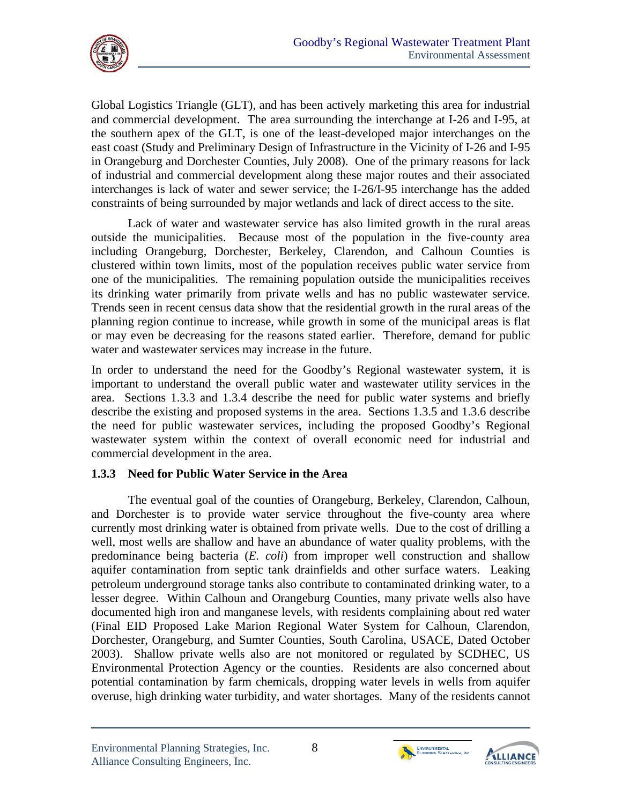

Global Logistics Triangle (GLT), and has been actively marketing this area for industrial and commercial development. The area surrounding the interchange at I-26 and I-95, at the southern apex of the GLT, is one of the least-developed major interchanges on the east coast (Study and Preliminary Design of Infrastructure in the Vicinity of I-26 and I-95 in Orangeburg and Dorchester Counties, July 2008). One of the primary reasons for lack of industrial and commercial development along these major routes and their associated interchanges is lack of water and sewer service; the I-26/I-95 interchange has the added constraints of being surrounded by major wetlands and lack of direct access to the site.

Lack of water and wastewater service has also limited growth in the rural areas outside the municipalities. Because most of the population in the five-county area including Orangeburg, Dorchester, Berkeley, Clarendon, and Calhoun Counties is clustered within town limits, most of the population receives public water service from one of the municipalities. The remaining population outside the municipalities receives its drinking water primarily from private wells and has no public wastewater service. Trends seen in recent census data show that the residential growth in the rural areas of the planning region continue to increase, while growth in some of the municipal areas is flat or may even be decreasing for the reasons stated earlier. Therefore, demand for public water and wastewater services may increase in the future.

In order to understand the need for the Goodby's Regional wastewater system, it is important to understand the overall public water and wastewater utility services in the area. Sections 1.3.3 and 1.3.4 describe the need for public water systems and briefly describe the existing and proposed systems in the area. Sections 1.3.5 and 1.3.6 describe the need for public wastewater services, including the proposed Goodby's Regional wastewater system within the context of overall economic need for industrial and commercial development in the area.

## **1.3.3 Need for Public Water Service in the Area**

The eventual goal of the counties of Orangeburg, Berkeley, Clarendon, Calhoun, and Dorchester is to provide water service throughout the five-county area where currently most drinking water is obtained from private wells. Due to the cost of drilling a well, most wells are shallow and have an abundance of water quality problems, with the predominance being bacteria (*E. coli*) from improper well construction and shallow aquifer contamination from septic tank drainfields and other surface waters. Leaking petroleum underground storage tanks also contribute to contaminated drinking water, to a lesser degree. Within Calhoun and Orangeburg Counties, many private wells also have documented high iron and manganese levels, with residents complaining about red water (Final EID Proposed Lake Marion Regional Water System for Calhoun, Clarendon, Dorchester, Orangeburg, and Sumter Counties, South Carolina, USACE, Dated October 2003). Shallow private wells also are not monitored or regulated by SCDHEC, US Environmental Protection Agency or the counties. Residents are also concerned about potential contamination by farm chemicals, dropping water levels in wells from aquifer overuse, high drinking water turbidity, and water shortages. Many of the residents cannot



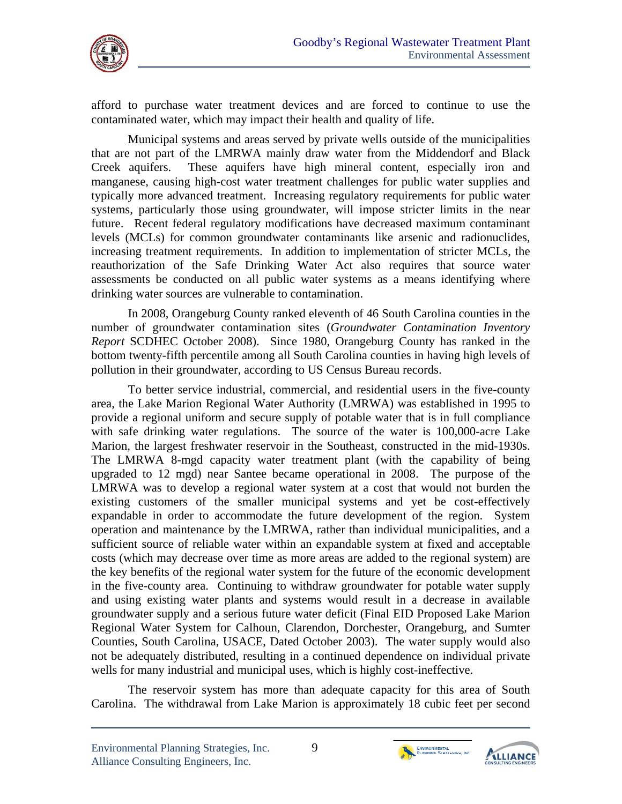

afford to purchase water treatment devices and are forced to continue to use the contaminated water, which may impact their health and quality of life.

 future. Recent federal regulatory modifications have decreased maximum contaminant Municipal systems and areas served by private wells outside of the municipalities that are not part of the LMRWA mainly draw water from the Middendorf and Black Creek aquifers. These aquifers have high mineral content, especially iron and manganese, causing high-cost water treatment challenges for public water supplies and typically more advanced treatment. Increasing regulatory requirements for public water systems, particularly those using groundwater, will impose stricter limits in the near levels (MCLs) for common groundwater contaminants like arsenic and radionuclides, increasing treatment requirements. In addition to implementation of stricter MCLs, the reauthorization of the Safe Drinking Water Act also requires that source water assessments be conducted on all public water systems as a means identifying where drinking water sources are vulnerable to contamination.

In 2008, Orangeburg County ranked eleventh of 46 South Carolina counties in the number of groundwater contamination sites (*Groundwater Contamination Inventory Report* SCDHEC October 2008). Since 1980, Orangeburg County has ranked in the bottom twenty-fifth percentile among all South Carolina counties in having high levels of pollution in their groundwater, according to US Census Bureau records.

To better service industrial, commercial, and residential users in the five-county area, the Lake Marion Regional Water Authority (LMRWA) was established in 1995 to provide a regional uniform and secure supply of potable water that is in full compliance with safe drinking water regulations. The source of the water is 100,000-acre Lake Marion, the largest freshwater reservoir in the Southeast, constructed in the mid-1930s. The LMRWA 8-mgd capacity water treatment plant (with the capability of being upgraded to 12 mgd) near Santee became operational in 2008. The purpose of the LMRWA was to develop a regional water system at a cost that would not burden the existing customers of the smaller municipal systems and yet be cost-effectively expandable in order to accommodate the future development of the region. System operation and maintenance by the LMRWA, rather than individual municipalities, and a sufficient source of reliable water within an expandable system at fixed and acceptable costs (which may decrease over time as more areas are added to the regional system) are the key benefits of the regional water system for the future of the economic development in the five-county area. Continuing to withdraw groundwater for potable water supply and using existing water plants and systems would result in a decrease in available groundwater supply and a serious future water deficit (Final EID Proposed Lake Marion Regional Water System for Calhoun, Clarendon, Dorchester, Orangeburg, and Sumter Counties, South Carolina, USACE, Dated October 2003). The water supply would also not be adequately distributed, resulting in a continued dependence on individual private wells for many industrial and municipal uses, which is highly cost-ineffective.

The reservoir system has more than adequate capacity for this area of South Carolina. The withdrawal from Lake Marion is approximately 18 cubic feet per second



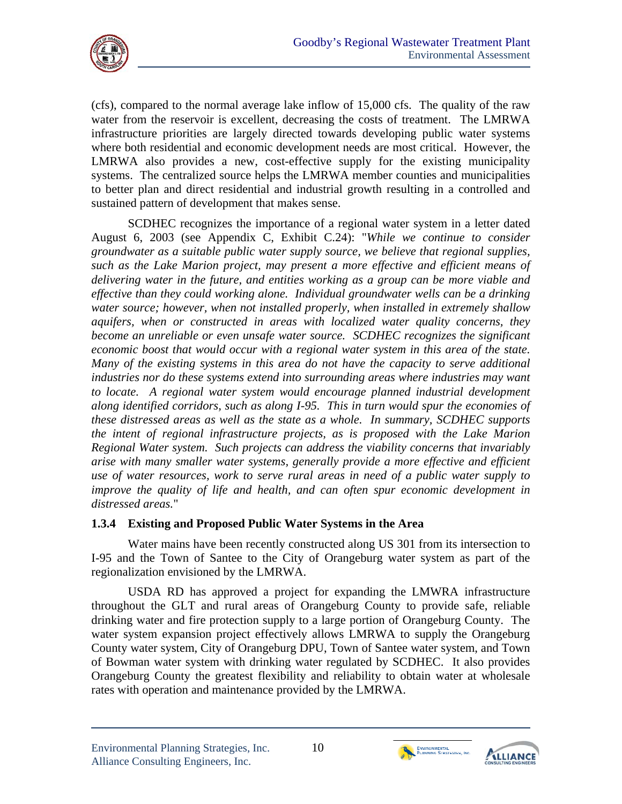

(cfs), compared to the normal average lake inflow of 15,000 cfs. The quality of the raw water from the reservoir is excellent, decreasing the costs of treatment. The LMRWA infrastructure priorities are largely directed towards developing public water systems where both residential and economic development needs are most critical. However, the LMRWA also provides a new, cost-effective supply for the existing municipality systems. The centralized source helps the LMRWA member counties and municipalities to better plan and direct residential and industrial growth resulting in a controlled and sustained pattern of development that makes sense.

SCDHEC recognizes the importance of a regional water system in a letter dated August 6, 2003 (see Appendix C, Exhibit C.24): "*While we continue to consider groundwater as a suitable public water supply source, we believe that regional supplies, such as the Lake Marion project, may present a more effective and efficient means of delivering water in the future, and entities working as a group can be more viable and effective than they could working alone. Individual groundwater wells can be a drinking water source; however, when not installed properly, when installed in extremely shallow aquifers, when or constructed in areas with localized water quality concerns, they become an unreliable or even unsafe water source. SCDHEC recognizes the significant economic boost that would occur with a regional water system in this area of the state. Many of the existing systems in this area do not have the capacity to serve additional industries nor do these systems extend into surrounding areas where industries may want*  to locate. A regional water system would encourage planned industrial development *along identified corridors, such as along I-95. This in turn would spur the economies of these distressed areas as well as the state as a whole. In summary, SCDHEC supports the intent of regional infrastructure projects, as is proposed with the Lake Marion Regional Water system. Such projects can address the viability concerns that invariably arise with many smaller water systems, generally provide a more effective and efficient use of water resources, work to serve rural areas in need of a public water supply to improve the quality of life and health, and can often spur economic development in distressed areas.*"

#### **1.3.4 Existing and Proposed Public Water Systems in the Area**

Water mains have been recently constructed along US 301 from its intersection to I-95 and the Town of Santee to the City of Orangeburg water system as part of the regionalization envisioned by the LMRWA.

USDA RD has approved a project for expanding the LMWRA infrastructure throughout the GLT and rural areas of Orangeburg County to provide safe, reliable drinking water and fire protection supply to a large portion of Orangeburg County. The water system expansion project effectively allows LMRWA to supply the Orangeburg County water system, City of Orangeburg DPU, Town of Santee water system, and Town of Bowman water system with drinking water regulated by SCDHEC. It also provides Orangeburg County the greatest flexibility and reliability to obtain water at wholesale rates with operation and maintenance provided by the LMRWA.



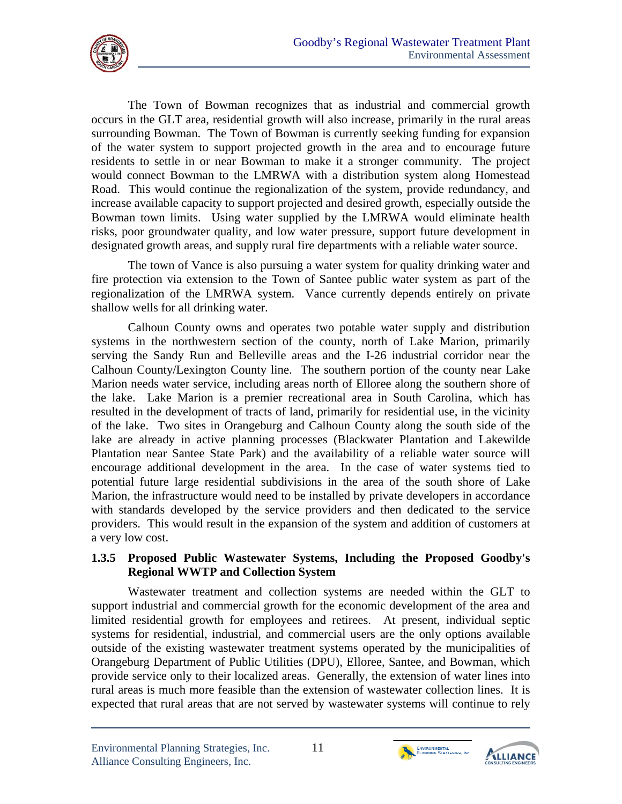

The Town of Bowman recognizes that as industrial and commercial growth occurs in the GLT area, residential growth will also increase, primarily in the rural areas surrounding Bowman. The Town of Bowman is currently seeking funding for expansion of the water system to support projected growth in the area and to encourage future residents to settle in or near Bowman to make it a stronger community. The project would connect Bowman to the LMRWA with a distribution system along Homestead Road. This would continue the regionalization of the system, provide redundancy, and increase available capacity to support projected and desired growth, especially outside the Bowman town limits. Using water supplied by the LMRWA would eliminate health risks, poor groundwater quality, and low water pressure, support future development in designated growth areas, and supply rural fire departments with a reliable water source.

The town of Vance is also pursuing a water system for quality drinking water and fire protection via extension to the Town of Santee public water system as part of the regionalization of the LMRWA system. Vance currently depends entirely on private shallow wells for all drinking water.

Calhoun County owns and operates two potable water supply and distribution systems in the northwestern section of the county, north of Lake Marion, primarily serving the Sandy Run and Belleville areas and the I-26 industrial corridor near the Calhoun County/Lexington County line. The southern portion of the county near Lake Marion needs water service, including areas north of Elloree along the southern shore of the lake. Lake Marion is a premier recreational area in South Carolina, which has resulted in the development of tracts of land, primarily for residential use, in the vicinity of the lake. Two sites in Orangeburg and Calhoun County along the south side of the lake are already in active planning processes (Blackwater Plantation and Lakewilde Plantation near Santee State Park) and the availability of a reliable water source will encourage additional development in the area. In the case of water systems tied to potential future large residential subdivisions in the area of the south shore of Lake Marion, the infrastructure would need to be installed by private developers in accordance with standards developed by the service providers and then dedicated to the service providers. This would result in the expansion of the system and addition of customers at a very low cost.

#### **1.3.5 Proposed Public Wastewater Systems, Including the Proposed Goodby's Regional WWTP and Collection System**

Wastewater treatment and collection systems are needed within the GLT to support industrial and commercial growth for the economic development of the area and limited residential growth for employees and retirees. At present, individual septic systems for residential, industrial, and commercial users are the only options available outside of the existing wastewater treatment systems operated by the municipalities of Orangeburg Department of Public Utilities (DPU), Elloree, Santee, and Bowman, which provide service only to their localized areas. Generally, the extension of water lines into rural areas is much more feasible than the extension of wastewater collection lines. It is expected that rural areas that are not served by wastewater systems will continue to rely





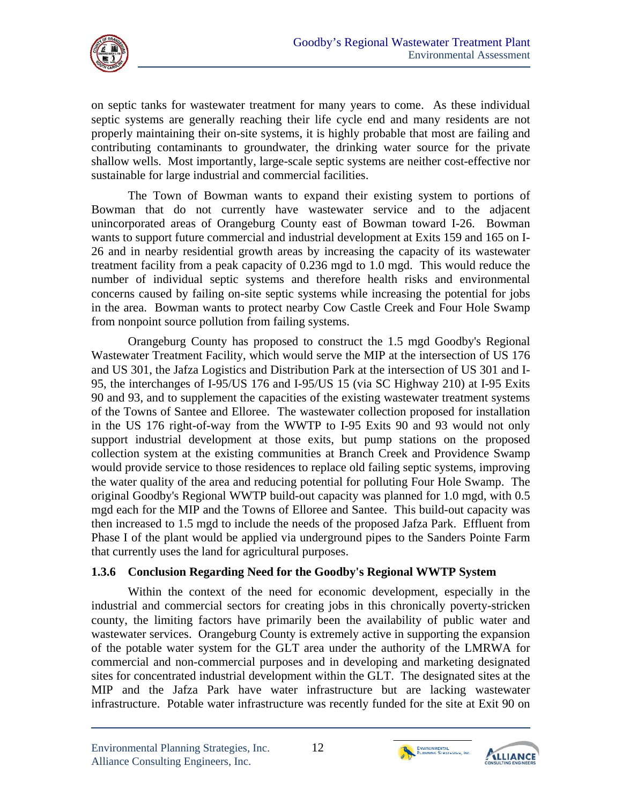

on septic tanks for wastewater treatment for many years to come. As these individual septic systems are generally reaching their life cycle end and many residents are not properly maintaining their on-site systems, it is highly probable that most are failing and contributing contaminants to groundwater, the drinking water source for the private shallow wells. Most importantly, large-scale septic systems are neither cost-effective nor sustainable for large industrial and commercial facilities.

The Town of Bowman wants to expand their existing system to portions of Bowman that do not currently have wastewater service and to the adjacent unincorporated areas of Orangeburg County east of Bowman toward I-26. Bowman wants to support future commercial and industrial development at Exits 159 and 165 on I-26 and in nearby residential growth areas by increasing the capacity of its wastewater treatment facility from a peak capacity of 0.236 mgd to 1.0 mgd. This would reduce the number of individual septic systems and therefore health risks and environmental concerns caused by failing on-site septic systems while increasing the potential for jobs in the area. Bowman wants to protect nearby Cow Castle Creek and Four Hole Swamp from nonpoint source pollution from failing systems.

Orangeburg County has proposed to construct the 1.5 mgd Goodby's Regional Wastewater Treatment Facility, which would serve the MIP at the intersection of US 176 and US 301, the Jafza Logistics and Distribution Park at the intersection of US 301 and I-95, the interchanges of I-95/US 176 and I-95/US 15 (via SC Highway 210) at I-95 Exits 90 and 93, and to supplement the capacities of the existing wastewater treatment systems of the Towns of Santee and Elloree. The wastewater collection proposed for installation in the US 176 right-of-way from the WWTP to I-95 Exits 90 and 93 would not only support industrial development at those exits, but pump stations on the proposed collection system at the existing communities at Branch Creek and Providence Swamp would provide service to those residences to replace old failing septic systems, improving the water quality of the area and reducing potential for polluting Four Hole Swamp. The original Goodby's Regional WWTP build-out capacity was planned for 1.0 mgd, with 0.5 mgd each for the MIP and the Towns of Elloree and Santee. This build-out capacity was then increased to 1.5 mgd to include the needs of the proposed Jafza Park. Effluent from Phase I of the plant would be applied via underground pipes to the Sanders Pointe Farm that currently uses the land for agricultural purposes.

## **1.3.6 Conclusion Regarding Need for the Goodby's Regional WWTP System**

Within the context of the need for economic development, especially in the industrial and commercial sectors for creating jobs in this chronically poverty-stricken county, the limiting factors have primarily been the availability of public water and wastewater services. Orangeburg County is extremely active in supporting the expansion of the potable water system for the GLT area under the authority of the LMRWA for commercial and non-commercial purposes and in developing and marketing designated sites for concentrated industrial development within the GLT. The designated sites at the MIP and the Jafza Park have water infrastructure but are lacking wastewater infrastructure. Potable water infrastructure was recently funded for the site at Exit 90 on



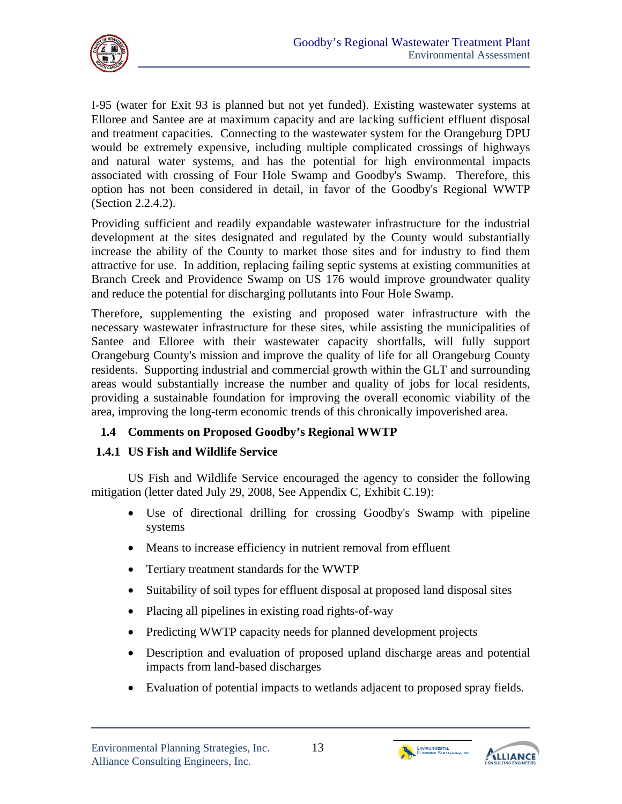

I-95 (water for Exit 93 is planned but not yet funded). Existing wastewater systems at Elloree and Santee are at maximum capacity and are lacking sufficient effluent disposal and treatment capacities. Connecting to the wastewater system for the Orangeburg DPU would be extremely expensive, including multiple complicated crossings of highways and natural water systems, and has the potential for high environmental impacts associated with crossing of Four Hole Swamp and Goodby's Swamp. Therefore, this option has not been considered in detail, in favor of the Goodby's Regional WWTP (Section 2.2.4.2).

Providing sufficient and readily expandable wastewater infrastructure for the industrial development at the sites designated and regulated by the County would substantially increase the ability of the County to market those sites and for industry to find them attractive for use. In addition, replacing failing septic systems at existing communities at Branch Creek and Providence Swamp on US 176 would improve groundwater quality and reduce the potential for discharging pollutants into Four Hole Swamp.

Therefore, supplementing the existing and proposed water infrastructure with the necessary wastewater infrastructure for these sites, while assisting the municipalities of Santee and Elloree with their wastewater capacity shortfalls, will fully support Orangeburg County's mission and improve the quality of life for all Orangeburg County residents. Supporting industrial and commercial growth within the GLT and surrounding areas would substantially increase the number and quality of jobs for local residents, providing a sustainable foundation for improving the overall economic viability of the area, improving the long-term economic trends of this chronically impoverished area.

## **1.4 Comments on Proposed Goodby's Regional WWTP**

## **1.4.1 US Fish and Wildlife Service**

US Fish and Wildlife Service encouraged the agency to consider the following mitigation (letter dated July 29, 2008, See Appendix C, Exhibit C.19):

- Use of directional drilling for crossing Goodby's Swamp with pipeline systems
- Means to increase efficiency in nutrient removal from effluent
- Tertiary treatment standards for the WWTP
- Suitability of soil types for effluent disposal at proposed land disposal sites
- Placing all pipelines in existing road rights-of-way
- Predicting WWTP capacity needs for planned development projects
- Description and evaluation of proposed upland discharge areas and potential impacts from land-based discharges
- Evaluation of potential impacts to wetlands adjacent to proposed spray fields.





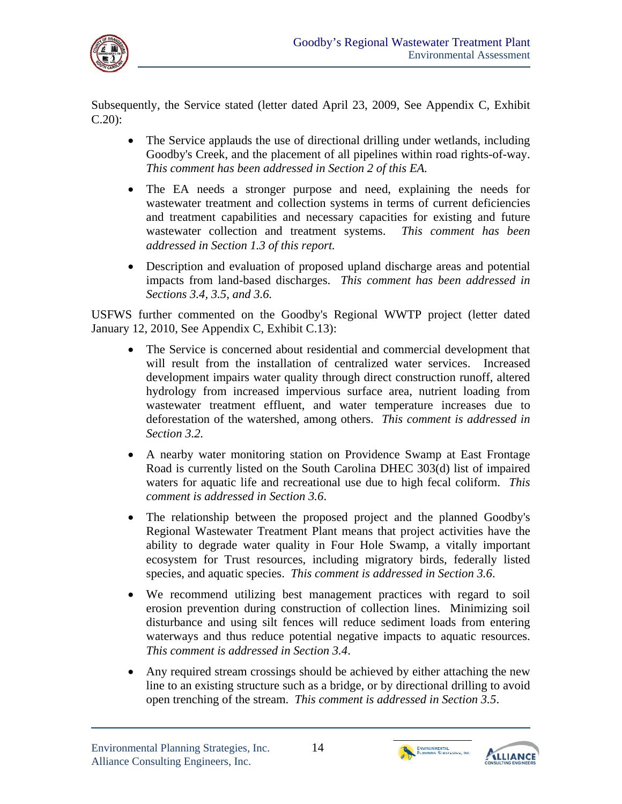

Subsequently, the Service stated (letter dated April 23, 2009, See Appendix C, Exhibit C.20):

- The Service applauds the use of directional drilling under wetlands, including Goodby's Creek, and the placement of all pipelines within road rights-of-way. *This comment has been addressed in Section 2 of this EA.*
- The EA needs a stronger purpose and need, explaining the needs for wastewater treatment and collection systems in terms of current deficiencies and treatment capabilities and necessary capacities for existing and future wastewater collection and treatment systems. *This comment has been addressed in Section 1.3 of this report.*
- Description and evaluation of proposed upland discharge areas and potential impacts from land-based discharges. *This comment has been addressed in Sections 3.4, 3.5, and 3.6.*

USFWS further commented on the Goodby's Regional WWTP project (letter dated January 12, 2010, See Appendix C, Exhibit C.13):

- The Service is concerned about residential and commercial development that will result from the installation of centralized water services. Increased development impairs water quality through direct construction runoff, altered hydrology from increased impervious surface area, nutrient loading from wastewater treatment effluent, and water temperature increases due to deforestation of the watershed, among others. *This comment is addressed in Section 3.2.*
- waters for aquatic life and recreational use due to high fecal coliform. *This*  A nearby water monitoring station on Providence Swamp at East Frontage Road is currently listed on the South Carolina DHEC 303(d) list of impaired *comment is addressed in Section 3.6*.
- The relationship between the proposed project and the planned Goodby's Regional Wastewater Treatment Plant means that project activities have the ability to degrade water quality in Four Hole Swamp, a vitally important ecosystem for Trust resources, including migratory birds, federally listed species, and aquatic species. *This comment is addressed in Section 3.6*.
- waterways and thus reduce potential negative impacts to aquatic resources. We recommend utilizing best management practices with regard to soil erosion prevention during construction of collection lines. Minimizing soil disturbance and using silt fences will reduce sediment loads from entering *This comment is addressed in Section 3.4*.
- Any required stream crossings should be achieved by either attaching the new line to an existing structure such as a bridge, or by directional drilling to avoid open trenching of the stream. *This comment is addressed in Section 3.5*.



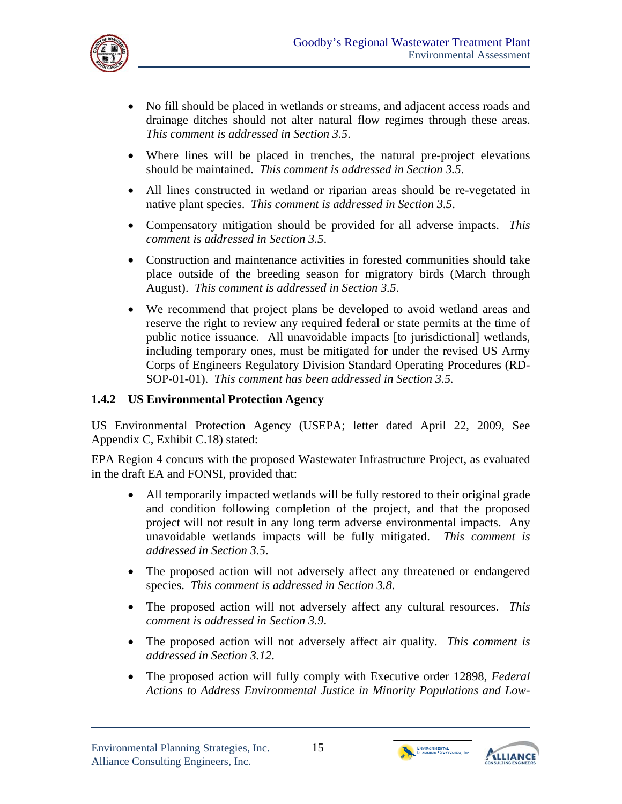

- No fill should be placed in wetlands or streams, and adjacent access roads and drainage ditches should not alter natural flow regimes through these areas. *This comment is addressed in Section 3.5*.
- Where lines will be placed in trenches, the natural pre-project elevations should be maintained. *This comment is addressed in Section 3.5*.
- All lines constructed in wetland or riparian areas should be re-vegetated in native plant species. *This comment is addressed in Section 3.5*.
- Compensatory mitigation should be provided for all adverse impacts. *This comment is addressed in Section 3.5*.
- Construction and maintenance activities in forested communities should take place outside of the breeding season for migratory birds (March through August). *This comment is addressed in Section 3.5*.
- We recommend that project plans be developed to avoid wetland areas and reserve the right to review any required federal or state permits at the time of public notice issuance. All unavoidable impacts [to jurisdictional] wetlands, including temporary ones, must be mitigated for under the revised US Army Corps of Engineers Regulatory Division Standard Operating Procedures (RD-SOP-01-01). *This comment has been addressed in Section 3.5.*

## **1.4.2 US Environmental Protection Agency**

US Environmental Protection Agency (USEPA; letter dated April 22, 2009, See Appendix C, Exhibit C.18) stated:

EPA Region 4 concurs with the proposed Wastewater Infrastructure Project, as evaluated in the draft EA and FONSI, provided that:

- All temporarily impacted wetlands will be fully restored to their original grade and condition following completion of the project, and that the proposed project will not result in any long term adverse environmental impacts. Any unavoidable wetlands impacts will be fully mitigated. *This comment is addressed in Section 3.5*.
- The proposed action will not adversely affect any threatened or endangered species. *This comment is addressed in Section 3.8*.
- The proposed action will not adversely affect any cultural resources. *This comment is addressed in Section 3.9*.
- The proposed action will not adversely affect air quality. *This comment is addressed in Section 3.12*.
- The proposed action will fully comply with Executive order 12898, *Federal Actions to Address Environmental Justice in Minority Populations and Low-*



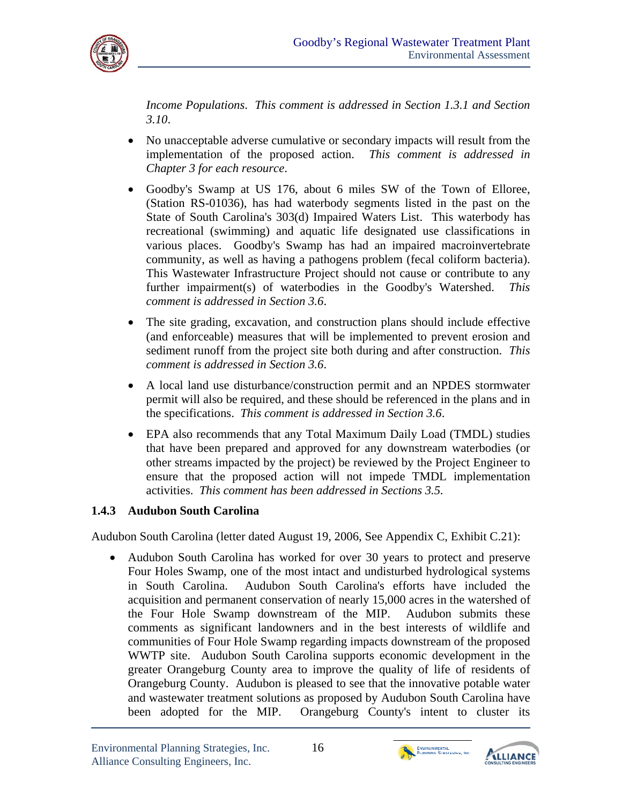

*Income Populations*. *This comment is addressed in Section 1.3.1 and Section 3.10*.

- No unacceptable adverse cumulative or secondary impacts will result from the implementation of the proposed action. *This comment is addressed in Chapter 3 for each resource*.
- community, as well as having a pathogens problem (fecal coliform bacteria). Goodby's Swamp at US 176, about 6 miles SW of the Town of Elloree, (Station RS-01036), has had waterbody segments listed in the past on the State of South Carolina's 303(d) Impaired Waters List. This waterbody has recreational (swimming) and aquatic life designated use classifications in various places. Goodby's Swamp has had an impaired macroinvertebrate This Wastewater Infrastructure Project should not cause or contribute to any further impairment(s) of waterbodies in the Goodby's Watershed. *This comment is addressed in Section 3.6*.
- The site grading, excavation, and construction plans should include effective (and enforceable) measures that will be implemented to prevent erosion and sediment runoff from the project site both during and after construction. *This comment is addressed in Section 3.6*.
- A local land use disturbance/construction permit and an NPDES stormwater permit will also be required, and these should be referenced in the plans and in the specifications. *This comment is addressed in Section 3.6*.
- EPA also recommends that any Total Maximum Daily Load (TMDL) studies that have been prepared and approved for any downstream waterbodies (or other streams impacted by the project) be reviewed by the Project Engineer to ensure that the proposed action will not impede TMDL implementation activities. *This comment has been addressed in Sections 3.5.*

## **1.4.3 Audubon South Carolina**

Audubon South Carolina (letter dated August 19, 2006, See Appendix C, Exhibit C.21):

 Audubon South Carolina has worked for over 30 years to protect and preserve Four Holes Swamp, one of the most intact and undisturbed hydrological systems in South Carolina. Audubon South Carolina's efforts have included the acquisition and permanent conservation of nearly 15,000 acres in the watershed of the Four Hole Swamp downstream of the MIP. Audubon submits these comments as significant landowners and in the best interests of wildlife and communities of Four Hole Swamp regarding impacts downstream of the proposed WWTP site. Audubon South Carolina supports economic development in the greater Orangeburg County area to improve the quality of life of residents of Orangeburg County. Audubon is pleased to see that the innovative potable water and wastewater treatment solutions as proposed by Audubon South Carolina have been adopted for the MIP. Orangeburg County's intent to cluster its



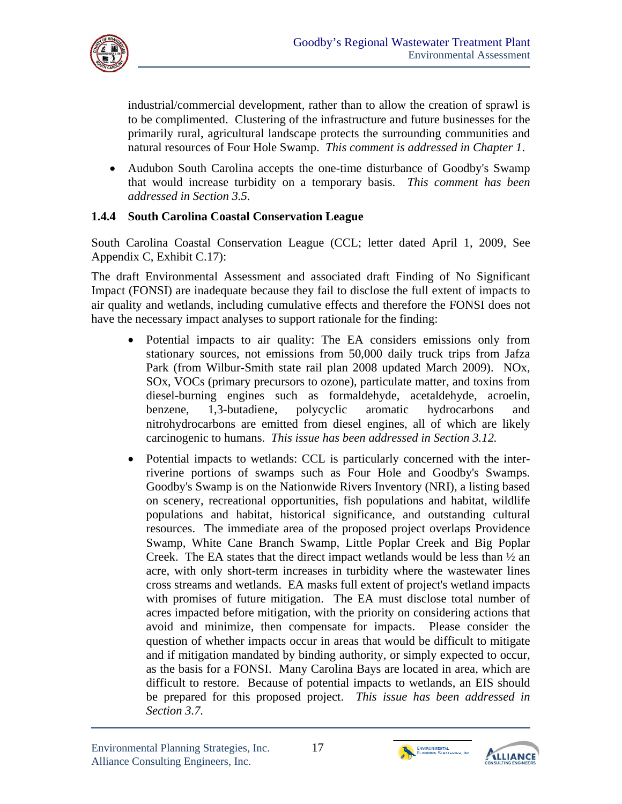

industrial/commercial development, rather than to allow the creation of sprawl is to be complimented. Clustering of the infrastructure and future businesses for the primarily rural, agricultural landscape protects the surrounding communities and natural resources of Four Hole Swamp. *This comment is addressed in Chapter 1*.

• Audubon South Carolina accepts the one-time disturbance of Goodby's Swamp that would increase turbidity on a temporary basis. *This comment has been addressed in Section 3.5.* 

### **1.4.4 South Carolina Coastal Conservation League**

South Carolina Coastal Conservation League (CCL; letter dated April 1, 2009, See Appendix C, Exhibit C.17):

The draft Environmental Assessment and associated draft Finding of No Significant Impact (FONSI) are inadequate because they fail to disclose the full extent of impacts to air quality and wetlands, including cumulative effects and therefore the FONSI does not have the necessary impact analyses to support rationale for the finding:

- Potential impacts to air quality: The EA considers emissions only from stationary sources, not emissions from 50,000 daily truck trips from Jafza Park (from Wilbur-Smith state rail plan 2008 updated March 2009). NOx, SOx, VOCs (primary precursors to ozone), particulate matter, and toxins from diesel-burning engines such as formaldehyde, acetaldehyde, acroelin, benzene, 1,3-butadiene, polycyclic aromatic hydrocarbons and nitrohydrocarbons are emitted from diesel engines, all of which are likely carcinogenic to humans. *This issue has been addressed in Section 3.12.*
- with promises of future mitigation. The EA must disclose total number of Potential impacts to wetlands: CCL is particularly concerned with the interriverine portions of swamps such as Four Hole and Goodby's Swamps. Goodby's Swamp is on the Nationwide Rivers Inventory (NRI), a listing based on scenery, recreational opportunities, fish populations and habitat, wildlife populations and habitat, historical significance, and outstanding cultural resources. The immediate area of the proposed project overlaps Providence Swamp, White Cane Branch Swamp, Little Poplar Creek and Big Poplar Creek. The EA states that the direct impact wetlands would be less than  $\frac{1}{2}$  an acre, with only short-term increases in turbidity where the wastewater lines cross streams and wetlands. EA masks full extent of project's wetland impacts acres impacted before mitigation, with the priority on considering actions that avoid and minimize, then compensate for impacts. Please consider the question of whether impacts occur in areas that would be difficult to mitigate and if mitigation mandated by binding authority, or simply expected to occur, as the basis for a FONSI. Many Carolina Bays are located in area, which are difficult to restore. Because of potential impacts to wetlands, an EIS should be prepared for this proposed project. *This issue has been addressed in Section 3.7.*

ENVIRONMENTAL<br>PLANNING STRATEGIES, INC.

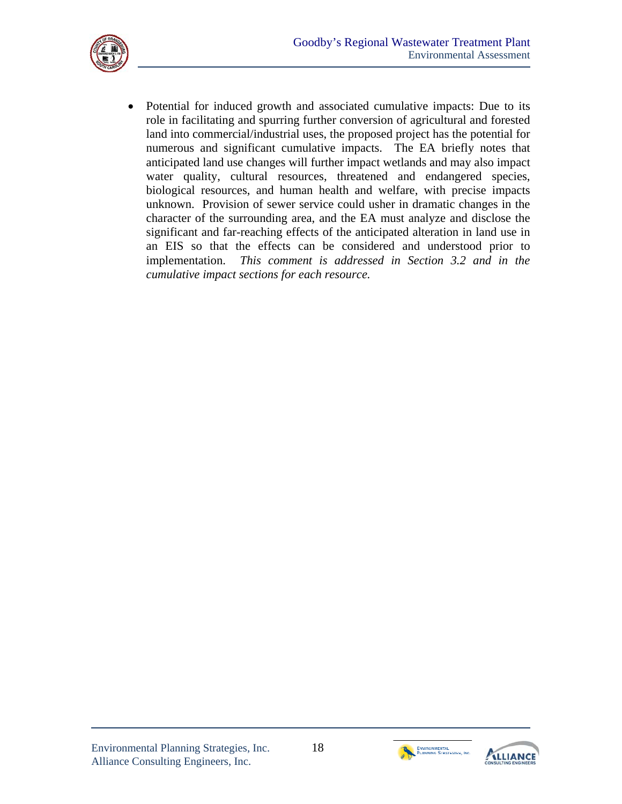

 Potential for induced growth and associated cumulative impacts: Due to its role in facilitating and spurring further conversion of agricultural and forested land into commercial/industrial uses, the proposed project has the potential for numerous and significant cumulative impacts. The EA briefly notes that anticipated land use changes will further impact wetlands and may also impact water quality, cultural resources, threatened and endangered species, biological resources, and human health and welfare, with precise impacts unknown. Provision of sewer service could usher in dramatic changes in the character of the surrounding area, and the EA must analyze and disclose the significant and far-reaching effects of the anticipated alteration in land use in an EIS so that the effects can be considered and understood prior to implementation. *This comment is addressed in Section 3.2 and in the cumulative impact sections for each resource.* 



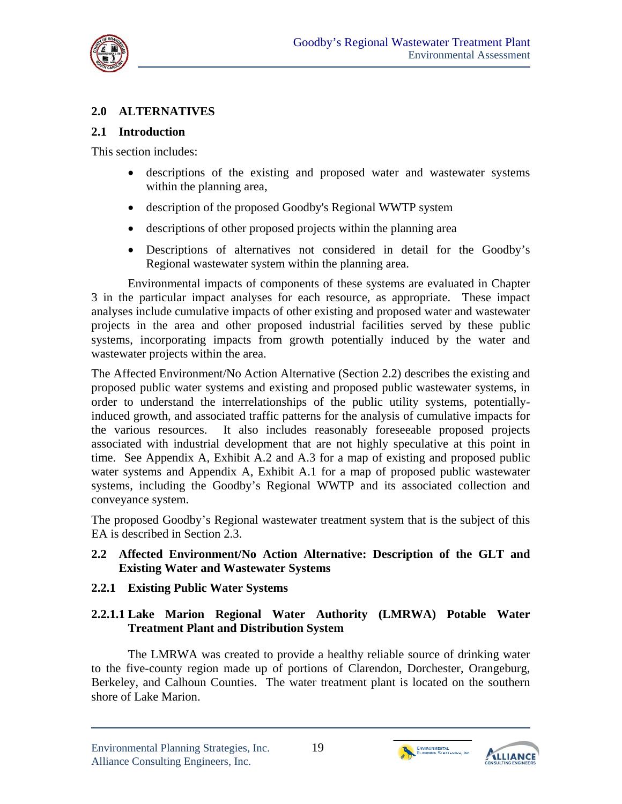

## **2.0 ALTERNATIVES**

#### **2.1 Introduction**

This section includes:

- descriptions of the existing and proposed water and wastewater systems within the planning area,
- description of the proposed Goodby's Regional WWTP system
- descriptions of other proposed projects within the planning area
- Descriptions of alternatives not considered in detail for the Goodby's Regional wastewater system within the planning area.

Environmental impacts of components of these systems are evaluated in Chapter 3 in the particular impact analyses for each resource, as appropriate. These impact analyses include cumulative impacts of other existing and proposed water and wastewater projects in the area and other proposed industrial facilities served by these public systems, incorporating impacts from growth potentially induced by the water and wastewater projects within the area.

The Affected Environment/No Action Alternative (Section 2.2) describes the existing and proposed public water systems and existing and proposed public wastewater systems, in order to understand the interrelationships of the public utility systems, potentiallyinduced growth, and associated traffic patterns for the analysis of cumulative impacts for the various resources. It also includes reasonably foreseeable proposed projects associated with industrial development that are not highly speculative at this point in time. See Appendix A, Exhibit A.2 and A.3 for a map of existing and proposed public water systems and Appendix A, Exhibit A.1 for a map of proposed public wastewater systems, including the Goodby's Regional WWTP and its associated collection and conveyance system.

The proposed Goodby's Regional wastewater treatment system that is the subject of this EA is described in Section 2.3.

#### **2.2 Affected Environment/No Action Alternative: Description of the GLT and Existing Water and Wastewater Systems**

## **2.2.1 Existing Public Water Systems**

## **2.2.1.1 Lake Marion Regional Water Authority (LMRWA) Potable Water Treatment Plant and Distribution System**

The LMRWA was created to provide a healthy reliable source of drinking water to the five-county region made up of portions of Clarendon, Dorchester, Orangeburg, Berkeley, and Calhoun Counties. The water treatment plant is located on the southern shore of Lake Marion.



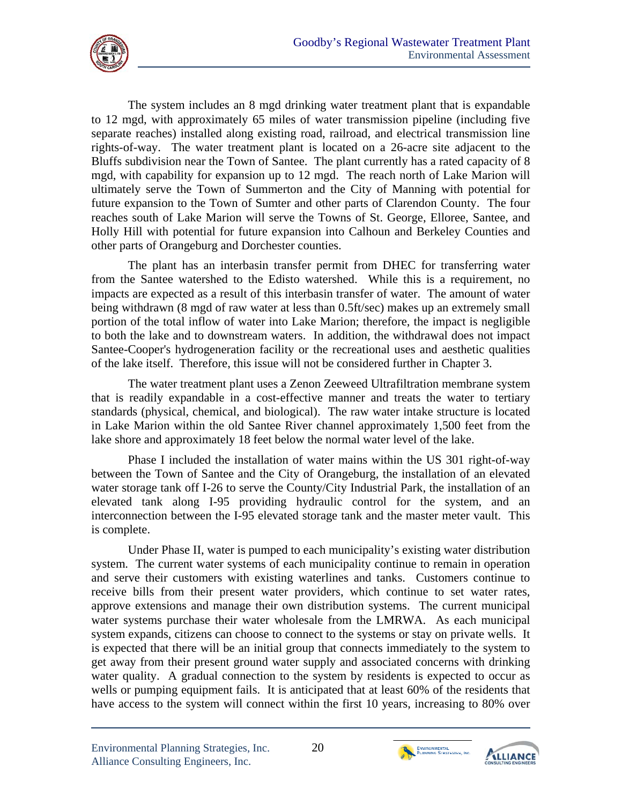

The system includes an 8 mgd drinking water treatment plant that is expandable to 12 mgd, with approximately 65 miles of water transmission pipeline (including five separate reaches) installed along existing road, railroad, and electrical transmission line rights-of-way. The water treatment plant is located on a 26-acre site adjacent to the Bluffs subdivision near the Town of Santee. The plant currently has a rated capacity of 8 mgd, with capability for expansion up to 12 mgd. The reach north of Lake Marion will ultimately serve the Town of Summerton and the City of Manning with potential for future expansion to the Town of Sumter and other parts of Clarendon County. The four reaches south of Lake Marion will serve the Towns of St. George, Elloree, Santee, and Holly Hill with potential for future expansion into Calhoun and Berkeley Counties and other parts of Orangeburg and Dorchester counties.

The plant has an interbasin transfer permit from DHEC for transferring water from the Santee watershed to the Edisto watershed. While this is a requirement, no impacts are expected as a result of this interbasin transfer of water. The amount of water being withdrawn (8 mgd of raw water at less than 0.5ft/sec) makes up an extremely small portion of the total inflow of water into Lake Marion; therefore, the impact is negligible to both the lake and to downstream waters. In addition, the withdrawal does not impact Santee-Cooper's hydrogeneration facility or the recreational uses and aesthetic qualities of the lake itself. Therefore, this issue will not be considered further in Chapter 3.

The water treatment plant uses a Zenon Zeeweed Ultrafiltration membrane system that is readily expandable in a cost-effective manner and treats the water to tertiary standards (physical, chemical, and biological). The raw water intake structure is located in Lake Marion within the old Santee River channel approximately 1,500 feet from the lake shore and approximately 18 feet below the normal water level of the lake.

Phase I included the installation of water mains within the US 301 right-of-way between the Town of Santee and the City of Orangeburg, the installation of an elevated water storage tank off I-26 to serve the County/City Industrial Park, the installation of an elevated tank along I-95 providing hydraulic control for the system, and an interconnection between the I-95 elevated storage tank and the master meter vault. This is complete.

Under Phase II, water is pumped to each municipality's existing water distribution system. The current water systems of each municipality continue to remain in operation and serve their customers with existing waterlines and tanks. Customers continue to receive bills from their present water providers, which continue to set water rates, approve extensions and manage their own distribution systems. The current municipal water systems purchase their water wholesale from the LMRWA. As each municipal system expands, citizens can choose to connect to the systems or stay on private wells. It is expected that there will be an initial group that connects immediately to the system to get away from their present ground water supply and associated concerns with drinking water quality. A gradual connection to the system by residents is expected to occur as wells or pumping equipment fails. It is anticipated that at least 60% of the residents that have access to the system will connect within the first 10 years, increasing to 80% over



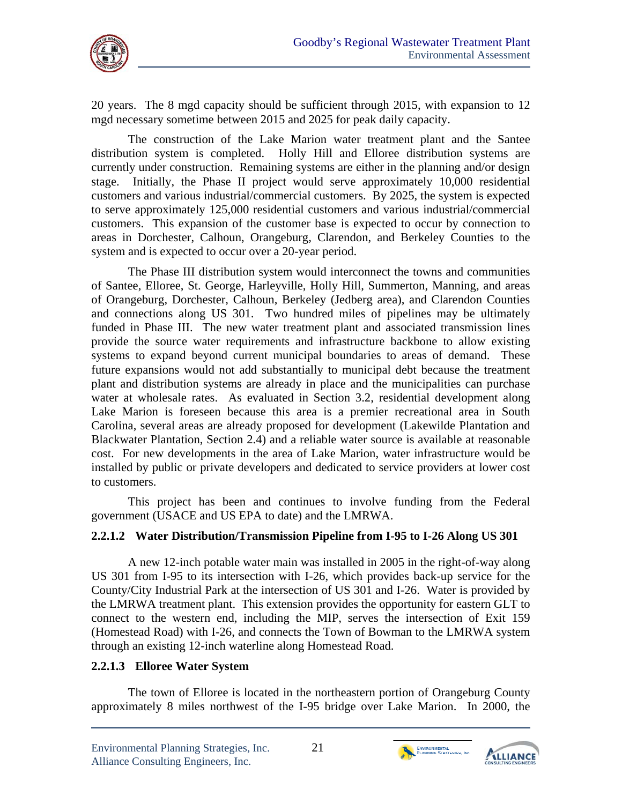

20 years. The 8 mgd capacity should be sufficient through 2015, with expansion to 12 mgd necessary sometime between 2015 and 2025 for peak daily capacity.

The construction of the Lake Marion water treatment plant and the Santee distribution system is completed. Holly Hill and Elloree distribution systems are currently under construction. Remaining systems are either in the planning and/or design stage. Initially, the Phase II project would serve approximately 10,000 residential customers and various industrial/commercial customers. By 2025, the system is expected to serve approximately 125,000 residential customers and various industrial/commercial customers. This expansion of the customer base is expected to occur by connection to areas in Dorchester, Calhoun, Orangeburg, Clarendon, and Berkeley Counties to the system and is expected to occur over a 20-year period.

The Phase III distribution system would interconnect the towns and communities of Santee, Elloree, St. George, Harleyville, Holly Hill, Summerton, Manning, and areas of Orangeburg, Dorchester, Calhoun, Berkeley (Jedberg area), and Clarendon Counties and connections along US 301. Two hundred miles of pipelines may be ultimately funded in Phase III. The new water treatment plant and associated transmission lines provide the source water requirements and infrastructure backbone to allow existing systems to expand beyond current municipal boundaries to areas of demand. These future expansions would not add substantially to municipal debt because the treatment plant and distribution systems are already in place and the municipalities can purchase water at wholesale rates. As evaluated in Section 3.2, residential development along Lake Marion is foreseen because this area is a premier recreational area in South Carolina, several areas are already proposed for development (Lakewilde Plantation and Blackwater Plantation, Section 2.4) and a reliable water source is available at reasonable cost. For new developments in the area of Lake Marion, water infrastructure would be installed by public or private developers and dedicated to service providers at lower cost to customers.

This project has been and continues to involve funding from the Federal government (USACE and US EPA to date) and the LMRWA.

## **2.2.1.2 Water Distribution/Transmission Pipeline from I-95 to I-26 Along US 301**

A new 12-inch potable water main was installed in 2005 in the right-of-way along US 301 from I-95 to its intersection with I-26, which provides back-up service for the County/City Industrial Park at the intersection of US 301 and I-26. Water is provided by the LMRWA treatment plant. This extension provides the opportunity for eastern GLT to connect to the western end, including the MIP, serves the intersection of Exit 159 (Homestead Road) with I-26, and connects the Town of Bowman to the LMRWA system through an existing 12-inch waterline along Homestead Road.

#### **2.2.1.3 Elloree Water System**

The town of Elloree is located in the northeastern portion of Orangeburg County approximately 8 miles northwest of the I-95 bridge over Lake Marion. In 2000, the



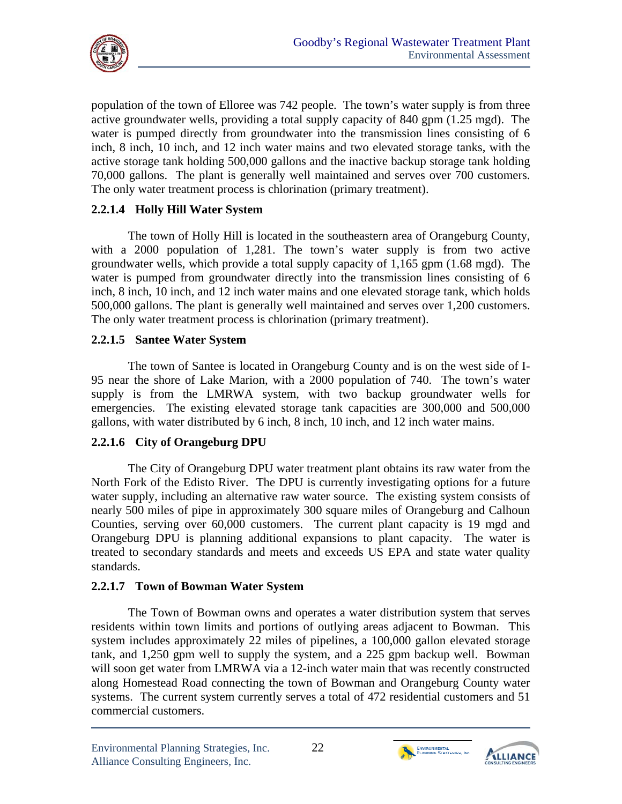

population of the town of Elloree was 742 people. The town's water supply is from three active groundwater wells, providing a total supply capacity of 840 gpm (1.25 mgd). The water is pumped directly from groundwater into the transmission lines consisting of 6 inch, 8 inch, 10 inch, and 12 inch water mains and two elevated storage tanks, with the active storage tank holding 500,000 gallons and the inactive backup storage tank holding 70,000 gallons. The plant is generally well maintained and serves over 700 customers. The only water treatment process is chlorination (primary treatment).

### **2.2.1.4 Holly Hill Water System**

The town of Holly Hill is located in the southeastern area of Orangeburg County, with a 2000 population of 1,281. The town's water supply is from two active groundwater wells, which provide a total supply capacity of 1,165 gpm (1.68 mgd). The water is pumped from groundwater directly into the transmission lines consisting of 6 inch, 8 inch, 10 inch, and 12 inch water mains and one elevated storage tank, which holds 500,000 gallons. The plant is generally well maintained and serves over 1,200 customers. The only water treatment process is chlorination (primary treatment).

#### **2.2.1.5 Santee Water System**

The town of Santee is located in Orangeburg County and is on the west side of I-95 near the shore of Lake Marion, with a 2000 population of 740. The town's water supply is from the LMRWA system, with two backup groundwater wells for emergencies. The existing elevated storage tank capacities are 300,000 and 500,000 gallons, with water distributed by 6 inch, 8 inch, 10 inch, and 12 inch water mains.

#### **2.2.1.6 City of Orangeburg DPU**

The City of Orangeburg DPU water treatment plant obtains its raw water from the North Fork of the Edisto River. The DPU is currently investigating options for a future water supply, including an alternative raw water source. The existing system consists of nearly 500 miles of pipe in approximately 300 square miles of Orangeburg and Calhoun Counties, serving over 60,000 customers. The current plant capacity is 19 mgd and Orangeburg DPU is planning additional expansions to plant capacity. The water is treated to secondary standards and meets and exceeds US EPA and state water quality standards.

#### **2.2.1.7 Town of Bowman Water System**

The Town of Bowman owns and operates a water distribution system that serves residents within town limits and portions of outlying areas adjacent to Bowman. This system includes approximately 22 miles of pipelines, a 100,000 gallon elevated storage tank, and 1,250 gpm well to supply the system, and a 225 gpm backup well. Bowman will soon get water from LMRWA via a 12-inch water main that was recently constructed along Homestead Road connecting the town of Bowman and Orangeburg County water systems. The current system currently serves a total of 472 residential customers and 51 commercial customers.



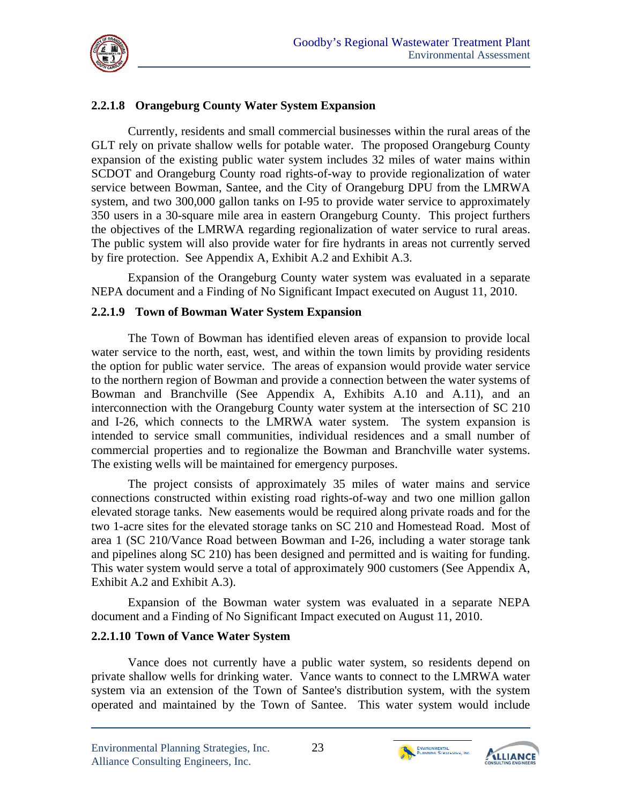

## **2.2.1.8 Orangeburg County Water System Expansion**

the objectives of the LMRWA regarding regionalization of water service to rural areas. Currently, residents and small commercial businesses within the rural areas of the GLT rely on private shallow wells for potable water. The proposed Orangeburg County expansion of the existing public water system includes 32 miles of water mains within SCDOT and Orangeburg County road rights-of-way to provide regionalization of water service between Bowman, Santee, and the City of Orangeburg DPU from the LMRWA system, and two 300,000 gallon tanks on I-95 to provide water service to approximately 350 users in a 30-square mile area in eastern Orangeburg County. This project furthers The public system will also provide water for fire hydrants in areas not currently served by fire protection. See Appendix A, Exhibit A.2 and Exhibit A.3.

Expansion of the Orangeburg County water system was evaluated in a separate NEPA document and a Finding of No Significant Impact executed on August 11, 2010.

#### **2.2.1.9 Town of Bowman Water System Expansion**

The Town of Bowman has identified eleven areas of expansion to provide local water service to the north, east, west, and within the town limits by providing residents the option for public water service. The areas of expansion would provide water service to the northern region of Bowman and provide a connection between the water systems of Bowman and Branchville (See Appendix A, Exhibits A.10 and A.11), and an interconnection with the Orangeburg County water system at the intersection of SC 210 and I-26, which connects to the LMRWA water system. The system expansion is intended to service small communities, individual residences and a small number of commercial properties and to regionalize the Bowman and Branchville water systems. The existing wells will be maintained for emergency purposes.

The project consists of approximately 35 miles of water mains and service connections constructed within existing road rights-of-way and two one million gallon elevated storage tanks. New easements would be required along private roads and for the two 1-acre sites for the elevated storage tanks on SC 210 and Homestead Road. Most of area 1 (SC 210/Vance Road between Bowman and I-26, including a water storage tank and pipelines along SC 210) has been designed and permitted and is waiting for funding. This water system would serve a total of approximately 900 customers (See Appendix A, Exhibit A.2 and Exhibit A.3).

Expansion of the Bowman water system was evaluated in a separate NEPA document and a Finding of No Significant Impact executed on August 11, 2010.

#### **2.2.1.10 Town of Vance Water System**

Vance does not currently have a public water system, so residents depend on private shallow wells for drinking water. Vance wants to connect to the LMRWA water system via an extension of the Town of Santee's distribution system, with the system operated and maintained by the Town of Santee. This water system would include



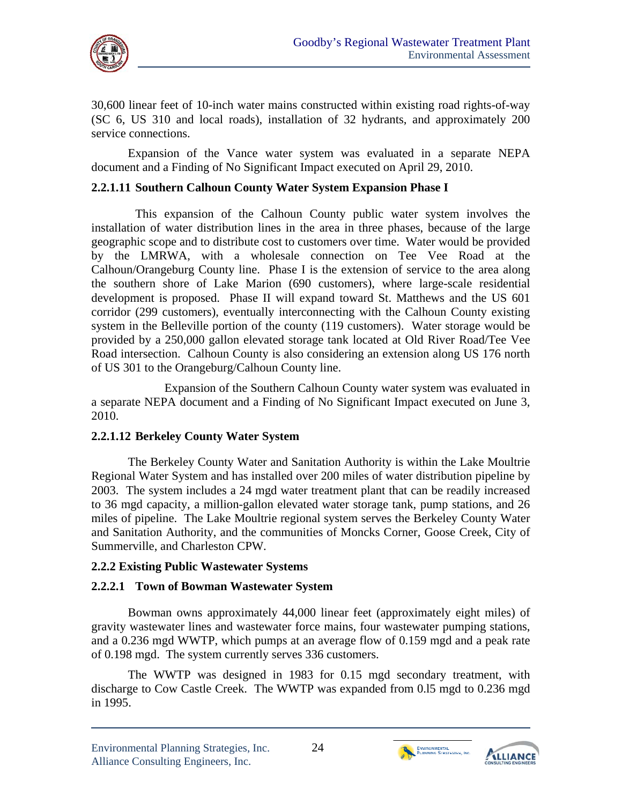

30,600 linear feet of 10-inch water mains constructed within existing road rights-of-way (SC 6, US 310 and local roads), installation of 32 hydrants, and approximately 200 service connections.

Expansion of the Vance water system was evaluated in a separate NEPA document and a Finding of No Significant Impact executed on April 29, 2010.

## **2.2.1.11 Southern Calhoun County Water System Expansion Phase I**

This expansion of the Calhoun County public water system involves the installation of water distribution lines in the area in three phases, because of the large geographic scope and to distribute cost to customers over time. Water would be provided by the LMRWA, with a wholesale connection on Tee Vee Road at the Calhoun/Orangeburg County line. Phase I is the extension of service to the area along the southern shore of Lake Marion (690 customers), where large-scale residential development is proposed. Phase II will expand toward St. Matthews and the US 601 corridor (299 customers), eventually interconnecting with the Calhoun County existing system in the Belleville portion of the county (119 customers). Water storage would be provided by a 250,000 gallon elevated storage tank located at Old River Road/Tee Vee Road intersection. Calhoun County is also considering an extension along US 176 north of US 301 to the Orangeburg/Calhoun County line.

Expansion of the Southern Calhoun County water system was evaluated in a separate NEPA document and a Finding of No Significant Impact executed on June 3, 2010.

#### **2.2.1.12 Berkeley County Water System**

 Summerville, and Charleston CPW. The Berkeley County Water and Sanitation Authority is within the Lake Moultrie Regional Water System and has installed over 200 miles of water distribution pipeline by 2003. The system includes a 24 mgd water treatment plant that can be readily increased to 36 mgd capacity, a million-gallon elevated water storage tank, pump stations, and 26 miles of pipeline. The Lake Moultrie regional system serves the Berkeley County Water and Sanitation Authority, and the communities of Moncks Corner, Goose Creek, City of

#### **2.2.2 Existing Public Wastewater Systems**

# **2.2.2.1 Town of Bowman Wastewater System**

Bowman owns approximately 44,000 linear feet (approximately eight miles) of gravity wastewater lines and wastewater force mains, four wastewater pumping stations, and a 0.236 mgd WWTP, which pumps at an average flow of 0.159 mgd and a peak rate of 0.198 mgd. The system currently serves 336 customers.

The WWTP was designed in 1983 for 0.15 mgd secondary treatment, with discharge to Cow Castle Creek. The WWTP was expanded from 0.l5 mgd to 0.236 mgd in 1995.



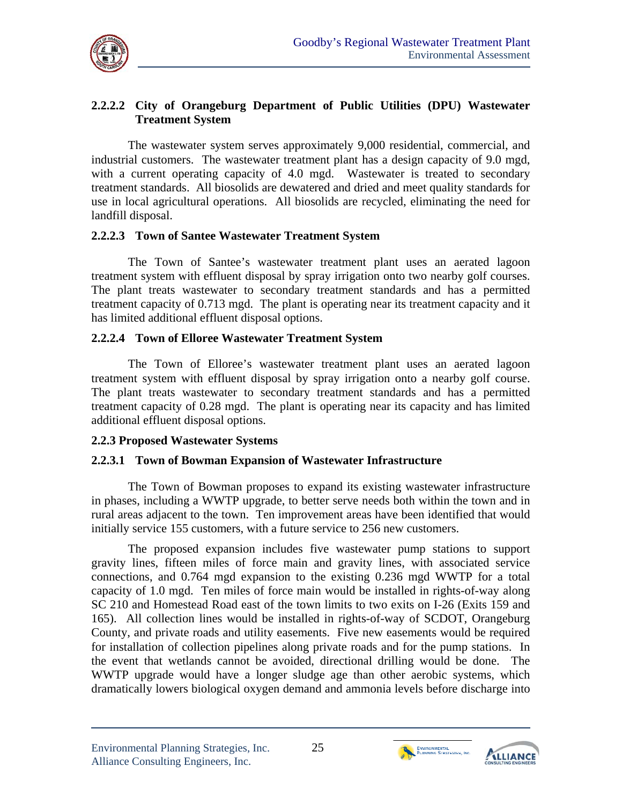

### **2.2.2.2 City of Orangeburg Department of Public Utilities (DPU) Wastewater Treatment System**

The wastewater system serves approximately 9,000 residential, commercial, and industrial customers. The wastewater treatment plant has a design capacity of 9.0 mgd, with a current operating capacity of 4.0 mgd. Wastewater is treated to secondary treatment standards. All biosolids are dewatered and dried and meet quality standards for use in local agricultural operations. All biosolids are recycled, eliminating the need for landfill disposal.

#### **2.2.2.3 Town of Santee Wastewater Treatment System**

The Town of Santee's wastewater treatment plant uses an aerated lagoon treatment system with effluent disposal by spray irrigation onto two nearby golf courses. The plant treats wastewater to secondary treatment standards and has a permitted treatment capacity of 0.713 mgd. The plant is operating near its treatment capacity and it has limited additional effluent disposal options.

#### **2.2.2.4 Town of Elloree Wastewater Treatment System**

The Town of Elloree's wastewater treatment plant uses an aerated lagoon treatment system with effluent disposal by spray irrigation onto a nearby golf course. The plant treats wastewater to secondary treatment standards and has a permitted treatment capacity of 0.28 mgd. The plant is operating near its capacity and has limited additional effluent disposal options.

#### **2.2.3 Proposed Wastewater Systems**

#### **2.2.3.1 Town of Bowman Expansion of Wastewater Infrastructure**

The Town of Bowman proposes to expand its existing wastewater infrastructure in phases, including a WWTP upgrade, to better serve needs both within the town and in rural areas adjacent to the town. Ten improvement areas have been identified that would initially service 155 customers, with a future service to 256 new customers.

The proposed expansion includes five wastewater pump stations to support gravity lines, fifteen miles of force main and gravity lines, with associated service connections, and 0.764 mgd expansion to the existing 0.236 mgd WWTP for a total capacity of 1.0 mgd. Ten miles of force main would be installed in rights-of-way along SC 210 and Homestead Road east of the town limits to two exits on I-26 (Exits 159 and 165). All collection lines would be installed in rights-of-way of SCDOT, Orangeburg County, and private roads and utility easements. Five new easements would be required for installation of collection pipelines along private roads and for the pump stations. In the event that wetlands cannot be avoided, directional drilling would be done. The WWTP upgrade would have a longer sludge age than other aerobic systems, which dramatically lowers biological oxygen demand and ammonia levels before discharge into



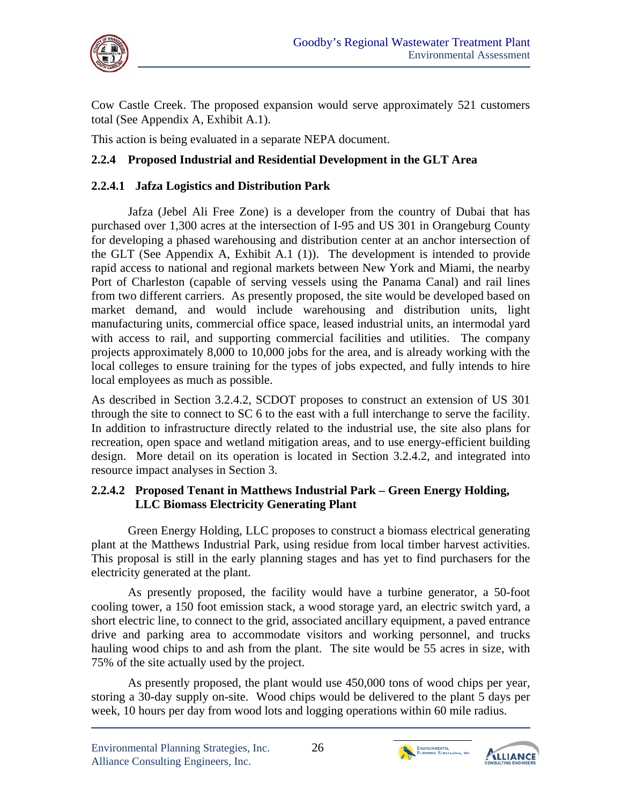

Cow Castle Creek. The proposed expansion would serve approximately 521 customers total (See Appendix A, Exhibit A.1).

This action is being evaluated in a separate NEPA document.

# **2.2.4 Proposed Industrial and Residential Development in the GLT Area**

## **2.2.4.1 Jafza Logistics and Distribution Park**

Jafza (Jebel Ali Free Zone) is a developer from the country of Dubai that has purchased over 1,300 acres at the intersection of I-95 and US 301 in Orangeburg County for developing a phased warehousing and distribution center at an anchor intersection of the GLT (See Appendix A, Exhibit A.1 (1)). The development is intended to provide rapid access to national and regional markets between New York and Miami, the nearby Port of Charleston (capable of serving vessels using the Panama Canal) and rail lines from two different carriers. As presently proposed, the site would be developed based on market demand, and would include warehousing and distribution units, light manufacturing units, commercial office space, leased industrial units, an intermodal yard with access to rail, and supporting commercial facilities and utilities. The company projects approximately 8,000 to 10,000 jobs for the area, and is already working with the local colleges to ensure training for the types of jobs expected, and fully intends to hire local employees as much as possible.

As described in Section 3.2.4.2, SCDOT proposes to construct an extension of US 301 through the site to connect to SC 6 to the east with a full interchange to serve the facility. In addition to infrastructure directly related to the industrial use, the site also plans for recreation, open space and wetland mitigation areas, and to use energy-efficient building design. More detail on its operation is located in Section 3.2.4.2, and integrated into resource impact analyses in Section 3.

#### **2.2.4.2 Proposed Tenant in Matthews Industrial Park – Green Energy Holding, LLC Biomass Electricity Generating Plant**

Green Energy Holding, LLC proposes to construct a biomass electrical generating plant at the Matthews Industrial Park, using residue from local timber harvest activities. This proposal is still in the early planning stages and has yet to find purchasers for the electricity generated at the plant.

As presently proposed, the facility would have a turbine generator, a 50-foot cooling tower, a 150 foot emission stack, a wood storage yard, an electric switch yard, a short electric line, to connect to the grid, associated ancillary equipment, a paved entrance drive and parking area to accommodate visitors and working personnel, and trucks hauling wood chips to and ash from the plant. The site would be 55 acres in size, with 75% of the site actually used by the project.

As presently proposed, the plant would use 450,000 tons of wood chips per year, storing a 30-day supply on-site. Wood chips would be delivered to the plant 5 days per week, 10 hours per day from wood lots and logging operations within 60 mile radius.



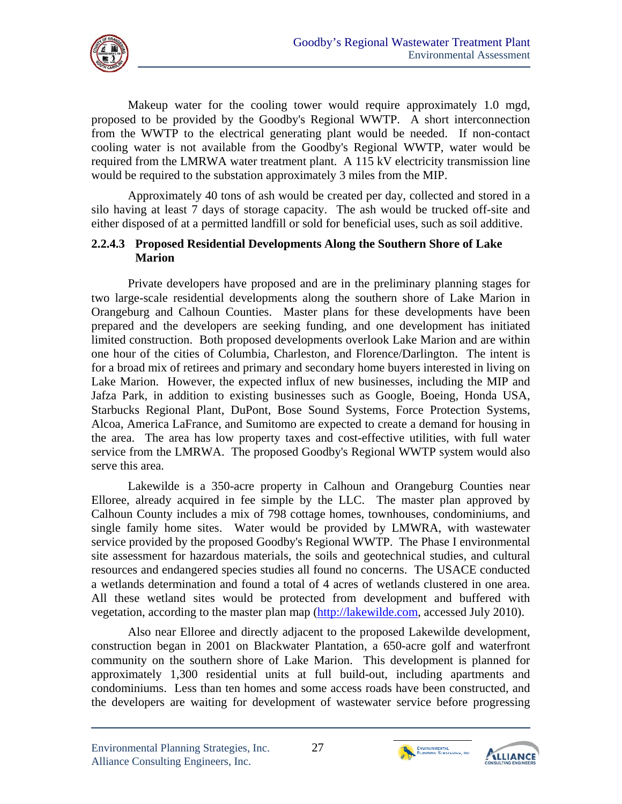

Makeup water for the cooling tower would require approximately 1.0 mgd, proposed to be provided by the Goodby's Regional WWTP. A short interconnection from the WWTP to the electrical generating plant would be needed. If non-contact cooling water is not available from the Goodby's Regional WWTP, water would be required from the LMRWA water treatment plant. A 115 kV electricity transmission line would be required to the substation approximately 3 miles from the MIP.

Approximately 40 tons of ash would be created per day, collected and stored in a silo having at least 7 days of storage capacity. The ash would be trucked off-site and either disposed of at a permitted landfill or sold for beneficial uses, such as soil additive.

#### **2.2.4.3 Proposed Residential Developments Along the Southern Shore of Lake Marion**

Private developers have proposed and are in the preliminary planning stages for two large-scale residential developments along the southern shore of Lake Marion in Orangeburg and Calhoun Counties. Master plans for these developments have been prepared and the developers are seeking funding, and one development has initiated limited construction. Both proposed developments overlook Lake Marion and are within one hour of the cities of Columbia, Charleston, and Florence/Darlington. The intent is for a broad mix of retirees and primary and secondary home buyers interested in living on Lake Marion. However, the expected influx of new businesses, including the MIP and Jafza Park, in addition to existing businesses such as Google, Boeing, Honda USA, Starbucks Regional Plant, DuPont, Bose Sound Systems, Force Protection Systems, Alcoa, America LaFrance, and Sumitomo are expected to create a demand for housing in the area. The area has low property taxes and cost-effective utilities, with full water service from the LMRWA. The proposed Goodby's Regional WWTP system would also serve this area.

Lakewilde is a 350-acre property in Calhoun and Orangeburg Counties near Elloree, already acquired in fee simple by the LLC. The master plan approved by Calhoun County includes a mix of 798 cottage homes, townhouses, condominiums, and single family home sites. Water would be provided by LMWRA, with wastewater service provided by the proposed Goodby's Regional WWTP. The Phase I environmental site assessment for hazardous materials, the soils and geotechnical studies, and cultural resources and endangered species studies all found no concerns. The USACE conducted a wetlands determination and found a total of 4 acres of wetlands clustered in one area. All these wetland sites would be protected from development and buffered with vegetation, according to the master plan map (http://lakewilde.com, accessed July 2010).

Also near Elloree and directly adjacent to the proposed Lakewilde development, construction began in 2001 on Blackwater Plantation, a 650-acre golf and waterfront community on the southern shore of Lake Marion. This development is planned for approximately 1,300 residential units at full build-out, including apartments and condominiums. Less than ten homes and some access roads have been constructed, and the developers are waiting for development of wastewater service before progressing



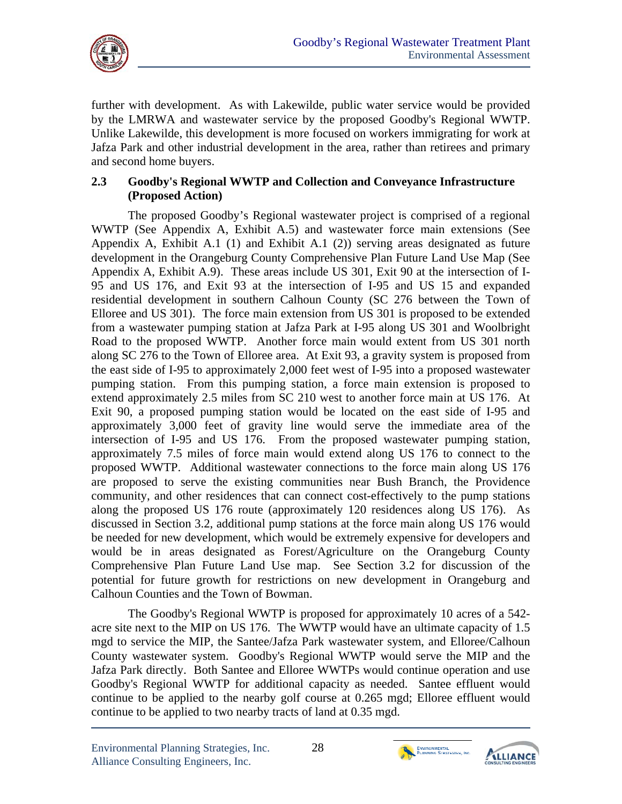

further with development. As with Lakewilde, public water service would be provided by the LMRWA and wastewater service by the proposed Goodby's Regional WWTP. Unlike Lakewilde, this development is more focused on workers immigrating for work at Jafza Park and other industrial development in the area, rather than retirees and primary and second home buyers.

### **2.3 Goodby's Regional WWTP and Collection and Conveyance Infrastructure (Proposed Action)**

The proposed Goodby's Regional wastewater project is comprised of a regional WWTP (See Appendix A, Exhibit A.5) and wastewater force main extensions (See Appendix A, Exhibit A.1 (1) and Exhibit A.1 (2)) serving areas designated as future development in the Orangeburg County Comprehensive Plan Future Land Use Map (See Appendix A, Exhibit A.9). These areas include US 301, Exit 90 at the intersection of I-95 and US 176, and Exit 93 at the intersection of I-95 and US 15 and expanded residential development in southern Calhoun County (SC 276 between the Town of Elloree and US 301). The force main extension from US 301 is proposed to be extended from a wastewater pumping station at Jafza Park at I-95 along US 301 and Woolbright Road to the proposed WWTP. Another force main would extent from US 301 north along SC 276 to the Town of Elloree area. At Exit 93, a gravity system is proposed from the east side of I-95 to approximately 2,000 feet west of I-95 into a proposed wastewater pumping station. From this pumping station, a force main extension is proposed to extend approximately 2.5 miles from SC 210 west to another force main at US 176. At Exit 90, a proposed pumping station would be located on the east side of I-95 and approximately 3,000 feet of gravity line would serve the immediate area of the intersection of I-95 and US 176. From the proposed wastewater pumping station, approximately 7.5 miles of force main would extend along US 176 to connect to the proposed WWTP. Additional wastewater connections to the force main along US 176 are proposed to serve the existing communities near Bush Branch, the Providence community, and other residences that can connect cost-effectively to the pump stations along the proposed US 176 route (approximately 120 residences along US 176). As discussed in Section 3.2, additional pump stations at the force main along US 176 would be needed for new development, which would be extremely expensive for developers and would be in areas designated as Forest/Agriculture on the Orangeburg County Comprehensive Plan Future Land Use map. See Section 3.2 for discussion of the potential for future growth for restrictions on new development in Orangeburg and Calhoun Counties and the Town of Bowman.

The Goodby's Regional WWTP is proposed for approximately 10 acres of a 542 acre site next to the MIP on US 176. The WWTP would have an ultimate capacity of 1.5 mgd to service the MIP, the Santee/Jafza Park wastewater system, and Elloree/Calhoun County wastewater system. Goodby's Regional WWTP would serve the MIP and the Jafza Park directly. Both Santee and Elloree WWTPs would continue operation and use Goodby's Regional WWTP for additional capacity as needed. Santee effluent would continue to be applied to the nearby golf course at 0.265 mgd; Elloree effluent would continue to be applied to two nearby tracts of land at 0.35 mgd.



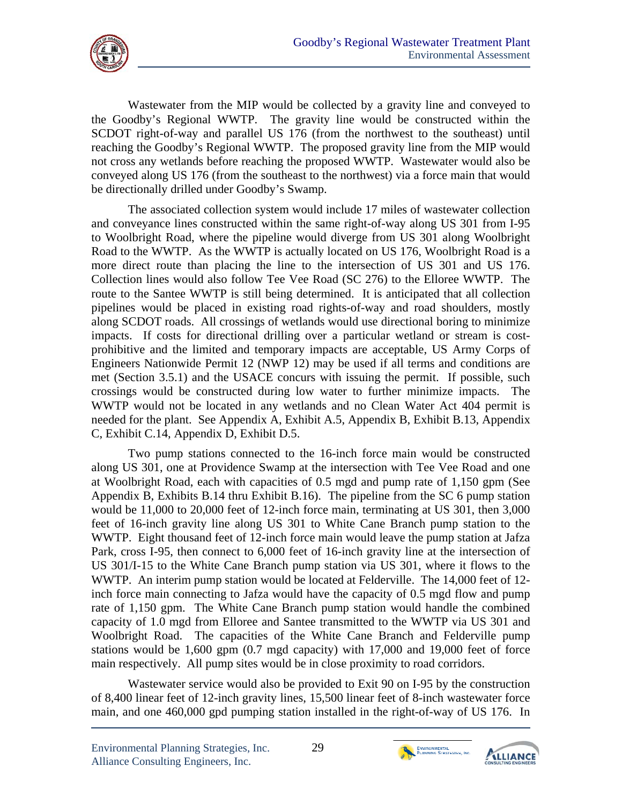

Wastewater from the MIP would be collected by a gravity line and conveyed to the Goodby's Regional WWTP. The gravity line would be constructed within the SCDOT right-of-way and parallel US 176 (from the northwest to the southeast) until reaching the Goodby's Regional WWTP. The proposed gravity line from the MIP would not cross any wetlands before reaching the proposed WWTP. Wastewater would also be conveyed along US 176 (from the southeast to the northwest) via a force main that would be directionally drilled under Goodby's Swamp.

The associated collection system would include 17 miles of wastewater collection and conveyance lines constructed within the same right-of-way along US 301 from I-95 to Woolbright Road, where the pipeline would diverge from US 301 along Woolbright Road to the WWTP. As the WWTP is actually located on US 176, Woolbright Road is a more direct route than placing the line to the intersection of US 301 and US 176. Collection lines would also follow Tee Vee Road (SC 276) to the Elloree WWTP. The route to the Santee WWTP is still being determined. It is anticipated that all collection pipelines would be placed in existing road rights-of-way and road shoulders, mostly along SCDOT roads. All crossings of wetlands would use directional boring to minimize impacts. If costs for directional drilling over a particular wetland or stream is costprohibitive and the limited and temporary impacts are acceptable, US Army Corps of Engineers Nationwide Permit 12 (NWP 12) may be used if all terms and conditions are met (Section 3.5.1) and the USACE concurs with issuing the permit. If possible, such crossings would be constructed during low water to further minimize impacts. The WWTP would not be located in any wetlands and no Clean Water Act 404 permit is needed for the plant. See Appendix A, Exhibit A.5, Appendix B, Exhibit B.13, Appendix C, Exhibit C.14, Appendix D, Exhibit D.5.

Two pump stations connected to the 16-inch force main would be constructed along US 301, one at Providence Swamp at the intersection with Tee Vee Road and one at Woolbright Road, each with capacities of 0.5 mgd and pump rate of 1,150 gpm (See Appendix B, Exhibits B.14 thru Exhibit B.16). The pipeline from the SC 6 pump station would be 11,000 to 20,000 feet of 12-inch force main, terminating at US 301, then 3,000 feet of 16-inch gravity line along US 301 to White Cane Branch pump station to the WWTP. Eight thousand feet of 12-inch force main would leave the pump station at Jafza Park, cross I-95, then connect to 6,000 feet of 16-inch gravity line at the intersection of US 301/I-15 to the White Cane Branch pump station via US 301, where it flows to the WWTP. An interim pump station would be located at Felderville. The 14,000 feet of 12 inch force main connecting to Jafza would have the capacity of 0.5 mgd flow and pump rate of 1,150 gpm. The White Cane Branch pump station would handle the combined capacity of 1.0 mgd from Elloree and Santee transmitted to the WWTP via US 301 and Woolbright Road. The capacities of the White Cane Branch and Felderville pump stations would be 1,600 gpm (0.7 mgd capacity) with 17,000 and 19,000 feet of force main respectively. All pump sites would be in close proximity to road corridors.

 Wastewater service would also be provided to Exit 90 on I-95 by the construction of 8,400 linear feet of 12-inch gravity lines, 15,500 linear feet of 8-inch wastewater force main, and one 460,000 gpd pumping station installed in the right-of-way of US 176. In



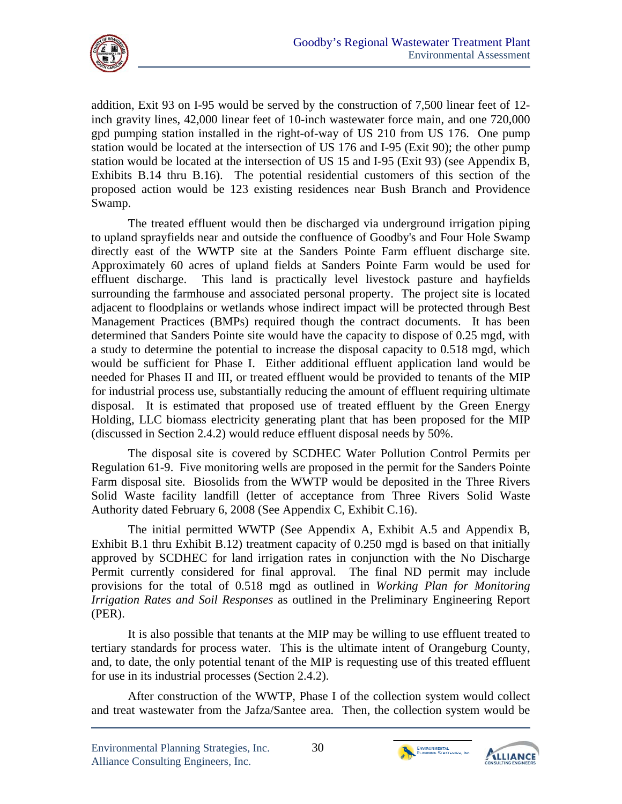

addition, Exit 93 on I-95 would be served by the construction of 7,500 linear feet of 12 inch gravity lines, 42,000 linear feet of 10-inch wastewater force main, and one 720,000 gpd pumping station installed in the right-of-way of US 210 from US 176. One pump station would be located at the intersection of US 176 and I-95 (Exit 90); the other pump station would be located at the intersection of US 15 and I-95 (Exit 93) (see Appendix B, Exhibits B.14 thru B.16). The potential residential customers of this section of the proposed action would be 123 existing residences near Bush Branch and Providence Swamp.

directly east of the WWTP site at the Sanders Pointe Farm effluent discharge site. The treated effluent would then be discharged via underground irrigation piping to upland sprayfields near and outside the confluence of Goodby's and Four Hole Swamp Approximately 60 acres of upland fields at Sanders Pointe Farm would be used for effluent discharge. This land is practically level livestock pasture and hayfields surrounding the farmhouse and associated personal property. The project site is located adjacent to floodplains or wetlands whose indirect impact will be protected through Best Management Practices (BMPs) required though the contract documents. It has been determined that Sanders Pointe site would have the capacity to dispose of 0.25 mgd, with a study to determine the potential to increase the disposal capacity to 0.518 mgd, which would be sufficient for Phase I. Either additional effluent application land would be needed for Phases II and III, or treated effluent would be provided to tenants of the MIP for industrial process use, substantially reducing the amount of effluent requiring ultimate disposal. It is estimated that proposed use of treated effluent by the Green Energy Holding, LLC biomass electricity generating plant that has been proposed for the MIP (discussed in Section 2.4.2) would reduce effluent disposal needs by 50%.

The disposal site is covered by SCDHEC Water Pollution Control Permits per Regulation 61-9. Five monitoring wells are proposed in the permit for the Sanders Pointe Farm disposal site. Biosolids from the WWTP would be deposited in the Three Rivers Solid Waste facility landfill (letter of acceptance from Three Rivers Solid Waste Authority dated February 6, 2008 (See Appendix C, Exhibit C.16).

The initial permitted WWTP (See Appendix A, Exhibit A.5 and Appendix B, Exhibit B.1 thru Exhibit B.12) treatment capacity of 0.250 mgd is based on that initially approved by SCDHEC for land irrigation rates in conjunction with the No Discharge Permit currently considered for final approval. The final ND permit may include provisions for the total of 0.518 mgd as outlined in *Working Plan for Monitoring Irrigation Rates and Soil Responses* as outlined in the Preliminary Engineering Report (PER).

It is also possible that tenants at the MIP may be willing to use effluent treated to tertiary standards for process water. This is the ultimate intent of Orangeburg County, and, to date, the only potential tenant of the MIP is requesting use of this treated effluent for use in its industrial processes (Section 2.4.2).

After construction of the WWTP, Phase I of the collection system would collect and treat wastewater from the Jafza/Santee area. Then, the collection system would be



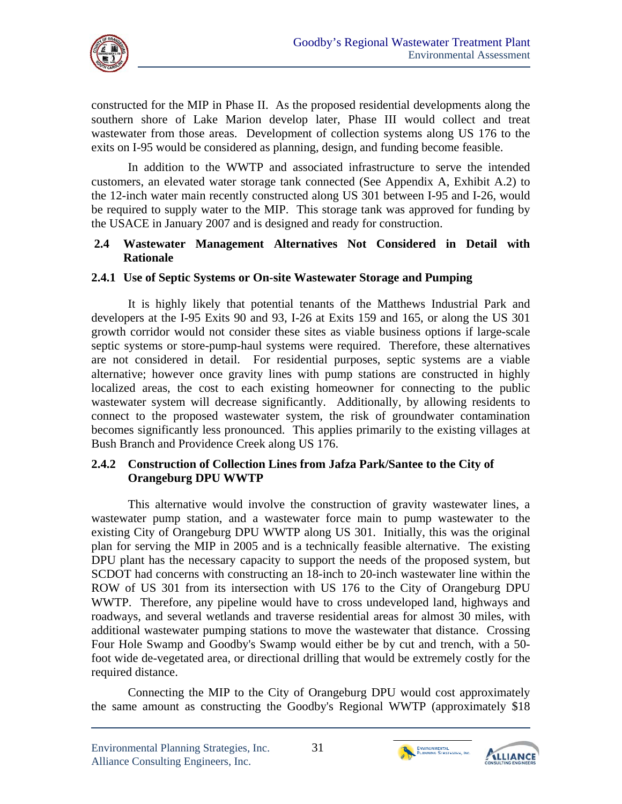

constructed for the MIP in Phase II. As the proposed residential developments along the southern shore of Lake Marion develop later, Phase III would collect and treat wastewater from those areas. Development of collection systems along US 176 to the exits on I-95 would be considered as planning, design, and funding become feasible.

In addition to the WWTP and associated infrastructure to serve the intended customers, an elevated water storage tank connected (See Appendix A, Exhibit A.2) to the 12-inch water main recently constructed along US 301 between I-95 and I-26, would be required to supply water to the MIP. This storage tank was approved for funding by the USACE in January 2007 and is designed and ready for construction.

## **2.4 Wastewater Management Alternatives Not Considered in Detail with Rationale**

## **2.4.1 Use of Septic Systems or On-site Wastewater Storage and Pumping**

It is highly likely that potential tenants of the Matthews Industrial Park and developers at the I-95 Exits 90 and 93, I-26 at Exits 159 and 165, or along the US 301 growth corridor would not consider these sites as viable business options if large-scale septic systems or store-pump-haul systems were required. Therefore, these alternatives are not considered in detail. For residential purposes, septic systems are a viable alternative; however once gravity lines with pump stations are constructed in highly localized areas, the cost to each existing homeowner for connecting to the public wastewater system will decrease significantly. Additionally, by allowing residents to connect to the proposed wastewater system, the risk of groundwater contamination becomes significantly less pronounced. This applies primarily to the existing villages at Bush Branch and Providence Creek along US 176.

#### **2.4.2 Construction of Collection Lines from Jafza Park/Santee to the City of Orangeburg DPU WWTP**

This alternative would involve the construction of gravity wastewater lines, a wastewater pump station, and a wastewater force main to pump wastewater to the existing City of Orangeburg DPU WWTP along US 301. Initially, this was the original plan for serving the MIP in 2005 and is a technically feasible alternative. The existing DPU plant has the necessary capacity to support the needs of the proposed system, but SCDOT had concerns with constructing an 18-inch to 20-inch wastewater line within the ROW of US 301 from its intersection with US 176 to the City of Orangeburg DPU WWTP. Therefore, any pipeline would have to cross undeveloped land, highways and roadways, and several wetlands and traverse residential areas for almost 30 miles, with additional wastewater pumping stations to move the wastewater that distance. Crossing Four Hole Swamp and Goodby's Swamp would either be by cut and trench, with a 50 foot wide de-vegetated area, or directional drilling that would be extremely costly for the required distance.

Connecting the MIP to the City of Orangeburg DPU would cost approximately the same amount as constructing the Goodby's Regional WWTP (approximately \$18



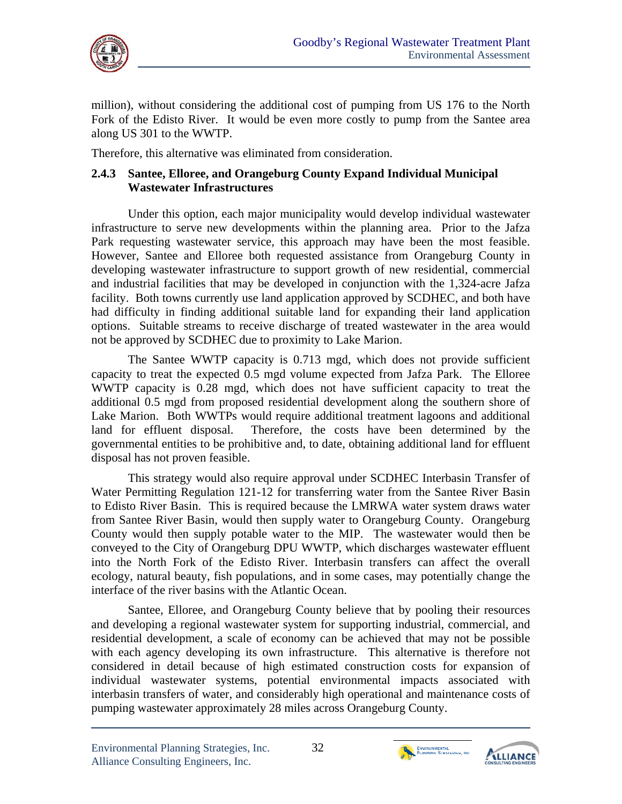

million), without considering the additional cost of pumping from US 176 to the North Fork of the Edisto River. It would be even more costly to pump from the Santee area along US 301 to the WWTP.

Therefore, this alternative was eliminated from consideration.

### **2.4.3 Santee, Elloree, and Orangeburg County Expand Individual Municipal Wastewater Infrastructures**

Under this option, each major municipality would develop individual wastewater infrastructure to serve new developments within the planning area. Prior to the Jafza Park requesting wastewater service, this approach may have been the most feasible. However, Santee and Elloree both requested assistance from Orangeburg County in developing wastewater infrastructure to support growth of new residential, commercial and industrial facilities that may be developed in conjunction with the 1,324-acre Jafza facility. Both towns currently use land application approved by SCDHEC, and both have had difficulty in finding additional suitable land for expanding their land application options. Suitable streams to receive discharge of treated wastewater in the area would not be approved by SCDHEC due to proximity to Lake Marion.

The Santee WWTP capacity is 0.713 mgd, which does not provide sufficient capacity to treat the expected 0.5 mgd volume expected from Jafza Park. The Elloree WWTP capacity is 0.28 mgd, which does not have sufficient capacity to treat the additional 0.5 mgd from proposed residential development along the southern shore of Lake Marion. Both WWTPs would require additional treatment lagoons and additional land for effluent disposal. Therefore, the costs have been determined by the governmental entities to be prohibitive and, to date, obtaining additional land for effluent disposal has not proven feasible.

This strategy would also require approval under SCDHEC Interbasin Transfer of Water Permitting Regulation 121-12 for transferring water from the Santee River Basin to Edisto River Basin. This is required because the LMRWA water system draws water from Santee River Basin, would then supply water to Orangeburg County. Orangeburg County would then supply potable water to the MIP. The wastewater would then be conveyed to the City of Orangeburg DPU WWTP, which discharges wastewater effluent into the North Fork of the Edisto River. Interbasin transfers can affect the overall ecology, natural beauty, fish populations, and in some cases, may potentially change the interface of the river basins with the Atlantic Ocean.

Santee, Elloree, and Orangeburg County believe that by pooling their resources and developing a regional wastewater system for supporting industrial, commercial, and residential development, a scale of economy can be achieved that may not be possible with each agency developing its own infrastructure. This alternative is therefore not considered in detail because of high estimated construction costs for expansion of individual wastewater systems, potential environmental impacts associated with interbasin transfers of water, and considerably high operational and maintenance costs of pumping wastewater approximately 28 miles across Orangeburg County.



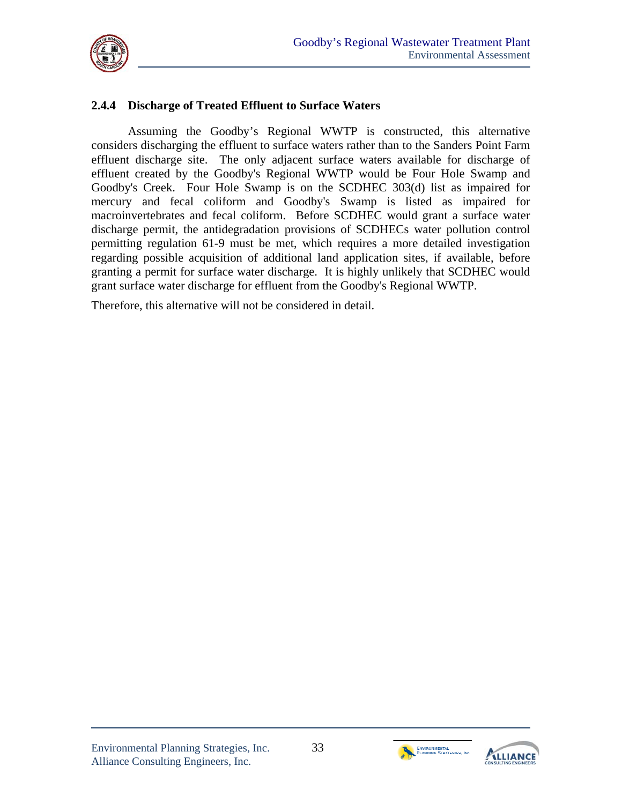

## **2.4.4 Discharge of Treated Effluent to Surface Waters**

Assuming the Goodby's Regional WWTP is constructed, this alternative considers discharging the effluent to surface waters rather than to the Sanders Point Farm effluent discharge site. The only adjacent surface waters available for discharge of effluent created by the Goodby's Regional WWTP would be Four Hole Swamp and Goodby's Creek. Four Hole Swamp is on the SCDHEC 303(d) list as impaired for mercury and fecal coliform and Goodby's Swamp is listed as impaired for macroinvertebrates and fecal coliform. Before SCDHEC would grant a surface water discharge permit, the antidegradation provisions of SCDHECs water pollution control permitting regulation 61-9 must be met, which requires a more detailed investigation regarding possible acquisition of additional land application sites, if available, before granting a permit for surface water discharge. It is highly unlikely that SCDHEC would grant surface water discharge for effluent from the Goodby's Regional WWTP.

Therefore, this alternative will not be considered in detail.



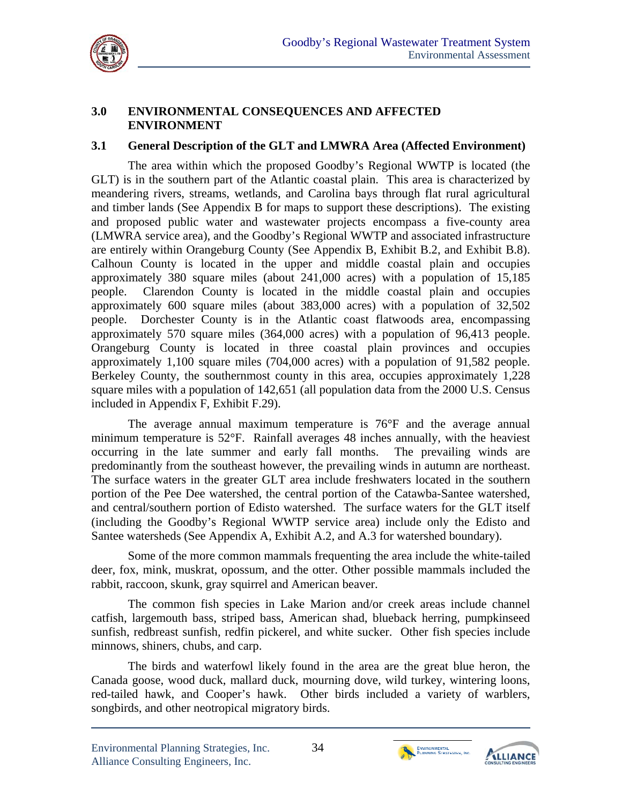

#### **3.0 ENVIRONMENTAL CONSEQUENCES AND AFFECTED ENVIRONMENT**

#### **3.1 General Description of the GLT and LMWRA Area (Affected Environment)**

The area within which the proposed Goodby's Regional WWTP is located (the GLT) is in the southern part of the Atlantic coastal plain. This area is characterized by meandering rivers, streams, wetlands, and Carolina bays through flat rural agricultural and timber lands (See Appendix B for maps to support these descriptions). The existing and proposed public water and wastewater projects encompass a five-county area (LMWRA service area), and the Goodby's Regional WWTP and associated infrastructure are entirely within Orangeburg County (See Appendix B, Exhibit B.2, and Exhibit B.8). Calhoun County is located in the upper and middle coastal plain and occupies approximately 380 square miles (about 241,000 acres) with a population of 15,185 people. Clarendon County is located in the middle coastal plain and occupies approximately 600 square miles (about 383,000 acres) with a population of 32,502 people. Dorchester County is in the Atlantic coast flatwoods area, encompassing approximately 570 square miles (364,000 acres) with a population of 96,413 people. Orangeburg County is located in three coastal plain provinces and occupies approximately 1,100 square miles (704,000 acres) with a population of 91,582 people. Berkeley County, the southernmost county in this area, occupies approximately 1,228 square miles with a population of 142,651 (all population data from the 2000 U.S. Census included in Appendix F, Exhibit F.29).

predominantly from the southeast however, the prevailing winds in autumn are northeast. The average annual maximum temperature is 76°F and the average annual minimum temperature is 52°F. Rainfall averages 48 inches annually, with the heaviest occurring in the late summer and early fall months. The prevailing winds are The surface waters in the greater GLT area include freshwaters located in the southern portion of the Pee Dee watershed, the central portion of the Catawba-Santee watershed, and central/southern portion of Edisto watershed. The surface waters for the GLT itself (including the Goodby's Regional WWTP service area) include only the Edisto and Santee watersheds (See Appendix A, Exhibit A.2, and A.3 for watershed boundary).

Some of the more common mammals frequenting the area include the white-tailed deer, fox, mink, muskrat, opossum, and the otter. Other possible mammals included the rabbit, raccoon, skunk, gray squirrel and American beaver.

The common fish species in Lake Marion and/or creek areas include channel catfish, largemouth bass, striped bass, American shad, blueback herring, pumpkinseed sunfish, redbreast sunfish, redfin pickerel, and white sucker. Other fish species include minnows, shiners, chubs, and carp.

The birds and waterfowl likely found in the area are the great blue heron, the Canada goose, wood duck, mallard duck, mourning dove, wild turkey, wintering loons, red-tailed hawk, and Cooper's hawk. Other birds included a variety of warblers, songbirds, and other neotropical migratory birds.



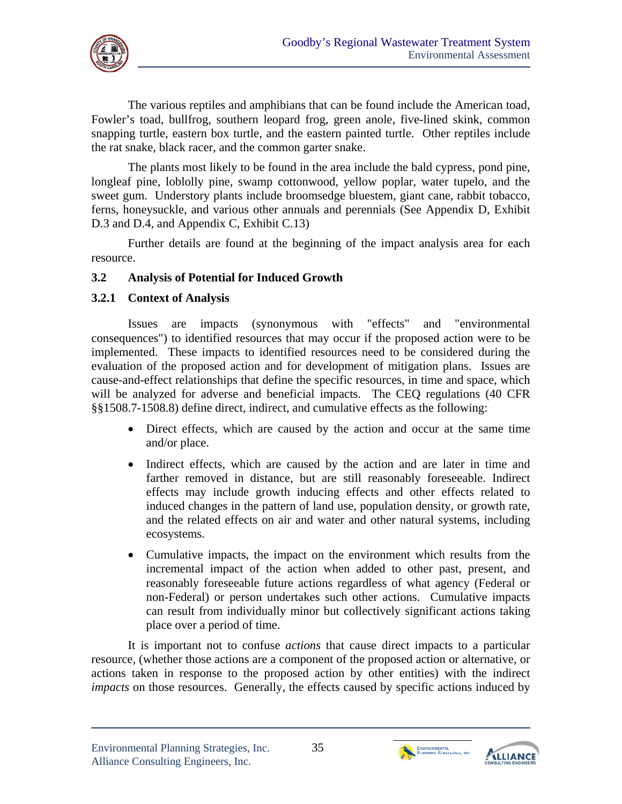

The various reptiles and amphibians that can be found include the American toad, Fowler's toad, bullfrog, southern leopard frog, green anole, five-lined skink, common snapping turtle, eastern box turtle, and the eastern painted turtle. Other reptiles include the rat snake, black racer, and the common garter snake.

The plants most likely to be found in the area include the bald cypress, pond pine, longleaf pine, loblolly pine, swamp cottonwood, yellow poplar, water tupelo, and the sweet gum. Understory plants include broomsedge bluestem, giant cane, rabbit tobacco, ferns, honeysuckle, and various other annuals and perennials (See Appendix D, Exhibit D.3 and D.4, and Appendix C, Exhibit C.13)

Further details are found at the beginning of the impact analysis area for each resource.

## **3.2 Analysis of Potential for Induced Growth**

## **3.2.1 Context of Analysis**

Issues are impacts (synonymous with "effects" and "environmental consequences") to identified resources that may occur if the proposed action were to be implemented. These impacts to identified resources need to be considered during the evaluation of the proposed action and for development of mitigation plans. Issues are cause-and-effect relationships that define the specific resources, in time and space, which will be analyzed for adverse and beneficial impacts. The CEQ regulations (40 CFR §§1508.7-1508.8) define direct, indirect, and cumulative effects as the following:

- Direct effects, which are caused by the action and occur at the same time and/or place.
- Indirect effects, which are caused by the action and are later in time and farther removed in distance, but are still reasonably foreseeable. Indirect effects may include growth inducing effects and other effects related to induced changes in the pattern of land use, population density, or growth rate, and the related effects on air and water and other natural systems, including ecosystems.
- Cumulative impacts, the impact on the environment which results from the incremental impact of the action when added to other past, present, and reasonably foreseeable future actions regardless of what agency (Federal or non-Federal) or person undertakes such other actions. Cumulative impacts can result from individually minor but collectively significant actions taking place over a period of time.

It is important not to confuse *actions* that cause direct impacts to a particular resource, (whether those actions are a component of the proposed action or alternative, or actions taken in response to the proposed action by other entities) with the indirect *impacts* on those resources. Generally, the effects caused by specific actions induced by



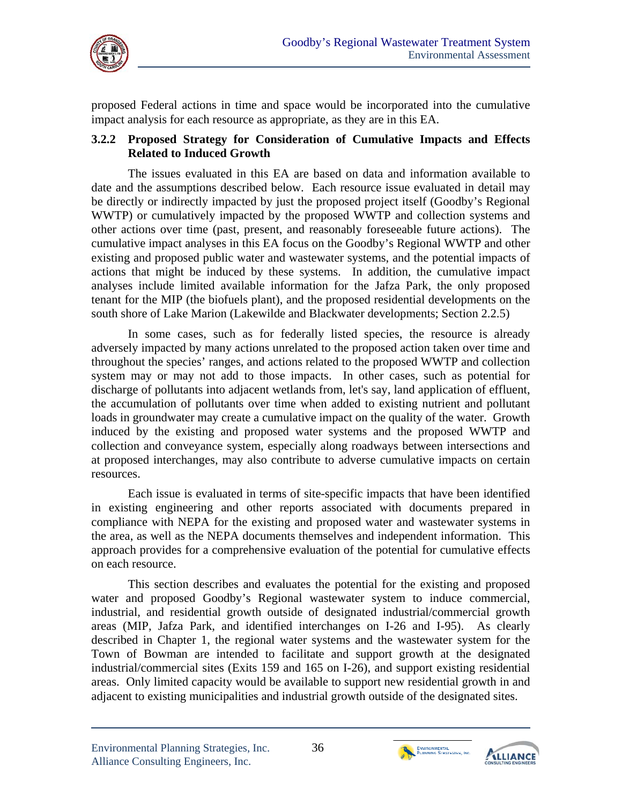

proposed Federal actions in time and space would be incorporated into the cumulative impact analysis for each resource as appropriate, as they are in this EA.

#### **3.2.2 Proposed Strategy for Consideration of Cumulative Impacts and Effects Related to Induced Growth**

The issues evaluated in this EA are based on data and information available to date and the assumptions described below. Each resource issue evaluated in detail may be directly or indirectly impacted by just the proposed project itself (Goodby's Regional WWTP) or cumulatively impacted by the proposed WWTP and collection systems and other actions over time (past, present, and reasonably foreseeable future actions). The cumulative impact analyses in this EA focus on the Goodby's Regional WWTP and other existing and proposed public water and wastewater systems, and the potential impacts of actions that might be induced by these systems. In addition, the cumulative impact analyses include limited available information for the Jafza Park, the only proposed tenant for the MIP (the biofuels plant), and the proposed residential developments on the south shore of Lake Marion (Lakewilde and Blackwater developments; Section 2.2.5)

In some cases, such as for federally listed species, the resource is already adversely impacted by many actions unrelated to the proposed action taken over time and throughout the species' ranges, and actions related to the proposed WWTP and collection system may or may not add to those impacts. In other cases, such as potential for discharge of pollutants into adjacent wetlands from, let's say, land application of effluent, the accumulation of pollutants over time when added to existing nutrient and pollutant loads in groundwater may create a cumulative impact on the quality of the water. Growth induced by the existing and proposed water systems and the proposed WWTP and collection and conveyance system, especially along roadways between intersections and at proposed interchanges, may also contribute to adverse cumulative impacts on certain resources.

Each issue is evaluated in terms of site-specific impacts that have been identified in existing engineering and other reports associated with documents prepared in compliance with NEPA for the existing and proposed water and wastewater systems in the area, as well as the NEPA documents themselves and independent information. This approach provides for a comprehensive evaluation of the potential for cumulative effects on each resource.

This section describes and evaluates the potential for the existing and proposed water and proposed Goodby's Regional wastewater system to induce commercial, industrial, and residential growth outside of designated industrial/commercial growth areas (MIP, Jafza Park, and identified interchanges on I-26 and I-95). As clearly described in Chapter 1, the regional water systems and the wastewater system for the Town of Bowman are intended to facilitate and support growth at the designated industrial/commercial sites (Exits 159 and 165 on I-26), and support existing residential areas. Only limited capacity would be available to support new residential growth in and adjacent to existing municipalities and industrial growth outside of the designated sites.



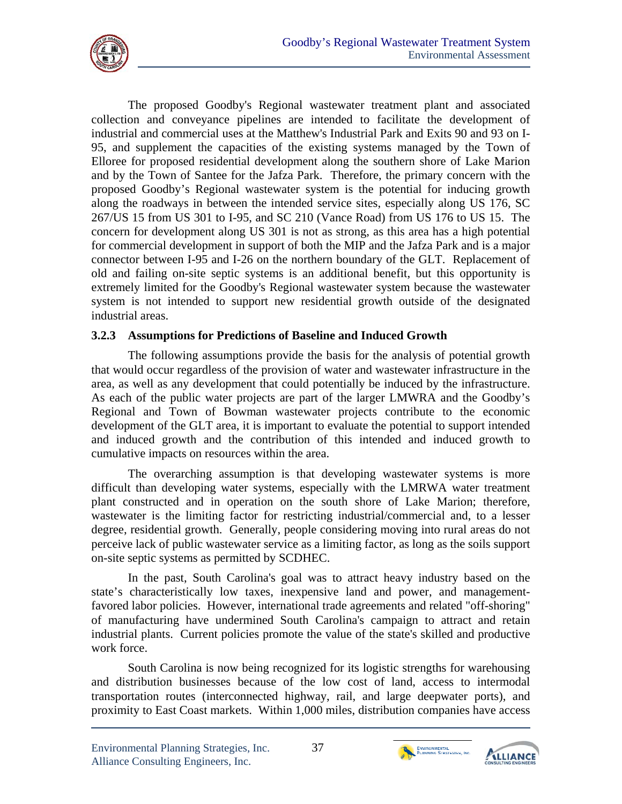

The proposed Goodby's Regional wastewater treatment plant and associated collection and conveyance pipelines are intended to facilitate the development of industrial and commercial uses at the Matthew's Industrial Park and Exits 90 and 93 on I-95, and supplement the capacities of the existing systems managed by the Town of Elloree for proposed residential development along the southern shore of Lake Marion and by the Town of Santee for the Jafza Park. Therefore, the primary concern with the proposed Goodby's Regional wastewater system is the potential for inducing growth along the roadways in between the intended service sites, especially along US 176, SC 267/US 15 from US 301 to I-95, and SC 210 (Vance Road) from US 176 to US 15. The concern for development along US 301 is not as strong, as this area has a high potential for commercial development in support of both the MIP and the Jafza Park and is a major connector between I-95 and I-26 on the northern boundary of the GLT. Replacement of old and failing on-site septic systems is an additional benefit, but this opportunity is extremely limited for the Goodby's Regional wastewater system because the wastewater system is not intended to support new residential growth outside of the designated industrial areas.

## **3.2.3 Assumptions for Predictions of Baseline and Induced Growth**

The following assumptions provide the basis for the analysis of potential growth that would occur regardless of the provision of water and wastewater infrastructure in the area, as well as any development that could potentially be induced by the infrastructure. As each of the public water projects are part of the larger LMWRA and the Goodby's Regional and Town of Bowman wastewater projects contribute to the economic development of the GLT area, it is important to evaluate the potential to support intended and induced growth and the contribution of this intended and induced growth to cumulative impacts on resources within the area.

The overarching assumption is that developing wastewater systems is more difficult than developing water systems, especially with the LMRWA water treatment plant constructed and in operation on the south shore of Lake Marion; therefore, wastewater is the limiting factor for restricting industrial/commercial and, to a lesser degree, residential growth. Generally, people considering moving into rural areas do not perceive lack of public wastewater service as a limiting factor, as long as the soils support on-site septic systems as permitted by SCDHEC.

In the past, South Carolina's goal was to attract heavy industry based on the state's characteristically low taxes, inexpensive land and power, and managementfavored labor policies. However, international trade agreements and related "off-shoring" of manufacturing have undermined South Carolina's campaign to attract and retain industrial plants. Current policies promote the value of the state's skilled and productive work force.

South Carolina is now being recognized for its logistic strengths for warehousing and distribution businesses because of the low cost of land, access to intermodal transportation routes (interconnected highway, rail, and large deepwater ports), and proximity to East Coast markets. Within 1,000 miles, distribution companies have access



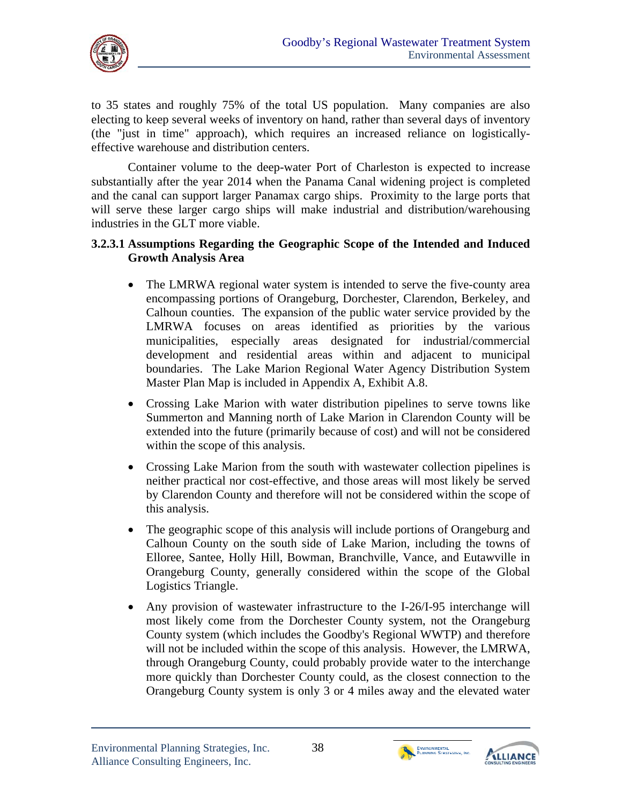

to 35 states and roughly 75% of the total US population. Many companies are also electing to keep several weeks of inventory on hand, rather than several days of inventory (the "just in time" approach), which requires an increased reliance on logisticallyeffective warehouse and distribution centers.

Container volume to the deep-water Port of Charleston is expected to increase substantially after the year 2014 when the Panama Canal widening project is completed and the canal can support larger Panamax cargo ships. Proximity to the large ports that will serve these larger cargo ships will make industrial and distribution/warehousing industries in the GLT more viable.

### **3.2.3.1 Assumptions Regarding the Geographic Scope of the Intended and Induced Growth Analysis Area**

- The LMRWA regional water system is intended to serve the five-county area encompassing portions of Orangeburg, Dorchester, Clarendon, Berkeley, and Calhoun counties. The expansion of the public water service provided by the LMRWA focuses on areas identified as priorities by the various municipalities, especially areas designated for industrial/commercial development and residential areas within and adjacent to municipal boundaries. The Lake Marion Regional Water Agency Distribution System Master Plan Map is included in Appendix A, Exhibit A.8.
- Crossing Lake Marion with water distribution pipelines to serve towns like Summerton and Manning north of Lake Marion in Clarendon County will be extended into the future (primarily because of cost) and will not be considered within the scope of this analysis.
- Crossing Lake Marion from the south with wastewater collection pipelines is neither practical nor cost-effective, and those areas will most likely be served by Clarendon County and therefore will not be considered within the scope of this analysis.
- The geographic scope of this analysis will include portions of Orangeburg and Calhoun County on the south side of Lake Marion, including the towns of Elloree, Santee, Holly Hill, Bowman, Branchville, Vance, and Eutawville in Orangeburg County, generally considered within the scope of the Global Logistics Triangle.
- Any provision of wastewater infrastructure to the I-26/I-95 interchange will most likely come from the Dorchester County system, not the Orangeburg County system (which includes the Goodby's Regional WWTP) and therefore will not be included within the scope of this analysis. However, the LMRWA, through Orangeburg County, could probably provide water to the interchange more quickly than Dorchester County could, as the closest connection to the Orangeburg County system is only 3 or 4 miles away and the elevated water



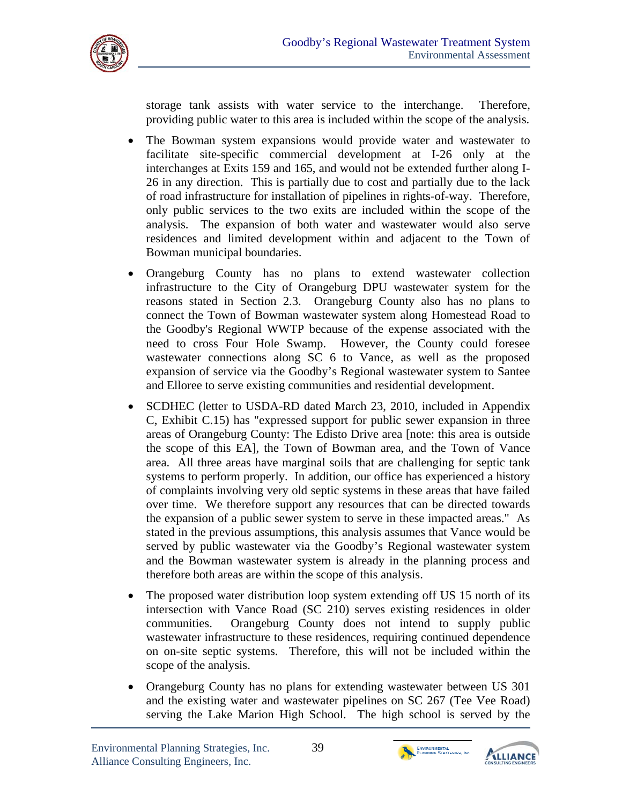

storage tank assists with water service to the interchange. Therefore, providing public water to this area is included within the scope of the analysis.

- The Bowman system expansions would provide water and wastewater to facilitate site-specific commercial development at I-26 only at the interchanges at Exits 159 and 165, and would not be extended further along I-26 in any direction. This is partially due to cost and partially due to the lack of road infrastructure for installation of pipelines in rights-of-way. Therefore, only public services to the two exits are included within the scope of the analysis. The expansion of both water and wastewater would also serve residences and limited development within and adjacent to the Town of Bowman municipal boundaries.
- Orangeburg County has no plans to extend wastewater collection infrastructure to the City of Orangeburg DPU wastewater system for the reasons stated in Section 2.3. Orangeburg County also has no plans to connect the Town of Bowman wastewater system along Homestead Road to the Goodby's Regional WWTP because of the expense associated with the need to cross Four Hole Swamp. However, the County could foresee wastewater connections along SC 6 to Vance, as well as the proposed expansion of service via the Goodby's Regional wastewater system to Santee and Elloree to serve existing communities and residential development.
- SCDHEC (letter to USDA-RD dated March 23, 2010, included in Appendix C, Exhibit C.15) has "expressed support for public sewer expansion in three areas of Orangeburg County: The Edisto Drive area [note: this area is outside the scope of this EA], the Town of Bowman area, and the Town of Vance area. All three areas have marginal soils that are challenging for septic tank systems to perform properly. In addition, our office has experienced a history of complaints involving very old septic systems in these areas that have failed over time. We therefore support any resources that can be directed towards the expansion of a public sewer system to serve in these impacted areas." As stated in the previous assumptions, this analysis assumes that Vance would be served by public wastewater via the Goodby's Regional wastewater system and the Bowman wastewater system is already in the planning process and therefore both areas are within the scope of this analysis.
- The proposed water distribution loop system extending off US 15 north of its intersection with Vance Road (SC 210) serves existing residences in older communities. Orangeburg County does not intend to supply public wastewater infrastructure to these residences, requiring continued dependence on on-site septic systems. Therefore, this will not be included within the scope of the analysis.
- Orangeburg County has no plans for extending wastewater between US 301 and the existing water and wastewater pipelines on SC 267 (Tee Vee Road) serving the Lake Marion High School. The high school is served by the



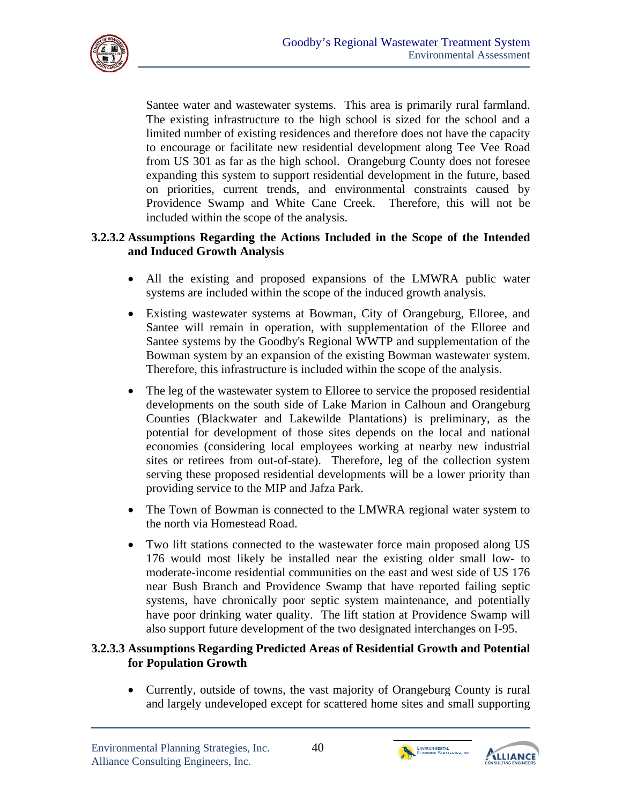

Santee water and wastewater systems. This area is primarily rural farmland. The existing infrastructure to the high school is sized for the school and a limited number of existing residences and therefore does not have the capacity to encourage or facilitate new residential development along Tee Vee Road from US 301 as far as the high school. Orangeburg County does not foresee expanding this system to support residential development in the future, based on priorities, current trends, and environmental constraints caused by Providence Swamp and White Cane Creek. Therefore, this will not be included within the scope of the analysis.

## **3.2.3.2 Assumptions Regarding the Actions Included in the Scope of the Intended and Induced Growth Analysis**

- All the existing and proposed expansions of the LMWRA public water systems are included within the scope of the induced growth analysis.
- Existing wastewater systems at Bowman, City of Orangeburg, Elloree, and Santee will remain in operation, with supplementation of the Elloree and Santee systems by the Goodby's Regional WWTP and supplementation of the Bowman system by an expansion of the existing Bowman wastewater system. Therefore, this infrastructure is included within the scope of the analysis.
- The leg of the wastewater system to Elloree to service the proposed residential developments on the south side of Lake Marion in Calhoun and Orangeburg Counties (Blackwater and Lakewilde Plantations) is preliminary, as the potential for development of those sites depends on the local and national economies (considering local employees working at nearby new industrial sites or retirees from out-of-state). Therefore, leg of the collection system serving these proposed residential developments will be a lower priority than providing service to the MIP and Jafza Park.
- The Town of Bowman is connected to the LMWRA regional water system to the north via Homestead Road.
- Two lift stations connected to the wastewater force main proposed along US 176 would most likely be installed near the existing older small low- to moderate-income residential communities on the east and west side of US 176 near Bush Branch and Providence Swamp that have reported failing septic systems, have chronically poor septic system maintenance, and potentially have poor drinking water quality. The lift station at Providence Swamp will also support future development of the two designated interchanges on I-95.

# **3.2.3.3 Assumptions Regarding Predicted Areas of Residential Growth and Potential for Population Growth**

• Currently, outside of towns, the vast majority of Orangeburg County is rural and largely undeveloped except for scattered home sites and small supporting



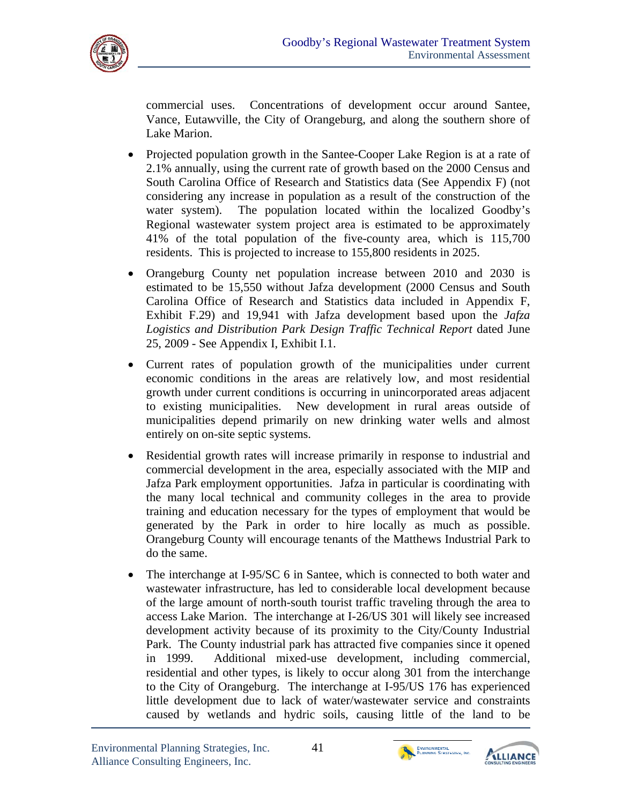

commercial uses. Concentrations of development occur around Santee, Vance, Eutawville, the City of Orangeburg, and along the southern shore of Lake Marion.

- Projected population growth in the Santee-Cooper Lake Region is at a rate of 2.1% annually, using the current rate of growth based on the 2000 Census and South Carolina Office of Research and Statistics data (See Appendix F) (not considering any increase in population as a result of the construction of the water system). The population located within the localized Goodby's Regional wastewater system project area is estimated to be approximately 41% of the total population of the five-county area, which is 115,700 residents. This is projected to increase to 155,800 residents in 2025.
- Orangeburg County net population increase between 2010 and 2030 is estimated to be 15,550 without Jafza development (2000 Census and South Carolina Office of Research and Statistics data included in Appendix F, Exhibit F.29) and 19,941 with Jafza development based upon the *Jafza Logistics and Distribution Park Design Traffic Technical Report* dated June 25, 2009 - See Appendix I, Exhibit I.1.
- Current rates of population growth of the municipalities under current economic conditions in the areas are relatively low, and most residential growth under current conditions is occurring in unincorporated areas adjacent to existing municipalities. New development in rural areas outside of municipalities depend primarily on new drinking water wells and almost entirely on on-site septic systems.
- Residential growth rates will increase primarily in response to industrial and commercial development in the area, especially associated with the MIP and Jafza Park employment opportunities. Jafza in particular is coordinating with the many local technical and community colleges in the area to provide training and education necessary for the types of employment that would be generated by the Park in order to hire locally as much as possible. Orangeburg County will encourage tenants of the Matthews Industrial Park to do the same.
- The interchange at I-95/SC 6 in Santee, which is connected to both water and wastewater infrastructure, has led to considerable local development because of the large amount of north-south tourist traffic traveling through the area to access Lake Marion. The interchange at I-26/US 301 will likely see increased development activity because of its proximity to the City/County Industrial Park. The County industrial park has attracted five companies since it opened in 1999. Additional mixed-use development, including commercial, residential and other types, is likely to occur along 301 from the interchange to the City of Orangeburg. The interchange at I-95/US 176 has experienced little development due to lack of water/wastewater service and constraints caused by wetlands and hydric soils, causing little of the land to be





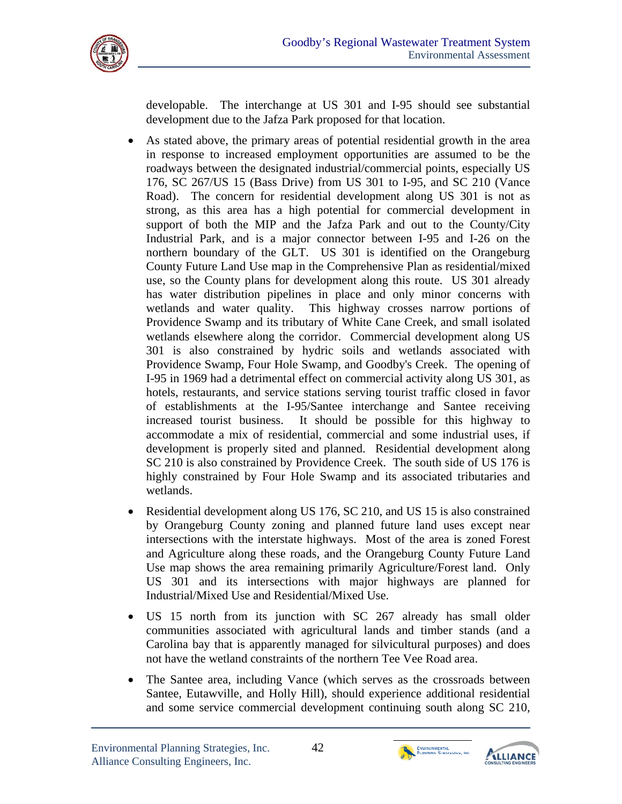

developable. The interchange at US 301 and I-95 should see substantial development due to the Jafza Park proposed for that location.

- As stated above, the primary areas of potential residential growth in the area in response to increased employment opportunities are assumed to be the roadways between the designated industrial/commercial points, especially US 176, SC 267/US 15 (Bass Drive) from US 301 to I-95, and SC 210 (Vance Road). The concern for residential development along US 301 is not as strong, as this area has a high potential for commercial development in support of both the MIP and the Jafza Park and out to the County/City Industrial Park, and is a major connector between I-95 and I-26 on the northern boundary of the GLT. US 301 is identified on the Orangeburg County Future Land Use map in the Comprehensive Plan as residential/mixed use, so the County plans for development along this route. US 301 already has water distribution pipelines in place and only minor concerns with wetlands and water quality. This highway crosses narrow portions of Providence Swamp and its tributary of White Cane Creek, and small isolated wetlands elsewhere along the corridor. Commercial development along US 301 is also constrained by hydric soils and wetlands associated with Providence Swamp, Four Hole Swamp, and Goodby's Creek. The opening of I-95 in 1969 had a detrimental effect on commercial activity along US 301, as hotels, restaurants, and service stations serving tourist traffic closed in favor of establishments at the I-95/Santee interchange and Santee receiving increased tourist business. It should be possible for this highway to accommodate a mix of residential, commercial and some industrial uses, if development is properly sited and planned. Residential development along SC 210 is also constrained by Providence Creek. The south side of US 176 is highly constrained by Four Hole Swamp and its associated tributaries and wetlands.
- Residential development along US 176, SC 210, and US 15 is also constrained by Orangeburg County zoning and planned future land uses except near intersections with the interstate highways. Most of the area is zoned Forest and Agriculture along these roads, and the Orangeburg County Future Land Use map shows the area remaining primarily Agriculture/Forest land. Only US 301 and its intersections with major highways are planned for Industrial/Mixed Use and Residential/Mixed Use.
- US 15 north from its junction with SC 267 already has small older communities associated with agricultural lands and timber stands (and a Carolina bay that is apparently managed for silvicultural purposes) and does not have the wetland constraints of the northern Tee Vee Road area.
- The Santee area, including Vance (which serves as the crossroads between Santee, Eutawville, and Holly Hill), should experience additional residential and some service commercial development continuing south along SC 210,

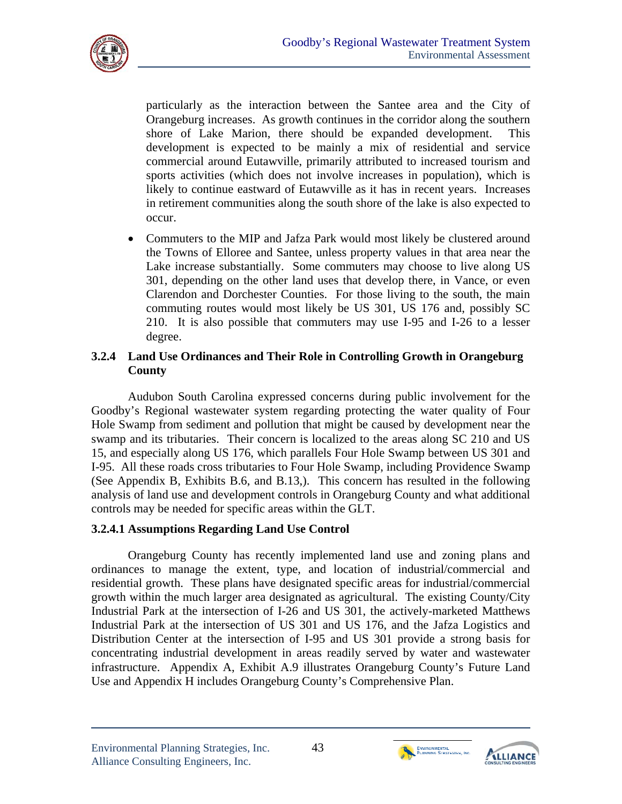

particularly as the interaction between the Santee area and the City of Orangeburg increases. As growth continues in the corridor along the southern shore of Lake Marion, there should be expanded development. This development is expected to be mainly a mix of residential and service commercial around Eutawville, primarily attributed to increased tourism and sports activities (which does not involve increases in population), which is likely to continue eastward of Eutawville as it has in recent years. Increases in retirement communities along the south shore of the lake is also expected to occur.

 Commuters to the MIP and Jafza Park would most likely be clustered around the Towns of Elloree and Santee, unless property values in that area near the Lake increase substantially. Some commuters may choose to live along US 301, depending on the other land uses that develop there, in Vance, or even Clarendon and Dorchester Counties. For those living to the south, the main commuting routes would most likely be US 301, US 176 and, possibly SC 210. It is also possible that commuters may use I-95 and I-26 to a lesser degree.

#### **3.2.4 Land Use Ordinances and Their Role in Controlling Growth in Orangeburg County**

Audubon South Carolina expressed concerns during public involvement for the Goodby's Regional wastewater system regarding protecting the water quality of Four Hole Swamp from sediment and pollution that might be caused by development near the swamp and its tributaries. Their concern is localized to the areas along SC 210 and US 15, and especially along US 176, which parallels Four Hole Swamp between US 301 and I-95. All these roads cross tributaries to Four Hole Swamp, including Providence Swamp (See Appendix B, Exhibits B.6, and B.13,). This concern has resulted in the following analysis of land use and development controls in Orangeburg County and what additional controls may be needed for specific areas within the GLT.

# **3.2.4.1 Assumptions Regarding Land Use Control**

Orangeburg County has recently implemented land use and zoning plans and ordinances to manage the extent, type, and location of industrial/commercial and residential growth. These plans have designated specific areas for industrial/commercial growth within the much larger area designated as agricultural. The existing County/City Industrial Park at the intersection of I-26 and US 301, the actively-marketed Matthews Industrial Park at the intersection of US 301 and US 176, and the Jafza Logistics and Distribution Center at the intersection of I-95 and US 301 provide a strong basis for concentrating industrial development in areas readily served by water and wastewater infrastructure. Appendix A, Exhibit A.9 illustrates Orangeburg County's Future Land Use and Appendix H includes Orangeburg County's Comprehensive Plan.



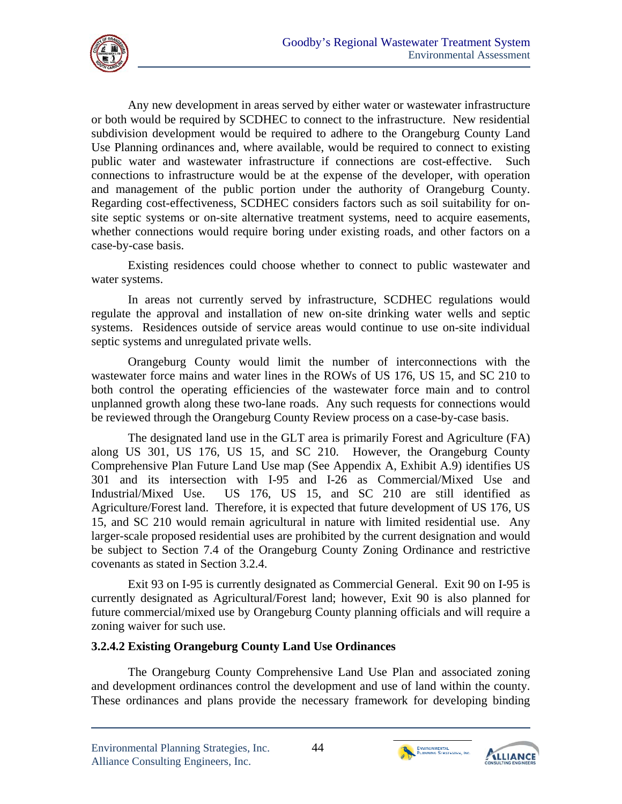

Any new development in areas served by either water or wastewater infrastructure or both would be required by SCDHEC to connect to the infrastructure. New residential subdivision development would be required to adhere to the Orangeburg County Land Use Planning ordinances and, where available, would be required to connect to existing public water and wastewater infrastructure if connections are cost-effective. Such connections to infrastructure would be at the expense of the developer, with operation and management of the public portion under the authority of Orangeburg County. Regarding cost-effectiveness, SCDHEC considers factors such as soil suitability for onsite septic systems or on-site alternative treatment systems, need to acquire easements, whether connections would require boring under existing roads, and other factors on a case-by-case basis.

Existing residences could choose whether to connect to public wastewater and water systems.

In areas not currently served by infrastructure, SCDHEC regulations would regulate the approval and installation of new on-site drinking water wells and septic systems. Residences outside of service areas would continue to use on-site individual septic systems and unregulated private wells.

Orangeburg County would limit the number of interconnections with the wastewater force mains and water lines in the ROWs of US 176, US 15, and SC 210 to both control the operating efficiencies of the wastewater force main and to control unplanned growth along these two-lane roads. Any such requests for connections would be reviewed through the Orangeburg County Review process on a case-by-case basis.

The designated land use in the GLT area is primarily Forest and Agriculture (FA) along US 301, US 176, US 15, and SC 210. However, the Orangeburg County Comprehensive Plan Future Land Use map (See Appendix A, Exhibit A.9) identifies US 301 and its intersection with I-95 and I-26 as Commercial/Mixed Use and Industrial/Mixed Use. US 176, US 15, and SC 210 are still identified as Agriculture/Forest land. Therefore, it is expected that future development of US 176, US 15, and SC 210 would remain agricultural in nature with limited residential use. Any larger-scale proposed residential uses are prohibited by the current designation and would be subject to Section 7.4 of the Orangeburg County Zoning Ordinance and restrictive covenants as stated in Section 3.2.4.

Exit 93 on I-95 is currently designated as Commercial General. Exit 90 on I-95 is currently designated as Agricultural/Forest land; however, Exit 90 is also planned for future commercial/mixed use by Orangeburg County planning officials and will require a zoning waiver for such use.

#### **3.2.4.2 Existing Orangeburg County Land Use Ordinances**

The Orangeburg County Comprehensive Land Use Plan and associated zoning and development ordinances control the development and use of land within the county. These ordinances and plans provide the necessary framework for developing binding



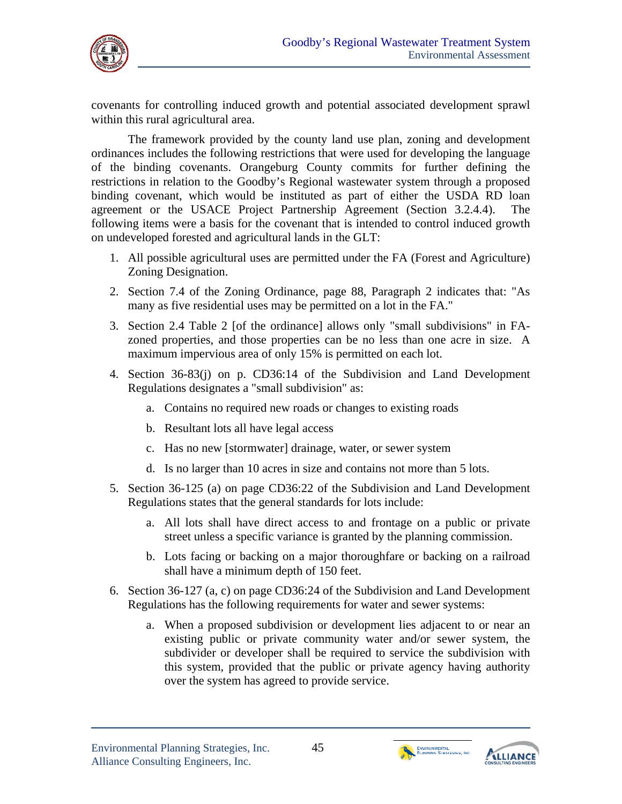

covenants for controlling induced growth and potential associated development sprawl within this rural agricultural area.

The framework provided by the county land use plan, zoning and development ordinances includes the following restrictions that were used for developing the language of the binding covenants. Orangeburg County commits for further defining the restrictions in relation to the Goodby's Regional wastewater system through a proposed binding covenant, which would be instituted as part of either the USDA RD loan agreement or the USACE Project Partnership Agreement (Section 3.2.4.4). The following items were a basis for the covenant that is intended to control induced growth on undeveloped forested and agricultural lands in the GLT:

- 1. All possible agricultural uses are permitted under the FA (Forest and Agriculture) Zoning Designation.
- 2. Section 7.4 of the Zoning Ordinance, page 88, Paragraph 2 indicates that: "As many as five residential uses may be permitted on a lot in the FA."
- 3. Section 2.4 Table 2 [of the ordinance] allows only "small subdivisions" in FAzoned properties, and those properties can be no less than one acre in size. A maximum impervious area of only 15% is permitted on each lot.
- 4. Section 36-83(j) on p. CD36:14 of the Subdivision and Land Development Regulations designates a "small subdivision" as:
	- a. Contains no required new roads or changes to existing roads
	- b. Resultant lots all have legal access
	- c. Has no new [stormwater] drainage, water, or sewer system
	- d. Is no larger than 10 acres in size and contains not more than 5 lots.
- 5. Section 36-125 (a) on page CD36:22 of the Subdivision and Land Development Regulations states that the general standards for lots include:
	- a. All lots shall have direct access to and frontage on a public or private street unless a specific variance is granted by the planning commission.
	- b. Lots facing or backing on a major thoroughfare or backing on a railroad shall have a minimum depth of 150 feet.
- 6. Section 36-127 (a, c) on page CD36:24 of the Subdivision and Land Development Regulations has the following requirements for water and sewer systems:
	- a. When a proposed subdivision or development lies adjacent to or near an existing public or private community water and/or sewer system, the subdivider or developer shall be required to service the subdivision with this system, provided that the public or private agency having authority over the system has agreed to provide service.



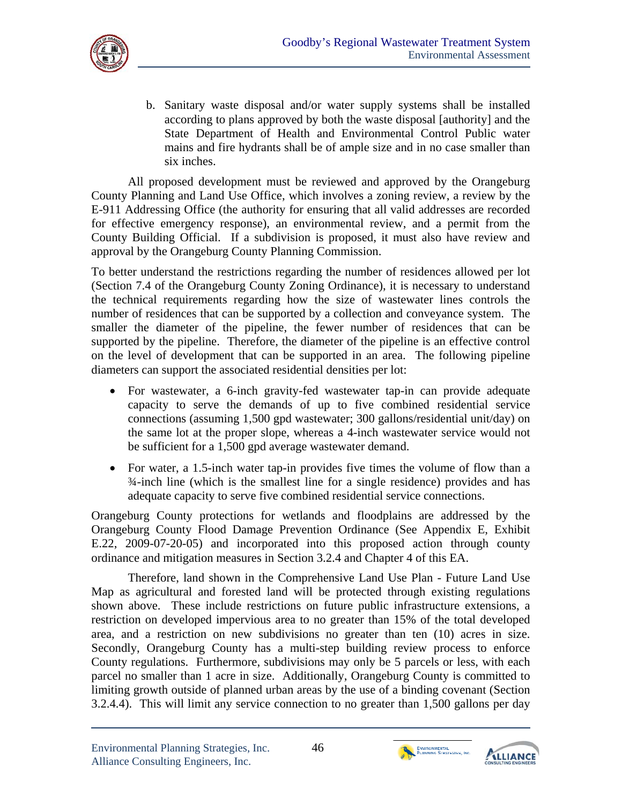

b. Sanitary waste disposal and/or water supply systems shall be installed according to plans approved by both the waste disposal [authority] and the State Department of Health and Environmental Control Public water mains and fire hydrants shall be of ample size and in no case smaller than six inches.

All proposed development must be reviewed and approved by the Orangeburg County Planning and Land Use Office, which involves a zoning review, a review by the E-911 Addressing Office (the authority for ensuring that all valid addresses are recorded for effective emergency response), an environmental review, and a permit from the County Building Official. If a subdivision is proposed, it must also have review and approval by the Orangeburg County Planning Commission.

To better understand the restrictions regarding the number of residences allowed per lot (Section 7.4 of the Orangeburg County Zoning Ordinance), it is necessary to understand the technical requirements regarding how the size of wastewater lines controls the number of residences that can be supported by a collection and conveyance system. The smaller the diameter of the pipeline, the fewer number of residences that can be supported by the pipeline. Therefore, the diameter of the pipeline is an effective control on the level of development that can be supported in an area. The following pipeline diameters can support the associated residential densities per lot:

- For wastewater, a 6-inch gravity-fed wastewater tap-in can provide adequate capacity to serve the demands of up to five combined residential service connections (assuming 1,500 gpd wastewater; 300 gallons/residential unit/day) on the same lot at the proper slope, whereas a 4-inch wastewater service would not be sufficient for a 1,500 gpd average wastewater demand.
- For water, a 1.5-inch water tap-in provides five times the volume of flow than a ¾-inch line (which is the smallest line for a single residence) provides and has adequate capacity to serve five combined residential service connections.

Orangeburg County protections for wetlands and floodplains are addressed by the Orangeburg County Flood Damage Prevention Ordinance (See Appendix E, Exhibit E.22, 2009-07-20-05) and incorporated into this proposed action through county ordinance and mitigation measures in Section 3.2.4 and Chapter 4 of this EA.

Therefore, land shown in the Comprehensive Land Use Plan - Future Land Use Map as agricultural and forested land will be protected through existing regulations shown above. These include restrictions on future public infrastructure extensions, a restriction on developed impervious area to no greater than 15% of the total developed area, and a restriction on new subdivisions no greater than ten (10) acres in size. Secondly, Orangeburg County has a multi-step building review process to enforce County regulations. Furthermore, subdivisions may only be 5 parcels or less, with each parcel no smaller than 1 acre in size. Additionally, Orangeburg County is committed to limiting growth outside of planned urban areas by the use of a binding covenant (Section 3.2.4.4). This will limit any service connection to no greater than 1,500 gallons per day



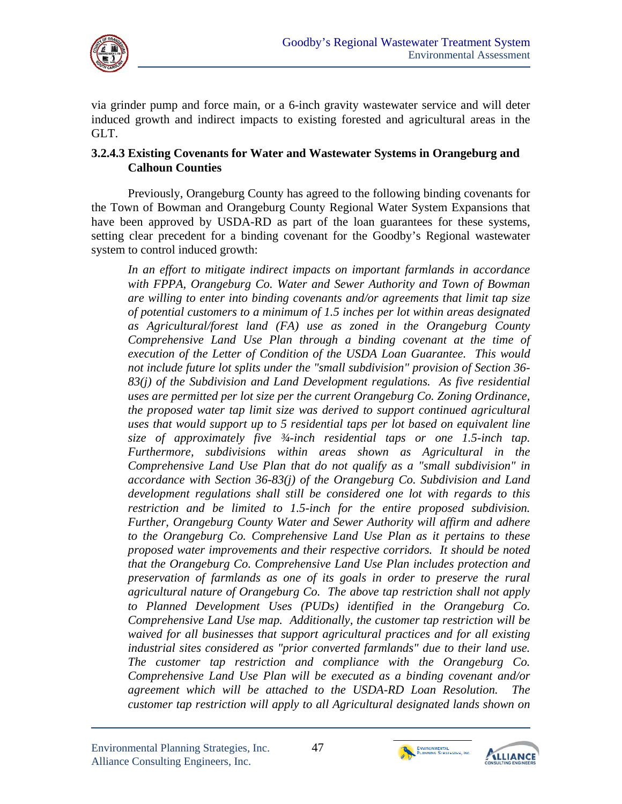

via grinder pump and force main, or a 6-inch gravity wastewater service and will deter induced growth and indirect impacts to existing forested and agricultural areas in the GLT.

#### **3.2.4.3 Existing Covenants for Water and Wastewater Systems in Orangeburg and Calhoun Counties**

Previously, Orangeburg County has agreed to the following binding covenants for the Town of Bowman and Orangeburg County Regional Water System Expansions that have been approved by USDA-RD as part of the loan guarantees for these systems, setting clear precedent for a binding covenant for the Goodby's Regional wastewater system to control induced growth:

*In an effort to mitigate indirect impacts on important farmlands in accordance with FPPA, Orangeburg Co. Water and Sewer Authority and Town of Bowman are willing to enter into binding covenants and/or agreements that limit tap size of potential customers to a minimum of 1.5 inches per lot within areas designated as Agricultural/forest land (FA) use as zoned in the Orangeburg County Comprehensive Land Use Plan through a binding covenant at the time of execution of the Letter of Condition of the USDA Loan Guarantee. This would not include future lot splits under the "small subdivision" provision of Section 36 83(j) of the Subdivision and Land Development regulations. As five residential uses are permitted per lot size per the current Orangeburg Co. Zoning Ordinance, the proposed water tap limit size was derived to support continued agricultural uses that would support up to 5 residential taps per lot based on equivalent line size of approximately five ¾-inch residential taps or one 1.5-inch tap. Furthermore, subdivisions within areas shown as Agricultural in the Comprehensive Land Use Plan that do not qualify as a "small subdivision" in accordance with Section 36-83(j) of the Orangeburg Co. Subdivision and Land development regulations shall still be considered one lot with regards to this restriction and be limited to 1.5-inch for the entire proposed subdivision. Further, Orangeburg County Water and Sewer Authority will affirm and adhere to the Orangeburg Co. Comprehensive Land Use Plan as it pertains to these proposed water improvements and their respective corridors. It should be noted that the Orangeburg Co. Comprehensive Land Use Plan includes protection and preservation of farmlands as one of its goals in order to preserve the rural agricultural nature of Orangeburg Co. The above tap restriction shall not apply to Planned Development Uses (PUDs) identified in the Orangeburg Co. Comprehensive Land Use map. Additionally, the customer tap restriction will be waived for all businesses that support agricultural practices and for all existing industrial sites considered as "prior converted farmlands" due to their land use. The customer tap restriction and compliance with the Orangeburg Co. Comprehensive Land Use Plan will be executed as a binding covenant and/or agreement which will be attached to the USDA-RD Loan Resolution. The customer tap restriction will apply to all Agricultural designated lands shown on* 



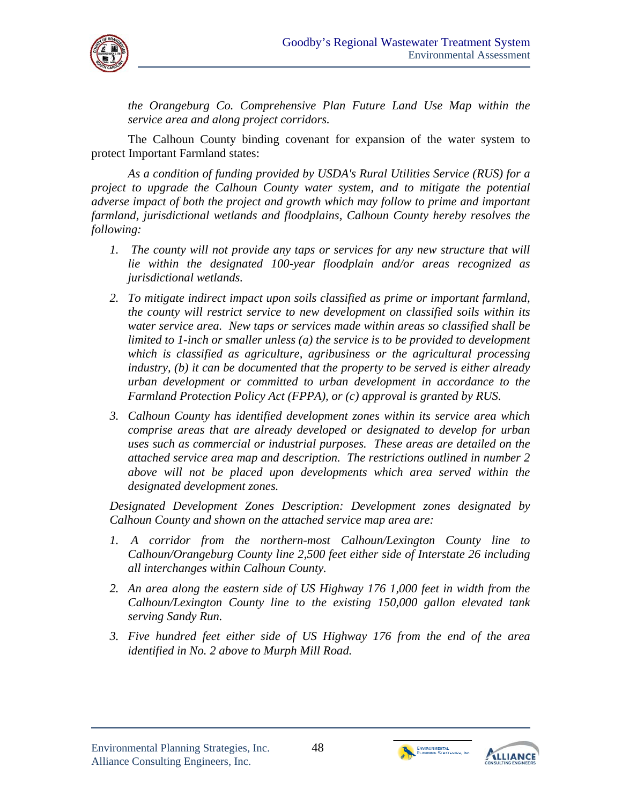

*the Orangeburg Co. Comprehensive Plan Future Land Use Map within the service area and along project corridors.* 

The Calhoun County binding covenant for expansion of the water system to protect Important Farmland states:

*As a condition of funding provided by USDA's Rural Utilities Service (RUS) for a project to upgrade the Calhoun County water system, and to mitigate the potential adverse impact of both the project and growth which may follow to prime and important farmland, jurisdictional wetlands and floodplains, Calhoun County hereby resolves the following:* 

- *1. The county will not provide any taps or services for any new structure that will lie within the designated 100-year floodplain and/or areas recognized as jurisdictional wetlands.*
- *2. To mitigate indirect impact upon soils classified as prime or important farmland, the county will restrict service to new development on classified soils within its water service area. New taps or services made within areas so classified shall be limited to 1-inch or smaller unless (a) the service is to be provided to development which is classified as agriculture, agribusiness or the agricultural processing industry, (b) it can be documented that the property to be served is either already urban development or committed to urban development in accordance to the Farmland Protection Policy Act (FPPA), or (c) approval is granted by RUS.*
- *3. Calhoun County has identified development zones within its service area which comprise areas that are already developed or designated to develop for urban uses such as commercial or industrial purposes. These areas are detailed on the attached service area map and description. The restrictions outlined in number 2 above will not be placed upon developments which area served within the designated development zones.*

*Designated Development Zones Description: Development zones designated by Calhoun County and shown on the attached service map area are:* 

- *1. A corridor from the northern-most Calhoun/Lexington County line to Calhoun/Orangeburg County line 2,500 feet either side of Interstate 26 including all interchanges within Calhoun County.*
- *2. An area along the eastern side of US Highway 176 1,000 feet in width from the Calhoun/Lexington County line to the existing 150,000 gallon elevated tank serving Sandy Run.*
- *3. Five hundred feet either side of US Highway 176 from the end of the area identified in No. 2 above to Murph Mill Road.*



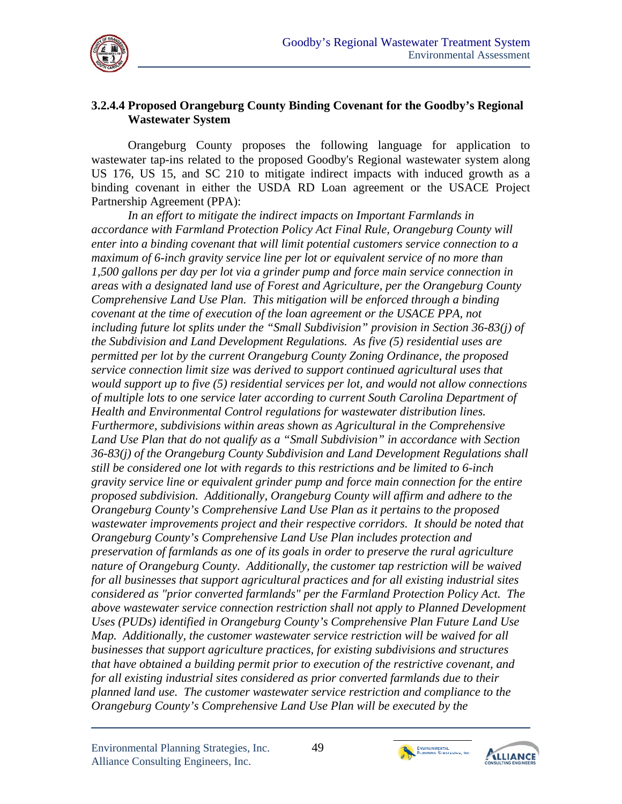

#### **3.2.4.4 Proposed Orangeburg County Binding Covenant for the Goodby's Regional Wastewater System**

Orangeburg County proposes the following language for application to wastewater tap-ins related to the proposed Goodby's Regional wastewater system along US 176, US 15, and SC 210 to mitigate indirect impacts with induced growth as a binding covenant in either the USDA RD Loan agreement or the USACE Project Partnership Agreement (PPA):

*In an effort to mitigate the indirect impacts on Important Farmlands in accordance with Farmland Protection Policy Act Final Rule, Orangeburg County will enter into a binding covenant that will limit potential customers service connection to a maximum of 6-inch gravity service line per lot or equivalent service of no more than 1,500 gallons per day per lot via a grinder pump and force main service connection in areas with a designated land use of Forest and Agriculture, per the Orangeburg County Comprehensive Land Use Plan. This mitigation will be enforced through a binding covenant at the time of execution of the loan agreement or the USACE PPA, not including future lot splits under the "Small Subdivision" provision in Section 36-83(j) of the Subdivision and Land Development Regulations. As five (5) residential uses are permitted per lot by the current Orangeburg County Zoning Ordinance, the proposed service connection limit size was derived to support continued agricultural uses that would support up to five (5) residential services per lot, and would not allow connections of multiple lots to one service later according to current South Carolina Department of Health and Environmental Control regulations for wastewater distribution lines. Furthermore, subdivisions within areas shown as Agricultural in the Comprehensive*  Land Use Plan that do not qualify as a "Small Subdivision" in accordance with Section *36-83(j) of the Orangeburg County Subdivision and Land Development Regulations shall still be considered one lot with regards to this restrictions and be limited to 6-inch gravity service line or equivalent grinder pump and force main connection for the entire proposed subdivision. Additionally, Orangeburg County will affirm and adhere to the Orangeburg County's Comprehensive Land Use Plan as it pertains to the proposed wastewater improvements project and their respective corridors. It should be noted that Orangeburg County's Comprehensive Land Use Plan includes protection and preservation of farmlands as one of its goals in order to preserve the rural agriculture nature of Orangeburg County. Additionally, the customer tap restriction will be waived for all businesses that support agricultural practices and for all existing industrial sites considered as "prior converted farmlands" per the Farmland Protection Policy Act. The above wastewater service connection restriction shall not apply to Planned Development Uses (PUDs) identified in Orangeburg County's Comprehensive Plan Future Land Use Map. Additionally, the customer wastewater service restriction will be waived for all businesses that support agriculture practices, for existing subdivisions and structures that have obtained a building permit prior to execution of the restrictive covenant, and for all existing industrial sites considered as prior converted farmlands due to their planned land use. The customer wastewater service restriction and compliance to the Orangeburg County's Comprehensive Land Use Plan will be executed by the* 



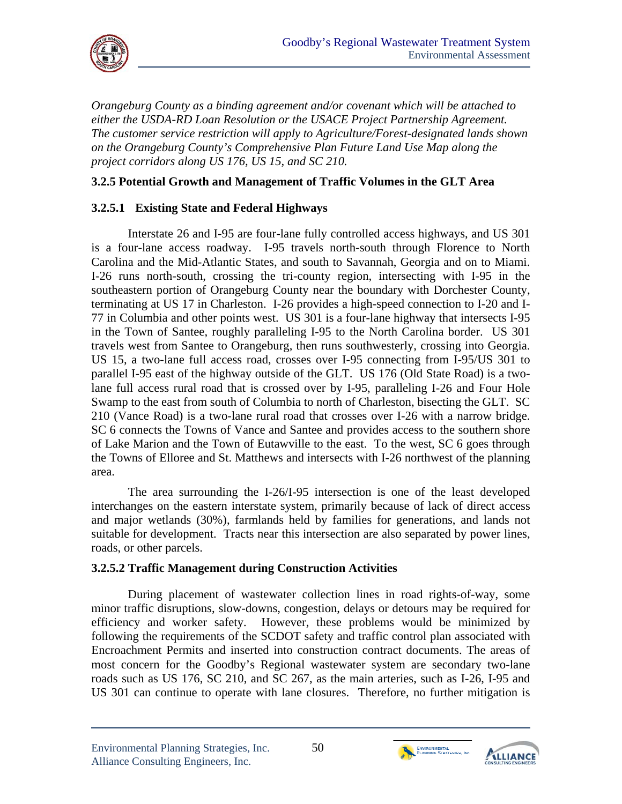

*Orangeburg County as a binding agreement and/or covenant which will be attached to either the USDA-RD Loan Resolution or the USACE Project Partnership Agreement. The customer service restriction will apply to Agriculture/Forest-designated lands shown on the Orangeburg County's Comprehensive Plan Future Land Use Map along the project corridors along US 176, US 15, and SC 210.* 

## **3.2.5 Potential Growth and Management of Traffic Volumes in the GLT Area**

## **3.2.5.1 Existing State and Federal Highways**

Carolina and the Mid-Atlantic States, and south to Savannah, Georgia and on to Miami. Interstate 26 and I-95 are four-lane fully controlled access highways, and US 301 is a four-lane access roadway. I-95 travels north-south through Florence to North I-26 runs north-south, crossing the tri-county region, intersecting with I-95 in the southeastern portion of Orangeburg County near the boundary with Dorchester County, terminating at US 17 in Charleston. I-26 provides a high-speed connection to I-20 and I-77 in Columbia and other points west. US 301 is a four-lane highway that intersects I-95 in the Town of Santee, roughly paralleling I-95 to the North Carolina border. US 301 travels west from Santee to Orangeburg, then runs southwesterly, crossing into Georgia. US 15, a two-lane full access road, crosses over I-95 connecting from I-95/US 301 to parallel I-95 east of the highway outside of the GLT. US 176 (Old State Road) is a twolane full access rural road that is crossed over by I-95, paralleling I-26 and Four Hole Swamp to the east from south of Columbia to north of Charleston, bisecting the GLT. SC 210 (Vance Road) is a two-lane rural road that crosses over I-26 with a narrow bridge. SC 6 connects the Towns of Vance and Santee and provides access to the southern shore of Lake Marion and the Town of Eutawville to the east. To the west, SC 6 goes through the Towns of Elloree and St. Matthews and intersects with I-26 northwest of the planning area.

The area surrounding the I-26/I-95 intersection is one of the least developed interchanges on the eastern interstate system, primarily because of lack of direct access and major wetlands (30%), farmlands held by families for generations, and lands not suitable for development. Tracts near this intersection are also separated by power lines, roads, or other parcels.

#### **3.2.5.2 Traffic Management during Construction Activities**

During placement of wastewater collection lines in road rights-of-way, some minor traffic disruptions, slow-downs, congestion, delays or detours may be required for efficiency and worker safety. However, these problems would be minimized by following the requirements of the SCDOT safety and traffic control plan associated with Encroachment Permits and inserted into construction contract documents. The areas of most concern for the Goodby's Regional wastewater system are secondary two-lane roads such as US 176, SC 210, and SC 267, as the main arteries, such as I-26, I-95 and US 301 can continue to operate with lane closures. Therefore, no further mitigation is



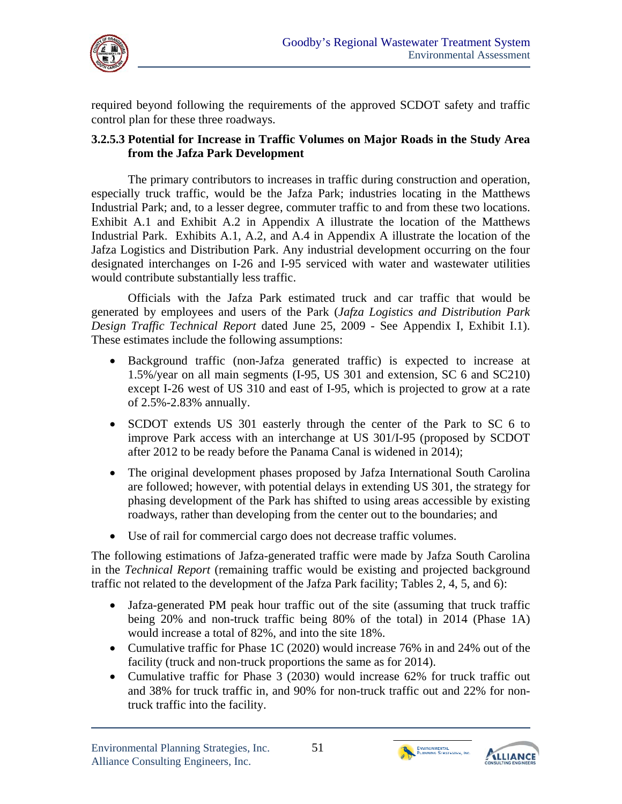

required beyond following the requirements of the approved SCDOT safety and traffic control plan for these three roadways.

#### **3.2.5.3 Potential for Increase in Traffic Volumes on Major Roads in the Study Area from the Jafza Park Development**

The primary contributors to increases in traffic during construction and operation, especially truck traffic, would be the Jafza Park; industries locating in the Matthews Industrial Park; and, to a lesser degree, commuter traffic to and from these two locations. Exhibit A.1 and Exhibit A.2 in Appendix A illustrate the location of the Matthews Industrial Park. Exhibits A.1, A.2, and A.4 in Appendix A illustrate the location of the Jafza Logistics and Distribution Park. Any industrial development occurring on the four designated interchanges on I-26 and I-95 serviced with water and wastewater utilities would contribute substantially less traffic.

Officials with the Jafza Park estimated truck and car traffic that would be generated by employees and users of the Park (*Jafza Logistics and Distribution Park Design Traffic Technical Report* dated June 25, 2009 - See Appendix I, Exhibit I.1). These estimates include the following assumptions:

- Background traffic (non-Jafza generated traffic) is expected to increase at 1.5%/year on all main segments (I-95, US 301 and extension, SC 6 and SC210) except I-26 west of US 310 and east of I-95, which is projected to grow at a rate of 2.5%-2.83% annually.
- SCDOT extends US 301 easterly through the center of the Park to SC 6 to improve Park access with an interchange at US 301/I-95 (proposed by SCDOT after 2012 to be ready before the Panama Canal is widened in 2014);
- The original development phases proposed by Jafza International South Carolina are followed; however, with potential delays in extending US 301, the strategy for phasing development of the Park has shifted to using areas accessible by existing roadways, rather than developing from the center out to the boundaries; and
- Use of rail for commercial cargo does not decrease traffic volumes.

The following estimations of Jafza-generated traffic were made by Jafza South Carolina in the *Technical Report* (remaining traffic would be existing and projected background traffic not related to the development of the Jafza Park facility; Tables 2, 4, 5, and 6):

- Jafza-generated PM peak hour traffic out of the site (assuming that truck traffic being 20% and non-truck traffic being 80% of the total) in 2014 (Phase 1A) would increase a total of 82%, and into the site 18%.
- Cumulative traffic for Phase 1C (2020) would increase 76% in and 24% out of the facility (truck and non-truck proportions the same as for 2014).
- Cumulative traffic for Phase 3 (2030) would increase 62% for truck traffic out and 38% for truck traffic in, and 90% for non-truck traffic out and 22% for nontruck traffic into the facility.



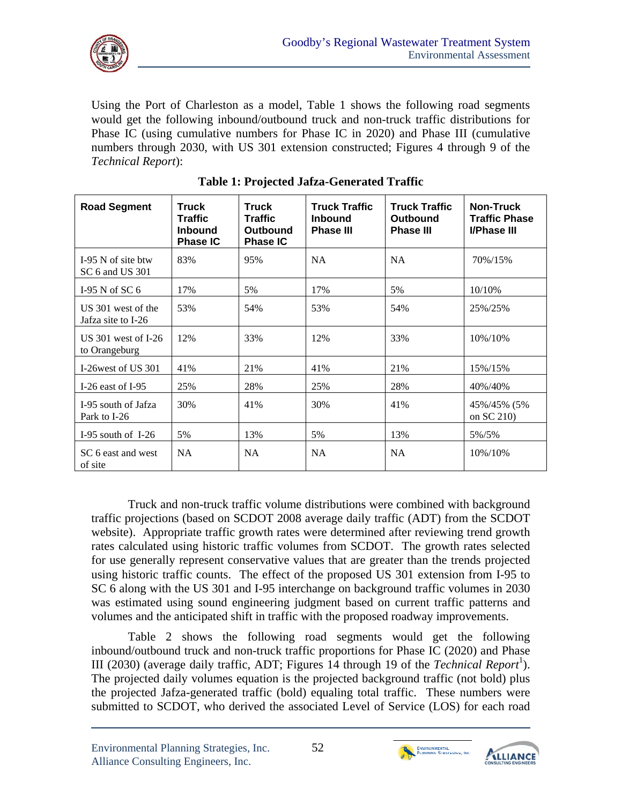

Using the Port of Charleston as a model, Table 1 shows the following road segments would get the following inbound/outbound truck and non-truck traffic distributions for Phase IC (using cumulative numbers for Phase IC in 2020) and Phase III (cumulative numbers through 2030, with US 301 extension constructed; Figures 4 through 9 of the *Technical Report*):

| <b>Road Segment</b>                      | <b>Truck</b><br><b>Traffic</b><br><b>Inbound</b><br><b>Phase IC</b> | <b>Truck</b><br><b>Traffic</b><br><b>Outbound</b><br><b>Phase IC</b> | <b>Truck Traffic</b><br><b>Inbound</b><br><b>Phase III</b> | <b>Truck Traffic</b><br><b>Outbound</b><br><b>Phase III</b> | <b>Non-Truck</b><br><b>Traffic Phase</b><br><b>I/Phase III</b> |
|------------------------------------------|---------------------------------------------------------------------|----------------------------------------------------------------------|------------------------------------------------------------|-------------------------------------------------------------|----------------------------------------------------------------|
| $I-95$ N of site btw<br>SC 6 and US 301  | 83%                                                                 | 95%                                                                  | <b>NA</b>                                                  | <b>NA</b>                                                   | 70%/15%                                                        |
| I-95 N of SC $6$                         | 17%                                                                 | 5%                                                                   | 17%                                                        | 5%                                                          | 10/10%                                                         |
| US 301 west of the<br>Jafza site to I-26 | 53%                                                                 | 54%                                                                  | 53%                                                        | 54%                                                         | 25%/25%                                                        |
| US $301$ west of I-26<br>to Orangeburg   | 12%                                                                 | 33%                                                                  | 12%                                                        | 33%                                                         | 10%/10%                                                        |
| I-26 west of US 301                      | 41%                                                                 | 21%                                                                  | 41%                                                        | 21%                                                         | 15%/15%                                                        |
| I-26 east of I-95                        | 25%                                                                 | 28%                                                                  | 25%                                                        | 28%                                                         | 40%/40%                                                        |
| I-95 south of Jafza<br>Park to I-26      | 30%                                                                 | 41%                                                                  | 30%                                                        | 41%                                                         | 45%/45% (5%<br>on SC 210)                                      |
| I-95 south of I-26                       | 5%                                                                  | 13%                                                                  | 5%                                                         | 13%                                                         | 5%/5%                                                          |
| SC 6 east and west<br>of site            | <b>NA</b>                                                           | <b>NA</b>                                                            | <b>NA</b>                                                  | <b>NA</b>                                                   | 10%/10%                                                        |

**Table 1: Projected Jafza-Generated Traffic** 

Truck and non-truck traffic volume distributions were combined with background traffic projections (based on SCDOT 2008 average daily traffic (ADT) from the SCDOT website). Appropriate traffic growth rates were determined after reviewing trend growth rates calculated using historic traffic volumes from SCDOT. The growth rates selected for use generally represent conservative values that are greater than the trends projected using historic traffic counts. The effect of the proposed US 301 extension from I-95 to SC 6 along with the US 301 and I-95 interchange on background traffic volumes in 2030 was estimated using sound engineering judgment based on current traffic patterns and volumes and the anticipated shift in traffic with the proposed roadway improvements.

III (2030) (average daily traffic, ADT; Figures 14 through 19 of the *Technical Report*<sup>1</sup>). Table 2 shows the following road segments would get the following inbound/outbound truck and non-truck traffic proportions for Phase IC (2020) and Phase ). The projected daily volumes equation is the projected background traffic (not bold) plus the projected Jafza-generated traffic (bold) equaling total traffic. These numbers were submitted to SCDOT, who derived the associated Level of Service (LOS) for each road



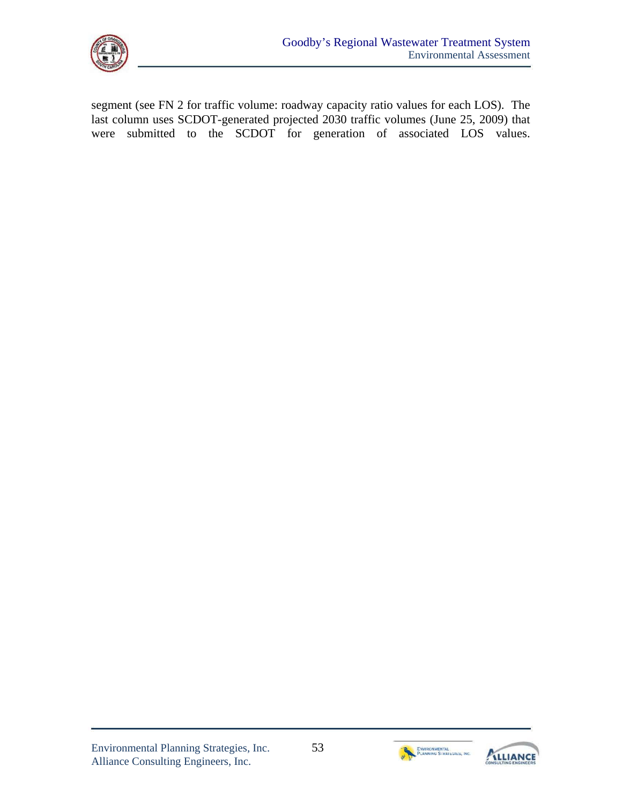

segment (see FN 2 for traffic volume: roadway capacity ratio values for each LOS). The last column uses SCDOT-generated projected 2030 traffic volumes (June 25, 2009) that were submitted to the SCDOT for generation of associated LOS values.



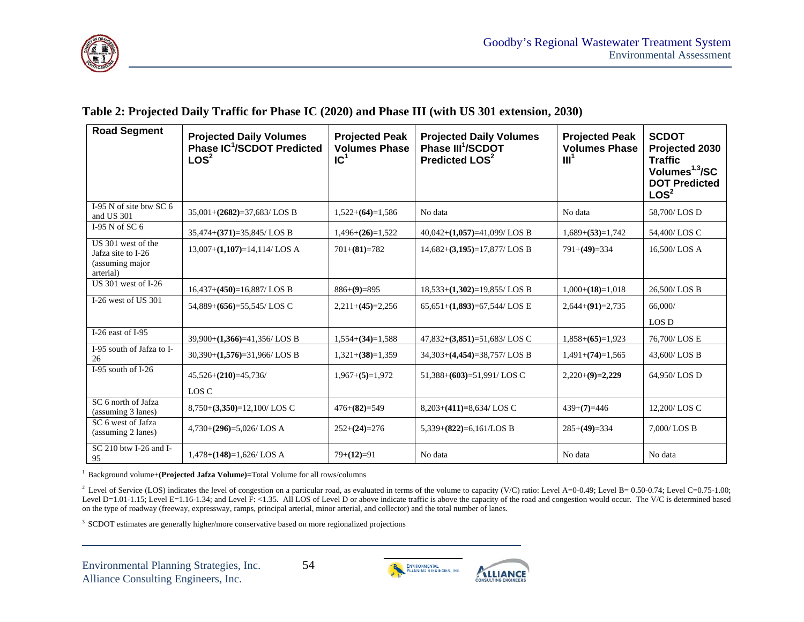

#### **Table 2: Projected Daily Traffic for Phase IC (2020) and Phase III (with US 301 extension, 2030)**

| <b>Road Segment</b>                                                      | <b>Projected Daily Volumes</b><br>Phase IC <sup>1</sup> /SCDOT Predicted<br>LOS <sup>2</sup> | <b>Projected Peak</b><br><b>Volumes Phase</b><br>IC <sup>1</sup> | <b>Projected Daily Volumes</b><br>Phase III <sup>1</sup> /SCDOT<br>Predicted LOS <sup>2</sup> | <b>Projected Peak</b><br><b>Volumes Phase</b><br>III <sup>1</sup> | <b>SCDOT</b><br>Projected 2030<br><b>Traffic</b><br>Volumes <sup>1,3</sup> /SC<br><b>DOT Predicted</b><br>LOS <sup>2</sup> |
|--------------------------------------------------------------------------|----------------------------------------------------------------------------------------------|------------------------------------------------------------------|-----------------------------------------------------------------------------------------------|-------------------------------------------------------------------|----------------------------------------------------------------------------------------------------------------------------|
| I-95 N of site btw SC 6<br>and US 301                                    | $35,001+(2682)=37,683/LOS$ B                                                                 | $1,522+(64)=1,586$                                               | No data                                                                                       | No data                                                           | 58,700/LOS D                                                                                                               |
| I-95 N of SC $6$                                                         | $35,474+(371)=35,845/LOS B$                                                                  | $1,496+(26)=1,522$                                               | $40,042+(1,057)=41,099/LOS B$                                                                 | $1,689+(53)=1,742$                                                | 54,400/LOS C                                                                                                               |
| US 301 west of the<br>Jafza site to I-26<br>(assuming major<br>arterial) | $13,007+(1,107)=14,114/LOS$ A                                                                | $701 + (81) = 782$                                               | $14,682+(3,195)=17,877/LOS B$                                                                 | $791+(49)=334$                                                    | 16,500/LOS A                                                                                                               |
| $US$ 301 west of I-26                                                    | $16,437+(450)=16,887/LOS B$                                                                  | $886+(9)=895$                                                    | $18,533+(1,302)=19,855/LOS B$                                                                 | $1,000+(18)=1,018$                                                | 26,500/LOS B                                                                                                               |
| I-26 west of US 301                                                      | $54,889+(656)=55,545/\text{LOS}$ C                                                           | $2,211+(45)=2,256$                                               | $65,651+(1,893)=67,544/\text{LOS} \to$                                                        | $2,644+(91)=2,735$                                                | 66,000/<br>LOS D                                                                                                           |
| I-26 east of $I-95$                                                      | $39,900+(1,366)=41,356/LOS B$                                                                | $1,554+(34)=1,588$                                               | $47,832+(3,851)=51,683/LOS$ C                                                                 | $1,858+(65)=1,923$                                                | 76,700/LOS E                                                                                                               |
| I-95 south of Jafza to I-<br>26                                          | $30,390+(1,576)=31,966/LOS B$                                                                | $1,321+(38)=1,359$                                               | $34,303+(4,454)=38,757/LOS B$                                                                 | $1,491+(74)=1,565$                                                | 43,600/LOS B                                                                                                               |
| I-95 south of I-26                                                       | $45,526+(210)=45,736/$<br>LOS C                                                              | $1,967+(5)=1,972$                                                | $51,388+(603)=51,991/\text{LOS}$ C                                                            | $2,220+(9)=2,229$                                                 | 64,950/LOS D                                                                                                               |
| SC 6 north of Jafza<br>(assuming 3 lanes)                                | $8,750+(3,350)=12,100/LOS$ C                                                                 | $476+(82)=549$                                                   | $8,203+(411)=8,634/LOS$ C                                                                     | $439+ (7)=446$                                                    | 12,200/LOS C                                                                                                               |
| SC <sub>6</sub> west of Jafza<br>(assuming 2 lanes)                      | $4,730+(296)=5,026/LOS$ A                                                                    | $252+(24)=276$                                                   | $5,339+(822)=6,161/\text{LOS }B$                                                              | $285+(49)=334$                                                    | 7,000/LOS B                                                                                                                |
| SC 210 btw I-26 and I-<br>95                                             | $1,478+(148)=1,626/LOS$ A                                                                    | $79+(12)=91$                                                     | No data                                                                                       | No data                                                           | No data                                                                                                                    |

<sup>1</sup> Background volume+(Projected Jafza Volume)=Total Volume for all rows/columns

<sup>2</sup> Level of Service (LOS) indicates the level of congestion on a particular road, as evaluated in terms of the volume to capacity (V/C) ratio: Level A=0-0.49; Level B= 0.50-0.74; Level C=0.75-1.00; Level D=1.01-1.15; Level E=1.16-1.34; and Level F: <1.35. All LOS of Level D or above indicate traffic is above the capacity of the road and congestion would occur. The V/C is determined based on the type of roadway (freeway, expressway, ramps, principal arterial, minor arterial, and collector) and the total number of lanes.

<sup>3</sup> SCDOT estimates are generally higher/more conservative based on more regionalized projections

Environmental Planning Strategies, Inc. 54 Alliance Consulting Engineers, Inc.

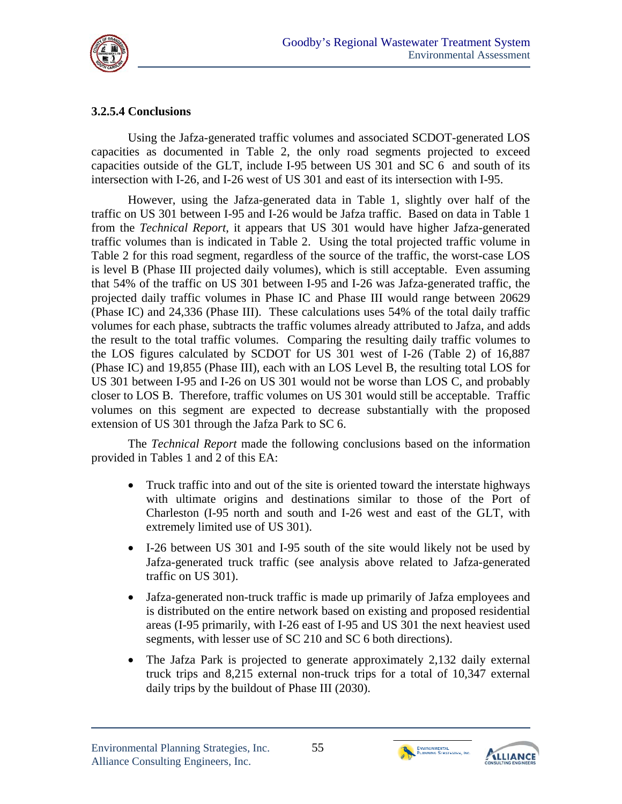

## **3.2.5.4 Conclusions**

Using the Jafza-generated traffic volumes and associated SCDOT-generated LOS capacities as documented in Table 2, the only road segments projected to exceed capacities outside of the GLT, include I-95 between US 301 and SC 6 and south of its intersection with I-26, and I-26 west of US 301 and east of its intersection with I-95.

However, using the Jafza-generated data in Table 1, slightly over half of the traffic on US 301 between I-95 and I-26 would be Jafza traffic. Based on data in Table 1 from the *Technical Report*, it appears that US 301 would have higher Jafza-generated traffic volumes than is indicated in Table 2. Using the total projected traffic volume in Table 2 for this road segment, regardless of the source of the traffic, the worst-case LOS is level B (Phase III projected daily volumes), which is still acceptable. Even assuming that 54% of the traffic on US 301 between I-95 and I-26 was Jafza-generated traffic, the projected daily traffic volumes in Phase IC and Phase III would range between 20629 (Phase IC) and 24,336 (Phase III). These calculations uses 54% of the total daily traffic volumes for each phase, subtracts the traffic volumes already attributed to Jafza, and adds the result to the total traffic volumes. Comparing the resulting daily traffic volumes to the LOS figures calculated by SCDOT for US 301 west of I-26 (Table 2) of 16,887 (Phase IC) and 19,855 (Phase III), each with an LOS Level B, the resulting total LOS for US 301 between I-95 and I-26 on US 301 would not be worse than LOS C, and probably closer to LOS B. Therefore, traffic volumes on US 301 would still be acceptable. Traffic volumes on this segment are expected to decrease substantially with the proposed extension of US 301 through the Jafza Park to SC 6.

The *Technical Report* made the following conclusions based on the information provided in Tables 1 and 2 of this EA:

- Truck traffic into and out of the site is oriented toward the interstate highways with ultimate origins and destinations similar to those of the Port of Charleston (I-95 north and south and I-26 west and east of the GLT, with extremely limited use of US 301).
- I-26 between US 301 and I-95 south of the site would likely not be used by Jafza-generated truck traffic (see analysis above related to Jafza-generated traffic on US 301).
- Jafza-generated non-truck traffic is made up primarily of Jafza employees and is distributed on the entire network based on existing and proposed residential areas (I-95 primarily, with I-26 east of I-95 and US 301 the next heaviest used segments, with lesser use of SC 210 and SC 6 both directions).
- The Jafza Park is projected to generate approximately 2,132 daily external truck trips and 8,215 external non-truck trips for a total of 10,347 external daily trips by the buildout of Phase III (2030).



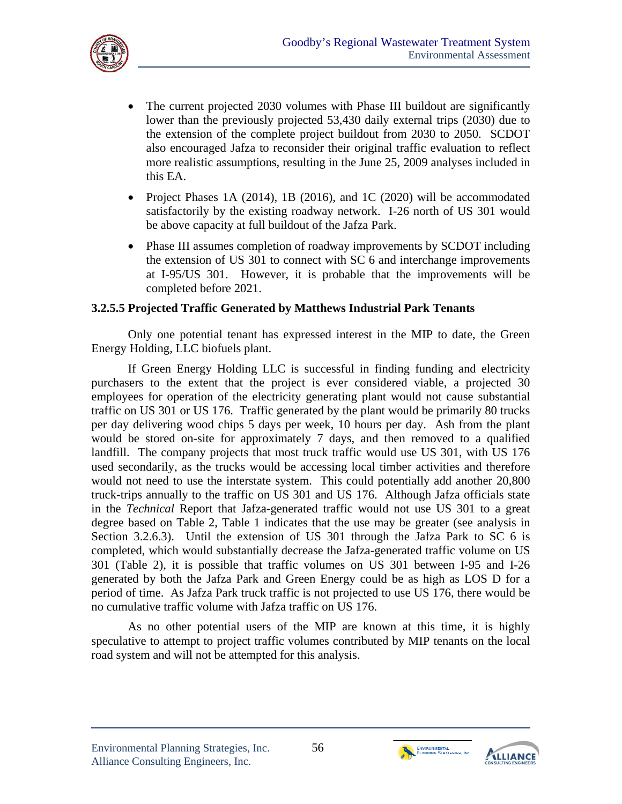

- The current projected 2030 volumes with Phase III buildout are significantly lower than the previously projected 53,430 daily external trips (2030) due to the extension of the complete project buildout from 2030 to 2050. SCDOT also encouraged Jafza to reconsider their original traffic evaluation to reflect more realistic assumptions, resulting in the June 25, 2009 analyses included in this EA.
- Project Phases 1A (2014), 1B (2016), and 1C (2020) will be accommodated satisfactorily by the existing roadway network. I-26 north of US 301 would be above capacity at full buildout of the Jafza Park.
- Phase III assumes completion of roadway improvements by SCDOT including the extension of US 301 to connect with SC 6 and interchange improvements at I-95/US 301. However, it is probable that the improvements will be completed before 2021.

#### **3.2.5.5 Projected Traffic Generated by Matthews Industrial Park Tenants**

Only one potential tenant has expressed interest in the MIP to date, the Green Energy Holding, LLC biofuels plant.

If Green Energy Holding LLC is successful in finding funding and electricity purchasers to the extent that the project is ever considered viable, a projected 30 employees for operation of the electricity generating plant would not cause substantial traffic on US 301 or US 176. Traffic generated by the plant would be primarily 80 trucks per day delivering wood chips 5 days per week, 10 hours per day. Ash from the plant would be stored on-site for approximately 7 days, and then removed to a qualified landfill. The company projects that most truck traffic would use US 301, with US 176 used secondarily, as the trucks would be accessing local timber activities and therefore would not need to use the interstate system. This could potentially add another 20,800 truck-trips annually to the traffic on US 301 and US 176. Although Jafza officials state in the *Technical* Report that Jafza-generated traffic would not use US 301 to a great degree based on Table 2, Table 1 indicates that the use may be greater (see analysis in Section 3.2.6.3). Until the extension of US 301 through the Jafza Park to SC 6 is completed, which would substantially decrease the Jafza-generated traffic volume on US 301 (Table 2), it is possible that traffic volumes on US 301 between I-95 and I-26 generated by both the Jafza Park and Green Energy could be as high as LOS D for a period of time. As Jafza Park truck traffic is not projected to use US 176, there would be no cumulative traffic volume with Jafza traffic on US 176.

As no other potential users of the MIP are known at this time, it is highly speculative to attempt to project traffic volumes contributed by MIP tenants on the local road system and will not be attempted for this analysis.



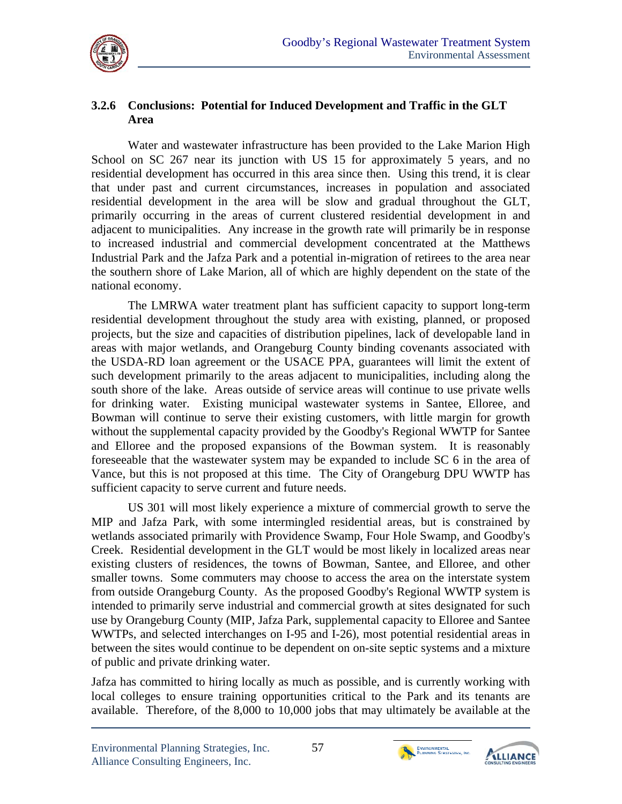

#### **3.2.6 Conclusions: Potential for Induced Development and Traffic in the GLT Area**

Water and wastewater infrastructure has been provided to the Lake Marion High School on SC 267 near its junction with US 15 for approximately 5 years, and no residential development has occurred in this area since then. Using this trend, it is clear that under past and current circumstances, increases in population and associated residential development in the area will be slow and gradual throughout the GLT, primarily occurring in the areas of current clustered residential development in and adjacent to municipalities. Any increase in the growth rate will primarily be in response to increased industrial and commercial development concentrated at the Matthews Industrial Park and the Jafza Park and a potential in-migration of retirees to the area near the southern shore of Lake Marion, all of which are highly dependent on the state of the national economy.

The LMRWA water treatment plant has sufficient capacity to support long-term residential development throughout the study area with existing, planned, or proposed projects, but the size and capacities of distribution pipelines, lack of developable land in areas with major wetlands, and Orangeburg County binding covenants associated with the USDA-RD loan agreement or the USACE PPA, guarantees will limit the extent of such development primarily to the areas adjacent to municipalities, including along the south shore of the lake. Areas outside of service areas will continue to use private wells for drinking water. Existing municipal wastewater systems in Santee, Elloree, and Bowman will continue to serve their existing customers, with little margin for growth without the supplemental capacity provided by the Goodby's Regional WWTP for Santee and Elloree and the proposed expansions of the Bowman system. It is reasonably foreseeable that the wastewater system may be expanded to include SC 6 in the area of Vance, but this is not proposed at this time. The City of Orangeburg DPU WWTP has sufficient capacity to serve current and future needs.

US 301 will most likely experience a mixture of commercial growth to serve the MIP and Jafza Park, with some intermingled residential areas, but is constrained by wetlands associated primarily with Providence Swamp, Four Hole Swamp, and Goodby's Creek. Residential development in the GLT would be most likely in localized areas near existing clusters of residences, the towns of Bowman, Santee, and Elloree, and other smaller towns. Some commuters may choose to access the area on the interstate system from outside Orangeburg County. As the proposed Goodby's Regional WWTP system is intended to primarily serve industrial and commercial growth at sites designated for such use by Orangeburg County (MIP, Jafza Park, supplemental capacity to Elloree and Santee WWTPs, and selected interchanges on I-95 and I-26), most potential residential areas in between the sites would continue to be dependent on on-site septic systems and a mixture of public and private drinking water.

Jafza has committed to hiring locally as much as possible, and is currently working with local colleges to ensure training opportunities critical to the Park and its tenants are available. Therefore, of the 8,000 to 10,000 jobs that may ultimately be available at the



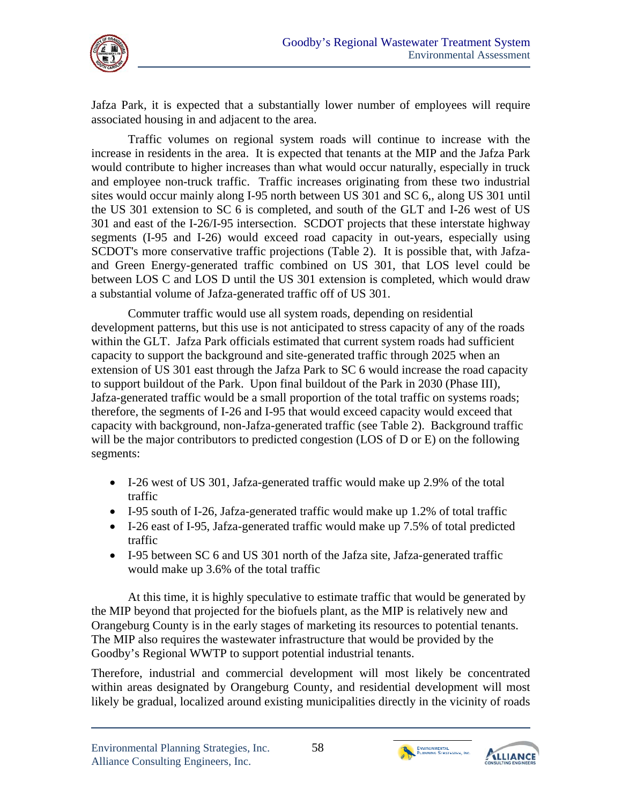

Jafza Park, it is expected that a substantially lower number of employees will require associated housing in and adjacent to the area.

Traffic volumes on regional system roads will continue to increase with the increase in residents in the area. It is expected that tenants at the MIP and the Jafza Park would contribute to higher increases than what would occur naturally, especially in truck and employee non-truck traffic. Traffic increases originating from these two industrial sites would occur mainly along I-95 north between US 301 and SC 6,, along US 301 until the US 301 extension to SC 6 is completed, and south of the GLT and I-26 west of US 301 and east of the I-26/I-95 intersection. SCDOT projects that these interstate highway segments (I-95 and I-26) would exceed road capacity in out-years, especially using SCDOT's more conservative traffic projections (Table 2). It is possible that, with Jafzaand Green Energy-generated traffic combined on US 301, that LOS level could be between LOS C and LOS D until the US 301 extension is completed, which would draw a substantial volume of Jafza-generated traffic off of US 301.

Commuter traffic would use all system roads, depending on residential development patterns, but this use is not anticipated to stress capacity of any of the roads within the GLT. Jafza Park officials estimated that current system roads had sufficient capacity to support the background and site-generated traffic through 2025 when an extension of US 301 east through the Jafza Park to SC 6 would increase the road capacity to support buildout of the Park. Upon final buildout of the Park in 2030 (Phase III), Jafza-generated traffic would be a small proportion of the total traffic on systems roads; therefore, the segments of I-26 and I-95 that would exceed capacity would exceed that capacity with background, non-Jafza-generated traffic (see Table 2). Background traffic will be the major contributors to predicted congestion (LOS of D or E) on the following segments:

- I-26 west of US 301, Jafza-generated traffic would make up 2.9% of the total traffic
- I-95 south of I-26, Jafza-generated traffic would make up 1.2% of total traffic
- I-26 east of I-95, Jafza-generated traffic would make up 7.5% of total predicted traffic
- I-95 between SC 6 and US 301 north of the Jafza site, Jafza-generated traffic would make up 3.6% of the total traffic

At this time, it is highly speculative to estimate traffic that would be generated by the MIP beyond that projected for the biofuels plant, as the MIP is relatively new and Orangeburg County is in the early stages of marketing its resources to potential tenants. The MIP also requires the wastewater infrastructure that would be provided by the Goodby's Regional WWTP to support potential industrial tenants.

Therefore, industrial and commercial development will most likely be concentrated within areas designated by Orangeburg County, and residential development will most likely be gradual, localized around existing municipalities directly in the vicinity of roads



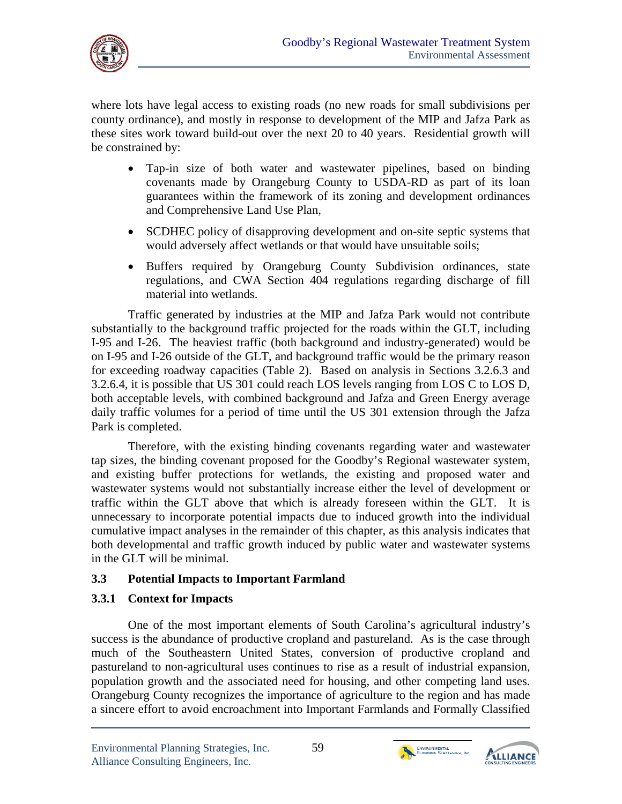

where lots have legal access to existing roads (no new roads for small subdivisions per county ordinance), and mostly in response to development of the MIP and Jafza Park as these sites work toward build-out over the next 20 to 40 years. Residential growth will be constrained by:

- Tap-in size of both water and wastewater pipelines, based on binding covenants made by Orangeburg County to USDA-RD as part of its loan guarantees within the framework of its zoning and development ordinances and Comprehensive Land Use Plan,
- SCDHEC policy of disapproving development and on-site septic systems that would adversely affect wetlands or that would have unsuitable soils;
- Buffers required by Orangeburg County Subdivision ordinances, state regulations, and CWA Section 404 regulations regarding discharge of fill material into wetlands.

Traffic generated by industries at the MIP and Jafza Park would not contribute substantially to the background traffic projected for the roads within the GLT, including I-95 and I-26. The heaviest traffic (both background and industry-generated) would be on I-95 and I-26 outside of the GLT, and background traffic would be the primary reason for exceeding roadway capacities (Table 2). Based on analysis in Sections 3.2.6.3 and 3.2.6.4, it is possible that US 301 could reach LOS levels ranging from LOS C to LOS D, both acceptable levels, with combined background and Jafza and Green Energy average daily traffic volumes for a period of time until the US 301 extension through the Jafza Park is completed.

Therefore, with the existing binding covenants regarding water and wastewater tap sizes, the binding covenant proposed for the Goodby's Regional wastewater system, and existing buffer protections for wetlands, the existing and proposed water and wastewater systems would not substantially increase either the level of development or traffic within the GLT above that which is already foreseen within the GLT. It is unnecessary to incorporate potential impacts due to induced growth into the individual cumulative impact analyses in the remainder of this chapter, as this analysis indicates that both developmental and traffic growth induced by public water and wastewater systems in the GLT will be minimal.

# **3.3 Potential Impacts to Important Farmland**

#### **3.3.1 Context for Impacts**

One of the most important elements of South Carolina's agricultural industry's success is the abundance of productive cropland and pastureland. As is the case through much of the Southeastern United States, conversion of productive cropland and pastureland to non-agricultural uses continues to rise as a result of industrial expansion, population growth and the associated need for housing, and other competing land uses. Orangeburg County recognizes the importance of agriculture to the region and has made a sincere effort to avoid encroachment into Important Farmlands and Formally Classified



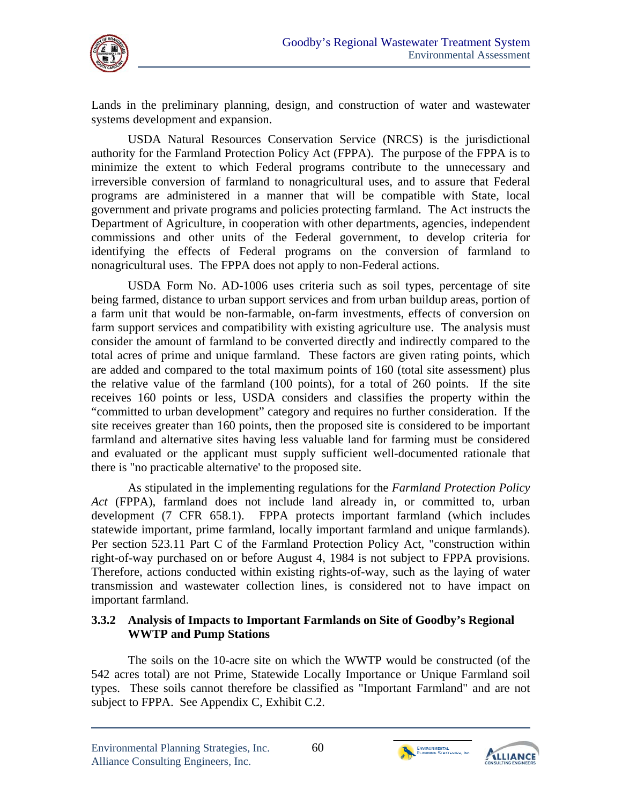

Lands in the preliminary planning, design, and construction of water and wastewater systems development and expansion.

USDA Natural Resources Conservation Service (NRCS) is the jurisdictional authority for the Farmland Protection Policy Act (FPPA). The purpose of the FPPA is to minimize the extent to which Federal programs contribute to the unnecessary and irreversible conversion of farmland to nonagricultural uses, and to assure that Federal programs are administered in a manner that will be compatible with State, local government and private programs and policies protecting farmland. The Act instructs the Department of Agriculture, in cooperation with other departments, agencies, independent commissions and other units of the Federal government, to develop criteria for identifying the effects of Federal programs on the conversion of farmland to nonagricultural uses. The FPPA does not apply to non-Federal actions.

USDA Form No. AD-1006 uses criteria such as soil types, percentage of site being farmed, distance to urban support services and from urban buildup areas, portion of a farm unit that would be non-farmable, on-farm investments, effects of conversion on farm support services and compatibility with existing agriculture use. The analysis must consider the amount of farmland to be converted directly and indirectly compared to the total acres of prime and unique farmland. These factors are given rating points, which are added and compared to the total maximum points of 160 (total site assessment) plus the relative value of the farmland (100 points), for a total of 260 points. If the site receives 160 points or less, USDA considers and classifies the property within the "committed to urban development" category and requires no further consideration. If the site receives greater than 160 points, then the proposed site is considered to be important farmland and alternative sites having less valuable land for farming must be considered and evaluated or the applicant must supply sufficient well-documented rationale that there is "no practicable alternative' to the proposed site.

As stipulated in the implementing regulations for the *Farmland Protection Policy Act* (FPPA), farmland does not include land already in, or committed to, urban development (7 CFR 658.1). FPPA protects important farmland (which includes statewide important, prime farmland, locally important farmland and unique farmlands). Per section 523.11 Part C of the Farmland Protection Policy Act, "construction within right-of-way purchased on or before August 4, 1984 is not subject to FPPA provisions. Therefore, actions conducted within existing rights-of-way, such as the laying of water transmission and wastewater collection lines, is considered not to have impact on important farmland.

#### **3.3.2 Analysis of Impacts to Important Farmlands on Site of Goodby's Regional WWTP and Pump Stations**

The soils on the 10-acre site on which the WWTP would be constructed (of the 542 acres total) are not Prime, Statewide Locally Importance or Unique Farmland soil types. These soils cannot therefore be classified as "Important Farmland" and are not subject to FPPA. See Appendix C, Exhibit C.2.



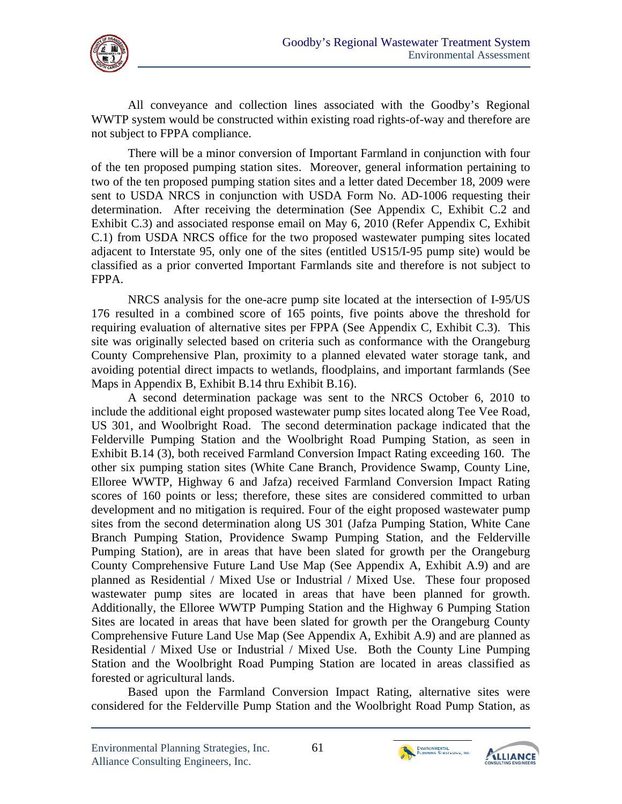

All conveyance and collection lines associated with the Goodby's Regional WWTP system would be constructed within existing road rights-of-way and therefore are not subject to FPPA compliance.

There will be a minor conversion of Important Farmland in conjunction with four of the ten proposed pumping station sites. Moreover, general information pertaining to two of the ten proposed pumping station sites and a letter dated December 18, 2009 were sent to USDA NRCS in conjunction with USDA Form No. AD-1006 requesting their determination. After receiving the determination (See Appendix C, Exhibit C.2 and Exhibit C.3) and associated response email on May 6, 2010 (Refer Appendix C, Exhibit C.1) from USDA NRCS office for the two proposed wastewater pumping sites located adjacent to Interstate 95, only one of the sites (entitled US15/I-95 pump site) would be classified as a prior converted Important Farmlands site and therefore is not subject to FPPA.

NRCS analysis for the one-acre pump site located at the intersection of I-95/US 176 resulted in a combined score of 165 points, five points above the threshold for requiring evaluation of alternative sites per FPPA (See Appendix C, Exhibit C.3). This site was originally selected based on criteria such as conformance with the Orangeburg County Comprehensive Plan, proximity to a planned elevated water storage tank, and avoiding potential direct impacts to wetlands, floodplains, and important farmlands (See Maps in Appendix B, Exhibit B.14 thru Exhibit B.16).

A second determination package was sent to the NRCS October 6, 2010 to include the additional eight proposed wastewater pump sites located along Tee Vee Road, US 301, and Woolbright Road. The second determination package indicated that the Felderville Pumping Station and the Woolbright Road Pumping Station, as seen in Exhibit B.14 (3), both received Farmland Conversion Impact Rating exceeding 160. The other six pumping station sites (White Cane Branch, Providence Swamp, County Line, Elloree WWTP, Highway 6 and Jafza) received Farmland Conversion Impact Rating scores of 160 points or less; therefore, these sites are considered committed to urban development and no mitigation is required. Four of the eight proposed wastewater pump sites from the second determination along US 301 (Jafza Pumping Station, White Cane Branch Pumping Station, Providence Swamp Pumping Station, and the Felderville Pumping Station), are in areas that have been slated for growth per the Orangeburg County Comprehensive Future Land Use Map (See Appendix A, Exhibit A.9) and are planned as Residential / Mixed Use or Industrial / Mixed Use. These four proposed wastewater pump sites are located in areas that have been planned for growth. Additionally, the Elloree WWTP Pumping Station and the Highway 6 Pumping Station Sites are located in areas that have been slated for growth per the Orangeburg County Comprehensive Future Land Use Map (See Appendix A, Exhibit A.9) and are planned as Residential / Mixed Use or Industrial / Mixed Use. Both the County Line Pumping Station and the Woolbright Road Pumping Station are located in areas classified as forested or agricultural lands.

Based upon the Farmland Conversion Impact Rating, alternative sites were considered for the Felderville Pump Station and the Woolbright Road Pump Station, as



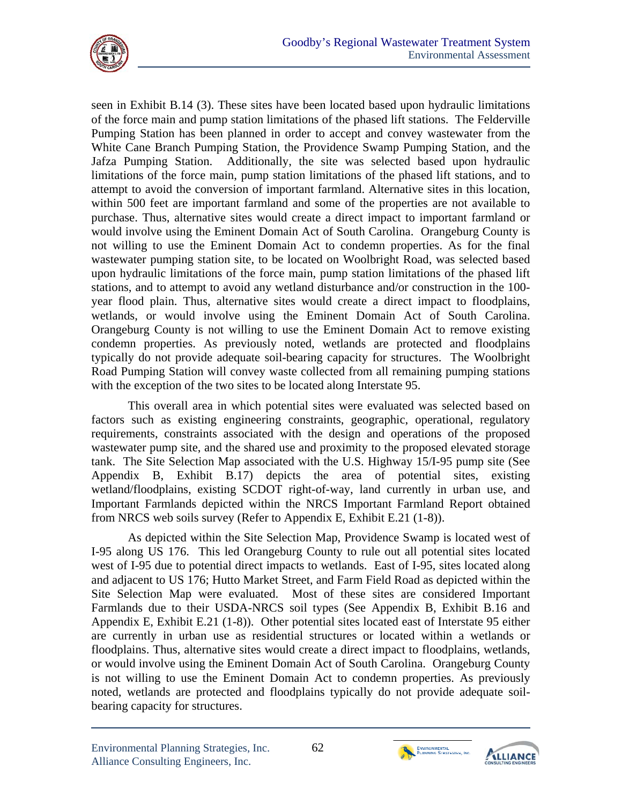

seen in Exhibit B.14 (3). These sites have been located based upon hydraulic limitations of the force main and pump station limitations of the phased lift stations. The Felderville Pumping Station has been planned in order to accept and convey wastewater from the White Cane Branch Pumping Station, the Providence Swamp Pumping Station, and the Jafza Pumping Station. Additionally, the site was selected based upon hydraulic limitations of the force main, pump station limitations of the phased lift stations, and to attempt to avoid the conversion of important farmland. Alternative sites in this location, within 500 feet are important farmland and some of the properties are not available to purchase. Thus, alternative sites would create a direct impact to important farmland or would involve using the Eminent Domain Act of South Carolina. Orangeburg County is not willing to use the Eminent Domain Act to condemn properties. As for the final wastewater pumping station site, to be located on Woolbright Road, was selected based upon hydraulic limitations of the force main, pump station limitations of the phased lift stations, and to attempt to avoid any wetland disturbance and/or construction in the 100 year flood plain. Thus, alternative sites would create a direct impact to floodplains, wetlands, or would involve using the Eminent Domain Act of South Carolina. Orangeburg County is not willing to use the Eminent Domain Act to remove existing condemn properties. As previously noted, wetlands are protected and floodplains typically do not provide adequate soil-bearing capacity for structures. The Woolbright Road Pumping Station will convey waste collected from all remaining pumping stations with the exception of the two sites to be located along Interstate 95.

This overall area in which potential sites were evaluated was selected based on factors such as existing engineering constraints, geographic, operational, regulatory requirements, constraints associated with the design and operations of the proposed wastewater pump site, and the shared use and proximity to the proposed elevated storage tank. The Site Selection Map associated with the U.S. Highway 15/I-95 pump site (See Appendix B, Exhibit B.17) depicts the area of potential sites, existing wetland/floodplains, existing SCDOT right-of-way, land currently in urban use, and Important Farmlands depicted within the NRCS Important Farmland Report obtained from NRCS web soils survey (Refer to Appendix E, Exhibit E.21 (1-8)).

As depicted within the Site Selection Map, Providence Swamp is located west of I-95 along US 176. This led Orangeburg County to rule out all potential sites located west of I-95 due to potential direct impacts to wetlands. East of I-95, sites located along and adjacent to US 176; Hutto Market Street, and Farm Field Road as depicted within the Site Selection Map were evaluated. Most of these sites are considered Important Farmlands due to their USDA-NRCS soil types (See Appendix B, Exhibit B.16 and Appendix E, Exhibit E.21 (1-8)). Other potential sites located east of Interstate 95 either are currently in urban use as residential structures or located within a wetlands or floodplains. Thus, alternative sites would create a direct impact to floodplains, wetlands, or would involve using the Eminent Domain Act of South Carolina. Orangeburg County is not willing to use the Eminent Domain Act to condemn properties. As previously noted, wetlands are protected and floodplains typically do not provide adequate soilbearing capacity for structures.



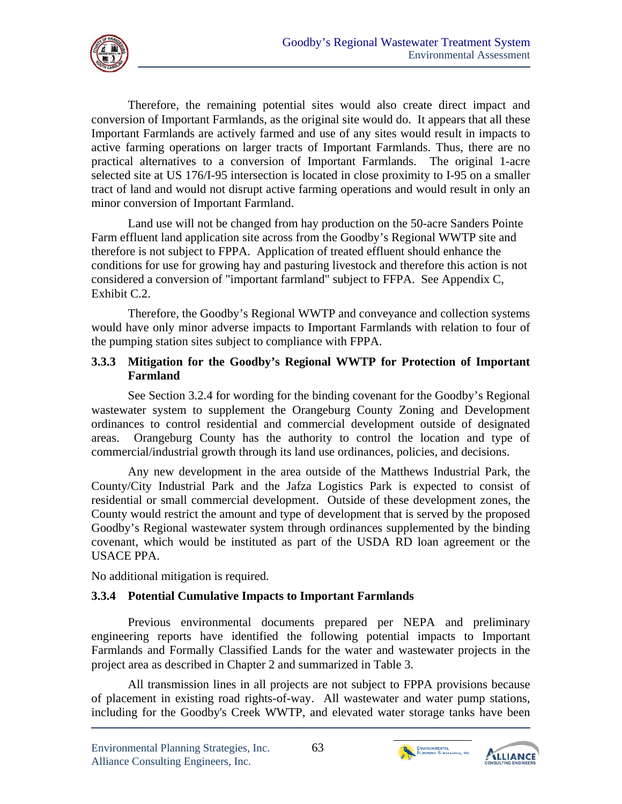

Therefore, the remaining potential sites would also create direct impact and conversion of Important Farmlands, as the original site would do. It appears that all these Important Farmlands are actively farmed and use of any sites would result in impacts to active farming operations on larger tracts of Important Farmlands. Thus, there are no practical alternatives to a conversion of Important Farmlands. The original 1-acre selected site at US 176/I-95 intersection is located in close proximity to I-95 on a smaller tract of land and would not disrupt active farming operations and would result in only an minor conversion of Important Farmland.

Land use will not be changed from hay production on the 50-acre Sanders Pointe Farm effluent land application site across from the Goodby's Regional WWTP site and therefore is not subject to FPPA. Application of treated effluent should enhance the conditions for use for growing hay and pasturing livestock and therefore this action is not considered a conversion of "important farmland" subject to FFPA. See Appendix C, Exhibit C.2.

Therefore, the Goodby's Regional WWTP and conveyance and collection systems would have only minor adverse impacts to Important Farmlands with relation to four of the pumping station sites subject to compliance with FPPA.

### **3.3.3 Mitigation for the Goodby's Regional WWTP for Protection of Important Farmland**

See Section 3.2.4 for wording for the binding covenant for the Goodby's Regional wastewater system to supplement the Orangeburg County Zoning and Development ordinances to control residential and commercial development outside of designated areas. Orangeburg County has the authority to control the location and type of commercial/industrial growth through its land use ordinances, policies, and decisions.

Any new development in the area outside of the Matthews Industrial Park, the County/City Industrial Park and the Jafza Logistics Park is expected to consist of residential or small commercial development. Outside of these development zones, the County would restrict the amount and type of development that is served by the proposed Goodby's Regional wastewater system through ordinances supplemented by the binding covenant, which would be instituted as part of the USDA RD loan agreement or the USACE PPA.

No additional mitigation is required.

# **3.3.4 Potential Cumulative Impacts to Important Farmlands**

Previous environmental documents prepared per NEPA and preliminary engineering reports have identified the following potential impacts to Important Farmlands and Formally Classified Lands for the water and wastewater projects in the project area as described in Chapter 2 and summarized in Table 3.

All transmission lines in all projects are not subject to FPPA provisions because of placement in existing road rights-of-way. All wastewater and water pump stations, including for the Goodby's Creek WWTP, and elevated water storage tanks have been



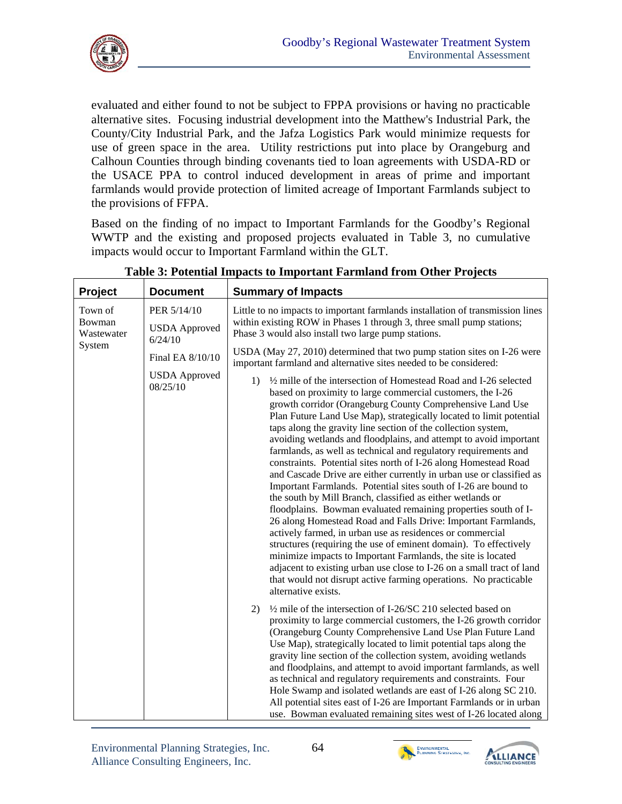

evaluated and either found to not be subject to FPPA provisions or having no practicable alternative sites. Focusing industrial development into the Matthew's Industrial Park, the County/City Industrial Park, and the Jafza Logistics Park would minimize requests for use of green space in the area. Utility restrictions put into place by Orangeburg and Calhoun Counties through binding covenants tied to loan agreements with USDA-RD or the USACE PPA to control induced development in areas of prime and important farmlands would provide protection of limited acreage of Important Farmlands subject to the provisions of FFPA.

Based on the finding of no impact to Important Farmlands for the Goodby's Regional WWTP and the existing and proposed projects evaluated in Table 3, no cumulative impacts would occur to Important Farmland within the GLT.

| Project                         | <b>Document</b>                                | <b>Summary of Impacts</b>                                                                                                                                                                                                                                                                                                                                                                                                                                                                                                                                                                                                                                                                                                                                                                                                                                                                                                                                                                                                                                                                                                                                                                                                                                                                        |  |  |  |  |
|---------------------------------|------------------------------------------------|--------------------------------------------------------------------------------------------------------------------------------------------------------------------------------------------------------------------------------------------------------------------------------------------------------------------------------------------------------------------------------------------------------------------------------------------------------------------------------------------------------------------------------------------------------------------------------------------------------------------------------------------------------------------------------------------------------------------------------------------------------------------------------------------------------------------------------------------------------------------------------------------------------------------------------------------------------------------------------------------------------------------------------------------------------------------------------------------------------------------------------------------------------------------------------------------------------------------------------------------------------------------------------------------------|--|--|--|--|
| Town of<br>Bowman<br>Wastewater | PER 5/14/10<br><b>USDA</b> Approved<br>6/24/10 | Little to no impacts to important farmlands installation of transmission lines<br>within existing ROW in Phases 1 through 3, three small pump stations;<br>Phase 3 would also install two large pump stations.                                                                                                                                                                                                                                                                                                                                                                                                                                                                                                                                                                                                                                                                                                                                                                                                                                                                                                                                                                                                                                                                                   |  |  |  |  |
| System                          | Final EA 8/10/10                               | USDA (May 27, 2010) determined that two pump station sites on I-26 were<br>important farmland and alternative sites needed to be considered:                                                                                                                                                                                                                                                                                                                                                                                                                                                                                                                                                                                                                                                                                                                                                                                                                                                                                                                                                                                                                                                                                                                                                     |  |  |  |  |
|                                 | <b>USDA</b> Approved<br>08/25/10               | 1/2 mille of the intersection of Homestead Road and I-26 selected<br>$\left( \frac{1}{2} \right)$<br>based on proximity to large commercial customers, the I-26<br>growth corridor (Orangeburg County Comprehensive Land Use<br>Plan Future Land Use Map), strategically located to limit potential<br>taps along the gravity line section of the collection system,<br>avoiding wetlands and floodplains, and attempt to avoid important<br>farmlands, as well as technical and regulatory requirements and<br>constraints. Potential sites north of I-26 along Homestead Road<br>and Cascade Drive are either currently in urban use or classified as<br>Important Farmlands. Potential sites south of I-26 are bound to<br>the south by Mill Branch, classified as either wetlands or<br>floodplains. Bowman evaluated remaining properties south of I-<br>26 along Homestead Road and Falls Drive: Important Farmlands,<br>actively farmed, in urban use as residences or commercial<br>structures (requiring the use of eminent domain). To effectively<br>minimize impacts to Important Farmlands, the site is located<br>adjacent to existing urban use close to I-26 on a small tract of land<br>that would not disrupt active farming operations. No practicable<br>alternative exists. |  |  |  |  |
|                                 |                                                | $\frac{1}{2}$ mile of the intersection of I-26/SC 210 selected based on<br>2)<br>proximity to large commercial customers, the I-26 growth corridor<br>(Orangeburg County Comprehensive Land Use Plan Future Land<br>Use Map), strategically located to limit potential taps along the<br>gravity line section of the collection system, avoiding wetlands<br>and floodplains, and attempt to avoid important farmlands, as well<br>as technical and regulatory requirements and constraints. Four<br>Hole Swamp and isolated wetlands are east of I-26 along SC 210.<br>All potential sites east of I-26 are Important Farmlands or in urban<br>use. Bowman evaluated remaining sites west of I-26 located along                                                                                                                                                                                                                                                                                                                                                                                                                                                                                                                                                                                 |  |  |  |  |

**Table 3: Potential Impacts to Important Farmland from Other Projects** 



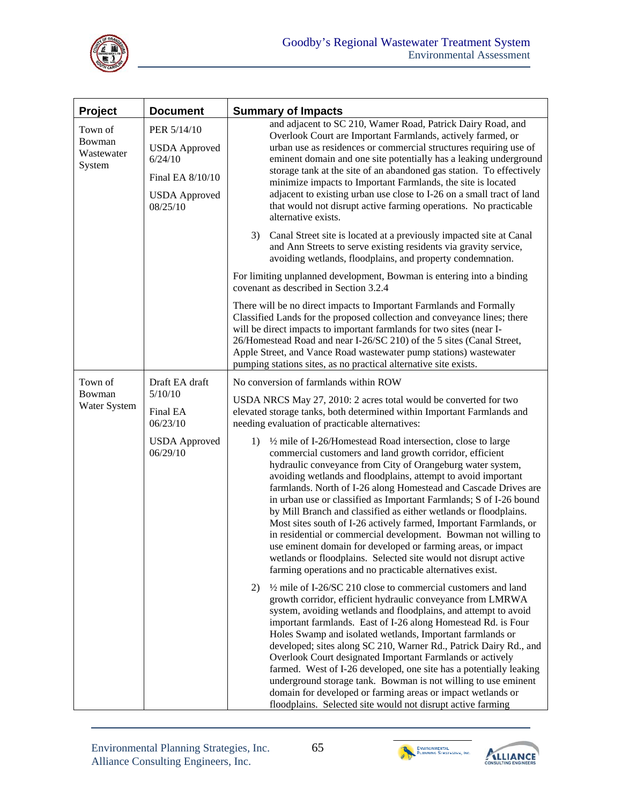

| Project                                   | <b>Document</b>                                                                                        | <b>Summary of Impacts</b>                                                                                                                                                                                                                                                                                                                                                                                                                                                                                                                                                                                                                                                                                                                                                                                          |  |  |  |  |
|-------------------------------------------|--------------------------------------------------------------------------------------------------------|--------------------------------------------------------------------------------------------------------------------------------------------------------------------------------------------------------------------------------------------------------------------------------------------------------------------------------------------------------------------------------------------------------------------------------------------------------------------------------------------------------------------------------------------------------------------------------------------------------------------------------------------------------------------------------------------------------------------------------------------------------------------------------------------------------------------|--|--|--|--|
| Town of<br>Bowman<br>Wastewater<br>System | PER 5/14/10<br><b>USDA</b> Approved<br>6/24/10<br>Final EA 8/10/10<br><b>USDA</b> Approved<br>08/25/10 | and adjacent to SC 210, Wamer Road, Patrick Dairy Road, and<br>Overlook Court are Important Farmlands, actively farmed, or<br>urban use as residences or commercial structures requiring use of<br>eminent domain and one site potentially has a leaking underground<br>storage tank at the site of an abandoned gas station. To effectively<br>minimize impacts to Important Farmlands, the site is located<br>adjacent to existing urban use close to I-26 on a small tract of land<br>that would not disrupt active farming operations. No practicable<br>alternative exists.                                                                                                                                                                                                                                   |  |  |  |  |
|                                           |                                                                                                        | Canal Street site is located at a previously impacted site at Canal<br>3)<br>and Ann Streets to serve existing residents via gravity service,<br>avoiding wetlands, floodplains, and property condemnation.                                                                                                                                                                                                                                                                                                                                                                                                                                                                                                                                                                                                        |  |  |  |  |
|                                           |                                                                                                        | For limiting unplanned development, Bowman is entering into a binding<br>covenant as described in Section 3.2.4                                                                                                                                                                                                                                                                                                                                                                                                                                                                                                                                                                                                                                                                                                    |  |  |  |  |
|                                           |                                                                                                        | There will be no direct impacts to Important Farmlands and Formally<br>Classified Lands for the proposed collection and conveyance lines; there<br>will be direct impacts to important farmlands for two sites (near I-<br>26/Homestead Road and near I-26/SC 210) of the 5 sites (Canal Street,<br>Apple Street, and Vance Road wastewater pump stations) wastewater<br>pumping stations sites, as no practical alternative site exists.                                                                                                                                                                                                                                                                                                                                                                          |  |  |  |  |
| Town of                                   | Draft EA draft                                                                                         | No conversion of farmlands within ROW                                                                                                                                                                                                                                                                                                                                                                                                                                                                                                                                                                                                                                                                                                                                                                              |  |  |  |  |
| Bowman<br>Water System                    | 5/10/10<br>Final EA<br>06/23/10                                                                        | USDA NRCS May 27, 2010: 2 acres total would be converted for two<br>elevated storage tanks, both determined within Important Farmlands and<br>needing evaluation of practicable alternatives:                                                                                                                                                                                                                                                                                                                                                                                                                                                                                                                                                                                                                      |  |  |  |  |
|                                           | <b>USDA</b> Approved<br>06/29/10                                                                       | 1/2 mile of I-26/Homestead Road intersection, close to large<br>1)<br>commercial customers and land growth corridor, efficient<br>hydraulic conveyance from City of Orangeburg water system,<br>avoiding wetlands and floodplains, attempt to avoid important<br>farmlands. North of I-26 along Homestead and Cascade Drives are<br>in urban use or classified as Important Farmlands; S of I-26 bound<br>by Mill Branch and classified as either wetlands or floodplains.<br>Most sites south of I-26 actively farmed, Important Farmlands, or<br>in residential or commercial development. Bowman not willing to<br>use eminent domain for developed or farming areas, or impact<br>wetlands or floodplains. Selected site would not disrupt active<br>farming operations and no practicable alternatives exist. |  |  |  |  |
|                                           |                                                                                                        | $\frac{1}{2}$ mile of I-26/SC 210 close to commercial customers and land<br>2)<br>growth corridor, efficient hydraulic conveyance from LMRWA<br>system, avoiding wetlands and floodplains, and attempt to avoid<br>important farmlands. East of I-26 along Homestead Rd. is Four<br>Holes Swamp and isolated wetlands, Important farmlands or<br>developed; sites along SC 210, Warner Rd., Patrick Dairy Rd., and<br>Overlook Court designated Important Farmlands or actively<br>farmed. West of I-26 developed, one site has a potentially leaking<br>underground storage tank. Bowman is not willing to use eminent<br>domain for developed or farming areas or impact wetlands or<br>floodplains. Selected site would not disrupt active farming                                                              |  |  |  |  |



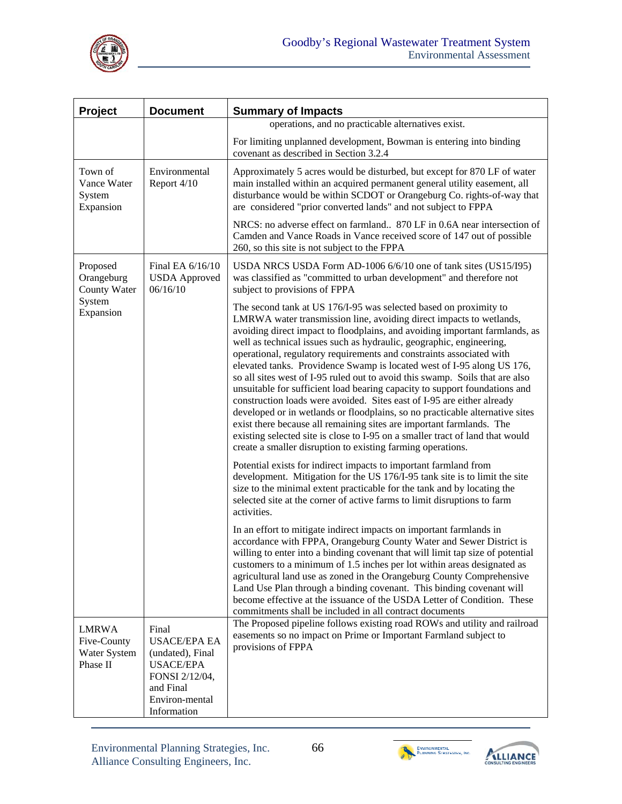

| Project                                                 | <b>Document</b>                                                                                                                      | <b>Summary of Impacts</b>                                                                                                                                                                                                                                                                                                                                                                                                                                                                                                                                                                                                                                                                                                                                                                                                                                                                                                                                                                         |  |  |  |  |
|---------------------------------------------------------|--------------------------------------------------------------------------------------------------------------------------------------|---------------------------------------------------------------------------------------------------------------------------------------------------------------------------------------------------------------------------------------------------------------------------------------------------------------------------------------------------------------------------------------------------------------------------------------------------------------------------------------------------------------------------------------------------------------------------------------------------------------------------------------------------------------------------------------------------------------------------------------------------------------------------------------------------------------------------------------------------------------------------------------------------------------------------------------------------------------------------------------------------|--|--|--|--|
|                                                         |                                                                                                                                      | operations, and no practicable alternatives exist.                                                                                                                                                                                                                                                                                                                                                                                                                                                                                                                                                                                                                                                                                                                                                                                                                                                                                                                                                |  |  |  |  |
|                                                         |                                                                                                                                      | For limiting unplanned development, Bowman is entering into binding<br>covenant as described in Section 3.2.4                                                                                                                                                                                                                                                                                                                                                                                                                                                                                                                                                                                                                                                                                                                                                                                                                                                                                     |  |  |  |  |
| Town of<br>Vance Water<br>System<br>Expansion           | Environmental<br>Report 4/10                                                                                                         | Approximately 5 acres would be disturbed, but except for 870 LF of water<br>main installed within an acquired permanent general utility easement, all<br>disturbance would be within SCDOT or Orangeburg Co. rights-of-way that<br>are considered "prior converted lands" and not subject to FPPA                                                                                                                                                                                                                                                                                                                                                                                                                                                                                                                                                                                                                                                                                                 |  |  |  |  |
|                                                         |                                                                                                                                      | NRCS: no adverse effect on farmland 870 LF in 0.6A near intersection of<br>Camden and Vance Roads in Vance received score of 147 out of possible<br>260, so this site is not subject to the FPPA                                                                                                                                                                                                                                                                                                                                                                                                                                                                                                                                                                                                                                                                                                                                                                                                  |  |  |  |  |
| Proposed<br>Orangeburg<br>County Water                  | Final EA 6/16/10<br><b>USDA</b> Approved<br>06/16/10                                                                                 | USDA NRCS USDA Form AD-1006 6/6/10 one of tank sites (US15/195)<br>was classified as "committed to urban development" and therefore not<br>subject to provisions of FPPA                                                                                                                                                                                                                                                                                                                                                                                                                                                                                                                                                                                                                                                                                                                                                                                                                          |  |  |  |  |
| System<br>Expansion                                     |                                                                                                                                      | The second tank at US 176/I-95 was selected based on proximity to<br>LMRWA water transmission line, avoiding direct impacts to wetlands,<br>avoiding direct impact to floodplains, and avoiding important farmlands, as<br>well as technical issues such as hydraulic, geographic, engineering,<br>operational, regulatory requirements and constraints associated with<br>elevated tanks. Providence Swamp is located west of I-95 along US 176,<br>so all sites west of I-95 ruled out to avoid this swamp. Soils that are also<br>unsuitable for sufficient load bearing capacity to support foundations and<br>construction loads were avoided. Sites east of I-95 are either already<br>developed or in wetlands or floodplains, so no practicable alternative sites<br>exist there because all remaining sites are important farmlands. The<br>existing selected site is close to I-95 on a smaller tract of land that would<br>create a smaller disruption to existing farming operations. |  |  |  |  |
|                                                         |                                                                                                                                      | Potential exists for indirect impacts to important farmland from<br>development. Mitigation for the US 176/I-95 tank site is to limit the site<br>size to the minimal extent practicable for the tank and by locating the<br>selected site at the corner of active farms to limit disruptions to farm<br>activities.                                                                                                                                                                                                                                                                                                                                                                                                                                                                                                                                                                                                                                                                              |  |  |  |  |
|                                                         |                                                                                                                                      | In an effort to mitigate indirect impacts on important farmlands in<br>accordance with FPPA, Orangeburg County Water and Sewer District is<br>willing to enter into a binding covenant that will limit tap size of potential<br>customers to a minimum of 1.5 inches per lot within areas designated as<br>agricultural land use as zoned in the Orangeburg County Comprehensive<br>Land Use Plan through a binding covenant. This binding covenant will<br>become effective at the issuance of the USDA Letter of Condition. These<br>commitments shall be included in all contract documents                                                                                                                                                                                                                                                                                                                                                                                                    |  |  |  |  |
| <b>LMRWA</b><br>Five-County<br>Water System<br>Phase II | Final<br><b>USACE/EPA EA</b><br>(undated), Final<br><b>USACE/EPA</b><br>FONSI 2/12/04,<br>and Final<br>Environ-mental<br>Information | The Proposed pipeline follows existing road ROWs and utility and railroad<br>easements so no impact on Prime or Important Farmland subject to<br>provisions of FPPA                                                                                                                                                                                                                                                                                                                                                                                                                                                                                                                                                                                                                                                                                                                                                                                                                               |  |  |  |  |





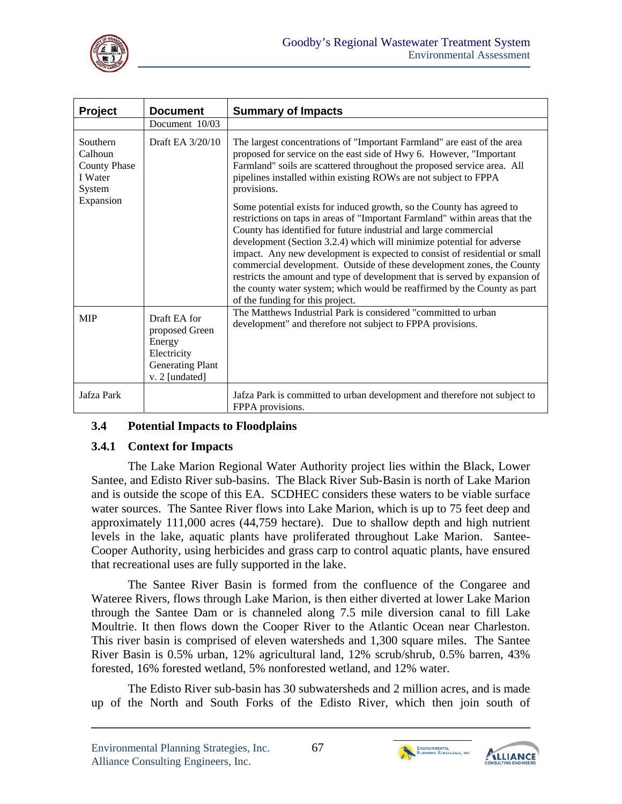

| Project                                                                      | <b>Document</b>                                                                                      | <b>Summary of Impacts</b>                                                                                                                                                                                                                                                                                                                                                                                                                                                                                                                                                                                                                                |
|------------------------------------------------------------------------------|------------------------------------------------------------------------------------------------------|----------------------------------------------------------------------------------------------------------------------------------------------------------------------------------------------------------------------------------------------------------------------------------------------------------------------------------------------------------------------------------------------------------------------------------------------------------------------------------------------------------------------------------------------------------------------------------------------------------------------------------------------------------|
|                                                                              | Document 10/03                                                                                       |                                                                                                                                                                                                                                                                                                                                                                                                                                                                                                                                                                                                                                                          |
| Southern<br>Calhoun<br><b>County Phase</b><br>I Water<br>System<br>Expansion | Draft EA 3/20/10                                                                                     | The largest concentrations of "Important Farmland" are east of the area<br>proposed for service on the east side of Hwy 6. However, "Important<br>Farmland" soils are scattered throughout the proposed service area. All<br>pipelines installed within existing ROWs are not subject to FPPA<br>provisions.                                                                                                                                                                                                                                                                                                                                             |
|                                                                              |                                                                                                      | Some potential exists for induced growth, so the County has agreed to<br>restrictions on taps in areas of "Important Farmland" within areas that the<br>County has identified for future industrial and large commercial<br>development (Section 3.2.4) which will minimize potential for adverse<br>impact. Any new development is expected to consist of residential or small<br>commercial development. Outside of these development zones, the County<br>restricts the amount and type of development that is served by expansion of<br>the county water system; which would be reaffirmed by the County as part<br>of the funding for this project. |
| <b>MIP</b>                                                                   | Draft EA for<br>proposed Green<br>Energy<br>Electricity<br><b>Generating Plant</b><br>v. 2 [undated] | The Matthews Industrial Park is considered "committed to urban<br>development" and therefore not subject to FPPA provisions.                                                                                                                                                                                                                                                                                                                                                                                                                                                                                                                             |
| Jafza Park                                                                   |                                                                                                      | Jafza Park is committed to urban development and therefore not subject to<br>FPPA provisions.                                                                                                                                                                                                                                                                                                                                                                                                                                                                                                                                                            |

#### **3.4 Potential Impacts to Floodplains**

#### **3.4.1 Context for Impacts**

The Lake Marion Regional Water Authority project lies within the Black, Lower Santee, and Edisto River sub-basins. The Black River Sub-Basin is north of Lake Marion and is outside the scope of this EA. SCDHEC considers these waters to be viable surface water sources. The Santee River flows into Lake Marion, which is up to 75 feet deep and approximately 111,000 acres (44,759 hectare). Due to shallow depth and high nutrient levels in the lake, aquatic plants have proliferated throughout Lake Marion. Santee-Cooper Authority, using herbicides and grass carp to control aquatic plants, have ensured that recreational uses are fully supported in the lake.

The Santee River Basin is formed from the confluence of the Congaree and Wateree Rivers, flows through Lake Marion, is then either diverted at lower Lake Marion through the Santee Dam or is channeled along 7.5 mile diversion canal to fill Lake Moultrie. It then flows down the Cooper River to the Atlantic Ocean near Charleston. This river basin is comprised of eleven watersheds and 1,300 square miles. The Santee River Basin is 0.5% urban, 12% agricultural land, 12% scrub/shrub, 0.5% barren, 43% forested, 16% forested wetland, 5% nonforested wetland, and 12% water.

The Edisto River sub-basin has 30 subwatersheds and 2 million acres, and is made up of the North and South Forks of the Edisto River, which then join south of



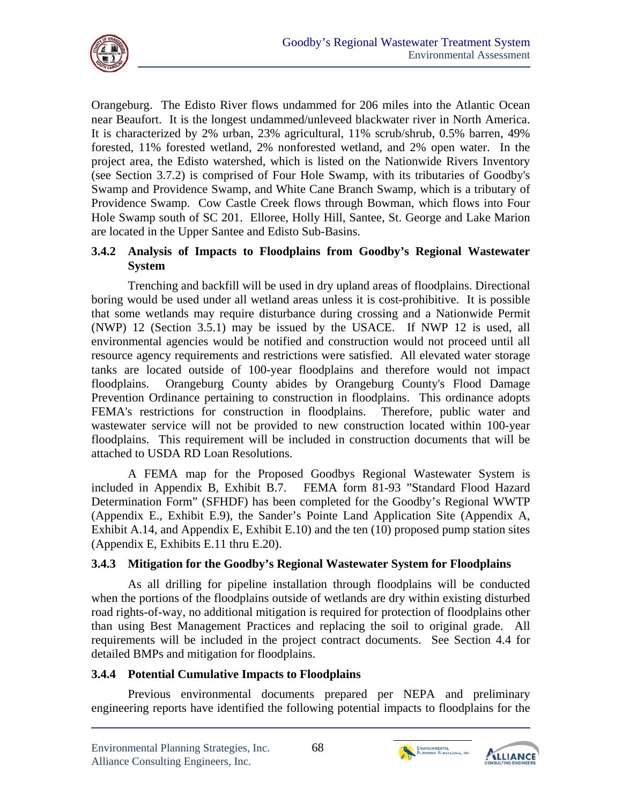

Orangeburg. The Edisto River flows undammed for 206 miles into the Atlantic Ocean near Beaufort. It is the longest undammed/unleveed blackwater river in North America. It is characterized by 2% urban, 23% agricultural, 11% scrub/shrub, 0.5% barren, 49% forested, 11% forested wetland, 2% nonforested wetland, and 2% open water. In the project area, the Edisto watershed, which is listed on the Nationwide Rivers Inventory (see Section 3.7.2) is comprised of Four Hole Swamp, with its tributaries of Goodby's Swamp and Providence Swamp, and White Cane Branch Swamp, which is a tributary of Providence Swamp. Cow Castle Creek flows through Bowman, which flows into Four Hole Swamp south of SC 201. Elloree, Holly Hill, Santee, St. George and Lake Marion are located in the Upper Santee and Edisto Sub-Basins.

# **3.4.2 Analysis of Impacts to Floodplains from Goodby's Regional Wastewater System**

Trenching and backfill will be used in dry upland areas of floodplains. Directional boring would be used under all wetland areas unless it is cost-prohibitive. It is possible that some wetlands may require disturbance during crossing and a Nationwide Permit (NWP) 12 (Section 3.5.1) may be issued by the USACE. If NWP 12 is used, all environmental agencies would be notified and construction would not proceed until all resource agency requirements and restrictions were satisfied. All elevated water storage tanks are located outside of 100-year floodplains and therefore would not impact floodplains. Orangeburg County abides by Orangeburg County's Flood Damage Prevention Ordinance pertaining to construction in floodplains. This ordinance adopts FEMA's restrictions for construction in floodplains. Therefore, public water and wastewater service will not be provided to new construction located within 100-year floodplains. This requirement will be included in construction documents that will be attached to USDA RD Loan Resolutions.

A FEMA map for the Proposed Goodbys Regional Wastewater System is included in Appendix B, Exhibit B.7. FEMA form 81-93 "Standard Flood Hazard Determination Form" (SFHDF) has been completed for the Goodby's Regional WWTP (Appendix E., Exhibit E.9), the Sander's Pointe Land Application Site (Appendix A, Exhibit A.14, and Appendix E, Exhibit E.10) and the ten (10) proposed pump station sites (Appendix E, Exhibits E.11 thru E.20).

# **3.4.3 Mitigation for the Goodby's Regional Wastewater System for Floodplains**

As all drilling for pipeline installation through floodplains will be conducted when the portions of the floodplains outside of wetlands are dry within existing disturbed road rights-of-way, no additional mitigation is required for protection of floodplains other than using Best Management Practices and replacing the soil to original grade. All requirements will be included in the project contract documents. See Section 4.4 for detailed BMPs and mitigation for floodplains.

#### **3.4.4 Potential Cumulative Impacts to Floodplains**

Previous environmental documents prepared per NEPA and preliminary engineering reports have identified the following potential impacts to floodplains for the



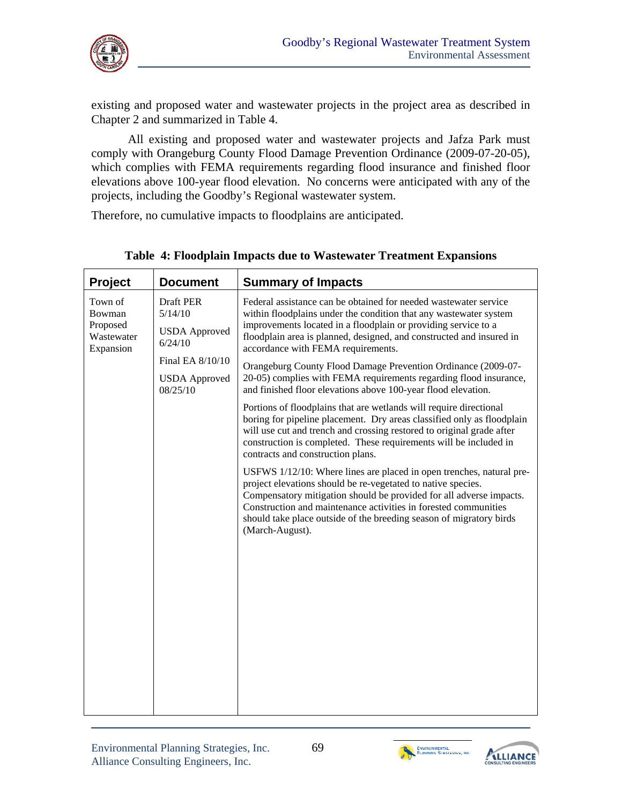

existing and proposed water and wastewater projects in the project area as described in Chapter 2 and summarized in Table 4.

All existing and proposed water and wastewater projects and Jafza Park must comply with Orangeburg County Flood Damage Prevention Ordinance (2009-07-20-05), which complies with FEMA requirements regarding flood insurance and finished floor elevations above 100-year flood elevation. No concerns were anticipated with any of the projects, including the Goodby's Regional wastewater system.

Therefore, no cumulative impacts to floodplains are anticipated.

| <b>Project</b>                                           | <b>Document</b>                                                             | <b>Summary of Impacts</b>                                                                                                                                                                                                                                                                                                                                                                                                                                   |
|----------------------------------------------------------|-----------------------------------------------------------------------------|-------------------------------------------------------------------------------------------------------------------------------------------------------------------------------------------------------------------------------------------------------------------------------------------------------------------------------------------------------------------------------------------------------------------------------------------------------------|
| Town of<br>Bowman<br>Proposed<br>Wastewater<br>Expansion | Draft PER<br>5/14/10<br><b>USDA</b> Approved<br>6/24/10<br>Final EA 8/10/10 | Federal assistance can be obtained for needed wastewater service<br>within floodplains under the condition that any wastewater system<br>improvements located in a floodplain or providing service to a<br>floodplain area is planned, designed, and constructed and insured in<br>accordance with FEMA requirements.<br>Orangeburg County Flood Damage Prevention Ordinance (2009-07-<br>20-05) complies with FEMA requirements regarding flood insurance, |
|                                                          | <b>USDA</b> Approved<br>08/25/10                                            | and finished floor elevations above 100-year flood elevation.<br>Portions of floodplains that are wetlands will require directional<br>boring for pipeline placement. Dry areas classified only as floodplain<br>will use cut and trench and crossing restored to original grade after<br>construction is completed. These requirements will be included in                                                                                                 |
|                                                          |                                                                             | contracts and construction plans.<br>USFWS 1/12/10: Where lines are placed in open trenches, natural pre-<br>project elevations should be re-vegetated to native species.<br>Compensatory mitigation should be provided for all adverse impacts.<br>Construction and maintenance activities in forested communities<br>should take place outside of the breeding season of migratory birds<br>(March-August).                                               |
|                                                          |                                                                             |                                                                                                                                                                                                                                                                                                                                                                                                                                                             |

**Table 4: Floodplain Impacts due to Wastewater Treatment Expansions** 



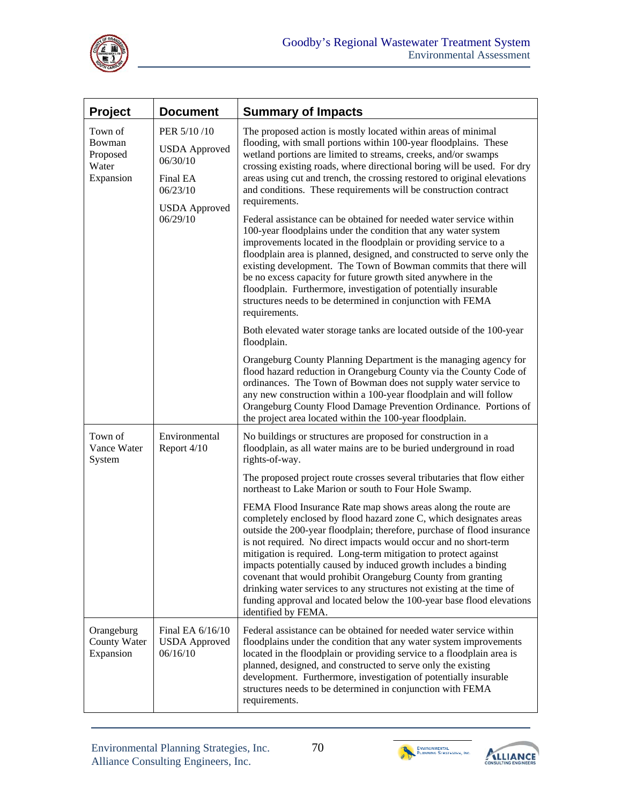

| <b>Project</b>                                      | <b>Document</b>                                                                                             | <b>Summary of Impacts</b>                                                                                                                                                                                                                                                                                                                                                                                                                                                                                                                                                                                                                                                                                                                                                                                                                                                                                                                                                                                    |
|-----------------------------------------------------|-------------------------------------------------------------------------------------------------------------|--------------------------------------------------------------------------------------------------------------------------------------------------------------------------------------------------------------------------------------------------------------------------------------------------------------------------------------------------------------------------------------------------------------------------------------------------------------------------------------------------------------------------------------------------------------------------------------------------------------------------------------------------------------------------------------------------------------------------------------------------------------------------------------------------------------------------------------------------------------------------------------------------------------------------------------------------------------------------------------------------------------|
| Town of<br>Bowman<br>Proposed<br>Water<br>Expansion | PER 5/10/10<br><b>USDA</b> Approved<br>06/30/10<br>Final EA<br>06/23/10<br><b>USDA</b> Approved<br>06/29/10 | The proposed action is mostly located within areas of minimal<br>flooding, with small portions within 100-year floodplains. These<br>wetland portions are limited to streams, creeks, and/or swamps<br>crossing existing roads, where directional boring will be used. For dry<br>areas using cut and trench, the crossing restored to original elevations<br>and conditions. These requirements will be construction contract<br>requirements.<br>Federal assistance can be obtained for needed water service within<br>100-year floodplains under the condition that any water system<br>improvements located in the floodplain or providing service to a<br>floodplain area is planned, designed, and constructed to serve only the<br>existing development. The Town of Bowman commits that there will<br>be no excess capacity for future growth sited anywhere in the<br>floodplain. Furthermore, investigation of potentially insurable<br>structures needs to be determined in conjunction with FEMA |
|                                                     |                                                                                                             | requirements.<br>Both elevated water storage tanks are located outside of the 100-year<br>floodplain.                                                                                                                                                                                                                                                                                                                                                                                                                                                                                                                                                                                                                                                                                                                                                                                                                                                                                                        |
|                                                     |                                                                                                             | Orangeburg County Planning Department is the managing agency for<br>flood hazard reduction in Orangeburg County via the County Code of<br>ordinances. The Town of Bowman does not supply water service to<br>any new construction within a 100-year floodplain and will follow<br>Orangeburg County Flood Damage Prevention Ordinance. Portions of<br>the project area located within the 100-year floodplain.                                                                                                                                                                                                                                                                                                                                                                                                                                                                                                                                                                                               |
| Town of<br>Vance Water<br>System                    | Environmental<br>Report 4/10                                                                                | No buildings or structures are proposed for construction in a<br>floodplain, as all water mains are to be buried underground in road<br>rights-of-way.                                                                                                                                                                                                                                                                                                                                                                                                                                                                                                                                                                                                                                                                                                                                                                                                                                                       |
|                                                     |                                                                                                             | The proposed project route crosses several tributaries that flow either<br>northeast to Lake Marion or south to Four Hole Swamp.                                                                                                                                                                                                                                                                                                                                                                                                                                                                                                                                                                                                                                                                                                                                                                                                                                                                             |
|                                                     |                                                                                                             | FEMA Flood Insurance Rate map shows areas along the route are<br>completely enclosed by flood hazard zone C, which designates areas<br>outside the 200-year floodplain; therefore, purchase of flood insurance<br>is not required. No direct impacts would occur and no short-term<br>mitigation is required. Long-term mitigation to protect against<br>impacts potentially caused by induced growth includes a binding<br>covenant that would prohibit Orangeburg County from granting<br>drinking water services to any structures not existing at the time of<br>funding approval and located below the 100-year base flood elevations<br>identified by FEMA.                                                                                                                                                                                                                                                                                                                                            |
| Orangeburg<br><b>County Water</b><br>Expansion      | Final EA 6/16/10<br><b>USDA</b> Approved<br>06/16/10                                                        | Federal assistance can be obtained for needed water service within<br>floodplains under the condition that any water system improvements<br>located in the floodplain or providing service to a floodplain area is<br>planned, designed, and constructed to serve only the existing<br>development. Furthermore, investigation of potentially insurable<br>structures needs to be determined in conjunction with FEMA<br>requirements.                                                                                                                                                                                                                                                                                                                                                                                                                                                                                                                                                                       |





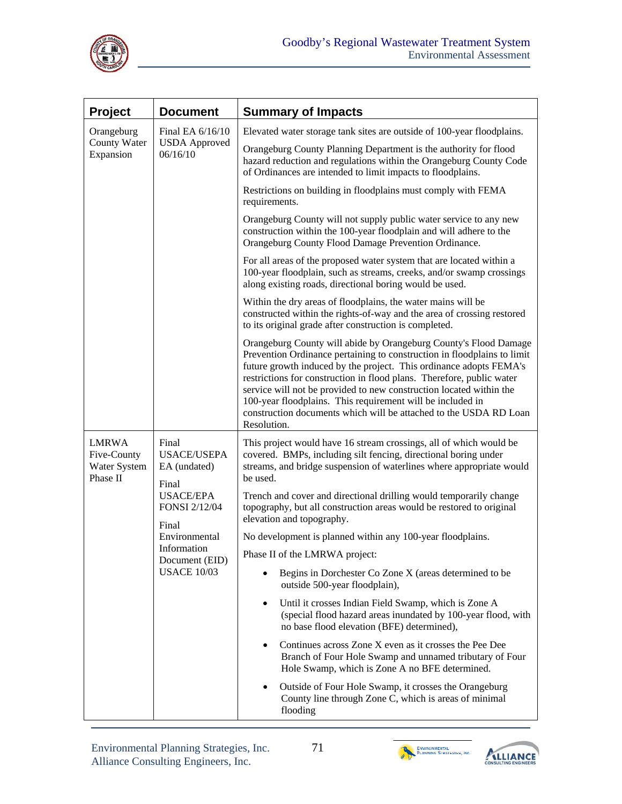

| <b>Project</b>                                          | <b>Document</b>                                                                                                                                                                   | <b>Summary of Impacts</b>                                                                                                                                                                                                                                                                                                                                                                                                                                                                                           |  |  |  |  |
|---------------------------------------------------------|-----------------------------------------------------------------------------------------------------------------------------------------------------------------------------------|---------------------------------------------------------------------------------------------------------------------------------------------------------------------------------------------------------------------------------------------------------------------------------------------------------------------------------------------------------------------------------------------------------------------------------------------------------------------------------------------------------------------|--|--|--|--|
| Orangeburg<br><b>County Water</b><br>Expansion          | Final EA $6/16/10$<br><b>USDA</b> Approved<br>06/16/10                                                                                                                            | Elevated water storage tank sites are outside of 100-year floodplains.                                                                                                                                                                                                                                                                                                                                                                                                                                              |  |  |  |  |
|                                                         |                                                                                                                                                                                   | Orangeburg County Planning Department is the authority for flood<br>hazard reduction and regulations within the Orangeburg County Code<br>of Ordinances are intended to limit impacts to floodplains.                                                                                                                                                                                                                                                                                                               |  |  |  |  |
|                                                         |                                                                                                                                                                                   | Restrictions on building in floodplains must comply with FEMA<br>requirements.                                                                                                                                                                                                                                                                                                                                                                                                                                      |  |  |  |  |
|                                                         |                                                                                                                                                                                   | Orangeburg County will not supply public water service to any new<br>construction within the 100-year floodplain and will adhere to the<br>Orangeburg County Flood Damage Prevention Ordinance.                                                                                                                                                                                                                                                                                                                     |  |  |  |  |
|                                                         |                                                                                                                                                                                   | For all areas of the proposed water system that are located within a<br>100-year floodplain, such as streams, creeks, and/or swamp crossings<br>along existing roads, directional boring would be used.                                                                                                                                                                                                                                                                                                             |  |  |  |  |
|                                                         |                                                                                                                                                                                   | Within the dry areas of floodplains, the water mains will be<br>constructed within the rights-of-way and the area of crossing restored<br>to its original grade after construction is completed.                                                                                                                                                                                                                                                                                                                    |  |  |  |  |
|                                                         |                                                                                                                                                                                   | Orangeburg County will abide by Orangeburg County's Flood Damage<br>Prevention Ordinance pertaining to construction in floodplains to limit<br>future growth induced by the project. This ordinance adopts FEMA's<br>restrictions for construction in flood plans. Therefore, public water<br>service will not be provided to new construction located within the<br>100-year floodplains. This requirement will be included in<br>construction documents which will be attached to the USDA RD Loan<br>Resolution. |  |  |  |  |
| <b>LMRWA</b><br>Five-County<br>Water System<br>Phase II | Final<br><b>USACE/USEPA</b><br>EA (undated)<br>Final<br><b>USACE/EPA</b><br><b>FONSI 2/12/04</b><br>Final<br>Environmental<br>Information<br>Document (EID)<br><b>USACE 10/03</b> | This project would have 16 stream crossings, all of which would be<br>covered. BMPs, including silt fencing, directional boring under<br>streams, and bridge suspension of waterlines where appropriate would<br>be used.                                                                                                                                                                                                                                                                                           |  |  |  |  |
|                                                         |                                                                                                                                                                                   | Trench and cover and directional drilling would temporarily change<br>topography, but all construction areas would be restored to original<br>elevation and topography.                                                                                                                                                                                                                                                                                                                                             |  |  |  |  |
|                                                         |                                                                                                                                                                                   | No development is planned within any 100-year floodplains.                                                                                                                                                                                                                                                                                                                                                                                                                                                          |  |  |  |  |
|                                                         |                                                                                                                                                                                   | Phase II of the LMRWA project:                                                                                                                                                                                                                                                                                                                                                                                                                                                                                      |  |  |  |  |
|                                                         |                                                                                                                                                                                   | Begins in Dorchester Co Zone X (areas determined to be<br>outside 500-year floodplain),                                                                                                                                                                                                                                                                                                                                                                                                                             |  |  |  |  |
|                                                         |                                                                                                                                                                                   | Until it crosses Indian Field Swamp, which is Zone A<br>$\bullet$<br>(special flood hazard areas inundated by 100-year flood, with<br>no base flood elevation (BFE) determined),                                                                                                                                                                                                                                                                                                                                    |  |  |  |  |
|                                                         |                                                                                                                                                                                   | Continues across Zone X even as it crosses the Pee Dee<br>٠<br>Branch of Four Hole Swamp and unnamed tributary of Four<br>Hole Swamp, which is Zone A no BFE determined.                                                                                                                                                                                                                                                                                                                                            |  |  |  |  |
|                                                         |                                                                                                                                                                                   | Outside of Four Hole Swamp, it crosses the Orangeburg<br>٠<br>County line through Zone C, which is areas of minimal<br>flooding                                                                                                                                                                                                                                                                                                                                                                                     |  |  |  |  |



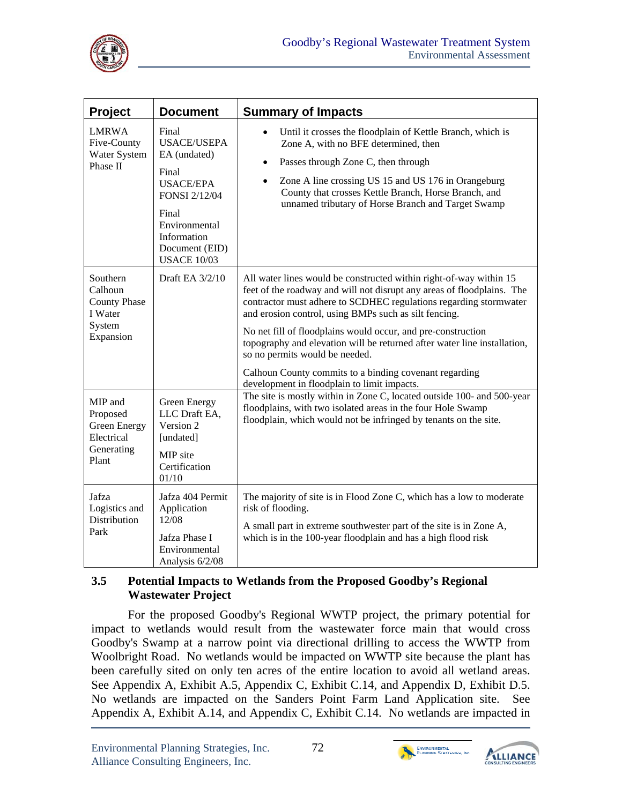

| <b>Project</b>                                                               | <b>Document</b>                                                                                                                                                            | <b>Summary of Impacts</b>                                                                                                                                                                                                                                                                                                                                                                                                                                                                                                                                         |  |  |  |  |
|------------------------------------------------------------------------------|----------------------------------------------------------------------------------------------------------------------------------------------------------------------------|-------------------------------------------------------------------------------------------------------------------------------------------------------------------------------------------------------------------------------------------------------------------------------------------------------------------------------------------------------------------------------------------------------------------------------------------------------------------------------------------------------------------------------------------------------------------|--|--|--|--|
| <b>LMRWA</b><br>Five-County<br>Water System<br>Phase II                      | Final<br><b>USACE/USEPA</b><br>EA (undated)<br>Final<br><b>USACE/EPA</b><br>FONSI 2/12/04<br>Final<br>Environmental<br>Information<br>Document (EID)<br><b>USACE 10/03</b> | Until it crosses the floodplain of Kettle Branch, which is<br>$\bullet$<br>Zone A, with no BFE determined, then<br>Passes through Zone C, then through<br>$\bullet$<br>Zone A line crossing US 15 and US 176 in Orangeburg<br>$\bullet$<br>County that crosses Kettle Branch, Horse Branch, and<br>unnamed tributary of Horse Branch and Target Swamp                                                                                                                                                                                                             |  |  |  |  |
| Southern<br>Calhoun<br><b>County Phase</b><br>I Water<br>System<br>Expansion | Draft EA 3/2/10                                                                                                                                                            | All water lines would be constructed within right-of-way within 15<br>feet of the roadway and will not disrupt any areas of floodplains. The<br>contractor must adhere to SCDHEC regulations regarding stormwater<br>and erosion control, using BMPs such as silt fencing.<br>No net fill of floodplains would occur, and pre-construction<br>topography and elevation will be returned after water line installation,<br>so no permits would be needed.<br>Calhoun County commits to a binding covenant regarding<br>development in floodplain to limit impacts. |  |  |  |  |
| MIP and<br>Proposed<br>Green Energy<br>Electrical<br>Generating<br>Plant     | Green Energy<br>LLC Draft EA,<br>Version 2<br>[undated]<br>MIP site<br>Certification<br>01/10                                                                              | The site is mostly within in Zone C, located outside 100- and 500-year<br>floodplains, with two isolated areas in the four Hole Swamp<br>floodplain, which would not be infringed by tenants on the site.                                                                                                                                                                                                                                                                                                                                                         |  |  |  |  |
| Jafza<br>Logistics and<br>Distribution<br>Park                               | Jafza 404 Permit<br>Application<br>12/08<br>Jafza Phase I<br>Environmental<br>Analysis 6/2/08                                                                              | The majority of site is in Flood Zone C, which has a low to moderate<br>risk of flooding.<br>A small part in extreme southwester part of the site is in Zone A,<br>which is in the 100-year floodplain and has a high flood risk                                                                                                                                                                                                                                                                                                                                  |  |  |  |  |

### **3.5 Potential Impacts to Wetlands from the Proposed Goodby's Regional Wastewater Project**

For the proposed Goodby's Regional WWTP project, the primary potential for impact to wetlands would result from the wastewater force main that would cross Goodby's Swamp at a narrow point via directional drilling to access the WWTP from Woolbright Road. No wetlands would be impacted on WWTP site because the plant has been carefully sited on only ten acres of the entire location to avoid all wetland areas. See Appendix A, Exhibit A.5, Appendix C, Exhibit C.14, and Appendix D, Exhibit D.5. No wetlands are impacted on the Sanders Point Farm Land Application site. See Appendix A, Exhibit A.14, and Appendix C, Exhibit C.14. No wetlands are impacted in





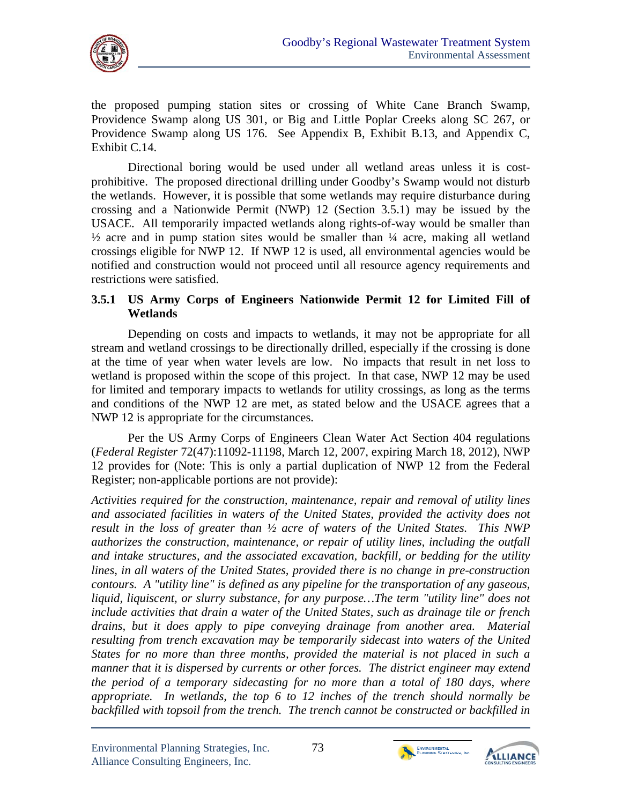

the proposed pumping station sites or crossing of White Cane Branch Swamp, Providence Swamp along US 301, or Big and Little Poplar Creeks along SC 267, or Providence Swamp along US 176. See Appendix B, Exhibit B.13, and Appendix C, Exhibit C.14.

Directional boring would be used under all wetland areas unless it is costprohibitive. The proposed directional drilling under Goodby's Swamp would not disturb the wetlands. However, it is possible that some wetlands may require disturbance during crossing and a Nationwide Permit (NWP) 12 (Section 3.5.1) may be issued by the USACE. All temporarily impacted wetlands along rights-of-way would be smaller than  $\frac{1}{2}$  acre and in pump station sites would be smaller than  $\frac{1}{4}$  acre, making all wetland crossings eligible for NWP 12. If NWP 12 is used, all environmental agencies would be notified and construction would not proceed until all resource agency requirements and restrictions were satisfied.

### **3.5.1 US Army Corps of Engineers Nationwide Permit 12 for Limited Fill of Wetlands**

Depending on costs and impacts to wetlands, it may not be appropriate for all stream and wetland crossings to be directionally drilled, especially if the crossing is done at the time of year when water levels are low. No impacts that result in net loss to wetland is proposed within the scope of this project. In that case, NWP 12 may be used for limited and temporary impacts to wetlands for utility crossings, as long as the terms and conditions of the NWP 12 are met, as stated below and the USACE agrees that a NWP 12 is appropriate for the circumstances.

Per the US Army Corps of Engineers Clean Water Act Section 404 regulations (*Federal Register* 72(47):11092-11198, March 12, 2007, expiring March 18, 2012), NWP 12 provides for (Note: This is only a partial duplication of NWP 12 from the Federal Register; non-applicable portions are not provide):

*Activities required for the construction, maintenance, repair and removal of utility lines and associated facilities in waters of the United States, provided the activity does not result in the loss of greater than ½ acre of waters of the United States. This NWP authorizes the construction, maintenance, or repair of utility lines, including the outfall and intake structures, and the associated excavation, backfill, or bedding for the utility lines, in all waters of the United States, provided there is no change in pre-construction contours. A "utility line" is defined as any pipeline for the transportation of any gaseous, liquid, liquiscent, or slurry substance, for any purpose…The term "utility line" does not include activities that drain a water of the United States, such as drainage tile or french drains, but it does apply to pipe conveying drainage from another area. Material resulting from trench excavation may be temporarily sidecast into waters of the United States for no more than three months, provided the material is not placed in such a manner that it is dispersed by currents or other forces. The district engineer may extend the period of a temporary sidecasting for no more than a total of 180 days, where appropriate. In wetlands, the top 6 to 12 inches of the trench should normally be*  backfilled with topsoil from the trench. The trench cannot be constructed or backfilled in



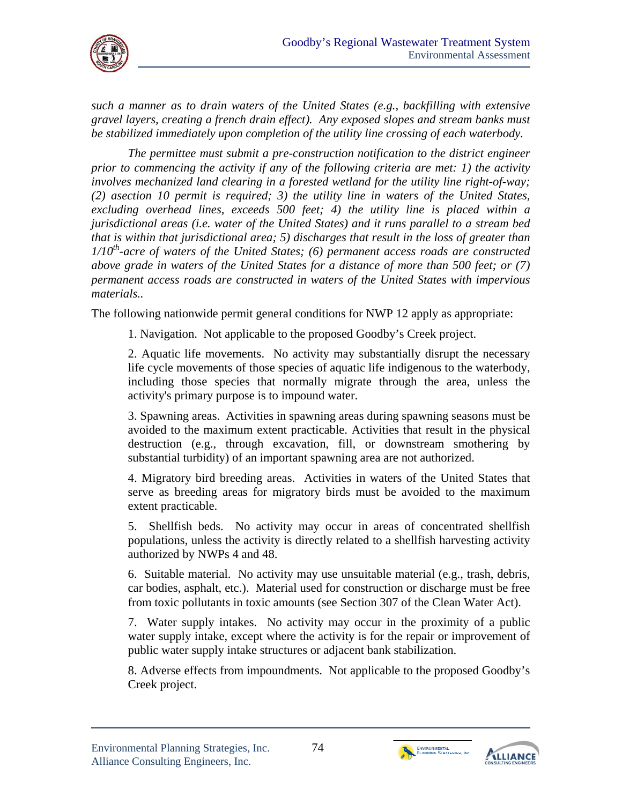

*such a manner as to drain waters of the United States (e.g., backfilling with extensive gravel layers, creating a french drain effect). Any exposed slopes and stream banks must be stabilized immediately upon completion of the utility line crossing of each waterbody.* 

*The permittee must submit a pre-construction notification to the district engineer prior to commencing the activity if any of the following criteria are met: 1) the activity involves mechanized land clearing in a forested wetland for the utility line right-of-way; (2) asection 10 permit is required; 3) the utility line in waters of the United States, excluding overhead lines, exceeds 500 feet; 4) the utility line is placed within a jurisdictional areas (i.e. water of the United States) and it runs parallel to a stream bed that is within that jurisdictional area; 5) discharges that result in the loss of greater than 1/10th-acre of waters of the United States; (6) permanent access roads are constructed above grade in waters of the United States for a distance of more than 500 feet; or (7) permanent access roads are constructed in waters of the United States with impervious materials..* 

The following nationwide permit general conditions for NWP 12 apply as appropriate:

1. Navigation. Not applicable to the proposed Goodby's Creek project.

2. Aquatic life movements. No activity may substantially disrupt the necessary life cycle movements of those species of aquatic life indigenous to the waterbody, including those species that normally migrate through the area, unless the activity's primary purpose is to impound water.

3. Spawning areas. Activities in spawning areas during spawning seasons must be avoided to the maximum extent practicable. Activities that result in the physical destruction (e.g., through excavation, fill, or downstream smothering by substantial turbidity) of an important spawning area are not authorized.

4. Migratory bird breeding areas. Activities in waters of the United States that serve as breeding areas for migratory birds must be avoided to the maximum extent practicable.

5. Shellfish beds. No activity may occur in areas of concentrated shellfish populations, unless the activity is directly related to a shellfish harvesting activity authorized by NWPs 4 and 48.

6. Suitable material. No activity may use unsuitable material (e.g., trash, debris, car bodies, asphalt, etc.). Material used for construction or discharge must be free from toxic pollutants in toxic amounts (see Section 307 of the Clean Water Act).

7. Water supply intakes. No activity may occur in the proximity of a public water supply intake, except where the activity is for the repair or improvement of public water supply intake structures or adjacent bank stabilization.

8. Adverse effects from impoundments. Not applicable to the proposed Goodby's Creek project.



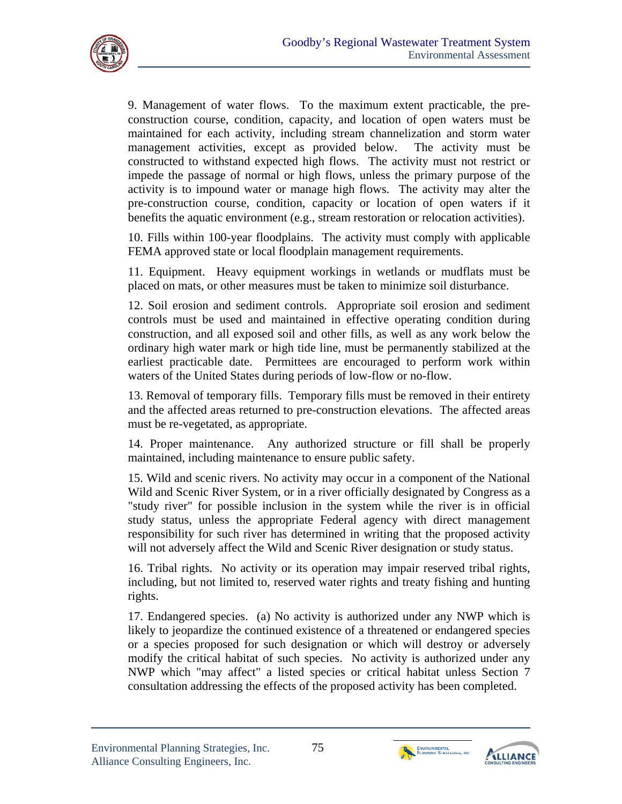

9. Management of water flows. To the maximum extent practicable, the preconstruction course, condition, capacity, and location of open waters must be maintained for each activity, including stream channelization and storm water management activities, except as provided below. The activity must be constructed to withstand expected high flows. The activity must not restrict or impede the passage of normal or high flows, unless the primary purpose of the activity is to impound water or manage high flows. The activity may alter the pre-construction course, condition, capacity or location of open waters if it benefits the aquatic environment (e.g., stream restoration or relocation activities).

10. Fills within 100-year floodplains. The activity must comply with applicable FEMA approved state or local floodplain management requirements.

11. Equipment. Heavy equipment workings in wetlands or mudflats must be placed on mats, or other measures must be taken to minimize soil disturbance.

12. Soil erosion and sediment controls. Appropriate soil erosion and sediment controls must be used and maintained in effective operating condition during construction, and all exposed soil and other fills, as well as any work below the ordinary high water mark or high tide line, must be permanently stabilized at the earliest practicable date. Permittees are encouraged to perform work within waters of the United States during periods of low-flow or no-flow.

13. Removal of temporary fills. Temporary fills must be removed in their entirety and the affected areas returned to pre-construction elevations. The affected areas must be re-vegetated, as appropriate.

14. Proper maintenance. Any authorized structure or fill shall be properly maintained, including maintenance to ensure public safety.

15. Wild and scenic rivers. No activity may occur in a component of the National Wild and Scenic River System, or in a river officially designated by Congress as a "study river" for possible inclusion in the system while the river is in official study status, unless the appropriate Federal agency with direct management responsibility for such river has determined in writing that the proposed activity will not adversely affect the Wild and Scenic River designation or study status.

16. Tribal rights. No activity or its operation may impair reserved tribal rights, including, but not limited to, reserved water rights and treaty fishing and hunting rights.

17. Endangered species. (a) No activity is authorized under any NWP which is likely to jeopardize the continued existence of a threatened or endangered species or a species proposed for such designation or which will destroy or adversely modify the critical habitat of such species. No activity is authorized under any NWP which "may affect" a listed species or critical habitat unless Section 7 consultation addressing the effects of the proposed activity has been completed.



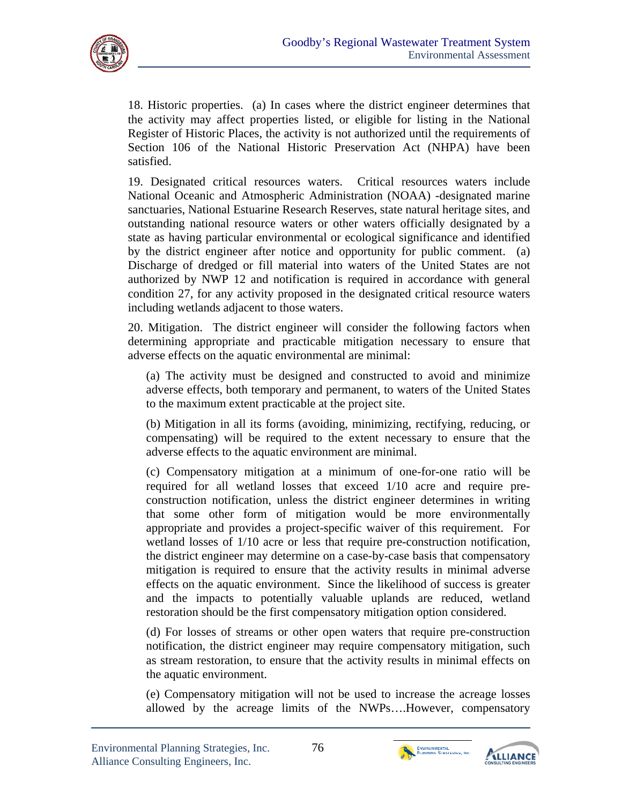

18. Historic properties. (a) In cases where the district engineer determines that the activity may affect properties listed, or eligible for listing in the National Register of Historic Places, the activity is not authorized until the requirements of Section 106 of the National Historic Preservation Act (NHPA) have been satisfied.

19. Designated critical resources waters. Critical resources waters include National Oceanic and Atmospheric Administration (NOAA) -designated marine sanctuaries, National Estuarine Research Reserves, state natural heritage sites, and outstanding national resource waters or other waters officially designated by a state as having particular environmental or ecological significance and identified by the district engineer after notice and opportunity for public comment. (a) Discharge of dredged or fill material into waters of the United States are not authorized by NWP 12 and notification is required in accordance with general condition 27, for any activity proposed in the designated critical resource waters including wetlands adjacent to those waters.

20. Mitigation. The district engineer will consider the following factors when determining appropriate and practicable mitigation necessary to ensure that adverse effects on the aquatic environmental are minimal:

(a) The activity must be designed and constructed to avoid and minimize adverse effects, both temporary and permanent, to waters of the United States to the maximum extent practicable at the project site.

(b) Mitigation in all its forms (avoiding, minimizing, rectifying, reducing, or compensating) will be required to the extent necessary to ensure that the adverse effects to the aquatic environment are minimal.

(c) Compensatory mitigation at a minimum of one-for-one ratio will be required for all wetland losses that exceed 1/10 acre and require preconstruction notification, unless the district engineer determines in writing that some other form of mitigation would be more environmentally appropriate and provides a project-specific waiver of this requirement. For wetland losses of 1/10 acre or less that require pre-construction notification, the district engineer may determine on a case-by-case basis that compensatory mitigation is required to ensure that the activity results in minimal adverse effects on the aquatic environment. Since the likelihood of success is greater and the impacts to potentially valuable uplands are reduced, wetland restoration should be the first compensatory mitigation option considered.

(d) For losses of streams or other open waters that require pre-construction notification, the district engineer may require compensatory mitigation, such as stream restoration, to ensure that the activity results in minimal effects on the aquatic environment.

(e) Compensatory mitigation will not be used to increase the acreage losses allowed by the acreage limits of the NWPs….However, compensatory



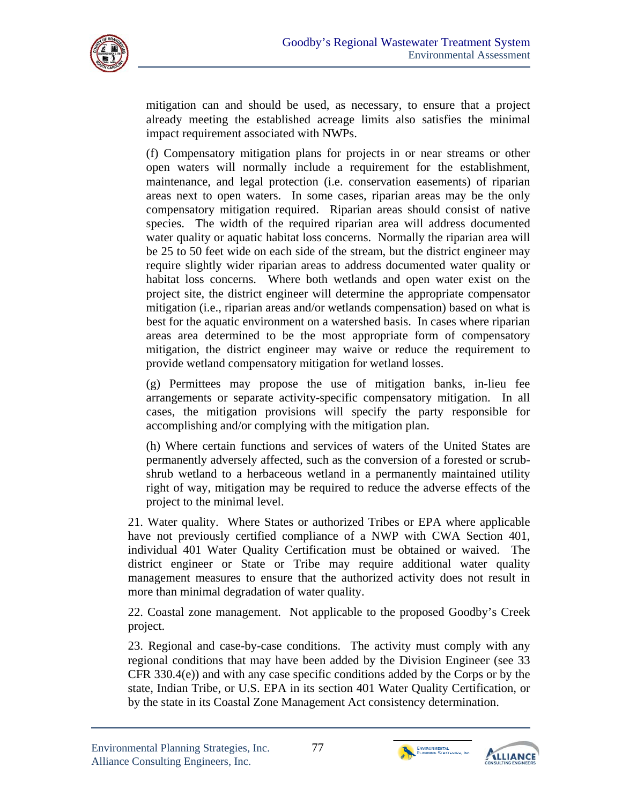

mitigation can and should be used, as necessary, to ensure that a project already meeting the established acreage limits also satisfies the minimal impact requirement associated with NWPs.

(f) Compensatory mitigation plans for projects in or near streams or other open waters will normally include a requirement for the establishment, maintenance, and legal protection (i.e. conservation easements) of riparian areas next to open waters. In some cases, riparian areas may be the only compensatory mitigation required. Riparian areas should consist of native species. The width of the required riparian area will address documented water quality or aquatic habitat loss concerns. Normally the riparian area will be 25 to 50 feet wide on each side of the stream, but the district engineer may require slightly wider riparian areas to address documented water quality or habitat loss concerns. Where both wetlands and open water exist on the project site, the district engineer will determine the appropriate compensator mitigation (i.e., riparian areas and/or wetlands compensation) based on what is best for the aquatic environment on a watershed basis. In cases where riparian areas area determined to be the most appropriate form of compensatory mitigation, the district engineer may waive or reduce the requirement to provide wetland compensatory mitigation for wetland losses.

(g) Permittees may propose the use of mitigation banks, in-lieu fee arrangements or separate activity-specific compensatory mitigation. In all cases, the mitigation provisions will specify the party responsible for accomplishing and/or complying with the mitigation plan.

(h) Where certain functions and services of waters of the United States are permanently adversely affected, such as the conversion of a forested or scrubshrub wetland to a herbaceous wetland in a permanently maintained utility right of way, mitigation may be required to reduce the adverse effects of the project to the minimal level.

21. Water quality. Where States or authorized Tribes or EPA where applicable have not previously certified compliance of a NWP with CWA Section 401, individual 401 Water Quality Certification must be obtained or waived. The district engineer or State or Tribe may require additional water quality management measures to ensure that the authorized activity does not result in more than minimal degradation of water quality.

22. Coastal zone management. Not applicable to the proposed Goodby's Creek project.

23. Regional and case-by-case conditions. The activity must comply with any regional conditions that may have been added by the Division Engineer (see 33 CFR 330.4(e)) and with any case specific conditions added by the Corps or by the state, Indian Tribe, or U.S. EPA in its section 401 Water Quality Certification, or by the state in its Coastal Zone Management Act consistency determination.



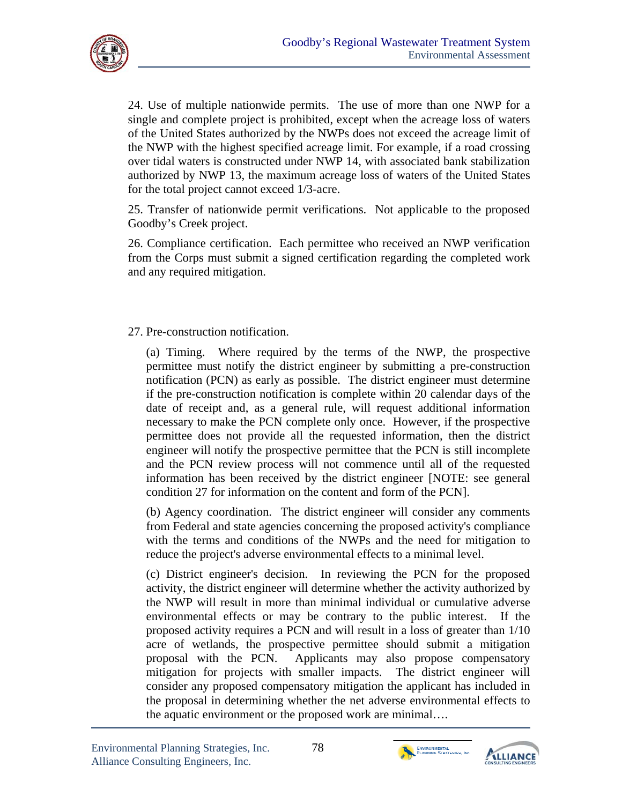

24. Use of multiple nationwide permits. The use of more than one NWP for a single and complete project is prohibited, except when the acreage loss of waters of the United States authorized by the NWPs does not exceed the acreage limit of the NWP with the highest specified acreage limit. For example, if a road crossing over tidal waters is constructed under NWP 14, with associated bank stabilization authorized by NWP 13, the maximum acreage loss of waters of the United States for the total project cannot exceed 1/3-acre.

25. Transfer of nationwide permit verifications. Not applicable to the proposed Goodby's Creek project.

26. Compliance certification. Each permittee who received an NWP verification from the Corps must submit a signed certification regarding the completed work and any required mitigation.

#### 27. Pre-construction notification.

(a) Timing. Where required by the terms of the NWP, the prospective permittee must notify the district engineer by submitting a pre-construction notification (PCN) as early as possible. The district engineer must determine if the pre-construction notification is complete within 20 calendar days of the date of receipt and, as a general rule, will request additional information necessary to make the PCN complete only once. However, if the prospective permittee does not provide all the requested information, then the district engineer will notify the prospective permittee that the PCN is still incomplete and the PCN review process will not commence until all of the requested information has been received by the district engineer [NOTE: see general condition 27 for information on the content and form of the PCN].

(b) Agency coordination. The district engineer will consider any comments from Federal and state agencies concerning the proposed activity's compliance with the terms and conditions of the NWPs and the need for mitigation to reduce the project's adverse environmental effects to a minimal level.

(c) District engineer's decision. In reviewing the PCN for the proposed activity, the district engineer will determine whether the activity authorized by the NWP will result in more than minimal individual or cumulative adverse environmental effects or may be contrary to the public interest. If the proposed activity requires a PCN and will result in a loss of greater than 1/10 acre of wetlands, the prospective permittee should submit a mitigation proposal with the PCN. Applicants may also propose compensatory mitigation for projects with smaller impacts. The district engineer will consider any proposed compensatory mitigation the applicant has included in the proposal in determining whether the net adverse environmental effects to the aquatic environment or the proposed work are minimal….



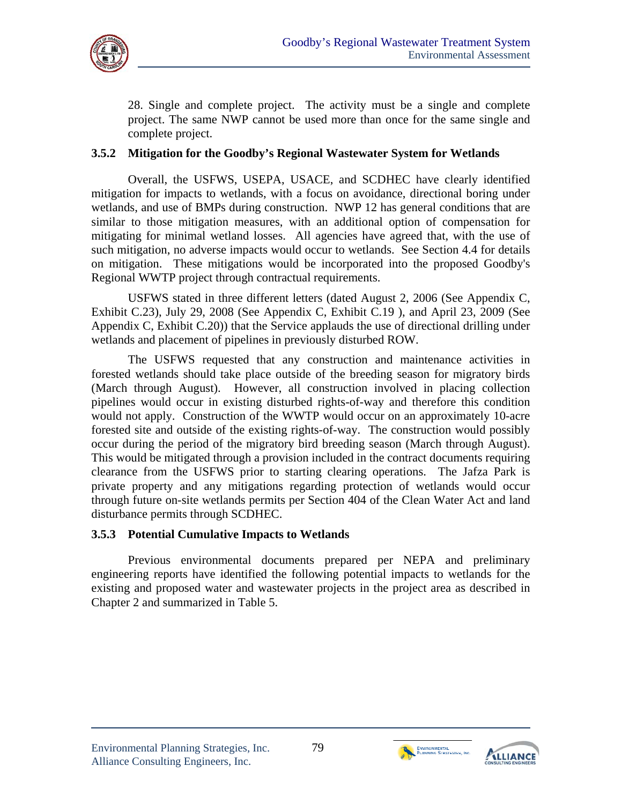

28. Single and complete project. The activity must be a single and complete project. The same NWP cannot be used more than once for the same single and complete project.

### **3.5.2 Mitigation for the Goodby's Regional Wastewater System for Wetlands**

Overall, the USFWS, USEPA, USACE, and SCDHEC have clearly identified mitigation for impacts to wetlands, with a focus on avoidance, directional boring under wetlands, and use of BMPs during construction. NWP 12 has general conditions that are similar to those mitigation measures, with an additional option of compensation for mitigating for minimal wetland losses. All agencies have agreed that, with the use of such mitigation, no adverse impacts would occur to wetlands. See Section 4.4 for details on mitigation. These mitigations would be incorporated into the proposed Goodby's Regional WWTP project through contractual requirements.

USFWS stated in three different letters (dated August 2, 2006 (See Appendix C, Exhibit C.23), July 29, 2008 (See Appendix C, Exhibit C.19 ), and April 23, 2009 (See Appendix C, Exhibit C.20)) that the Service applauds the use of directional drilling under wetlands and placement of pipelines in previously disturbed ROW.

The USFWS requested that any construction and maintenance activities in forested wetlands should take place outside of the breeding season for migratory birds (March through August). However, all construction involved in placing collection pipelines would occur in existing disturbed rights-of-way and therefore this condition would not apply. Construction of the WWTP would occur on an approximately 10-acre forested site and outside of the existing rights-of-way. The construction would possibly occur during the period of the migratory bird breeding season (March through August). This would be mitigated through a provision included in the contract documents requiring clearance from the USFWS prior to starting clearing operations. The Jafza Park is private property and any mitigations regarding protection of wetlands would occur through future on-site wetlands permits per Section 404 of the Clean Water Act and land disturbance permits through SCDHEC.

#### **3.5.3 Potential Cumulative Impacts to Wetlands**

Previous environmental documents prepared per NEPA and preliminary engineering reports have identified the following potential impacts to wetlands for the existing and proposed water and wastewater projects in the project area as described in Chapter 2 and summarized in Table 5.



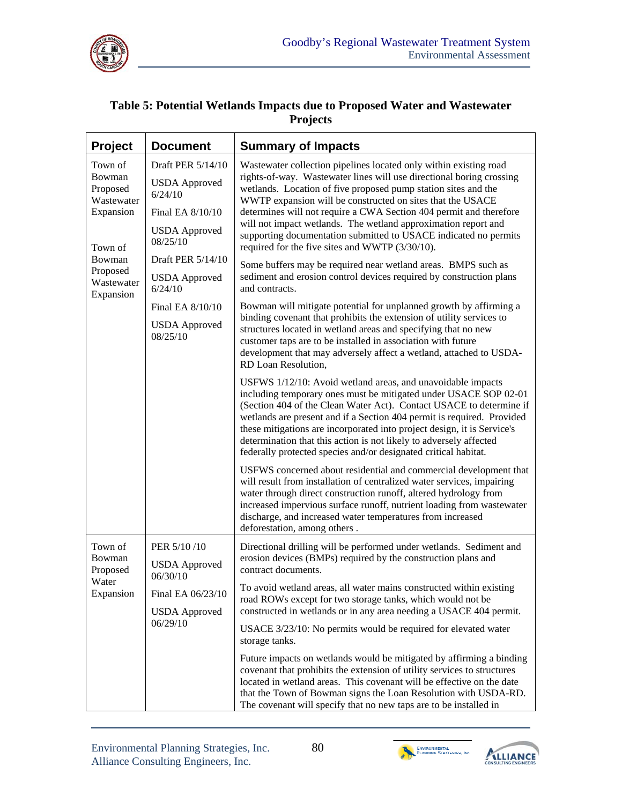

### **Table 5: Potential Wetlands Impacts due to Proposed Water and Wastewater Projects**

| Project                                                                                                              | <b>Document</b>                                                                                                                   | <b>Summary of Impacts</b>                                                                                                                                                                                                                                                                                                                                                                                                                                                                                                                                                                                                                                                        |  |  |  |  |
|----------------------------------------------------------------------------------------------------------------------|-----------------------------------------------------------------------------------------------------------------------------------|----------------------------------------------------------------------------------------------------------------------------------------------------------------------------------------------------------------------------------------------------------------------------------------------------------------------------------------------------------------------------------------------------------------------------------------------------------------------------------------------------------------------------------------------------------------------------------------------------------------------------------------------------------------------------------|--|--|--|--|
| Town of<br>Bowman<br>Proposed<br>Wastewater<br>Expansion<br>Town of<br>Bowman<br>Proposed<br>Wastewater<br>Expansion | Draft PER 5/14/10<br><b>USDA</b> Approved<br>6/24/10<br>Final EA 8/10/10<br><b>USDA</b> Approved<br>08/25/10<br>Draft PER 5/14/10 | Wastewater collection pipelines located only within existing road<br>rights-of-way. Wastewater lines will use directional boring crossing<br>wetlands. Location of five proposed pump station sites and the<br>WWTP expansion will be constructed on sites that the USACE<br>determines will not require a CWA Section 404 permit and therefore<br>will not impact wetlands. The wetland approximation report and<br>supporting documentation submitted to USACE indicated no permits<br>required for the five sites and WWTP (3/30/10).<br>Some buffers may be required near wetland areas. BMPS such as<br>sediment and erosion control devices required by construction plans |  |  |  |  |
|                                                                                                                      | <b>USDA</b> Approved<br>6/24/10<br>Final EA 8/10/10<br><b>USDA</b> Approved<br>08/25/10                                           | and contracts.<br>Bowman will mitigate potential for unplanned growth by affirming a<br>binding covenant that prohibits the extension of utility services to<br>structures located in wetland areas and specifying that no new<br>customer taps are to be installed in association with future<br>development that may adversely affect a wetland, attached to USDA-<br>RD Loan Resolution,                                                                                                                                                                                                                                                                                      |  |  |  |  |
|                                                                                                                      |                                                                                                                                   | USFWS 1/12/10: Avoid wetland areas, and unavoidable impacts<br>including temporary ones must be mitigated under USACE SOP 02-01<br>(Section 404 of the Clean Water Act). Contact USACE to determine if<br>wetlands are present and if a Section 404 permit is required. Provided<br>these mitigations are incorporated into project design, it is Service's<br>determination that this action is not likely to adversely affected<br>federally protected species and/or designated critical habitat.                                                                                                                                                                             |  |  |  |  |
|                                                                                                                      |                                                                                                                                   | USFWS concerned about residential and commercial development that<br>will result from installation of centralized water services, impairing<br>water through direct construction runoff, altered hydrology from<br>increased impervious surface runoff, nutrient loading from wastewater<br>discharge, and increased water temperatures from increased<br>deforestation, among others.                                                                                                                                                                                                                                                                                           |  |  |  |  |
| Town of<br>Bowman<br>Proposed                                                                                        | PER 5/10/10<br><b>USDA</b> Approved<br>06/30/10                                                                                   | Directional drilling will be performed under wetlands. Sediment and<br>erosion devices (BMPs) required by the construction plans and<br>contract documents.                                                                                                                                                                                                                                                                                                                                                                                                                                                                                                                      |  |  |  |  |
| Water<br>Expansion                                                                                                   | Final EA 06/23/10<br><b>USDA</b> Approved<br>06/29/10                                                                             | To avoid wetland areas, all water mains constructed within existing<br>road ROWs except for two storage tanks, which would not be<br>constructed in wetlands or in any area needing a USACE 404 permit.                                                                                                                                                                                                                                                                                                                                                                                                                                                                          |  |  |  |  |
|                                                                                                                      |                                                                                                                                   | USACE 3/23/10: No permits would be required for elevated water<br>storage tanks.<br>Future impacts on wetlands would be mitigated by affirming a binding<br>covenant that prohibits the extension of utility services to structures<br>located in wetland areas. This covenant will be effective on the date<br>that the Town of Bowman signs the Loan Resolution with USDA-RD.<br>The covenant will specify that no new taps are to be installed in                                                                                                                                                                                                                             |  |  |  |  |



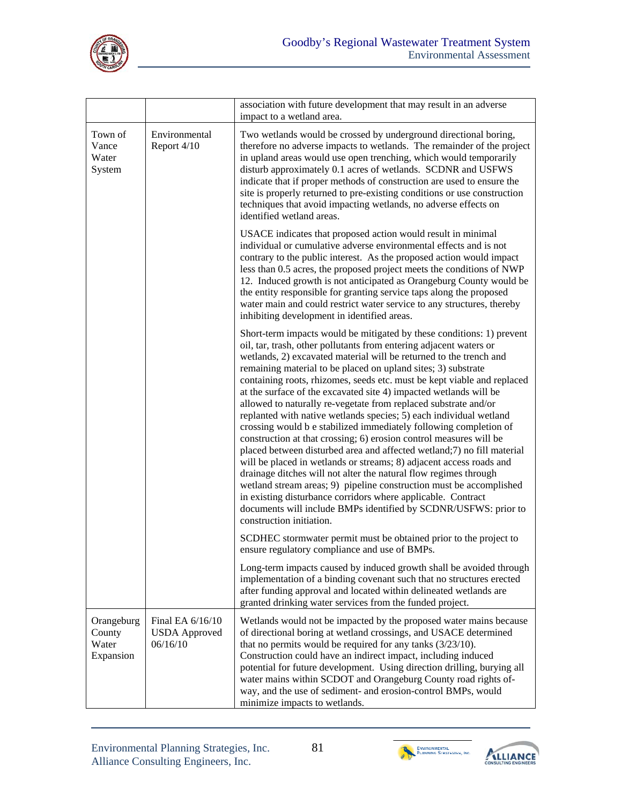

|                                            |                                                      | association with future development that may result in an adverse<br>impact to a wetland area.                                                                                                                                                                                                                                                                                                                                                                                                                                                                                                                                                                                                                                                                                                                                                                                                                                                                                                                                                                                                                                                                                   |
|--------------------------------------------|------------------------------------------------------|----------------------------------------------------------------------------------------------------------------------------------------------------------------------------------------------------------------------------------------------------------------------------------------------------------------------------------------------------------------------------------------------------------------------------------------------------------------------------------------------------------------------------------------------------------------------------------------------------------------------------------------------------------------------------------------------------------------------------------------------------------------------------------------------------------------------------------------------------------------------------------------------------------------------------------------------------------------------------------------------------------------------------------------------------------------------------------------------------------------------------------------------------------------------------------|
| Town of<br>Vance<br>Water<br>System        | Environmental<br>Report 4/10                         | Two wetlands would be crossed by underground directional boring,<br>therefore no adverse impacts to wetlands. The remainder of the project<br>in upland areas would use open trenching, which would temporarily<br>disturb approximately 0.1 acres of wetlands. SCDNR and USFWS<br>indicate that if proper methods of construction are used to ensure the<br>site is properly returned to pre-existing conditions or use construction<br>techniques that avoid impacting wetlands, no adverse effects on<br>identified wetland areas.                                                                                                                                                                                                                                                                                                                                                                                                                                                                                                                                                                                                                                            |
|                                            |                                                      | USACE indicates that proposed action would result in minimal<br>individual or cumulative adverse environmental effects and is not<br>contrary to the public interest. As the proposed action would impact<br>less than 0.5 acres, the proposed project meets the conditions of NWP<br>12. Induced growth is not anticipated as Orangeburg County would be<br>the entity responsible for granting service taps along the proposed<br>water main and could restrict water service to any structures, thereby<br>inhibiting development in identified areas.                                                                                                                                                                                                                                                                                                                                                                                                                                                                                                                                                                                                                        |
|                                            |                                                      | Short-term impacts would be mitigated by these conditions: 1) prevent<br>oil, tar, trash, other pollutants from entering adjacent waters or<br>wetlands, 2) excavated material will be returned to the trench and<br>remaining material to be placed on upland sites; 3) substrate<br>containing roots, rhizomes, seeds etc. must be kept viable and replaced<br>at the surface of the excavated site 4) impacted wetlands will be<br>allowed to naturally re-vegetate from replaced substrate and/or<br>replanted with native wetlands species; 5) each individual wetland<br>crossing would be stabilized immediately following completion of<br>construction at that crossing; 6) erosion control measures will be<br>placed between disturbed area and affected wetland;7) no fill material<br>will be placed in wetlands or streams; 8) adjacent access roads and<br>drainage ditches will not alter the natural flow regimes through<br>wetland stream areas; 9) pipeline construction must be accomplished<br>in existing disturbance corridors where applicable. Contract<br>documents will include BMPs identified by SCDNR/USFWS: prior to<br>construction initiation. |
|                                            |                                                      | SCDHEC stormwater permit must be obtained prior to the project to<br>ensure regulatory compliance and use of BMPs.                                                                                                                                                                                                                                                                                                                                                                                                                                                                                                                                                                                                                                                                                                                                                                                                                                                                                                                                                                                                                                                               |
|                                            |                                                      | Long-term impacts caused by induced growth shall be avoided through<br>implementation of a binding covenant such that no structures erected<br>after funding approval and located within delineated wetlands are<br>granted drinking water services from the funded project.                                                                                                                                                                                                                                                                                                                                                                                                                                                                                                                                                                                                                                                                                                                                                                                                                                                                                                     |
| Orangeburg<br>County<br>Water<br>Expansion | Final EA 6/16/10<br><b>USDA</b> Approved<br>06/16/10 | Wetlands would not be impacted by the proposed water mains because<br>of directional boring at wetland crossings, and USACE determined<br>that no permits would be required for any tanks $(3/23/10)$ .<br>Construction could have an indirect impact, including induced<br>potential for future development. Using direction drilling, burying all<br>water mains within SCDOT and Orangeburg County road rights of-<br>way, and the use of sediment- and erosion-control BMPs, would<br>minimize impacts to wetlands.                                                                                                                                                                                                                                                                                                                                                                                                                                                                                                                                                                                                                                                          |



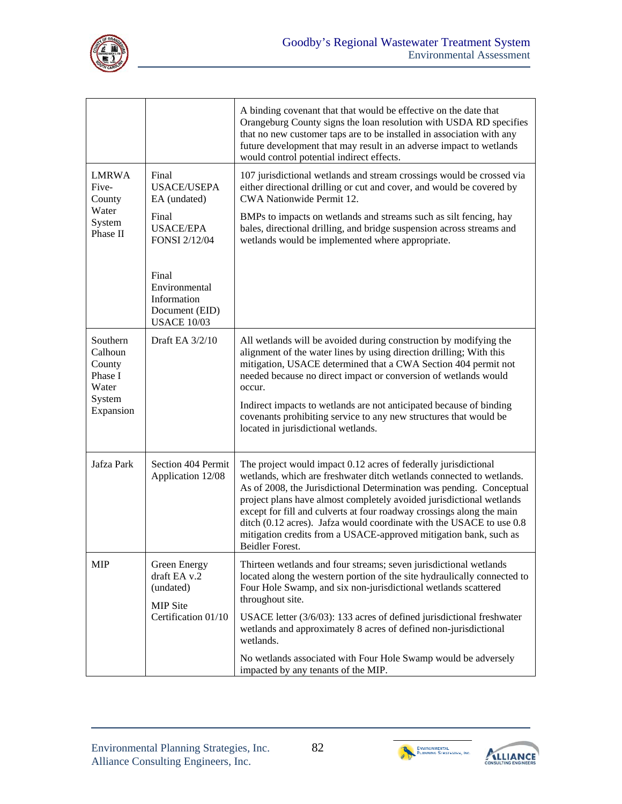

|                                                   |                                                                                     | A binding covenant that that would be effective on the date that<br>Orangeburg County signs the loan resolution with USDA RD specifies<br>that no new customer taps are to be installed in association with any<br>future development that may result in an adverse impact to wetlands<br>would control potential indirect effects.                                                                                                                                                                                              |
|---------------------------------------------------|-------------------------------------------------------------------------------------|----------------------------------------------------------------------------------------------------------------------------------------------------------------------------------------------------------------------------------------------------------------------------------------------------------------------------------------------------------------------------------------------------------------------------------------------------------------------------------------------------------------------------------|
| <b>LMRWA</b><br>Five-<br>County<br>Water          | Final<br><b>USACE/USEPA</b><br>EA (undated)                                         | 107 jurisdictional wetlands and stream crossings would be crossed via<br>either directional drilling or cut and cover, and would be covered by<br>CWA Nationwide Permit 12.                                                                                                                                                                                                                                                                                                                                                      |
| System<br>Phase II                                | Final<br><b>USACE/EPA</b><br><b>FONSI 2/12/04</b>                                   | BMPs to impacts on wetlands and streams such as silt fencing, hay<br>bales, directional drilling, and bridge suspension across streams and<br>wetlands would be implemented where appropriate.                                                                                                                                                                                                                                                                                                                                   |
|                                                   | Final<br>Environmental<br>Information<br>Document (EID)<br><b>USACE 10/03</b>       |                                                                                                                                                                                                                                                                                                                                                                                                                                                                                                                                  |
| Southern<br>Calhoun<br>County<br>Phase I<br>Water | Draft EA 3/2/10                                                                     | All wetlands will be avoided during construction by modifying the<br>alignment of the water lines by using direction drilling; With this<br>mitigation, USACE determined that a CWA Section 404 permit not<br>needed because no direct impact or conversion of wetlands would<br>occur.                                                                                                                                                                                                                                          |
| System<br>Expansion                               |                                                                                     | Indirect impacts to wetlands are not anticipated because of binding<br>covenants prohibiting service to any new structures that would be<br>located in jurisdictional wetlands.                                                                                                                                                                                                                                                                                                                                                  |
| Jafza Park                                        | Section 404 Permit<br>Application 12/08                                             | The project would impact 0.12 acres of federally jurisdictional<br>wetlands, which are freshwater ditch wetlands connected to wetlands.<br>As of 2008, the Jurisdictional Determination was pending. Conceptual<br>project plans have almost completely avoided jurisdictional wetlands<br>except for fill and culverts at four roadway crossings along the main<br>ditch (0.12 acres). Jafza would coordinate with the USACE to use 0.8<br>mitigation credits from a USACE-approved mitigation bank, such as<br>Beidler Forest. |
| <b>MIP</b>                                        | Green Energy<br>draft EA v.2<br>(undated)<br><b>MIP</b> Site<br>Certification 01/10 | Thirteen wetlands and four streams; seven jurisdictional wetlands<br>located along the western portion of the site hydraulically connected to<br>Four Hole Swamp, and six non-jurisdictional wetlands scattered<br>throughout site.                                                                                                                                                                                                                                                                                              |
|                                                   |                                                                                     | USACE letter (3/6/03): 133 acres of defined jurisdictional freshwater<br>wetlands and approximately 8 acres of defined non-jurisdictional<br>wetlands.                                                                                                                                                                                                                                                                                                                                                                           |
|                                                   |                                                                                     | No wetlands associated with Four Hole Swamp would be adversely<br>impacted by any tenants of the MIP.                                                                                                                                                                                                                                                                                                                                                                                                                            |



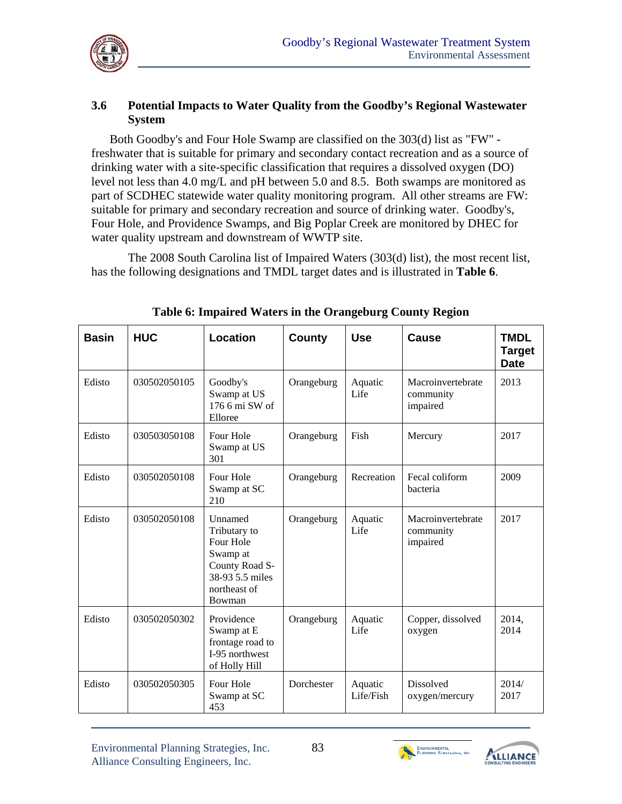

### **3.6 Potential Impacts to Water Quality from the Goodby's Regional Wastewater System**

Both Goodby's and Four Hole Swamp are classified on the 303(d) list as "FW" freshwater that is suitable for primary and secondary contact recreation and as a source of drinking water with a site-specific classification that requires a dissolved oxygen (DO) level not less than 4.0 mg/L and pH between 5.0 and 8.5. Both swamps are monitored as part of SCDHEC statewide water quality monitoring program. All other streams are FW: suitable for primary and secondary recreation and source of drinking water. Goodby's, Four Hole, and Providence Swamps, and Big Poplar Creek are monitored by DHEC for water quality upstream and downstream of WWTP site.

The 2008 South Carolina list of Impaired Waters (303(d) list), the most recent list, has the following designations and TMDL target dates and is illustrated in **Table 6**.

| <b>Basin</b> | <b>HUC</b>   | Location                                                                                                        | <b>County</b> | <b>Use</b>           | <b>Cause</b>                               | <b>TMDL</b><br><b>Target</b><br><b>Date</b> |
|--------------|--------------|-----------------------------------------------------------------------------------------------------------------|---------------|----------------------|--------------------------------------------|---------------------------------------------|
| Edisto       | 030502050105 | Goodby's<br>Swamp at US<br>176 6 mi SW of<br>Elloree                                                            | Orangeburg    | Aquatic<br>Life      | Macroinvertebrate<br>community<br>impaired | 2013                                        |
| Edisto       | 030503050108 | Four Hole<br>Swamp at US<br>301                                                                                 | Orangeburg    | Fish                 | Mercury                                    | 2017                                        |
| Edisto       | 030502050108 | Four Hole<br>Swamp at SC<br>210                                                                                 | Orangeburg    | Recreation           | Fecal coliform<br>bacteria                 | 2009                                        |
| Edisto       | 030502050108 | Unnamed<br>Tributary to<br>Four Hole<br>Swamp at<br>County Road S-<br>38-93 5.5 miles<br>northeast of<br>Bowman | Orangeburg    | Aquatic<br>Life      | Macroinvertebrate<br>community<br>impaired | 2017                                        |
| Edisto       | 030502050302 | Providence<br>Swamp at E<br>frontage road to<br>I-95 northwest<br>of Holly Hill                                 | Orangeburg    | Aquatic<br>Life      | Copper, dissolved<br>oxygen                | 2014,<br>2014                               |
| Edisto       | 030502050305 | Four Hole<br>Swamp at SC<br>453                                                                                 | Dorchester    | Aquatic<br>Life/Fish | Dissolved<br>oxygen/mercury                | 2014/<br>2017                               |

**Table 6: Impaired Waters in the Orangeburg County Region** 



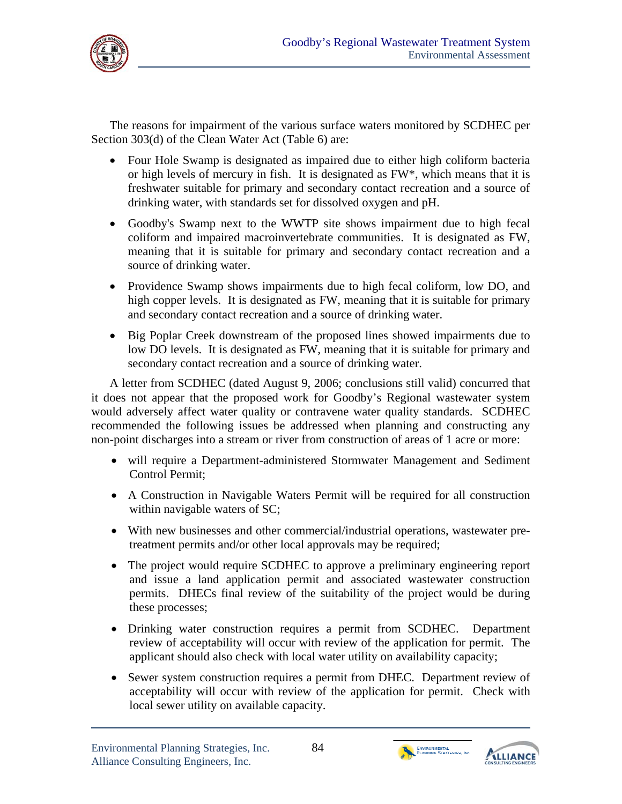

The reasons for impairment of the various surface waters monitored by SCDHEC per Section 303(d) of the Clean Water Act (Table 6) are:

- Four Hole Swamp is designated as impaired due to either high coliform bacteria or high levels of mercury in fish. It is designated as FW\*, which means that it is freshwater suitable for primary and secondary contact recreation and a source of drinking water, with standards set for dissolved oxygen and pH.
- Goodby's Swamp next to the WWTP site shows impairment due to high fecal coliform and impaired macroinvertebrate communities. It is designated as FW, meaning that it is suitable for primary and secondary contact recreation and a source of drinking water.
- Providence Swamp shows impairments due to high fecal coliform, low DO, and high copper levels. It is designated as FW, meaning that it is suitable for primary and secondary contact recreation and a source of drinking water.
- Big Poplar Creek downstream of the proposed lines showed impairments due to low DO levels. It is designated as FW, meaning that it is suitable for primary and secondary contact recreation and a source of drinking water.

A letter from SCDHEC (dated August 9, 2006; conclusions still valid) concurred that it does not appear that the proposed work for Goodby's Regional wastewater system would adversely affect water quality or contravene water quality standards. SCDHEC recommended the following issues be addressed when planning and constructing any non-point discharges into a stream or river from construction of areas of 1 acre or more:

- will require a Department-administered Stormwater Management and Sediment Control Permit;
- A Construction in Navigable Waters Permit will be required for all construction within navigable waters of SC;
- With new businesses and other commercial/industrial operations, wastewater pretreatment permits and/or other local approvals may be required;
- The project would require SCDHEC to approve a preliminary engineering report and issue a land application permit and associated wastewater construction permits. DHECs final review of the suitability of the project would be during these processes;
- Drinking water construction requires a permit from SCDHEC. Department review of acceptability will occur with review of the application for permit. The applicant should also check with local water utility on availability capacity;
- Sewer system construction requires a permit from DHEC. Department review of acceptability will occur with review of the application for permit. Check with local sewer utility on available capacity.



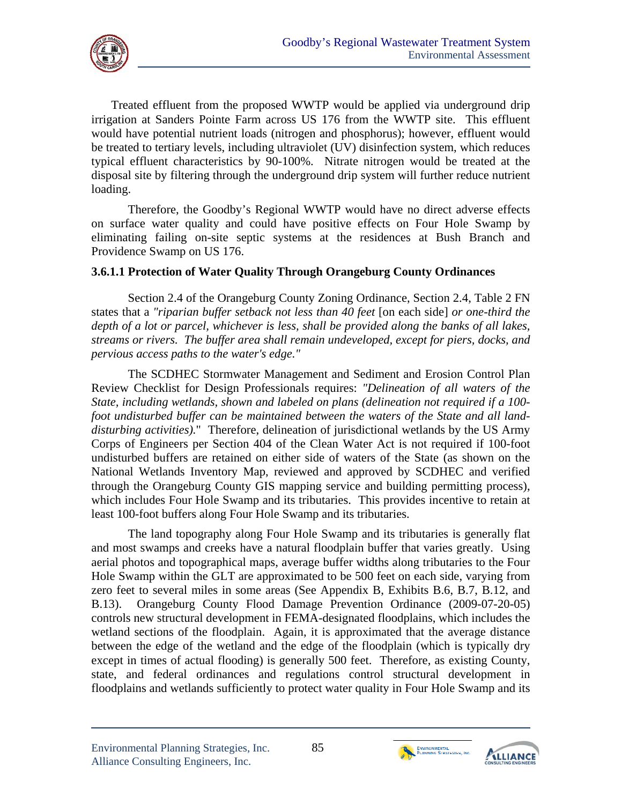

Treated effluent from the proposed WWTP would be applied via underground drip irrigation at Sanders Pointe Farm across US 176 from the WWTP site. This effluent would have potential nutrient loads (nitrogen and phosphorus); however, effluent would be treated to tertiary levels, including ultraviolet (UV) disinfection system, which reduces typical effluent characteristics by 90-100%. Nitrate nitrogen would be treated at the disposal site by filtering through the underground drip system will further reduce nutrient loading.

Therefore, the Goodby's Regional WWTP would have no direct adverse effects on surface water quality and could have positive effects on Four Hole Swamp by eliminating failing on-site septic systems at the residences at Bush Branch and Providence Swamp on US 176.

### **3.6.1.1 Protection of Water Quality Through Orangeburg County Ordinances**

Section 2.4 of the Orangeburg County Zoning Ordinance, Section 2.4, Table 2 FN states that a *"riparian buffer setback not less than 40 feet* [on each side] *or one-third the depth of a lot or parcel, whichever is less, shall be provided along the banks of all lakes, streams or rivers. The buffer area shall remain undeveloped, except for piers, docks, and pervious access paths to the water's edge."* 

The SCDHEC Stormwater Management and Sediment and Erosion Control Plan Review Checklist for Design Professionals requires: *"Delineation of all waters of the State, including wetlands, shown and labeled on plans (delineation not required if a 100 foot undisturbed buffer can be maintained between the waters of the State and all landdisturbing activities).*" Therefore, delineation of jurisdictional wetlands by the US Army Corps of Engineers per Section 404 of the Clean Water Act is not required if 100-foot undisturbed buffers are retained on either side of waters of the State (as shown on the National Wetlands Inventory Map, reviewed and approved by SCDHEC and verified through the Orangeburg County GIS mapping service and building permitting process), which includes Four Hole Swamp and its tributaries. This provides incentive to retain at least 100-foot buffers along Four Hole Swamp and its tributaries.

The land topography along Four Hole Swamp and its tributaries is generally flat and most swamps and creeks have a natural floodplain buffer that varies greatly. Using aerial photos and topographical maps, average buffer widths along tributaries to the Four Hole Swamp within the GLT are approximated to be 500 feet on each side, varying from zero feet to several miles in some areas (See Appendix B, Exhibits B.6, B.7, B.12, and B.13). Orangeburg County Flood Damage Prevention Ordinance (2009-07-20-05) controls new structural development in FEMA-designated floodplains, which includes the wetland sections of the floodplain. Again, it is approximated that the average distance between the edge of the wetland and the edge of the floodplain (which is typically dry except in times of actual flooding) is generally 500 feet. Therefore, as existing County, state, and federal ordinances and regulations control structural development in floodplains and wetlands sufficiently to protect water quality in Four Hole Swamp and its



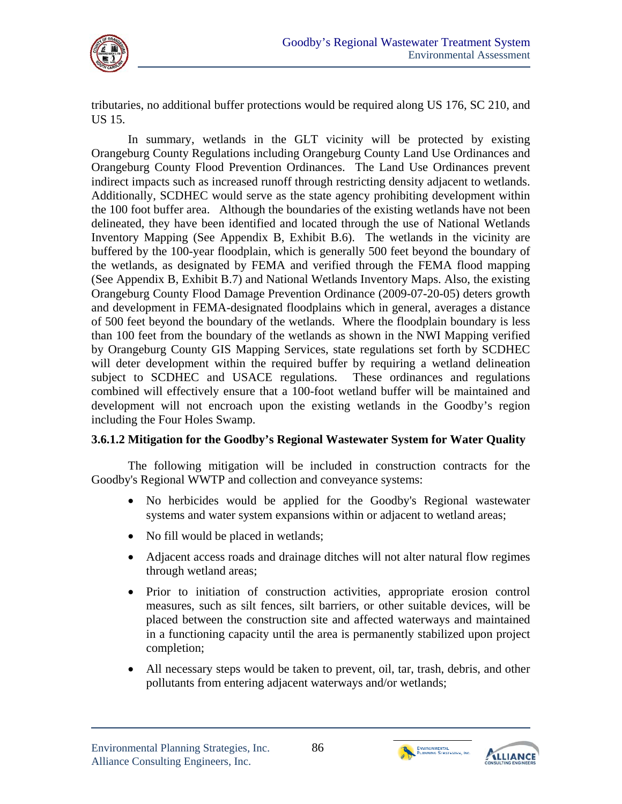tributaries, no additional buffer protections would be required along US 176, SC 210, and US 15.

In summary, wetlands in the GLT vicinity will be protected by existing Orangeburg County Regulations including Orangeburg County Land Use Ordinances and Orangeburg County Flood Prevention Ordinances. The Land Use Ordinances prevent indirect impacts such as increased runoff through restricting density adjacent to wetlands. Additionally, SCDHEC would serve as the state agency prohibiting development within the 100 foot buffer area. Although the boundaries of the existing wetlands have not been delineated, they have been identified and located through the use of National Wetlands Inventory Mapping (See Appendix B, Exhibit B.6). The wetlands in the vicinity are buffered by the 100-year floodplain, which is generally 500 feet beyond the boundary of the wetlands, as designated by FEMA and verified through the FEMA flood mapping (See Appendix B, Exhibit B.7) and National Wetlands Inventory Maps. Also, the existing Orangeburg County Flood Damage Prevention Ordinance (2009-07-20-05) deters growth and development in FEMA-designated floodplains which in general, averages a distance of 500 feet beyond the boundary of the wetlands. Where the floodplain boundary is less than 100 feet from the boundary of the wetlands as shown in the NWI Mapping verified by Orangeburg County GIS Mapping Services, state regulations set forth by SCDHEC will deter development within the required buffer by requiring a wetland delineation subject to SCDHEC and USACE regulations. These ordinances and regulations combined will effectively ensure that a 100-foot wetland buffer will be maintained and development will not encroach upon the existing wetlands in the Goodby's region including the Four Holes Swamp.

# **3.6.1.2 Mitigation for the Goodby's Regional Wastewater System for Water Quality**

The following mitigation will be included in construction contracts for the Goodby's Regional WWTP and collection and conveyance systems:

- No herbicides would be applied for the Goodby's Regional wastewater systems and water system expansions within or adjacent to wetland areas;
- No fill would be placed in wetlands;
- Adjacent access roads and drainage ditches will not alter natural flow regimes through wetland areas;
- Prior to initiation of construction activities, appropriate erosion control measures, such as silt fences, silt barriers, or other suitable devices, will be placed between the construction site and affected waterways and maintained in a functioning capacity until the area is permanently stabilized upon project completion;
- All necessary steps would be taken to prevent, oil, tar, trash, debris, and other pollutants from entering adjacent waterways and/or wetlands;



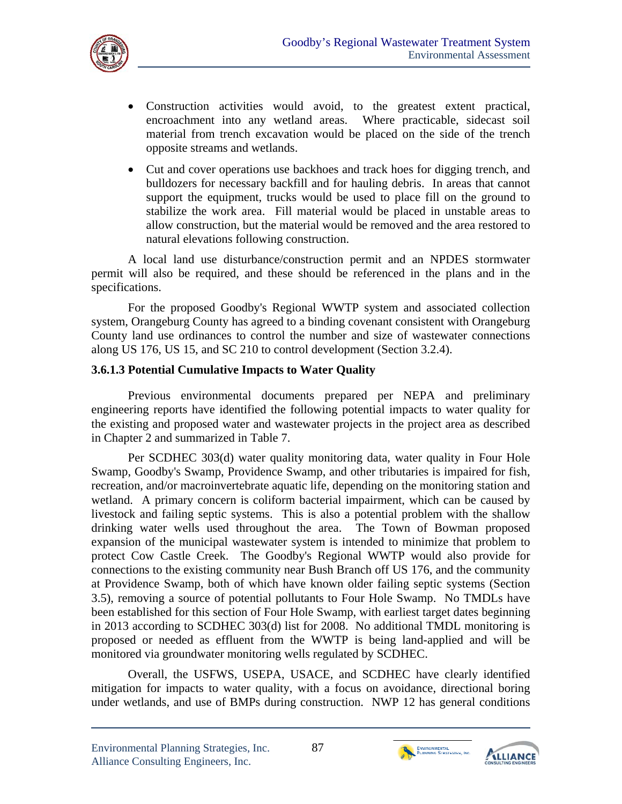

- Construction activities would avoid, to the greatest extent practical, encroachment into any wetland areas. Where practicable, sidecast soil material from trench excavation would be placed on the side of the trench opposite streams and wetlands.
- Cut and cover operations use backhoes and track hoes for digging trench, and bulldozers for necessary backfill and for hauling debris. In areas that cannot support the equipment, trucks would be used to place fill on the ground to stabilize the work area. Fill material would be placed in unstable areas to allow construction, but the material would be removed and the area restored to natural elevations following construction.

A local land use disturbance/construction permit and an NPDES stormwater permit will also be required, and these should be referenced in the plans and in the specifications.

For the proposed Goodby's Regional WWTP system and associated collection system, Orangeburg County has agreed to a binding covenant consistent with Orangeburg County land use ordinances to control the number and size of wastewater connections along US 176, US 15, and SC 210 to control development (Section 3.2.4).

#### **3.6.1.3 Potential Cumulative Impacts to Water Quality**

Previous environmental documents prepared per NEPA and preliminary engineering reports have identified the following potential impacts to water quality for the existing and proposed water and wastewater projects in the project area as described in Chapter 2 and summarized in Table 7.

Per SCDHEC 303(d) water quality monitoring data, water quality in Four Hole Swamp, Goodby's Swamp, Providence Swamp, and other tributaries is impaired for fish, recreation, and/or macroinvertebrate aquatic life, depending on the monitoring station and wetland. A primary concern is coliform bacterial impairment, which can be caused by livestock and failing septic systems. This is also a potential problem with the shallow drinking water wells used throughout the area. The Town of Bowman proposed expansion of the municipal wastewater system is intended to minimize that problem to protect Cow Castle Creek. The Goodby's Regional WWTP would also provide for connections to the existing community near Bush Branch off US 176, and the community at Providence Swamp, both of which have known older failing septic systems (Section 3.5), removing a source of potential pollutants to Four Hole Swamp. No TMDLs have been established for this section of Four Hole Swamp, with earliest target dates beginning in 2013 according to SCDHEC 303(d) list for 2008. No additional TMDL monitoring is proposed or needed as effluent from the WWTP is being land-applied and will be monitored via groundwater monitoring wells regulated by SCDHEC.

Overall, the USFWS, USEPA, USACE, and SCDHEC have clearly identified mitigation for impacts to water quality, with a focus on avoidance, directional boring under wetlands, and use of BMPs during construction. NWP 12 has general conditions



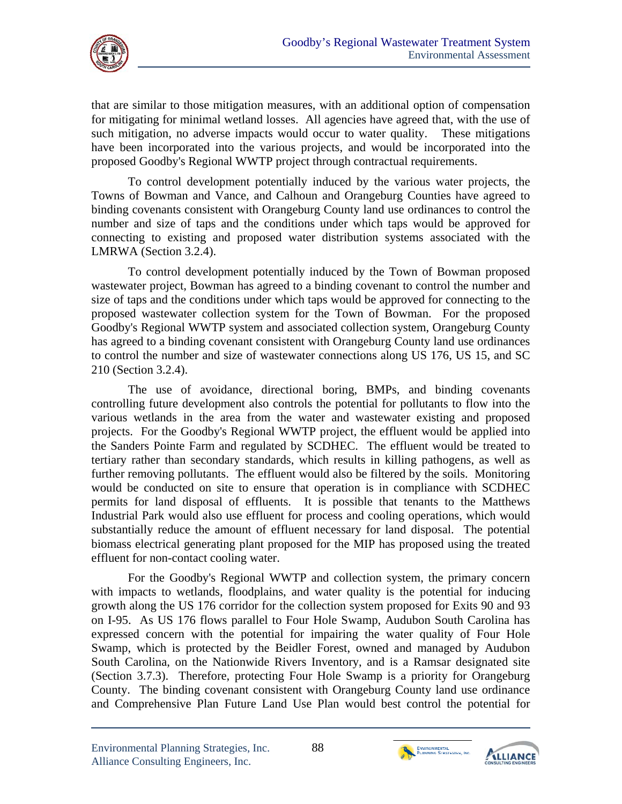

that are similar to those mitigation measures, with an additional option of compensation for mitigating for minimal wetland losses. All agencies have agreed that, with the use of such mitigation, no adverse impacts would occur to water quality. These mitigations have been incorporated into the various projects, and would be incorporated into the proposed Goodby's Regional WWTP project through contractual requirements.

To control development potentially induced by the various water projects, the Towns of Bowman and Vance, and Calhoun and Orangeburg Counties have agreed to binding covenants consistent with Orangeburg County land use ordinances to control the number and size of taps and the conditions under which taps would be approved for connecting to existing and proposed water distribution systems associated with the LMRWA (Section 3.2.4).

To control development potentially induced by the Town of Bowman proposed wastewater project, Bowman has agreed to a binding covenant to control the number and size of taps and the conditions under which taps would be approved for connecting to the proposed wastewater collection system for the Town of Bowman. For the proposed Goodby's Regional WWTP system and associated collection system, Orangeburg County has agreed to a binding covenant consistent with Orangeburg County land use ordinances to control the number and size of wastewater connections along US 176, US 15, and SC 210 (Section 3.2.4).

The use of avoidance, directional boring, BMPs, and binding covenants controlling future development also controls the potential for pollutants to flow into the various wetlands in the area from the water and wastewater existing and proposed projects. For the Goodby's Regional WWTP project, the effluent would be applied into the Sanders Pointe Farm and regulated by SCDHEC. The effluent would be treated to tertiary rather than secondary standards, which results in killing pathogens, as well as further removing pollutants. The effluent would also be filtered by the soils. Monitoring would be conducted on site to ensure that operation is in compliance with SCDHEC permits for land disposal of effluents. It is possible that tenants to the Matthews Industrial Park would also use effluent for process and cooling operations, which would substantially reduce the amount of effluent necessary for land disposal. The potential biomass electrical generating plant proposed for the MIP has proposed using the treated effluent for non-contact cooling water.

For the Goodby's Regional WWTP and collection system, the primary concern with impacts to wetlands, floodplains, and water quality is the potential for inducing growth along the US 176 corridor for the collection system proposed for Exits 90 and 93 on I-95. As US 176 flows parallel to Four Hole Swamp, Audubon South Carolina has expressed concern with the potential for impairing the water quality of Four Hole Swamp, which is protected by the Beidler Forest, owned and managed by Audubon South Carolina, on the Nationwide Rivers Inventory, and is a Ramsar designated site (Section 3.7.3). Therefore, protecting Four Hole Swamp is a priority for Orangeburg County. The binding covenant consistent with Orangeburg County land use ordinance and Comprehensive Plan Future Land Use Plan would best control the potential for



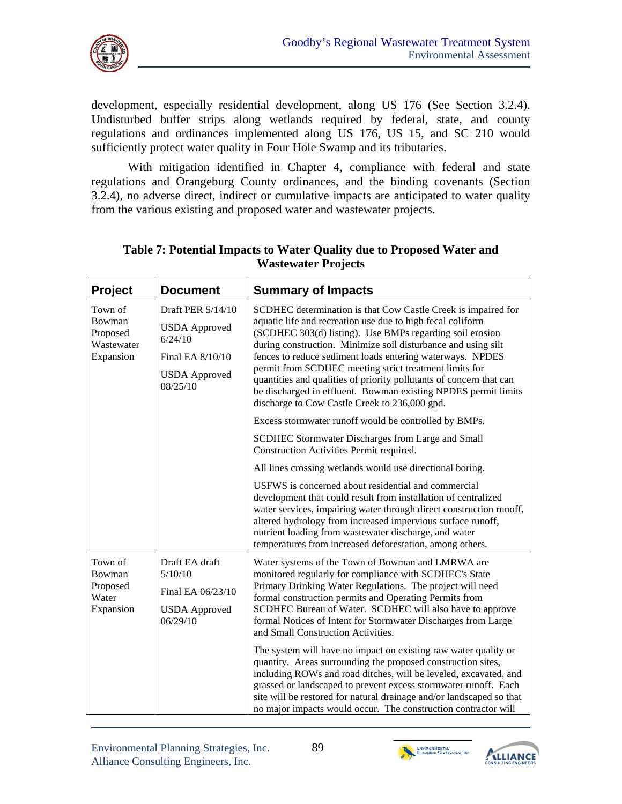

development, especially residential development, along US 176 (See Section 3.2.4). Undisturbed buffer strips along wetlands required by federal, state, and county regulations and ordinances implemented along US 176, US 15, and SC 210 would sufficiently protect water quality in Four Hole Swamp and its tributaries.

With mitigation identified in Chapter 4, compliance with federal and state regulations and Orangeburg County ordinances, and the binding covenants (Section 3.2.4), no adverse direct, indirect or cumulative impacts are anticipated to water quality from the various existing and proposed water and wastewater projects.

| Project                                                  | <b>Document</b>                                                                                              | <b>Summary of Impacts</b>                                                                                                                                                                                                                                                                                                                                                                                                                                                                                                                                                                                                                                                                                                                                                                                                 |
|----------------------------------------------------------|--------------------------------------------------------------------------------------------------------------|---------------------------------------------------------------------------------------------------------------------------------------------------------------------------------------------------------------------------------------------------------------------------------------------------------------------------------------------------------------------------------------------------------------------------------------------------------------------------------------------------------------------------------------------------------------------------------------------------------------------------------------------------------------------------------------------------------------------------------------------------------------------------------------------------------------------------|
| Town of<br>Bowman<br>Proposed<br>Wastewater<br>Expansion | Draft PER 5/14/10<br><b>USDA</b> Approved<br>6/24/10<br>Final EA 8/10/10<br><b>USDA</b> Approved<br>08/25/10 | SCDHEC determination is that Cow Castle Creek is impaired for<br>aquatic life and recreation use due to high fecal coliform<br>(SCDHEC 303(d) listing). Use BMPs regarding soil erosion<br>during construction. Minimize soil disturbance and using silt<br>fences to reduce sediment loads entering waterways. NPDES<br>permit from SCDHEC meeting strict treatment limits for<br>quantities and qualities of priority pollutants of concern that can<br>be discharged in effluent. Bowman existing NPDES permit limits<br>discharge to Cow Castle Creek to 236,000 gpd.                                                                                                                                                                                                                                                 |
|                                                          |                                                                                                              | Excess stormwater runoff would be controlled by BMPs.                                                                                                                                                                                                                                                                                                                                                                                                                                                                                                                                                                                                                                                                                                                                                                     |
|                                                          |                                                                                                              | SCDHEC Stormwater Discharges from Large and Small<br>Construction Activities Permit required.                                                                                                                                                                                                                                                                                                                                                                                                                                                                                                                                                                                                                                                                                                                             |
|                                                          |                                                                                                              | All lines crossing wetlands would use directional boring.                                                                                                                                                                                                                                                                                                                                                                                                                                                                                                                                                                                                                                                                                                                                                                 |
|                                                          |                                                                                                              | USFWS is concerned about residential and commercial<br>development that could result from installation of centralized<br>water services, impairing water through direct construction runoff,<br>altered hydrology from increased impervious surface runoff,<br>nutrient loading from wastewater discharge, and water<br>temperatures from increased deforestation, among others.                                                                                                                                                                                                                                                                                                                                                                                                                                          |
| Town of<br>Bowman<br>Proposed<br>Water<br>Expansion      | Draft EA draft<br>5/10/10<br>Final EA 06/23/10<br><b>USDA</b> Approved<br>06/29/10                           | Water systems of the Town of Bowman and LMRWA are<br>monitored regularly for compliance with SCDHEC's State<br>Primary Drinking Water Regulations. The project will need<br>formal construction permits and Operating Permits from<br>SCDHEC Bureau of Water. SCDHEC will also have to approve<br>formal Notices of Intent for Stormwater Discharges from Large<br>and Small Construction Activities.<br>The system will have no impact on existing raw water quality or<br>quantity. Areas surrounding the proposed construction sites,<br>including ROWs and road ditches, will be leveled, excavated, and<br>grassed or landscaped to prevent excess stormwater runoff. Each<br>site will be restored for natural drainage and/or landscaped so that<br>no major impacts would occur. The construction contractor will |

# **Table 7: Potential Impacts to Water Quality due to Proposed Water and Wastewater Projects**



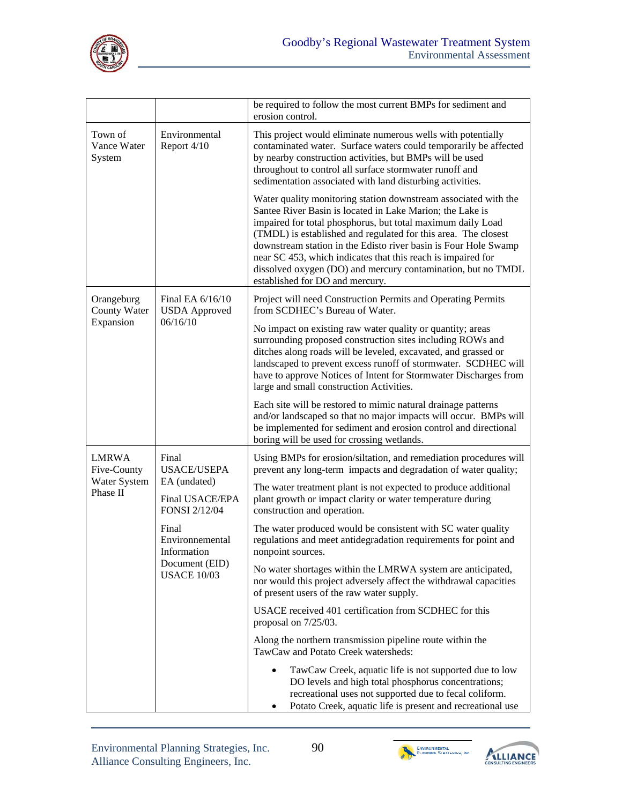

|                                                         |                                                                                 | be required to follow the most current BMPs for sediment and<br>erosion control.                                                                                                                                                                                                                                                                                                                                                                                                                    |
|---------------------------------------------------------|---------------------------------------------------------------------------------|-----------------------------------------------------------------------------------------------------------------------------------------------------------------------------------------------------------------------------------------------------------------------------------------------------------------------------------------------------------------------------------------------------------------------------------------------------------------------------------------------------|
| Town of<br>Vance Water<br>System                        | Environmental<br>Report 4/10                                                    | This project would eliminate numerous wells with potentially<br>contaminated water. Surface waters could temporarily be affected<br>by nearby construction activities, but BMPs will be used<br>throughout to control all surface stormwater runoff and<br>sedimentation associated with land disturbing activities.                                                                                                                                                                                |
|                                                         |                                                                                 | Water quality monitoring station downstream associated with the<br>Santee River Basin is located in Lake Marion; the Lake is<br>impaired for total phosphorus, but total maximum daily Load<br>(TMDL) is established and regulated for this area. The closest<br>downstream station in the Edisto river basin is Four Hole Swamp<br>near SC 453, which indicates that this reach is impaired for<br>dissolved oxygen (DO) and mercury contamination, but no TMDL<br>established for DO and mercury. |
| Orangeburg<br>County Water<br>Expansion                 | Final EA 6/16/10<br><b>USDA</b> Approved<br>06/16/10                            | Project will need Construction Permits and Operating Permits<br>from SCDHEC's Bureau of Water.                                                                                                                                                                                                                                                                                                                                                                                                      |
|                                                         |                                                                                 | No impact on existing raw water quality or quantity; areas<br>surrounding proposed construction sites including ROWs and<br>ditches along roads will be leveled, excavated, and grassed or<br>landscaped to prevent excess runoff of stormwater. SCDHEC will<br>have to approve Notices of Intent for Stormwater Discharges from<br>large and small construction Activities.                                                                                                                        |
|                                                         |                                                                                 | Each site will be restored to mimic natural drainage patterns<br>and/or landscaped so that no major impacts will occur. BMPs will<br>be implemented for sediment and erosion control and directional<br>boring will be used for crossing wetlands.                                                                                                                                                                                                                                                  |
| <b>LMRWA</b><br>Five-County<br>Water System<br>Phase II | Final<br><b>USACE/USEPA</b>                                                     | Using BMPs for erosion/siltation, and remediation procedures will<br>prevent any long-term impacts and degradation of water quality;                                                                                                                                                                                                                                                                                                                                                                |
|                                                         | EA (undated)<br>Final USACE/EPA<br>FONSI 2/12/04                                | The water treatment plant is not expected to produce additional<br>plant growth or impact clarity or water temperature during<br>construction and operation.                                                                                                                                                                                                                                                                                                                                        |
|                                                         | Final<br>Environnemental<br>Information<br>Document (EID)<br><b>USACE 10/03</b> | The water produced would be consistent with SC water quality<br>regulations and meet antidegradation requirements for point and<br>nonpoint sources.                                                                                                                                                                                                                                                                                                                                                |
|                                                         |                                                                                 | No water shortages within the LMRWA system are anticipated,<br>nor would this project adversely affect the withdrawal capacities<br>of present users of the raw water supply.                                                                                                                                                                                                                                                                                                                       |
|                                                         |                                                                                 | USACE received 401 certification from SCDHEC for this<br>proposal on $7/25/03$ .                                                                                                                                                                                                                                                                                                                                                                                                                    |
|                                                         |                                                                                 | Along the northern transmission pipeline route within the<br>TawCaw and Potato Creek watersheds:                                                                                                                                                                                                                                                                                                                                                                                                    |
|                                                         |                                                                                 | TawCaw Creek, aquatic life is not supported due to low<br>DO levels and high total phosphorus concentrations;<br>recreational uses not supported due to fecal coliform.<br>Potato Creek, aquatic life is present and recreational use                                                                                                                                                                                                                                                               |



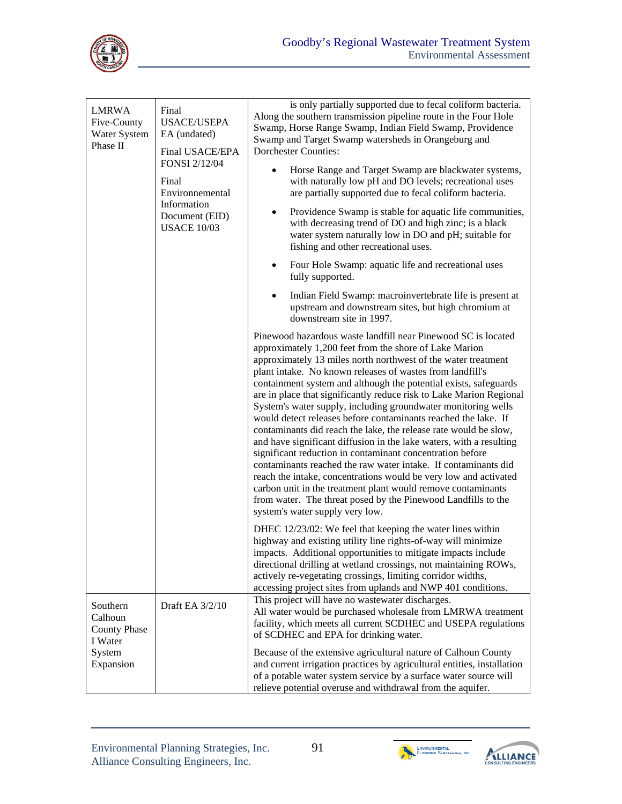

| <b>LMRWA</b><br>Five-County<br>Water System<br>Phase II                      | Final<br><b>USACE/USEPA</b><br>EA (undated)<br>Final USACE/EPA<br>FONSI 2/12/04<br>Final<br>Environnemental<br>Information<br>Document (EID)<br><b>USACE 10/03</b> | is only partially supported due to fecal coliform bacteria.<br>Along the southern transmission pipeline route in the Four Hole<br>Swamp, Horse Range Swamp, Indian Field Swamp, Providence<br>Swamp and Target Swamp watersheds in Orangeburg and<br><b>Dorchester Counties:</b>                                                                                                                                                                                                                                                                                                                                                                                                                                                                                                                                                                                                                                                                                                                                                                      |
|------------------------------------------------------------------------------|--------------------------------------------------------------------------------------------------------------------------------------------------------------------|-------------------------------------------------------------------------------------------------------------------------------------------------------------------------------------------------------------------------------------------------------------------------------------------------------------------------------------------------------------------------------------------------------------------------------------------------------------------------------------------------------------------------------------------------------------------------------------------------------------------------------------------------------------------------------------------------------------------------------------------------------------------------------------------------------------------------------------------------------------------------------------------------------------------------------------------------------------------------------------------------------------------------------------------------------|
|                                                                              |                                                                                                                                                                    | Horse Range and Target Swamp are blackwater systems,<br>with naturally low pH and DO levels; recreational uses<br>are partially supported due to fecal coliform bacteria.<br>Providence Swamp is stable for aquatic life communities,<br>with decreasing trend of DO and high zinc; is a black<br>water system naturally low in DO and pH; suitable for<br>fishing and other recreational uses.                                                                                                                                                                                                                                                                                                                                                                                                                                                                                                                                                                                                                                                       |
|                                                                              |                                                                                                                                                                    |                                                                                                                                                                                                                                                                                                                                                                                                                                                                                                                                                                                                                                                                                                                                                                                                                                                                                                                                                                                                                                                       |
|                                                                              |                                                                                                                                                                    |                                                                                                                                                                                                                                                                                                                                                                                                                                                                                                                                                                                                                                                                                                                                                                                                                                                                                                                                                                                                                                                       |
|                                                                              |                                                                                                                                                                    | Pinewood hazardous waste landfill near Pinewood SC is located<br>approximately 1,200 feet from the shore of Lake Marion<br>approximately 13 miles north northwest of the water treatment<br>plant intake. No known releases of wastes from landfill's<br>containment system and although the potential exists, safeguards<br>are in place that significantly reduce risk to Lake Marion Regional<br>System's water supply, including groundwater monitoring wells<br>would detect releases before contaminants reached the lake. If<br>contaminants did reach the lake, the release rate would be slow,<br>and have significant diffusion in the lake waters, with a resulting<br>significant reduction in contaminant concentration before<br>contaminants reached the raw water intake. If contaminants did<br>reach the intake, concentrations would be very low and activated<br>carbon unit in the treatment plant would remove contaminants<br>from water. The threat posed by the Pinewood Landfills to the<br>system's water supply very low. |
|                                                                              |                                                                                                                                                                    | DHEC 12/23/02: We feel that keeping the water lines within<br>highway and existing utility line rights-of-way will minimize<br>impacts. Additional opportunities to mitigate impacts include<br>directional drilling at wetland crossings, not maintaining ROWs,<br>actively re-vegetating crossings, limiting corridor widths,<br>accessing project sites from uplands and NWP 401 conditions.                                                                                                                                                                                                                                                                                                                                                                                                                                                                                                                                                                                                                                                       |
| Southern<br>Calhoun<br><b>County Phase</b><br>I Water<br>System<br>Expansion | Draft EA 3/2/10                                                                                                                                                    | This project will have no wastewater discharges.<br>All water would be purchased wholesale from LMRWA treatment<br>facility, which meets all current SCDHEC and USEPA regulations<br>of SCDHEC and EPA for drinking water.                                                                                                                                                                                                                                                                                                                                                                                                                                                                                                                                                                                                                                                                                                                                                                                                                            |
|                                                                              |                                                                                                                                                                    | Because of the extensive agricultural nature of Calhoun County<br>and current irrigation practices by agricultural entities, installation<br>of a potable water system service by a surface water source will<br>relieve potential overuse and withdrawal from the aquifer.                                                                                                                                                                                                                                                                                                                                                                                                                                                                                                                                                                                                                                                                                                                                                                           |



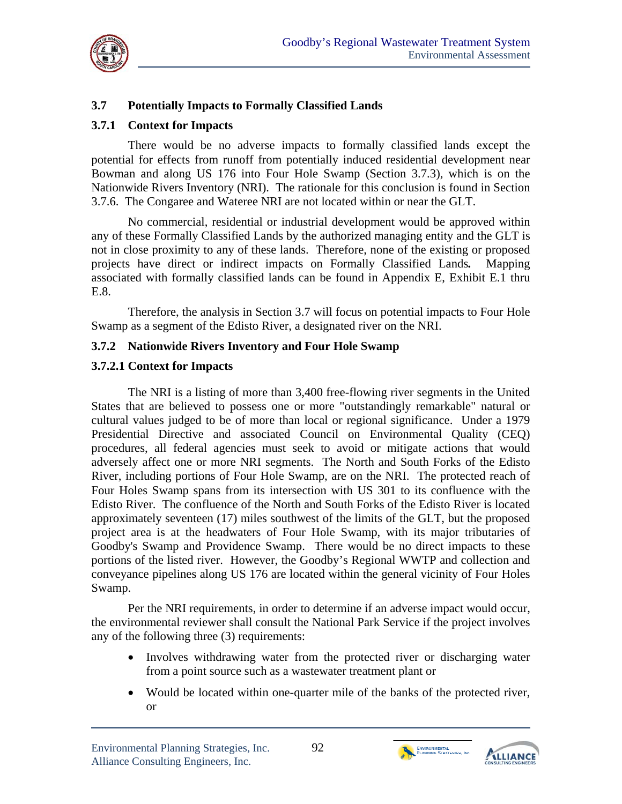

# **3.7 Potentially Impacts to Formally Classified Lands**

#### **3.7.1 Context for Impacts**

There would be no adverse impacts to formally classified lands except the potential for effects from runoff from potentially induced residential development near Bowman and along US 176 into Four Hole Swamp (Section 3.7.3), which is on the Nationwide Rivers Inventory (NRI). The rationale for this conclusion is found in Section 3.7.6. The Congaree and Wateree NRI are not located within or near the GLT.

 $E.8.$  No commercial, residential or industrial development would be approved within any of these Formally Classified Lands by the authorized managing entity and the GLT is not in close proximity to any of these lands. Therefore, none of the existing or proposed projects have direct or indirect impacts on Formally Classified Lands*.* Mapping associated with formally classified lands can be found in Appendix E, Exhibit E.1 thru

Therefore, the analysis in Section 3.7 will focus on potential impacts to Four Hole Swamp as a segment of the Edisto River, a designated river on the NRI.

#### **3.7.2 Nationwide Rivers Inventory and Four Hole Swamp**

#### **3.7.2.1 Context for Impacts**

The NRI is a listing of more than 3,400 free-flowing river segments in the United States that are believed to possess one or more "outstandingly remarkable" natural or cultural values judged to be of more than local or regional significance. Under a 1979 Presidential Directive and associated Council on Environmental Quality (CEQ) procedures, all federal agencies must seek to avoid or mitigate actions that would adversely affect one or more NRI segments. The North and South Forks of the Edisto River, including portions of Four Hole Swamp, are on the NRI. The protected reach of Four Holes Swamp spans from its intersection with US 301 to its confluence with the Edisto River. The confluence of the North and South Forks of the Edisto River is located approximately seventeen (17) miles southwest of the limits of the GLT, but the proposed project area is at the headwaters of Four Hole Swamp, with its major tributaries of Goodby's Swamp and Providence Swamp. There would be no direct impacts to these portions of the listed river. However, the Goodby's Regional WWTP and collection and conveyance pipelines along US 176 are located within the general vicinity of Four Holes Swamp.

Per the NRI requirements, in order to determine if an adverse impact would occur, the environmental reviewer shall consult the National Park Service if the project involves any of the following three (3) requirements:

- Involves withdrawing water from the protected river or discharging water from a point source such as a wastewater treatment plant or
- Would be located within one-quarter mile of the banks of the protected river, or





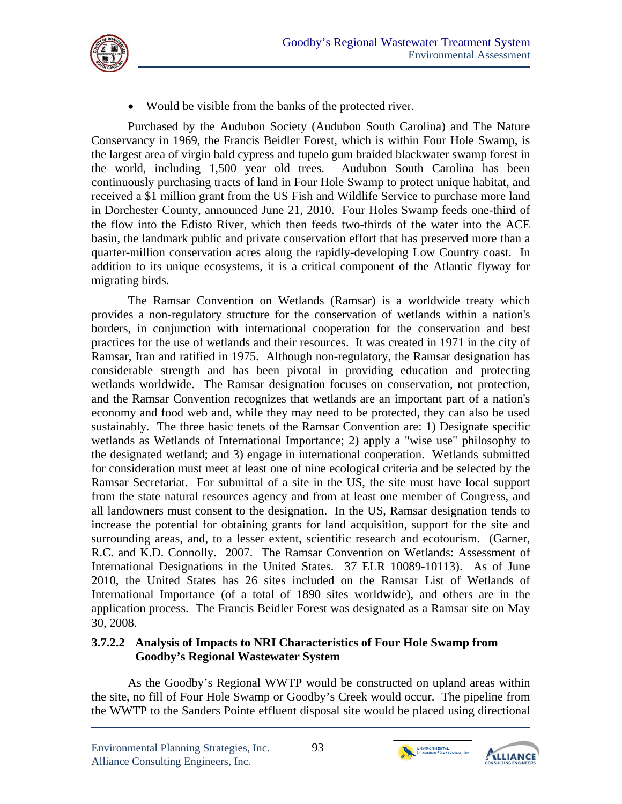

Would be visible from the banks of the protected river.

Purchased by the Audubon Society (Audubon South Carolina) and The Nature Conservancy in 1969, the Francis Beidler Forest, which is within Four Hole Swamp, is the largest area of virgin bald cypress and tupelo gum braided blackwater swamp forest in the world, including 1,500 year old trees. Audubon South Carolina has been continuously purchasing tracts of land in Four Hole Swamp to protect unique habitat, and received a \$1 million grant from the US Fish and Wildlife Service to purchase more land in Dorchester County, announced June 21, 2010. Four Holes Swamp feeds one-third of the flow into the Edisto River, which then feeds two-thirds of the water into the ACE basin, the landmark public and private conservation effort that has preserved more than a quarter-million conservation acres along the rapidly-developing Low Country coast. In addition to its unique ecosystems, it is a critical component of the Atlantic flyway for migrating birds.

The Ramsar Convention on Wetlands (Ramsar) is a worldwide treaty which provides a non-regulatory structure for the conservation of wetlands within a nation's borders, in conjunction with international cooperation for the conservation and best practices for the use of wetlands and their resources. It was created in 1971 in the city of Ramsar, Iran and ratified in 1975. Although non-regulatory, the Ramsar designation has considerable strength and has been pivotal in providing education and protecting wetlands worldwide. The Ramsar designation focuses on conservation, not protection, and the Ramsar Convention recognizes that wetlands are an important part of a nation's economy and food web and, while they may need to be protected, they can also be used sustainably. The three basic tenets of the Ramsar Convention are: 1) Designate specific wetlands as Wetlands of International Importance; 2) apply a "wise use" philosophy to the designated wetland; and 3) engage in international cooperation. Wetlands submitted for consideration must meet at least one of nine ecological criteria and be selected by the Ramsar Secretariat. For submittal of a site in the US, the site must have local support from the state natural resources agency and from at least one member of Congress, and all landowners must consent to the designation. In the US, Ramsar designation tends to increase the potential for obtaining grants for land acquisition, support for the site and surrounding areas, and, to a lesser extent, scientific research and ecotourism. (Garner, R.C. and K.D. Connolly. 2007. The Ramsar Convention on Wetlands: Assessment of International Designations in the United States. 37 ELR 10089-10113). As of June 2010, the United States has 26 sites included on the Ramsar List of Wetlands of International Importance (of a total of 1890 sites worldwide), and others are in the application process. The Francis Beidler Forest was designated as a Ramsar site on May 30, 2008.

### **3.7.2.2 Analysis of Impacts to NRI Characteristics of Four Hole Swamp from Goodby's Regional Wastewater System**

As the Goodby's Regional WWTP would be constructed on upland areas within the site, no fill of Four Hole Swamp or Goodby's Creek would occur. The pipeline from the WWTP to the Sanders Pointe effluent disposal site would be placed using directional



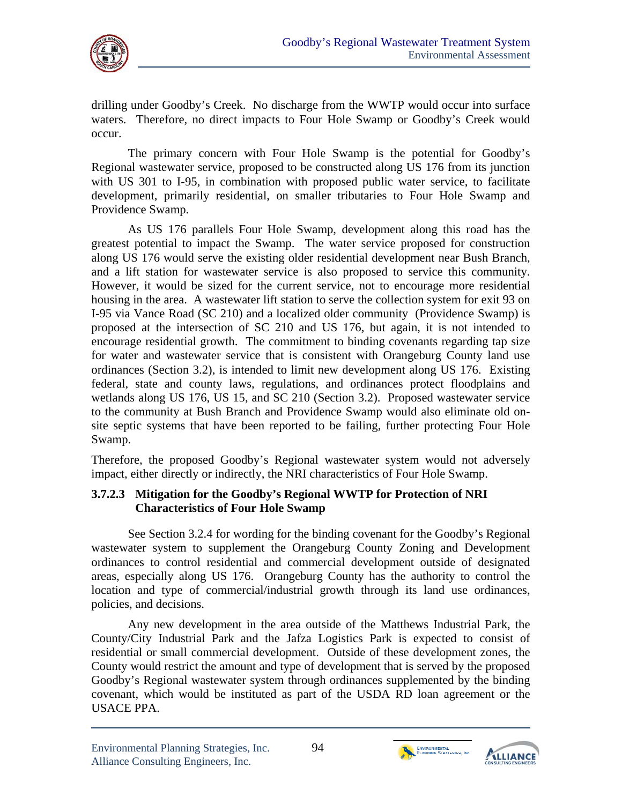

drilling under Goodby's Creek. No discharge from the WWTP would occur into surface waters. Therefore, no direct impacts to Four Hole Swamp or Goodby's Creek would occur.

The primary concern with Four Hole Swamp is the potential for Goodby's Regional wastewater service, proposed to be constructed along US 176 from its junction with US 301 to I-95, in combination with proposed public water service, to facilitate development, primarily residential, on smaller tributaries to Four Hole Swamp and Providence Swamp.

As US 176 parallels Four Hole Swamp, development along this road has the greatest potential to impact the Swamp. The water service proposed for construction along US 176 would serve the existing older residential development near Bush Branch, and a lift station for wastewater service is also proposed to service this community. However, it would be sized for the current service, not to encourage more residential housing in the area. A wastewater lift station to serve the collection system for exit 93 on I-95 via Vance Road (SC 210) and a localized older community (Providence Swamp) is proposed at the intersection of SC 210 and US 176, but again, it is not intended to encourage residential growth. The commitment to binding covenants regarding tap size for water and wastewater service that is consistent with Orangeburg County land use ordinances (Section 3.2), is intended to limit new development along US 176. Existing federal, state and county laws, regulations, and ordinances protect floodplains and wetlands along US 176, US 15, and SC 210 (Section 3.2). Proposed wastewater service to the community at Bush Branch and Providence Swamp would also eliminate old onsite septic systems that have been reported to be failing, further protecting Four Hole Swamp.

Therefore, the proposed Goodby's Regional wastewater system would not adversely impact, either directly or indirectly, the NRI characteristics of Four Hole Swamp.

### **3.7.2.3 Mitigation for the Goodby's Regional WWTP for Protection of NRI Characteristics of Four Hole Swamp**

See Section 3.2.4 for wording for the binding covenant for the Goodby's Regional wastewater system to supplement the Orangeburg County Zoning and Development ordinances to control residential and commercial development outside of designated areas, especially along US 176. Orangeburg County has the authority to control the location and type of commercial/industrial growth through its land use ordinances, policies, and decisions.

Any new development in the area outside of the Matthews Industrial Park, the County/City Industrial Park and the Jafza Logistics Park is expected to consist of residential or small commercial development. Outside of these development zones, the County would restrict the amount and type of development that is served by the proposed Goodby's Regional wastewater system through ordinances supplemented by the binding covenant, which would be instituted as part of the USDA RD loan agreement or the USACE PPA.



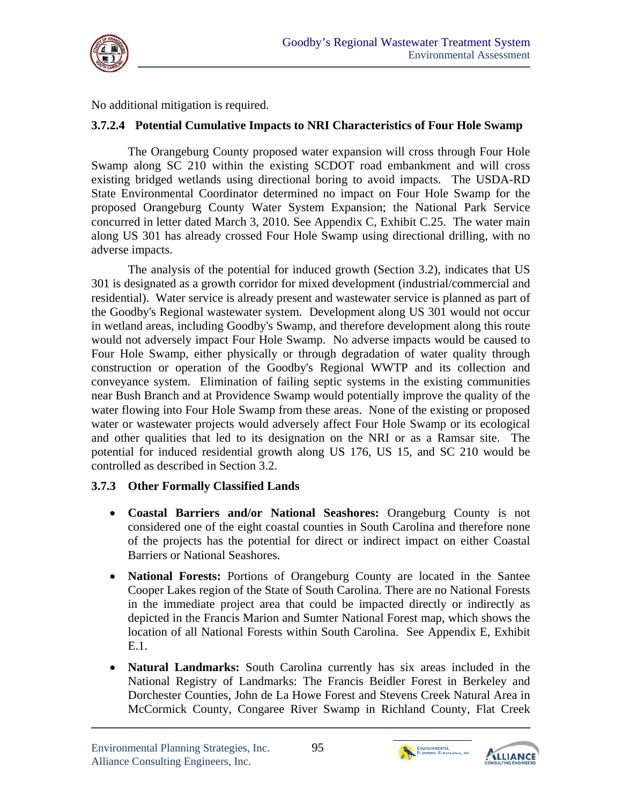

No additional mitigation is required.

### **3.7.2.4 Potential Cumulative Impacts to NRI Characteristics of Four Hole Swamp**

The Orangeburg County proposed water expansion will cross through Four Hole Swamp along SC 210 within the existing SCDOT road embankment and will cross existing bridged wetlands using directional boring to avoid impacts. The USDA-RD State Environmental Coordinator determined no impact on Four Hole Swamp for the proposed Orangeburg County Water System Expansion; the National Park Service concurred in letter dated March 3, 2010. See Appendix C, Exhibit C.25. The water main along US 301 has already crossed Four Hole Swamp using directional drilling, with no adverse impacts.

The analysis of the potential for induced growth (Section 3.2), indicates that US 301 is designated as a growth corridor for mixed development (industrial/commercial and residential). Water service is already present and wastewater service is planned as part of the Goodby's Regional wastewater system. Development along US 301 would not occur in wetland areas, including Goodby's Swamp, and therefore development along this route would not adversely impact Four Hole Swamp. No adverse impacts would be caused to Four Hole Swamp, either physically or through degradation of water quality through construction or operation of the Goodby's Regional WWTP and its collection and conveyance system. Elimination of failing septic systems in the existing communities near Bush Branch and at Providence Swamp would potentially improve the quality of the water flowing into Four Hole Swamp from these areas. None of the existing or proposed water or wastewater projects would adversely affect Four Hole Swamp or its ecological and other qualities that led to its designation on the NRI or as a Ramsar site. The potential for induced residential growth along US 176, US 15, and SC 210 would be controlled as described in Section 3.2.

# **3.7.3 Other Formally Classified Lands**

- **Coastal Barriers and/or National Seashores:** Orangeburg County is not considered one of the eight coastal counties in South Carolina and therefore none of the projects has the potential for direct or indirect impact on either Coastal Barriers or National Seashores.
- **National Forests:** Portions of Orangeburg County are located in the Santee Cooper Lakes region of the State of South Carolina. There are no National Forests in the immediate project area that could be impacted directly or indirectly as depicted in the Francis Marion and Sumter National Forest map, which shows the location of all National Forests within South Carolina. See Appendix E, Exhibit E.1.
- **Natural Landmarks:** South Carolina currently has six areas included in the National Registry of Landmarks: The Francis Beidler Forest in Berkeley and Dorchester Counties, John de La Howe Forest and Stevens Creek Natural Area in McCormick County, Congaree River Swamp in Richland County, Flat Creek



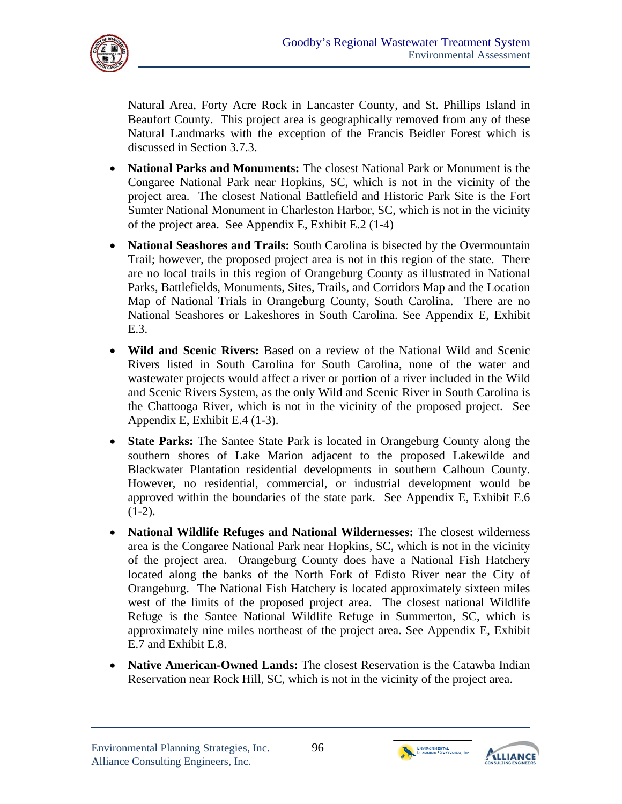

Natural Area, Forty Acre Rock in Lancaster County, and St. Phillips Island in Beaufort County. This project area is geographically removed from any of these Natural Landmarks with the exception of the Francis Beidler Forest which is discussed in Section 3.7.3.

- **National Parks and Monuments:** The closest National Park or Monument is the Congaree National Park near Hopkins, SC, which is not in the vicinity of the project area. The closest National Battlefield and Historic Park Site is the Fort Sumter National Monument in Charleston Harbor, SC, which is not in the vicinity of the project area. See Appendix E, Exhibit E.2 (1-4)
- **National Seashores and Trails:** South Carolina is bisected by the Overmountain Trail; however, the proposed project area is not in this region of the state. There are no local trails in this region of Orangeburg County as illustrated in National Parks, Battlefields, Monuments, Sites, Trails, and Corridors Map and the Location Map of National Trials in Orangeburg County, South Carolina. There are no National Seashores or Lakeshores in South Carolina. See Appendix E, Exhibit E.3.
- **Wild and Scenic Rivers:** Based on a review of the National Wild and Scenic Rivers listed in South Carolina for South Carolina, none of the water and wastewater projects would affect a river or portion of a river included in the Wild and Scenic Rivers System, as the only Wild and Scenic River in South Carolina is the Chattooga River, which is not in the vicinity of the proposed project. See Appendix E, Exhibit E.4 (1-3).
- **State Parks:** The Santee State Park is located in Orangeburg County along the southern shores of Lake Marion adjacent to the proposed Lakewilde and Blackwater Plantation residential developments in southern Calhoun County. However, no residential, commercial, or industrial development would be approved within the boundaries of the state park. See Appendix E, Exhibit E.6  $(1-2)$ .
- **National Wildlife Refuges and National Wildernesses:** The closest wilderness area is the Congaree National Park near Hopkins, SC, which is not in the vicinity of the project area. Orangeburg County does have a National Fish Hatchery located along the banks of the North Fork of Edisto River near the City of Orangeburg. The National Fish Hatchery is located approximately sixteen miles west of the limits of the proposed project area. The closest national Wildlife Refuge is the Santee National Wildlife Refuge in Summerton, SC, which is approximately nine miles northeast of the project area. See Appendix E, Exhibit E.7 and Exhibit E.8.
- **Native American-Owned Lands:** The closest Reservation is the Catawba Indian Reservation near Rock Hill, SC, which is not in the vicinity of the project area.